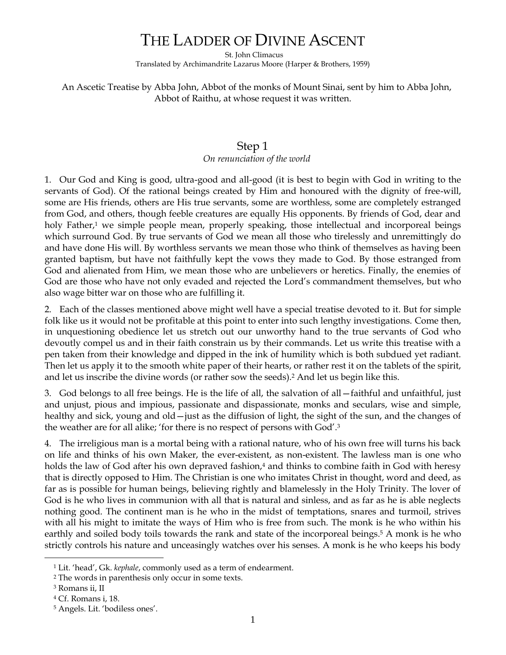# THE LADDER OF DIVINE ASCENT

St. John Climacus

Translated by Archimandrite Lazarus Moore (Harper & Brothers, 1959)

An Ascetic Treatise by Abba John, Abbot of the monks of Mount Sinai, sent by him to Abba John, Abbot of Raithu, at whose request it was written.

# Step 1

#### *On renunciation of the world*

1. Our God and King is good, ultra-good and all-good (it is best to begin with God in writing to the servants of God). Of the rational beings created by Him and honoured with the dignity of free-will, some are His friends, others are His true servants, some are worthless, some are completely estranged from God, and others, though feeble creatures are equally His opponents. By friends of God, dear and holy Father, $\frac{1}{1}$  we simple people mean, properly speaking, those intellectual and incorporeal beings which surround God. By true servants of God we mean all those who tirelessly and unremittingly do and have done His will. By worthless servants we mean those who think of themselves as having been granted baptism, but have not faithfully kept the vows they made to God. By those estranged from God and alienated from Him, we mean those who are unbelievers or heretics. Finally, the enemies of God are those who have not only evaded and rejected the Lord's commandment themselves, but who also wage bitter war on those who are fulfilling it.

2. Each of the classes mentioned above might well have a special treatise devoted to it. But for simple folk like us it would not be profitable at this point to enter into such lengthy investigations. Come then, in unquestioning obedience let us stretch out our unworthy hand to the true servants of God who devoutly compel us and in their faith constrain us by their commands. Let us write this treatise with a pen taken from their knowledge and dipped in the ink of humility which is both subdued yet radiant. Then let us apply it to the smooth white paper of their hearts, or rather rest it on the tablets of the spirit, and let us inscribe the divine words (or rather sow the seeds).<sup>2</sup> And let us begin like this.

3. God belongs to all free beings. He is the life of all, the salvation of all—faithful and unfaithful, just and unjust, pious and impious, passionate and dispassionate, monks and seculars, wise and simple, healthy and sick, young and old — just as the diffusion of light, the sight of the sun, and the changes of the weather are for all alike; 'for there is no respect of persons with God'.<sup>3</sup>

4. The irreligious man is a mortal being with a rational nature, who of his own free will turns his back on life and thinks of his own Maker, the ever-existent, as non-existent. The lawless man is one who holds the law of God after his own depraved fashion,<sup>4</sup> and thinks to combine faith in God with heresy that is directly opposed to Him. The Christian is one who imitates Christ in thought, word and deed, as far as is possible for human beings, believing rightly and blamelessly in the Holy Trinity. The lover of God is he who lives in communion with all that is natural and sinless, and as far as he is able neglects nothing good. The continent man is he who in the midst of temptations, snares and turmoil, strives with all his might to imitate the ways of Him who is free from such. The monk is he who within his earthly and soiled body toils towards the rank and state of the incorporeal beings.<sup>5</sup> A monk is he who strictly controls his nature and unceasingly watches over his senses. A monk is he who keeps his body

<sup>1</sup> Lit. 'head', Gk. *kephale*, commonly used as a term of endearment.

<sup>2</sup> The words in parenthesis only occur in some texts.

<sup>3</sup> Romans ii, II

<sup>4</sup> Cf. Romans i, 18.

<sup>5</sup> Angels. Lit. 'bodiless ones'.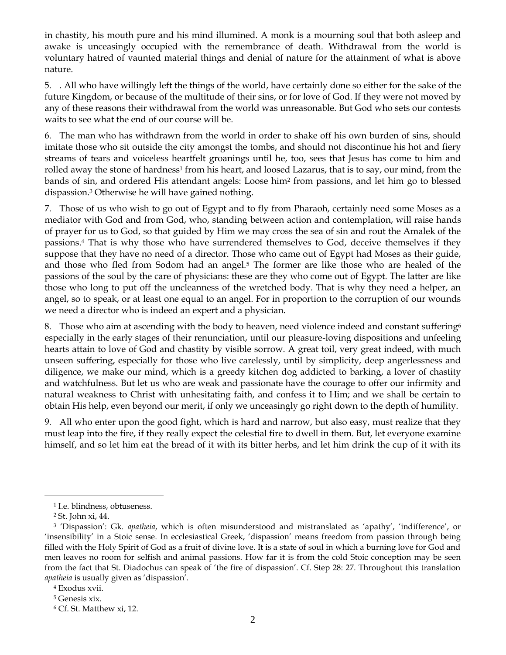in chastity, his mouth pure and his mind illumined. A monk is a mourning soul that both asleep and awake is unceasingly occupied with the remembrance of death. Withdrawal from the world is voluntary hatred of vaunted material things and denial of nature for the attainment of what is above nature.

5. . All who have willingly left the things of the world, have certainly done so either for the sake of the future Kingdom, or because of the multitude of their sins, or for love of God. If they were not moved by any of these reasons their withdrawal from the world was unreasonable. But God who sets our contests waits to see what the end of our course will be.

6. The man who has withdrawn from the world in order to shake off his own burden of sins, should imitate those who sit outside the city amongst the tombs, and should not discontinue his hot and fiery streams of tears and voiceless heartfelt groanings until he, too, sees that Jesus has come to him and rolled away the stone of hardness<sup>1</sup> from his heart, and loosed Lazarus, that is to say, our mind, from the bands of sin, and ordered His attendant angels: Loose him<sup>2</sup> from passions, and let him go to blessed dispassion.<sup>3</sup> Otherwise he will have gained nothing.

7. Those of us who wish to go out of Egypt and to fly from Pharaoh, certainly need some Moses as a mediator with God and from God, who, standing between action and contemplation, will raise hands of prayer for us to God, so that guided by Him we may cross the sea of sin and rout the Amalek of the passions.<sup>4</sup> That is why those who have surrendered themselves to God, deceive themselves if they suppose that they have no need of a director. Those who came out of Egypt had Moses as their guide, and those who fled from Sodom had an angel.<sup>5</sup> The former are like those who are healed of the passions of the soul by the care of physicians: these are they who come out of Egypt. The latter are like those who long to put off the uncleanness of the wretched body. That is why they need a helper, an angel, so to speak, or at least one equal to an angel. For in proportion to the corruption of our wounds we need a director who is indeed an expert and a physician.

8. Those who aim at ascending with the body to heaven, need violence indeed and constant suffering<sup>6</sup> especially in the early stages of their renunciation, until our pleasure-loving dispositions and unfeeling hearts attain to love of God and chastity by visible sorrow. A great toil, very great indeed, with much unseen suffering, especially for those who live carelessly, until by simplicity, deep angerlessness and diligence, we make our mind, which is a greedy kitchen dog addicted to barking, a lover of chastity and watchfulness. But let us who are weak and passionate have the courage to offer our infirmity and natural weakness to Christ with unhesitating faith, and confess it to Him; and we shall be certain to obtain His help, even beyond our merit, if only we unceasingly go right down to the depth of humility.

9. All who enter upon the good fight, which is hard and narrow, but also easy, must realize that they must leap into the fire, if they really expect the celestial fire to dwell in them. But, let everyone examine himself, and so let him eat the bread of it with its bitter herbs, and let him drink the cup of it with its

<sup>1</sup> I.e. blindness, obtuseness.

<sup>2</sup> St. John xi, 44.

<sup>3</sup> 'Dispassion': Gk. *apatheia*, which is often misunderstood and mistranslated as 'apathy', 'indifference', or 'insensibility' in a Stoic sense. In ecclesiastical Greek, 'dispassion' means freedom from passion through being filled with the Holy Spirit of God as a fruit of divine love. It is a state of soul in which a burning love for God and men leaves no room for selfish and animal passions. How far it is from the cold Stoic conception may be seen from the fact that St. Diadochus can speak of 'the fire of dispassion'. Cf. Step 28: 27. Throughout this translation *apatheia* is usually given as 'dispassion'.

<sup>4</sup> Exodus xvii.

<sup>5</sup> Genesis xix.

<sup>6</sup> Cf. St. Matthew xi, 12.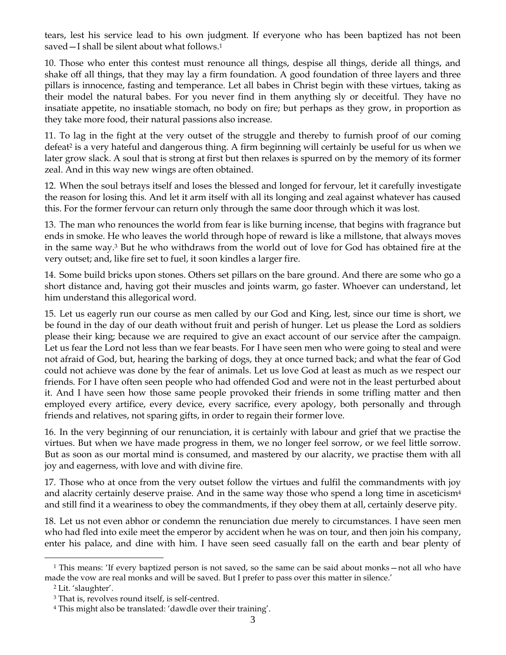tears, lest his service lead to his own judgment. If everyone who has been baptized has not been saved—I shall be silent about what follows.<sup>1</sup>

10. Those who enter this contest must renounce all things, despise all things, deride all things, and shake off all things, that they may lay a firm foundation. A good foundation of three layers and three pillars is innocence, fasting and temperance. Let all babes in Christ begin with these virtues, taking as their model the natural babes. For you never find in them anything sly or deceitful. They have no insatiate appetite, no insatiable stomach, no body on fire; but perhaps as they grow, in proportion as they take more food, their natural passions also increase.

11. To lag in the fight at the very outset of the struggle and thereby to furnish proof of our coming defeat<sup>2</sup> is a very hateful and dangerous thing. A firm beginning will certainly be useful for us when we later grow slack. A soul that is strong at first but then relaxes is spurred on by the memory of its former zeal. And in this way new wings are often obtained.

12. When the soul betrays itself and loses the blessed and longed for fervour, let it carefully investigate the reason for losing this. And let it arm itself with all its longing and zeal against whatever has caused this. For the former fervour can return only through the same door through which it was lost.

13. The man who renounces the world from fear is like burning incense, that begins with fragrance but ends in smoke. He who leaves the world through hope of reward is like a millstone, that always moves in the same way.<sup>3</sup> But he who withdraws from the world out of love for God has obtained fire at the very outset; and, like fire set to fuel, it soon kindles a larger fire.

14. Some build bricks upon stones. Others set pillars on the bare ground. And there are some who go a short distance and, having got their muscles and joints warm, go faster. Whoever can understand, let him understand this allegorical word.

15. Let us eagerly run our course as men called by our God and King, lest, since our time is short, we be found in the day of our death without fruit and perish of hunger. Let us please the Lord as soldiers please their king; because we are required to give an exact account of our service after the campaign. Let us fear the Lord not less than we fear beasts. For I have seen men who were going to steal and were not afraid of God, but, hearing the barking of dogs, they at once turned back; and what the fear of God could not achieve was done by the fear of animals. Let us love God at least as much as we respect our friends. For I have often seen people who had offended God and were not in the least perturbed about it. And I have seen how those same people provoked their friends in some trifling matter and then employed every artifice, every device, every sacrifice, every apology, both personally and through friends and relatives, not sparing gifts, in order to regain their former love.

16. In the very beginning of our renunciation, it is certainly with labour and grief that we practise the virtues. But when we have made progress in them, we no longer feel sorrow, or we feel little sorrow. But as soon as our mortal mind is consumed, and mastered by our alacrity, we practise them with all joy and eagerness, with love and with divine fire.

17. Those who at once from the very outset follow the virtues and fulfil the commandments with joy and alacrity certainly deserve praise. And in the same way those who spend a long time in asceticism<sup>4</sup> and still find it a weariness to obey the commandments, if they obey them at all, certainly deserve pity.

18. Let us not even abhor or condemn the renunciation due merely to circumstances. I have seen men who had fled into exile meet the emperor by accident when he was on tour, and then join his company, enter his palace, and dine with him. I have seen seed casually fall on the earth and bear plenty of

<sup>&</sup>lt;sup>1</sup> This means: 'If every baptized person is not saved, so the same can be said about monks - not all who have made the vow are real monks and will be saved. But I prefer to pass over this matter in silence.'

<sup>2</sup> Lit. 'slaughter'.

<sup>&</sup>lt;sup>3</sup> That is, revolves round itself, is self-centred.

<sup>4</sup> This might also be translated: 'dawdle over their training'.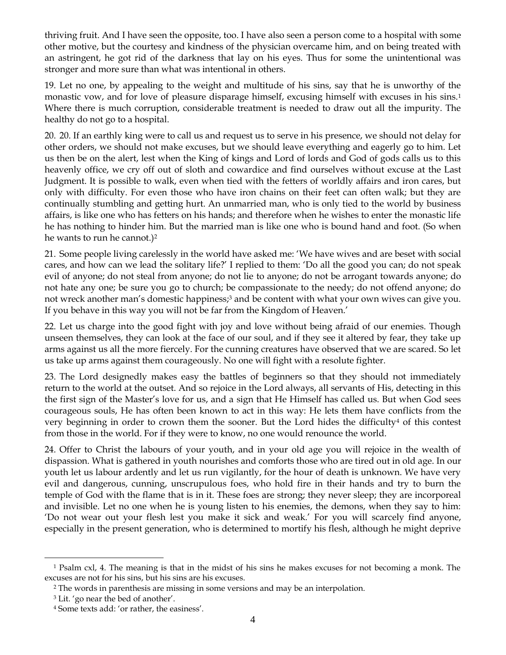thriving fruit. And I have seen the opposite, too. I have also seen a person come to a hospital with some other motive, but the courtesy and kindness of the physician overcame him, and on being treated with an astringent, he got rid of the darkness that lay on his eyes. Thus for some the unintentional was stronger and more sure than what was intentional in others.

19. Let no one, by appealing to the weight and multitude of his sins, say that he is unworthy of the monastic vow, and for love of pleasure disparage himself, excusing himself with excuses in his sins.<sup>1</sup> Where there is much corruption, considerable treatment is needed to draw out all the impurity. The healthy do not go to a hospital.

20. 20. If an earthly king were to call us and request us to serve in his presence, we should not delay for other orders, we should not make excuses, but we should leave everything and eagerly go to him. Let us then be on the alert, lest when the King of kings and Lord of lords and God of gods calls us to this heavenly office, we cry off out of sloth and cowardice and find ourselves without excuse at the Last Judgment. It is possible to walk, even when tied with the fetters of worldly affairs and iron cares, but only with difficulty. For even those who have iron chains on their feet can often walk; but they are continually stumbling and getting hurt. An unmarried man, who is only tied to the world by business affairs, is like one who has fetters on his hands; and therefore when he wishes to enter the monastic life he has nothing to hinder him. But the married man is like one who is bound hand and foot. (So when he wants to run he cannot.)<sup>2</sup>

21. Some people living carelessly in the world have asked me: 'We have wives and are beset with social cares, and how can we lead the solitary life?' I replied to them: 'Do all the good you can; do not speak evil of anyone; do not steal from anyone; do not lie to anyone; do not be arrogant towards anyone; do not hate any one; be sure you go to church; be compassionate to the needy; do not offend anyone; do not wreck another man's domestic happiness;<sup>3</sup> and be content with what your own wives can give you. If you behave in this way you will not be far from the Kingdom of Heaven.'

22. Let us charge into the good fight with joy and love without being afraid of our enemies. Though unseen themselves, they can look at the face of our soul, and if they see it altered by fear, they take up arms against us all the more fiercely. For the cunning creatures have observed that we are scared. So let us take up arms against them courageously. No one will fight with a resolute fighter.

23. The Lord designedly makes easy the battles of beginners so that they should not immediately return to the world at the outset. And so rejoice in the Lord always, all servants of His, detecting in this the first sign of the Master's love for us, and a sign that He Himself has called us. But when God sees courageous souls, He has often been known to act in this way: He lets them have conflicts from the very beginning in order to crown them the sooner. But the Lord hides the difficulty $4$  of this contest from those in the world. For if they were to know, no one would renounce the world.

24. Offer to Christ the labours of your youth, and in your old age you will rejoice in the wealth of dispassion. What is gathered in youth nourishes and comforts those who are tired out in old age. In our youth let us labour ardently and let us run vigilantly, for the hour of death is unknown. We have very evil and dangerous, cunning, unscrupulous foes, who hold fire in their hands and try to burn the temple of God with the flame that is in it. These foes are strong; they never sleep; they are incorporeal and invisible. Let no one when he is young listen to his enemies, the demons, when they say to him: 'Do not wear out your flesh lest you make it sick and weak.' For you will scarcely find anyone, especially in the present generation, who is determined to mortify his flesh, although he might deprive

<sup>1</sup> Psalm cxl, 4. The meaning is that in the midst of his sins he makes excuses for not becoming a monk. The excuses are not for his sins, but his sins are his excuses.

<sup>2</sup> The words in parenthesis are missing in some versions and may be an interpolation.

<sup>3</sup> Lit. 'go near the bed of another'.

<sup>4</sup> Some texts add: 'or rather, the easiness'.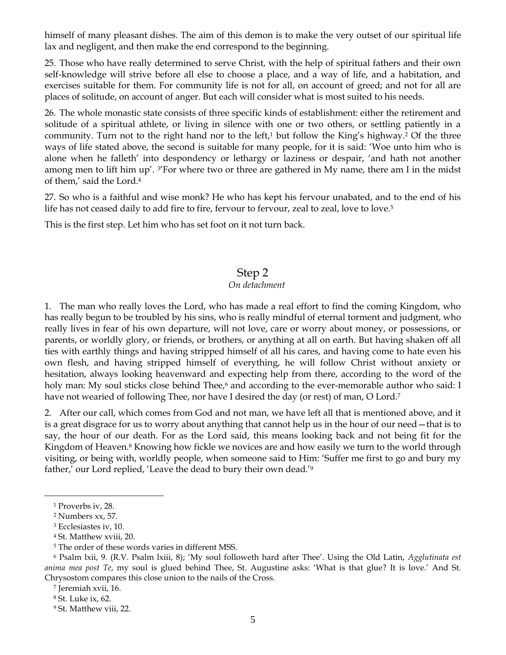himself of many pleasant dishes. The aim of this demon is to make the very outset of our spiritual life lax and negligent, and then make the end correspond to the beginning.

25. Those who have really determined to serve Christ, with the help of spiritual fathers and their own self-knowledge will strive before all else to choose a place, and a way of life, and a habitation, and exercises suitable for them. For community life is not for all, on account of greed; and not for all are places of solitude, on account of anger. But each will consider what is most suited to his needs.

26. The whole monastic state consists of three specific kinds of establishment: either the retirement and solitude of a spiritual athlete, or living in silence with one or two others, or settling patiently in a community. Turn not to the right hand nor to the left,<sup>1</sup> but follow the King's highway.<sup>2</sup> Of the three ways of life stated above, the second is suitable for many people, for it is said: 'Woe unto him who is alone when he falleth' into despondency or lethargy or laziness or despair, 'and hath not another among men to lift him up'. 3'For where two or three are gathered in My name, there am I in the midst of them,' said the Lord.<sup>4</sup>

27. So who is a faithful and wise monk? He who has kept his fervour unabated, and to the end of his life has not ceased daily to add fire to fire, fervour to fervour, zeal to zeal, love to love.<sup>5</sup>

This is the first step. Let him who has set foot on it not turn back.

# Step 2

#### *On detachment*

1. The man who really loves the Lord, who has made a real effort to find the coming Kingdom, who has really begun to be troubled by his sins, who is really mindful of eternal torment and judgment, who really lives in fear of his own departure, will not love, care or worry about money, or possessions, or parents, or worldly glory, or friends, or brothers, or anything at all on earth. But having shaken off all ties with earthly things and having stripped himself of all his cares, and having come to hate even his own flesh, and having stripped himself of everything, he will follow Christ without anxiety or hesitation, always looking heavenward and expecting help from there, according to the word of the holy man: My soul sticks close behind Thee,<sup>6</sup> and according to the ever-memorable author who said: I have not wearied of following Thee, nor have I desired the day (or rest) of man, O Lord.<sup>7</sup>

2. After our call, which comes from God and not man, we have left all that is mentioned above, and it is a great disgrace for us to worry about anything that cannot help us in the hour of our need—that is to say, the hour of our death. For as the Lord said, this means looking back and not being fit for the Kingdom of Heaven.<sup>8</sup> Knowing how fickle we novices are and how easily we turn to the world through visiting, or being with, worldly people, when someone said to Him: 'Suffer me first to go and bury my father,' our Lord replied, 'Leave the dead to bury their own dead.'<sup>9</sup>

<sup>1</sup> Proverbs iv, 28.

<sup>2</sup> Numbers xx, 57.

<sup>3</sup> Ecclesiastes iv, 10.

<sup>4</sup> St. Matthew xviii, 20.

<sup>5</sup> The order of these words varies in different MSS.

<sup>6</sup> Psalm lxii, 9. (R.V. Psalm lxiii, 8); 'My soul followeth hard after Thee'. Using the Old Latin, *Agglutinata est anima mea post Te*, my soul is glued behind Thee, St. Augustine asks: 'What is that glue? It is love.' And St. Chrysostom compares this close union to the nails of the Cross.

<sup>7</sup> Jeremiah xvii, 16.

<sup>8</sup> St. Luke ix, 62.

<sup>&</sup>lt;sup>9</sup> St. Matthew viii, 22.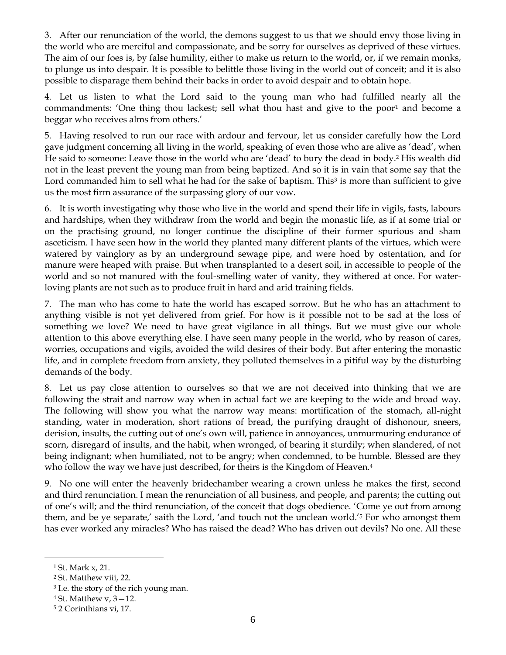3. After our renunciation of the world, the demons suggest to us that we should envy those living in the world who are merciful and compassionate, and be sorry for ourselves as deprived of these virtues. The aim of our foes is, by false humility, either to make us return to the world, or, if we remain monks, to plunge us into despair. It is possible to belittle those living in the world out of conceit; and it is also possible to disparage them behind their backs in order to avoid despair and to obtain hope.

4. Let us listen to what the Lord said to the young man who had fulfilled nearly all the commandments: 'One thing thou lackest; sell what thou hast and give to the poor<sup>1</sup> and become a beggar who receives alms from others.'

5. Having resolved to run our race with ardour and fervour, let us consider carefully how the Lord gave judgment concerning all living in the world, speaking of even those who are alive as 'dead', when He said to someone: Leave those in the world who are 'dead' to bury the dead in body.<sup>2</sup> His wealth did not in the least prevent the young man from being baptized. And so it is in vain that some say that the Lord commanded him to sell what he had for the sake of baptism. This<sup>3</sup> is more than sufficient to give us the most firm assurance of the surpassing glory of our vow.

6. It is worth investigating why those who live in the world and spend their life in vigils, fasts, labours and hardships, when they withdraw from the world and begin the monastic life, as if at some trial or on the practising ground, no longer continue the discipline of their former spurious and sham asceticism. I have seen how in the world they planted many different plants of the virtues, which were watered by vainglory as by an underground sewage pipe, and were hoed by ostentation, and for manure were heaped with praise. But when transplanted to a desert soil, in accessible to people of the world and so not manured with the foul-smelling water of vanity, they withered at once. For waterloving plants are not such as to produce fruit in hard and arid training fields.

7. The man who has come to hate the world has escaped sorrow. But he who has an attachment to anything visible is not yet delivered from grief. For how is it possible not to be sad at the loss of something we love? We need to have great vigilance in all things. But we must give our whole attention to this above everything else. I have seen many people in the world, who by reason of cares, worries, occupations and vigils, avoided the wild desires of their body. But after entering the monastic life, and in complete freedom from anxiety, they polluted themselves in a pitiful way by the disturbing demands of the body.

8. Let us pay close attention to ourselves so that we are not deceived into thinking that we are following the strait and narrow way when in actual fact we are keeping to the wide and broad way. The following will show you what the narrow way means: mortification of the stomach, all-night standing, water in moderation, short rations of bread, the purifying draught of dishonour, sneers, derision, insults, the cutting out of one's own will, patience in annoyances, unmurmuring endurance of scorn, disregard of insults, and the habit, when wronged, of bearing it sturdily; when slandered, of not being indignant; when humiliated, not to be angry; when condemned, to be humble. Blessed are they who follow the way we have just described, for theirs is the Kingdom of Heaven.<sup>4</sup>

9. No one will enter the heavenly bridechamber wearing a crown unless he makes the first, second and third renunciation. I mean the renunciation of all business, and people, and parents; the cutting out of one's will; and the third renunciation, of the conceit that dogs obedience. 'Come ye out from among them, and be ye separate,' saith the Lord, 'and touch not the unclean world.'<sup>5</sup> For who amongst them has ever worked any miracles? Who has raised the dead? Who has driven out devils? No one. All these

<sup>1</sup> St. Mark x, 21.

<sup>2</sup> St. Matthew viii, 22.

<sup>3</sup> I.e. the story of the rich young man.

<sup>4</sup> St. Matthew v, 3—12.

<sup>5</sup> 2 Corinthians vi, 17.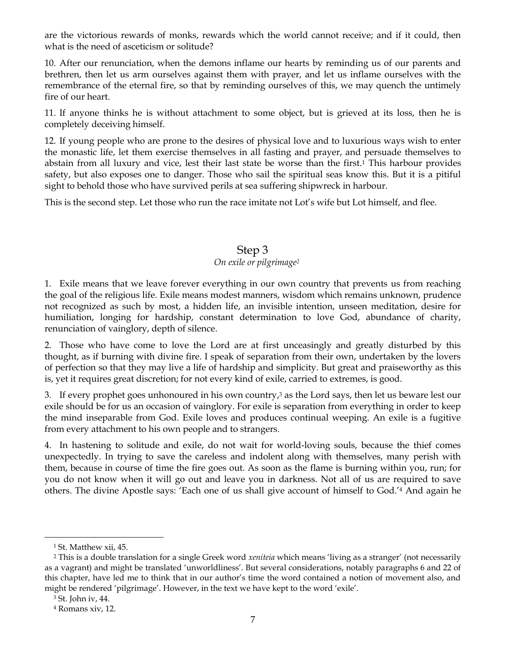are the victorious rewards of monks, rewards which the world cannot receive; and if it could, then what is the need of asceticism or solitude?

10. After our renunciation, when the demons inflame our hearts by reminding us of our parents and brethren, then let us arm ourselves against them with prayer, and let us inflame ourselves with the remembrance of the eternal fire, so that by reminding ourselves of this, we may quench the untimely fire of our heart.

11. If anyone thinks he is without attachment to some object, but is grieved at its loss, then he is completely deceiving himself.

12. If young people who are prone to the desires of physical love and to luxurious ways wish to enter the monastic life, let them exercise themselves in all fasting and prayer, and persuade themselves to abstain from all luxury and vice, lest their last state be worse than the first.<sup>1</sup> This harbour provides safety, but also exposes one to danger. Those who sail the spiritual seas know this. But it is a pitiful sight to behold those who have survived perils at sea suffering shipwreck in harbour.

This is the second step. Let those who run the race imitate not Lot's wife but Lot himself, and flee.

# Step 3

## *On exile or pilgrimage<sup>2</sup>*

1. Exile means that we leave forever everything in our own country that prevents us from reaching the goal of the religious life. Exile means modest manners, wisdom which remains unknown, prudence not recognized as such by most, a hidden life, an invisible intention, unseen meditation, desire for humiliation, longing for hardship, constant determination to love God, abundance of charity, renunciation of vainglory, depth of silence.

2. Those who have come to love the Lord are at first unceasingly and greatly disturbed by this thought, as if burning with divine fire. I speak of separation from their own, undertaken by the lovers of perfection so that they may live a life of hardship and simplicity. But great and praiseworthy as this is, yet it requires great discretion; for not every kind of exile, carried to extremes, is good.

3. If every prophet goes unhonoured in his own country, $3$  as the Lord says, then let us beware lest our exile should be for us an occasion of vainglory. For exile is separation from everything in order to keep the mind inseparable from God. Exile loves and produces continual weeping. An exile is a fugitive from every attachment to his own people and to strangers.

4. In hastening to solitude and exile, do not wait for world-loving souls, because the thief comes unexpectedly. In trying to save the careless and indolent along with themselves, many perish with them, because in course of time the fire goes out. As soon as the flame is burning within you, run; for you do not know when it will go out and leave you in darkness. Not all of us are required to save others. The divine Apostle says: 'Each one of us shall give account of himself to God.'<sup>4</sup> And again he

<sup>1</sup> St. Matthew xii, 45.

<sup>2</sup> This is a double translation for a single Greek word *xeniteia* which means 'living as a stranger' (not necessarily as a vagrant) and might be translated 'unworldliness'. But several considerations, notably paragraphs 6 and 22 of this chapter, have led me to think that in our author's time the word contained a notion of movement also, and might be rendered 'pilgrimage'. However, in the text we have kept to the word 'exile'.

<sup>3</sup> St. John iv, 44.

<sup>4</sup> Romans xiv, 12.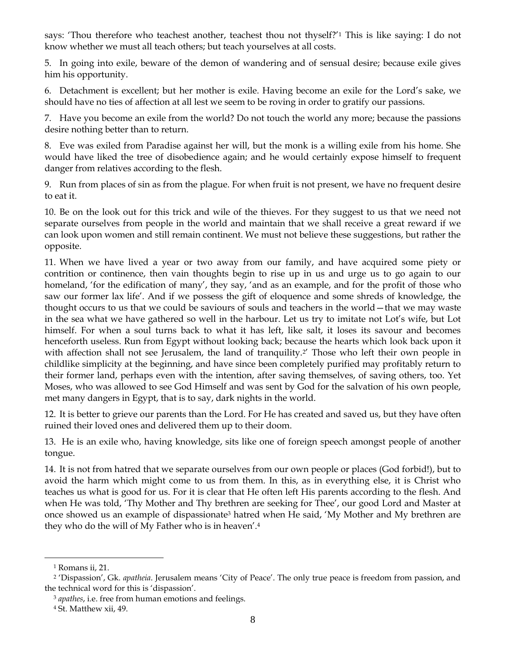says: 'Thou therefore who teachest another, teachest thou not thyself?'<sup>1</sup> This is like saying: I do not know whether we must all teach others; but teach yourselves at all costs.

5. In going into exile, beware of the demon of wandering and of sensual desire; because exile gives him his opportunity.

6. Detachment is excellent; but her mother is exile. Having become an exile for the Lord's sake, we should have no ties of affection at all lest we seem to be roving in order to gratify our passions.

7. Have you become an exile from the world? Do not touch the world any more; because the passions desire nothing better than to return.

8. Eve was exiled from Paradise against her will, but the monk is a willing exile from his home. She would have liked the tree of disobedience again; and he would certainly expose himself to frequent danger from relatives according to the flesh.

9. Run from places of sin as from the plague. For when fruit is not present, we have no frequent desire to eat it.

10. Be on the look out for this trick and wile of the thieves. For they suggest to us that we need not separate ourselves from people in the world and maintain that we shall receive a great reward if we can look upon women and still remain continent. We must not believe these suggestions, but rather the opposite.

11. When we have lived a year or two away from our family, and have acquired some piety or contrition or continence, then vain thoughts begin to rise up in us and urge us to go again to our homeland, 'for the edification of many', they say, 'and as an example, and for the profit of those who saw our former lax life'. And if we possess the gift of eloquence and some shreds of knowledge, the thought occurs to us that we could be saviours of souls and teachers in the world—that we may waste in the sea what we have gathered so well in the harbour. Let us try to imitate not Lot's wife, but Lot himself. For when a soul turns back to what it has left, like salt, it loses its savour and becomes henceforth useless. Run from Egypt without looking back; because the hearts which look back upon it with affection shall not see Jerusalem, the land of tranquility.<sup>2'</sup> Those who left their own people in childlike simplicity at the beginning, and have since been completely purified may profitably return to their former land, perhaps even with the intention, after saving themselves, of saving others, too. Yet Moses, who was allowed to see God Himself and was sent by God for the salvation of his own people, met many dangers in Egypt, that is to say, dark nights in the world.

12. It is better to grieve our parents than the Lord. For He has created and saved us, but they have often ruined their loved ones and delivered them up to their doom.

13. He is an exile who, having knowledge, sits like one of foreign speech amongst people of another tongue.

14. It is not from hatred that we separate ourselves from our own people or places (God forbid!), but to avoid the harm which might come to us from them. In this, as in everything else, it is Christ who teaches us what is good for us. For it is clear that He often left His parents according to the flesh. And when He was told, 'Thy Mother and Thy brethren are seeking for Thee', our good Lord and Master at once showed us an example of dispassionate<sup>3</sup> hatred when He said, 'My Mother and My brethren are they who do the will of My Father who is in heaven'.<sup>4</sup>

<sup>1</sup> Romans ii, 21.

<sup>2</sup> 'Dispassion', Gk. *apatheia*. Jerusalem means 'City of Peace'. The only true peace is freedom from passion, and the technical word for this is 'dispassion'.

<sup>3</sup> *apathes*, i.e. free from human emotions and feelings.

<sup>4</sup> St. Matthew xii, 49.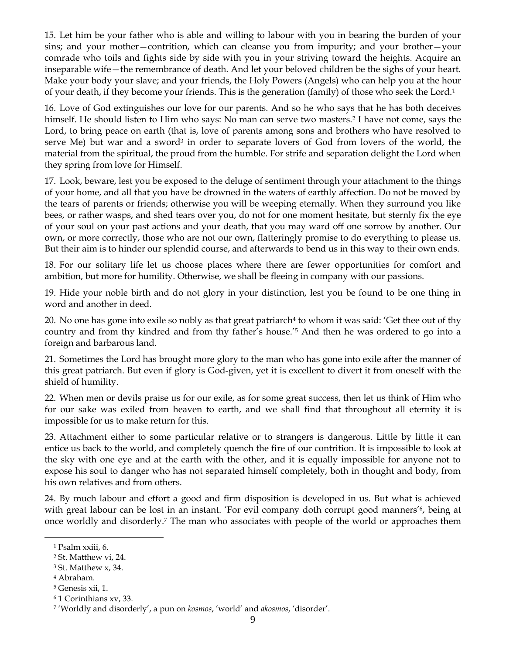15. Let him be your father who is able and willing to labour with you in bearing the burden of your sins; and your mother—contrition, which can cleanse you from impurity; and your brother—your comrade who toils and fights side by side with you in your striving toward the heights. Acquire an inseparable wife—the remembrance of death. And let your beloved children be the sighs of your heart. Make your body your slave; and your friends, the Holy Powers (Angels) who can help you at the hour of your death, if they become your friends. This is the generation (family) of those who seek the Lord.<sup>1</sup>

16. Love of God extinguishes our love for our parents. And so he who says that he has both deceives himself. He should listen to Him who says: No man can serve two masters.<sup>2</sup> I have not come, says the Lord, to bring peace on earth (that is, love of parents among sons and brothers who have resolved to serve Me) but war and a sword<sup>3</sup> in order to separate lovers of God from lovers of the world, the material from the spiritual, the proud from the humble. For strife and separation delight the Lord when they spring from love for Himself.

17. Look, beware, lest you be exposed to the deluge of sentiment through your attachment to the things of your home, and all that you have be drowned in the waters of earthly affection. Do not be moved by the tears of parents or friends; otherwise you will be weeping eternally. When they surround you like bees, or rather wasps, and shed tears over you, do not for one moment hesitate, but sternly fix the eye of your soul on your past actions and your death, that you may ward off one sorrow by another. Our own, or more correctly, those who are not our own, flatteringly promise to do everything to please us. But their aim is to hinder our splendid course, and afterwards to bend us in this way to their own ends.

18. For our solitary life let us choose places where there are fewer opportunities for comfort and ambition, but more for humility. Otherwise, we shall be fleeing in company with our passions.

19. Hide your noble birth and do not glory in your distinction, lest you be found to be one thing in word and another in deed.

20. No one has gone into exile so nobly as that great patriarch<sup>4</sup> to whom it was said: 'Get thee out of thy country and from thy kindred and from thy father's house.'<sup>5</sup> And then he was ordered to go into a foreign and barbarous land.

21. Sometimes the Lord has brought more glory to the man who has gone into exile after the manner of this great patriarch. But even if glory is God-given, yet it is excellent to divert it from oneself with the shield of humility.

22. When men or devils praise us for our exile, as for some great success, then let us think of Him who for our sake was exiled from heaven to earth, and we shall find that throughout all eternity it is impossible for us to make return for this.

23. Attachment either to some particular relative or to strangers is dangerous. Little by little it can entice us back to the world, and completely quench the fire of our contrition. It is impossible to look at the sky with one eye and at the earth with the other, and it is equally impossible for anyone not to expose his soul to danger who has not separated himself completely, both in thought and body, from his own relatives and from others.

24. By much labour and effort a good and firm disposition is developed in us. But what is achieved with great labour can be lost in an instant. 'For evil company doth corrupt good manners'<sup>6</sup>, being at once worldly and disorderly.<sup>7</sup> The man who associates with people of the world or approaches them

<sup>4</sup> Abraham.

<sup>1</sup> Psalm xxiii, 6.

<sup>2</sup> St. Matthew vi, 24.

<sup>3</sup> St. Matthew x, 34.

<sup>5</sup> Genesis xii, 1.

<sup>6</sup> 1 Corinthians xv, 33.

<sup>7</sup> 'Worldly and disorderly', a pun on *kosmos*, 'world' and *akosmos*, 'disorder'.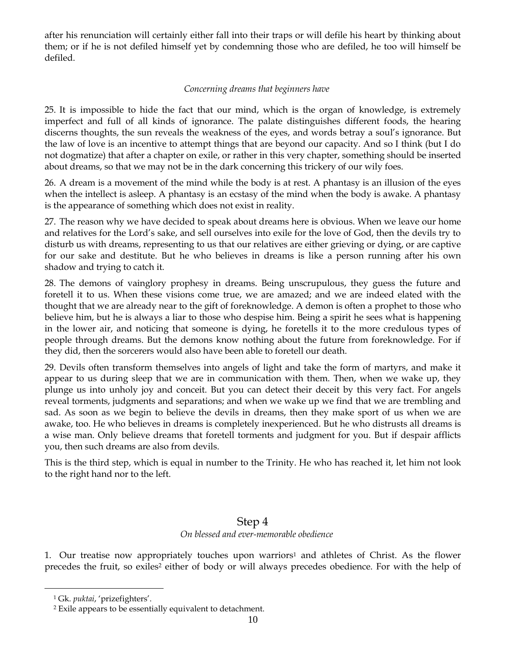after his renunciation will certainly either fall into their traps or will defile his heart by thinking about them; or if he is not defiled himself yet by condemning those who are defiled, he too will himself be defiled.

## *Concerning dreams that beginners have*

25. It is impossible to hide the fact that our mind, which is the organ of knowledge, is extremely imperfect and full of all kinds of ignorance. The palate distinguishes different foods, the hearing discerns thoughts, the sun reveals the weakness of the eyes, and words betray a soul's ignorance. But the law of love is an incentive to attempt things that are beyond our capacity. And so I think (but I do not dogmatize) that after a chapter on exile, or rather in this very chapter, something should be inserted about dreams, so that we may not be in the dark concerning this trickery of our wily foes.

26. A dream is a movement of the mind while the body is at rest. A phantasy is an illusion of the eyes when the intellect is asleep. A phantasy is an ecstasy of the mind when the body is awake. A phantasy is the appearance of something which does not exist in reality.

27. The reason why we have decided to speak about dreams here is obvious. When we leave our home and relatives for the Lord's sake, and sell ourselves into exile for the love of God, then the devils try to disturb us with dreams, representing to us that our relatives are either grieving or dying, or are captive for our sake and destitute. But he who believes in dreams is like a person running after his own shadow and trying to catch it.

28. The demons of vainglory prophesy in dreams. Being unscrupulous, they guess the future and foretell it to us. When these visions come true, we are amazed; and we are indeed elated with the thought that we are already near to the gift of foreknowledge. A demon is often a prophet to those who believe him, but he is always a liar to those who despise him. Being a spirit he sees what is happening in the lower air, and noticing that someone is dying, he foretells it to the more credulous types of people through dreams. But the demons know nothing about the future from foreknowledge. For if they did, then the sorcerers would also have been able to foretell our death.

29. Devils often transform themselves into angels of light and take the form of martyrs, and make it appear to us during sleep that we are in communication with them. Then, when we wake up, they plunge us into unholy joy and conceit. But you can detect their deceit by this very fact. For angels reveal torments, judgments and separations; and when we wake up we find that we are trembling and sad. As soon as we begin to believe the devils in dreams, then they make sport of us when we are awake, too. He who believes in dreams is completely inexperienced. But he who distrusts all dreams is a wise man. Only believe dreams that foretell torments and judgment for you. But if despair afflicts you, then such dreams are also from devils.

This is the third step, which is equal in number to the Trinity. He who has reached it, let him not look to the right hand nor to the left.

# Step 4

*On blessed and ever-memorable obedience*

1. Our treatise now appropriately touches upon warriors<sup>1</sup> and athletes of Christ. As the flower precedes the fruit, so exiles<sup>2</sup> either of body or will always precedes obedience. For with the help of

<sup>1</sup> Gk. *puktai*, 'prizefighters'.

<sup>2</sup> Exile appears to be essentially equivalent to detachment.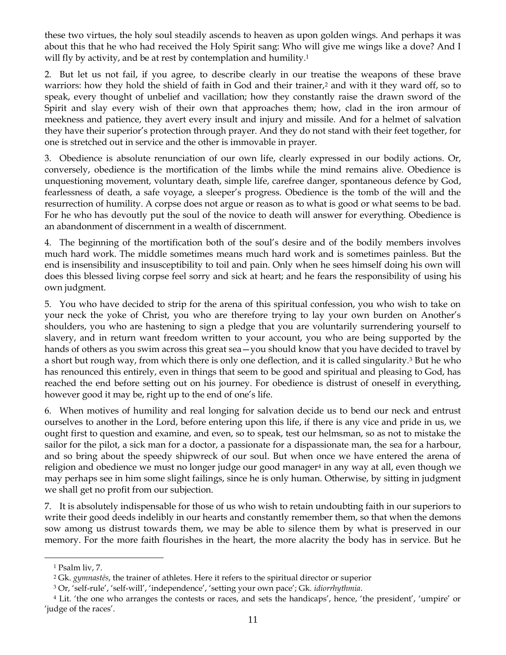these two virtues, the holy soul steadily ascends to heaven as upon golden wings. And perhaps it was about this that he who had received the Holy Spirit sang: Who will give me wings like a dove? And I will fly by activity, and be at rest by contemplation and humility.<sup>1</sup>

2. But let us not fail, if you agree, to describe clearly in our treatise the weapons of these brave warriors: how they hold the shield of faith in God and their trainer,<sup>2</sup> and with it they ward off, so to speak, every thought of unbelief and vacillation; how they constantly raise the drawn sword of the Spirit and slay every wish of their own that approaches them; how, clad in the iron armour of meekness and patience, they avert every insult and injury and missile. And for a helmet of salvation they have their superior's protection through prayer. And they do not stand with their feet together, for one is stretched out in service and the other is immovable in prayer.

3. Obedience is absolute renunciation of our own life, clearly expressed in our bodily actions. Or, conversely, obedience is the mortification of the limbs while the mind remains alive. Obedience is unquestioning movement, voluntary death, simple life, carefree danger, spontaneous defence by God, fearlessness of death, a safe voyage, a sleeper's progress. Obedience is the tomb of the will and the resurrection of humility. A corpse does not argue or reason as to what is good or what seems to be bad. For he who has devoutly put the soul of the novice to death will answer for everything. Obedience is an abandonment of discernment in a wealth of discernment.

4. The beginning of the mortification both of the soul's desire and of the bodily members involves much hard work. The middle sometimes means much hard work and is sometimes painless. But the end is insensibility and insusceptibility to toil and pain. Only when he sees himself doing his own will does this blessed living corpse feel sorry and sick at heart; and he fears the responsibility of using his own judgment.

5. You who have decided to strip for the arena of this spiritual confession, you who wish to take on your neck the yoke of Christ, you who are therefore trying to lay your own burden on Another's shoulders, you who are hastening to sign a pledge that you are voluntarily surrendering yourself to slavery, and in return want freedom written to your account, you who are being supported by the hands of others as you swim across this great sea - you should know that you have decided to travel by a short but rough way, from which there is only one deflection, and it is called singularity.<sup>3</sup> But he who has renounced this entirely, even in things that seem to be good and spiritual and pleasing to God, has reached the end before setting out on his journey. For obedience is distrust of oneself in everything, however good it may be, right up to the end of one's life.

6. When motives of humility and real longing for salvation decide us to bend our neck and entrust ourselves to another in the Lord, before entering upon this life, if there is any vice and pride in us, we ought first to question and examine, and even, so to speak, test our helmsman, so as not to mistake the sailor for the pilot, a sick man for a doctor, a passionate for a dispassionate man, the sea for a harbour, and so bring about the speedy shipwreck of our soul. But when once we have entered the arena of religion and obedience we must no longer judge our good manager<sup>4</sup> in any way at all, even though we may perhaps see in him some slight failings, since he is only human. Otherwise, by sitting in judgment we shall get no profit from our subjection.

7. It is absolutely indispensable for those of us who wish to retain undoubting faith in our superiors to write their good deeds indelibly in our hearts and constantly remember them, so that when the demons sow among us distrust towards them, we may be able to silence them by what is preserved in our memory. For the more faith flourishes in the heart, the more alacrity the body has in service. But he

<sup>1</sup> Psalm liv, 7.

<sup>2</sup> Gk. *gymnastēs*, the trainer of athletes. Here it refers to the spiritual director or superior

<sup>3</sup> Or, 'self-rule', 'self-will', 'independence', 'setting your own pace'; Gk. *idiorrhythmia*.

<sup>4</sup> Lit. 'the one who arranges the contests or races, and sets the handicaps', hence, 'the president', 'umpire' or 'judge of the races'.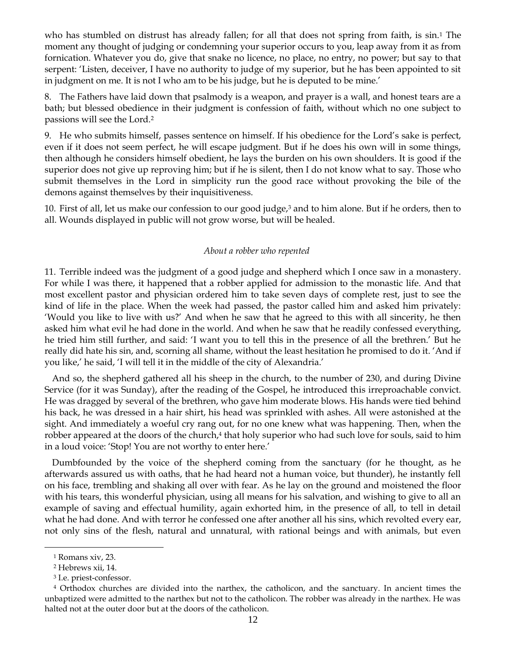who has stumbled on distrust has already fallen; for all that does not spring from faith, is sin.<sup>1</sup> The moment any thought of judging or condemning your superior occurs to you, leap away from it as from fornication. Whatever you do, give that snake no licence, no place, no entry, no power; but say to that serpent: 'Listen, deceiver, I have no authority to judge of my superior, but he has been appointed to sit in judgment on me. It is not I who am to be his judge, but he is deputed to be mine.'

8. The Fathers have laid down that psalmody is a weapon, and prayer is a wall, and honest tears are a bath; but blessed obedience in their judgment is confession of faith, without which no one subject to passions will see the Lord.<sup>2</sup>

9. He who submits himself, passes sentence on himself. If his obedience for the Lord's sake is perfect, even if it does not seem perfect, he will escape judgment. But if he does his own will in some things, then although he considers himself obedient, he lays the burden on his own shoulders. It is good if the superior does not give up reproving him; but if he is silent, then I do not know what to say. Those who submit themselves in the Lord in simplicity run the good race without provoking the bile of the demons against themselves by their inquisitiveness.

10. First of all, let us make our confession to our good judge,<sup>3</sup> and to him alone. But if he orders, then to all. Wounds displayed in public will not grow worse, but will be healed.

## *About a robber who repented*

11. Terrible indeed was the judgment of a good judge and shepherd which I once saw in a monastery. For while I was there, it happened that a robber applied for admission to the monastic life. And that most excellent pastor and physician ordered him to take seven days of complete rest, just to see the kind of life in the place. When the week had passed, the pastor called him and asked him privately: 'Would you like to live with us?' And when he saw that he agreed to this with all sincerity, he then asked him what evil he had done in the world. And when he saw that he readily confessed everything, he tried him still further, and said: 'I want you to tell this in the presence of all the brethren.' But he really did hate his sin, and, scorning all shame, without the least hesitation he promised to do it. 'And if you like,' he said, 'I will tell it in the middle of the city of Alexandria.'

And so, the shepherd gathered all his sheep in the church, to the number of 230, and during Divine Service (for it was Sunday), after the reading of the Gospel, he introduced this irreproachable convict. He was dragged by several of the brethren, who gave him moderate blows. His hands were tied behind his back, he was dressed in a hair shirt, his head was sprinkled with ashes. All were astonished at the sight. And immediately a woeful cry rang out, for no one knew what was happening. Then, when the robber appeared at the doors of the church,<sup>4</sup> that holy superior who had such love for souls, said to him in a loud voice: 'Stop! You are not worthy to enter here.'

Dumbfounded by the voice of the shepherd coming from the sanctuary (for he thought, as he afterwards assured us with oaths, that he had heard not a human voice, but thunder), he instantly fell on his face, trembling and shaking all over with fear. As he lay on the ground and moistened the floor with his tears, this wonderful physician, using all means for his salvation, and wishing to give to all an example of saving and effectual humility, again exhorted him, in the presence of all, to tell in detail what he had done. And with terror he confessed one after another all his sins, which revolted every ear, not only sins of the flesh, natural and unnatural, with rational beings and with animals, but even

<sup>1</sup> Romans xiv, 23.

<sup>2</sup> Hebrews xii, 14.

<sup>3</sup> I.e. priest-confessor.

<sup>4</sup> Orthodox churches are divided into the narthex, the catholicon, and the sanctuary. In ancient times the unbaptized were admitted to the narthex but not to the catholicon. The robber was already in the narthex. He was halted not at the outer door but at the doors of the catholicon.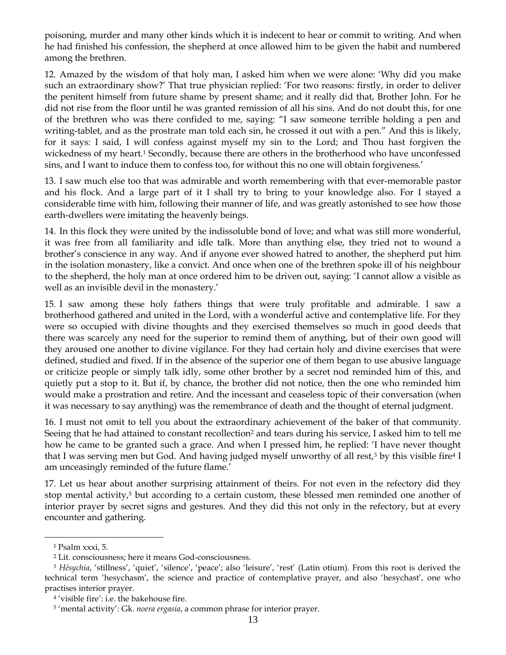poisoning, murder and many other kinds which it is indecent to hear or commit to writing. And when he had finished his confession, the shepherd at once allowed him to be given the habit and numbered among the brethren.

12. Amazed by the wisdom of that holy man, I asked him when we were alone: 'Why did you make such an extraordinary show?' That true physician replied: 'For two reasons: firstly, in order to deliver the penitent himself from future shame by present shame; and it really did that, Brother John. For he did not rise from the floor until he was granted remission of all his sins. And do not doubt this, for one of the brethren who was there confided to me, saying: "I saw someone terrible holding a pen and writing-tablet, and as the prostrate man told each sin, he crossed it out with a pen." And this is likely, for it says: I said, I will confess against myself my sin to the Lord; and Thou hast forgiven the wickedness of my heart.<sup>1</sup> Secondly, because there are others in the brotherhood who have unconfessed sins, and I want to induce them to confess too, for without this no one will obtain forgiveness.'

13. I saw much else too that was admirable and worth remembering with that ever-memorable pastor and his flock. And a large part of it I shall try to bring to your knowledge also. For I stayed a considerable time with him, following their manner of life, and was greatly astonished to see how those earth-dwellers were imitating the heavenly beings.

14. In this flock they were united by the indissoluble bond of love; and what was still more wonderful, it was free from all familiarity and idle talk. More than anything else, they tried not to wound a brother's conscience in any way. And if anyone ever showed hatred to another, the shepherd put him in the isolation monastery, like a convict. And once when one of the brethren spoke ill of his neighbour to the shepherd, the holy man at once ordered him to be driven out, saying: 'I cannot allow a visible as well as an invisible devil in the monastery.'

15. I saw among these holy fathers things that were truly profitable and admirable. I saw a brotherhood gathered and united in the Lord, with a wonderful active and contemplative life. For they were so occupied with divine thoughts and they exercised themselves so much in good deeds that there was scarcely any need for the superior to remind them of anything, but of their own good will they aroused one another to divine vigilance. For they had certain holy and divine exercises that were defined, studied and fixed. If in the absence of the superior one of them began to use abusive language or criticize people or simply talk idly, some other brother by a secret nod reminded him of this, and quietly put a stop to it. But if, by chance, the brother did not notice, then the one who reminded him would make a prostration and retire. And the incessant and ceaseless topic of their conversation (when it was necessary to say anything) was the remembrance of death and the thought of eternal judgment.

16. I must not omit to tell you about the extraordinary achievement of the baker of that community. Seeing that he had attained to constant recollection<sup>2</sup> and tears during his service, I asked him to tell me how he came to be granted such a grace. And when I pressed him, he replied: 'I have never thought that I was serving men but God. And having judged myself unworthy of all rest,<sup>3</sup> by this visible fire<sup>4</sup> I am unceasingly reminded of the future flame.'

17. Let us hear about another surprising attainment of theirs. For not even in the refectory did they stop mental activity,<sup>5</sup> but according to a certain custom, these blessed men reminded one another of interior prayer by secret signs and gestures. And they did this not only in the refectory, but at every encounter and gathering.

<sup>1</sup> Psalm xxxi, 5.

<sup>2</sup> Lit. consciousness; here it means God-consciousness.

<sup>3</sup> *Hēsychia*, 'stillness', 'quiet', 'silence', 'peace'; also 'leisure', 'rest' (Latin otium). From this root is derived the technical term 'hesychasm', the science and practice of contemplative prayer, and also 'hesychast', one who practises interior prayer.

<sup>4</sup> 'visible fire': i.e. the bakehouse fire.

<sup>5</sup> 'mental activity': Gk. *noera ergasia*, a common phrase for interior prayer.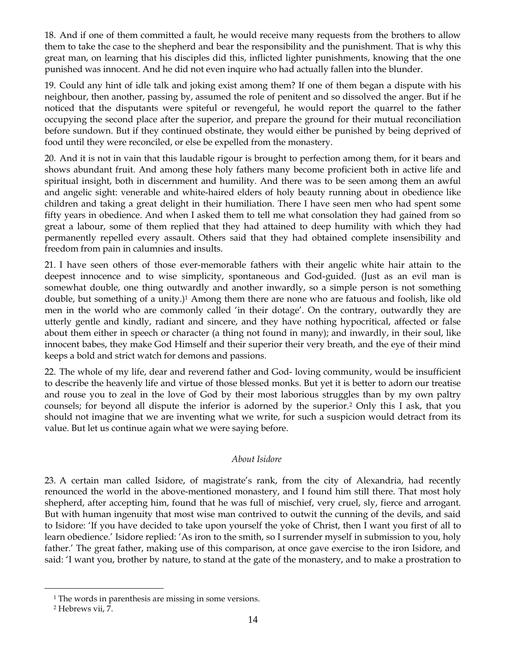18. And if one of them committed a fault, he would receive many requests from the brothers to allow them to take the case to the shepherd and bear the responsibility and the punishment. That is why this great man, on learning that his disciples did this, inflicted lighter punishments, knowing that the one punished was innocent. And he did not even inquire who had actually fallen into the blunder.

19. Could any hint of idle talk and joking exist among them? If one of them began a dispute with his neighbour, then another, passing by, assumed the role of penitent and so dissolved the anger. But if he noticed that the disputants were spiteful or revengeful, he would report the quarrel to the father occupying the second place after the superior, and prepare the ground for their mutual reconciliation before sundown. But if they continued obstinate, they would either be punished by being deprived of food until they were reconciled, or else be expelled from the monastery.

20. And it is not in vain that this laudable rigour is brought to perfection among them, for it bears and shows abundant fruit. And among these holy fathers many become proficient both in active life and spiritual insight, both in discernment and humility. And there was to be seen among them an awful and angelic sight: venerable and white-haired elders of holy beauty running about in obedience like children and taking a great delight in their humiliation. There I have seen men who had spent some fifty years in obedience. And when I asked them to tell me what consolation they had gained from so great a labour, some of them replied that they had attained to deep humility with which they had permanently repelled every assault. Others said that they had obtained complete insensibility and freedom from pain in calumnies and insults.

21. I have seen others of those ever-memorable fathers with their angelic white hair attain to the deepest innocence and to wise simplicity, spontaneous and God-guided. (Just as an evil man is somewhat double, one thing outwardly and another inwardly, so a simple person is not something double, but something of a unity.)<sup>1</sup> Among them there are none who are fatuous and foolish, like old men in the world who are commonly called 'in their dotage'. On the contrary, outwardly they are utterly gentle and kindly, radiant and sincere, and they have nothing hypocritical, affected or false about them either in speech or character (a thing not found in many); and inwardly, in their soul, like innocent babes, they make God Himself and their superior their very breath, and the eye of their mind keeps a bold and strict watch for demons and passions.

22. The whole of my life, dear and reverend father and God- loving community, would be insufficient to describe the heavenly life and virtue of those blessed monks. But yet it is better to adorn our treatise and rouse you to zeal in the love of God by their most laborious struggles than by my own paltry counsels; for beyond all dispute the inferior is adorned by the superior.<sup>2</sup> Only this I ask, that you should not imagine that we are inventing what we write, for such a suspicion would detract from its value. But let us continue again what we were saying before.

## *About Isidore*

23. A certain man called Isidore, of magistrate's rank, from the city of Alexandria, had recently renounced the world in the above-mentioned monastery, and I found him still there. That most holy shepherd, after accepting him, found that he was full of mischief, very cruel, sly, fierce and arrogant. But with human ingenuity that most wise man contrived to outwit the cunning of the devils, and said to Isidore: 'If you have decided to take upon yourself the yoke of Christ, then I want you first of all to learn obedience.' Isidore replied: 'As iron to the smith, so I surrender myself in submission to you, holy father.' The great father, making use of this comparison, at once gave exercise to the iron Isidore, and said: 'I want you, brother by nature, to stand at the gate of the monastery, and to make a prostration to

<sup>&</sup>lt;sup>1</sup> The words in parenthesis are missing in some versions.

<sup>2</sup> Hebrews vii, 7.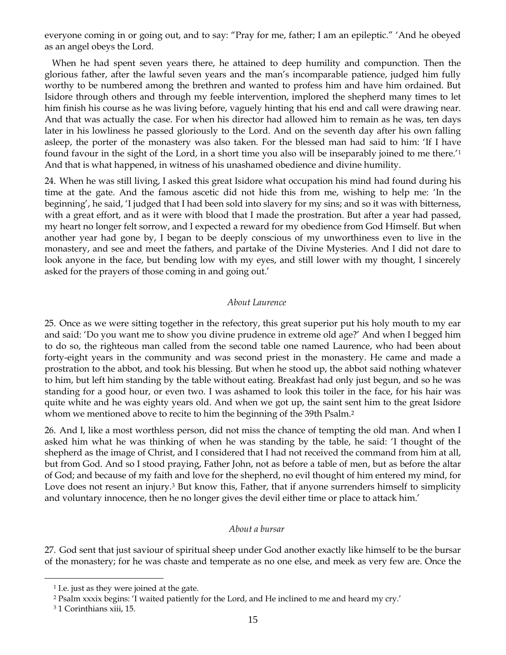everyone coming in or going out, and to say: "Pray for me, father; I am an epileptic." 'And he obeyed as an angel obeys the Lord.

When he had spent seven years there, he attained to deep humility and compunction. Then the glorious father, after the lawful seven years and the man's incomparable patience, judged him fully worthy to be numbered among the brethren and wanted to profess him and have him ordained. But Isidore through others and through my feeble intervention, implored the shepherd many times to let him finish his course as he was living before, vaguely hinting that his end and call were drawing near. And that was actually the case. For when his director had allowed him to remain as he was, ten days later in his lowliness he passed gloriously to the Lord. And on the seventh day after his own falling asleep, the porter of the monastery was also taken. For the blessed man had said to him: 'If I have found favour in the sight of the Lord, in a short time you also will be inseparably joined to me there.'<sup>1</sup> And that is what happened, in witness of his unashamed obedience and divine humility.

24. When he was still living, I asked this great Isidore what occupation his mind had found during his time at the gate. And the famous ascetic did not hide this from me, wishing to help me: 'In the beginning', he said, 'I judged that I had been sold into slavery for my sins; and so it was with bitterness, with a great effort, and as it were with blood that I made the prostration. But after a year had passed, my heart no longer felt sorrow, and I expected a reward for my obedience from God Himself. But when another year had gone by, I began to be deeply conscious of my unworthiness even to live in the monastery, and see and meet the fathers, and partake of the Divine Mysteries. And I did not dare to look anyone in the face, but bending low with my eyes, and still lower with my thought, I sincerely asked for the prayers of those coming in and going out.'

#### *About Laurence*

25. Once as we were sitting together in the refectory, this great superior put his holy mouth to my ear and said: 'Do you want me to show you divine prudence in extreme old age?' And when I begged him to do so, the righteous man called from the second table one named Laurence, who had been about forty-eight years in the community and was second priest in the monastery. He came and made a prostration to the abbot, and took his blessing. But when he stood up, the abbot said nothing whatever to him, but left him standing by the table without eating. Breakfast had only just begun, and so he was standing for a good hour, or even two. I was ashamed to look this toiler in the face, for his hair was quite white and he was eighty years old. And when we got up, the saint sent him to the great Isidore whom we mentioned above to recite to him the beginning of the 39th Psalm.<sup>2</sup>

26. And I, like a most worthless person, did not miss the chance of tempting the old man. And when I asked him what he was thinking of when he was standing by the table, he said: 'I thought of the shepherd as the image of Christ, and I considered that I had not received the command from him at all, but from God. And so I stood praying, Father John, not as before a table of men, but as before the altar of God; and because of my faith and love for the shepherd, no evil thought of him entered my mind, for Love does not resent an injury.<sup>3</sup> But know this, Father, that if anyone surrenders himself to simplicity and voluntary innocence, then he no longer gives the devil either time or place to attack him.'

#### *About a bursar*

27. God sent that just saviour of spiritual sheep under God another exactly like himself to be the bursar of the monastery; for he was chaste and temperate as no one else, and meek as very few are. Once the

<sup>1</sup> I.e. just as they were joined at the gate.

<sup>2</sup> Psalm xxxix begins: 'I waited patiently for the Lord, and He inclined to me and heard my cry.'

<sup>3</sup> 1 Corinthians xiii, 15.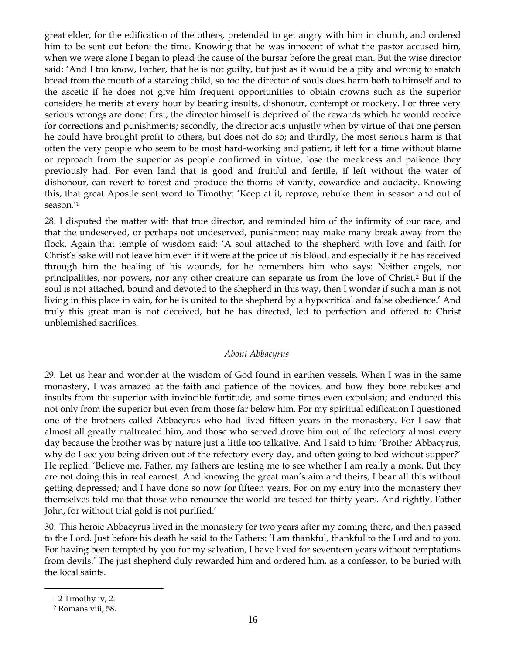great elder, for the edification of the others, pretended to get angry with him in church, and ordered him to be sent out before the time. Knowing that he was innocent of what the pastor accused him, when we were alone I began to plead the cause of the bursar before the great man. But the wise director said: 'And I too know, Father, that he is not guilty, but just as it would be a pity and wrong to snatch bread from the mouth of a starving child, so too the director of souls does harm both to himself and to the ascetic if he does not give him frequent opportunities to obtain crowns such as the superior considers he merits at every hour by bearing insults, dishonour, contempt or mockery. For three very serious wrongs are done: first, the director himself is deprived of the rewards which he would receive for corrections and punishments; secondly, the director acts unjustly when by virtue of that one person he could have brought profit to others, but does not do so; and thirdly, the most serious harm is that often the very people who seem to be most hard-working and patient, if left for a time without blame or reproach from the superior as people confirmed in virtue, lose the meekness and patience they previously had. For even land that is good and fruitful and fertile, if left without the water of dishonour, can revert to forest and produce the thorns of vanity, cowardice and audacity. Knowing this, that great Apostle sent word to Timothy: 'Keep at it, reprove, rebuke them in season and out of season.' 1

28. I disputed the matter with that true director, and reminded him of the infirmity of our race, and that the undeserved, or perhaps not undeserved, punishment may make many break away from the flock. Again that temple of wisdom said: 'A soul attached to the shepherd with love and faith for Christ's sake will not leave him even if it were at the price of his blood, and especially if he has received through him the healing of his wounds, for he remembers him who says: Neither angels, nor principalities, nor powers, nor any other creature can separate us from the love of Christ.<sup>2</sup> But if the soul is not attached, bound and devoted to the shepherd in this way, then I wonder if such a man is not living in this place in vain, for he is united to the shepherd by a hypocritical and false obedience.' And truly this great man is not deceived, but he has directed, led to perfection and offered to Christ unblemished sacrifices.

## *About Abbacyrus*

29. Let us hear and wonder at the wisdom of God found in earthen vessels. When I was in the same monastery, I was amazed at the faith and patience of the novices, and how they bore rebukes and insults from the superior with invincible fortitude, and some times even expulsion; and endured this not only from the superior but even from those far below him. For my spiritual edification I questioned one of the brothers called Abbacyrus who had lived fifteen years in the monastery. For I saw that almost all greatly maltreated him, and those who served drove him out of the refectory almost every day because the brother was by nature just a little too talkative. And I said to him: 'Brother Abbacyrus, why do I see you being driven out of the refectory every day, and often going to bed without supper?' He replied: 'Believe me, Father, my fathers are testing me to see whether I am really a monk. But they are not doing this in real earnest. And knowing the great man's aim and theirs, I bear all this without getting depressed; and I have done so now for fifteen years. For on my entry into the monastery they themselves told me that those who renounce the world are tested for thirty years. And rightly, Father John, for without trial gold is not purified.'

30. This heroic Abbacyrus lived in the monastery for two years after my coming there, and then passed to the Lord. Just before his death he said to the Fathers: 'I am thankful, thankful to the Lord and to you. For having been tempted by you for my salvation, I have lived for seventeen years without temptations from devils.' The just shepherd duly rewarded him and ordered him, as a confessor, to be buried with the local saints.

<sup>&</sup>lt;sup>1</sup> 2 Timothy iv, 2.

<sup>2</sup> Romans viii, 58.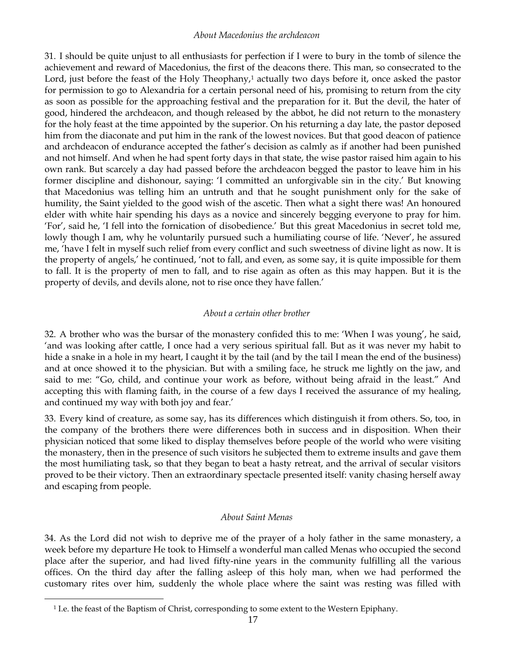#### *About Macedonius the archdeacon*

31. I should be quite unjust to all enthusiasts for perfection if I were to bury in the tomb of silence the achievement and reward of Macedonius, the first of the deacons there. This man, so consecrated to the Lord, just before the feast of the Holy Theophany,<sup>1</sup> actually two days before it, once asked the pastor for permission to go to Alexandria for a certain personal need of his, promising to return from the city as soon as possible for the approaching festival and the preparation for it. But the devil, the hater of good, hindered the archdeacon, and though released by the abbot, he did not return to the monastery for the holy feast at the time appointed by the superior. On his returning a day late, the pastor deposed him from the diaconate and put him in the rank of the lowest novices. But that good deacon of patience and archdeacon of endurance accepted the father's decision as calmly as if another had been punished and not himself. And when he had spent forty days in that state, the wise pastor raised him again to his own rank. But scarcely a day had passed before the archdeacon begged the pastor to leave him in his former discipline and dishonour, saying: 'I committed an unforgivable sin in the city.' But knowing that Macedonius was telling him an untruth and that he sought punishment only for the sake of humility, the Saint yielded to the good wish of the ascetic. Then what a sight there was! An honoured elder with white hair spending his days as a novice and sincerely begging everyone to pray for him. 'For', said he, 'I fell into the fornication of disobedience.' But this great Macedonius in secret told me, lowly though I am, why he voluntarily pursued such a humiliating course of life. 'Never', he assured me, 'have I felt in myself such relief from every conflict and such sweetness of divine light as now. It is the property of angels,' he continued, 'not to fall, and even, as some say, it is quite impossible for them to fall. It is the property of men to fall, and to rise again as often as this may happen. But it is the property of devils, and devils alone, not to rise once they have fallen.'

## *About a certain other brother*

32. A brother who was the bursar of the monastery confided this to me: 'When I was young', he said, 'and was looking after cattle, I once had a very serious spiritual fall. But as it was never my habit to hide a snake in a hole in my heart, I caught it by the tail (and by the tail I mean the end of the business) and at once showed it to the physician. But with a smiling face, he struck me lightly on the jaw, and said to me: "Go, child, and continue your work as before, without being afraid in the least." And accepting this with flaming faith, in the course of a few days I received the assurance of my healing, and continued my way with both joy and fear.'

33. Every kind of creature, as some say, has its differences which distinguish it from others. So, too, in the company of the brothers there were differences both in success and in disposition. When their physician noticed that some liked to display themselves before people of the world who were visiting the monastery, then in the presence of such visitors he subjected them to extreme insults and gave them the most humiliating task, so that they began to beat a hasty retreat, and the arrival of secular visitors proved to be their victory. Then an extraordinary spectacle presented itself: vanity chasing herself away and escaping from people.

## *About Saint Menas*

34. As the Lord did not wish to deprive me of the prayer of a holy father in the same monastery, a week before my departure He took to Himself a wonderful man called Menas who occupied the second place after the superior, and had lived fifty-nine years in the community fulfilling all the various offices. On the third day after the falling asleep of this holy man, when we had performed the customary rites over him, suddenly the whole place where the saint was resting was filled with

<sup>&</sup>lt;sup>1</sup> I.e. the feast of the Baptism of Christ, corresponding to some extent to the Western Epiphany.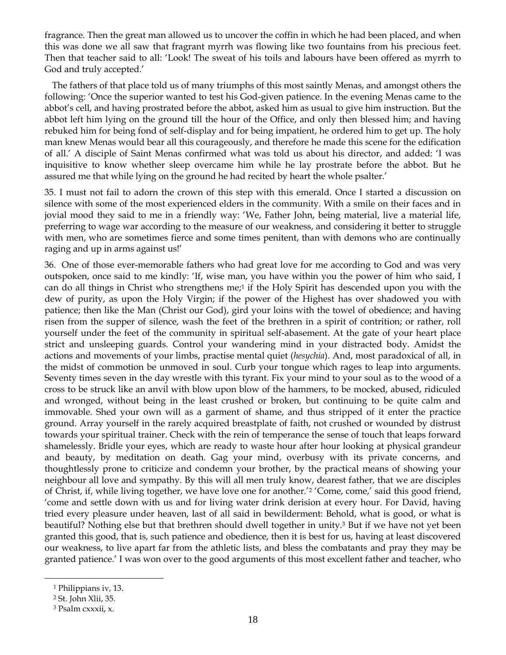fragrance. Then the great man allowed us to uncover the coffin in which he had been placed, and when this was done we all saw that fragrant myrrh was flowing like two fountains from his precious feet. Then that teacher said to all: 'Look! The sweat of his toils and labours have been offered as myrrh to God and truly accepted.'

The fathers of that place told us of many triumphs of this most saintly Menas, and amongst others the following: 'Once the superior wanted to test his God-given patience. In the evening Menas came to the abbot's cell, and having prostrated before the abbot, asked him as usual to give him instruction. But the abbot left him lying on the ground till the hour of the Office, and only then blessed him; and having rebuked him for being fond of self-display and for being impatient, he ordered him to get up. The holy man knew Menas would bear all this courageously, and therefore he made this scene for the edification of all.' A disciple of Saint Menas confirmed what was told us about his director, and added: 'I was inquisitive to know whether sleep overcame him while he lay prostrate before the abbot. But he assured me that while lying on the ground he had recited by heart the whole psalter.'

35. I must not fail to adorn the crown of this step with this emerald. Once I started a discussion on silence with some of the most experienced elders in the community. With a smile on their faces and in jovial mood they said to me in a friendly way: 'We, Father John, being material, live a material life, preferring to wage war according to the measure of our weakness, and considering it better to struggle with men, who are sometimes fierce and some times penitent, than with demons who are continually raging and up in arms against us!'

36. One of those ever-memorable fathers who had great love for me according to God and was very outspoken, once said to me kindly: 'If, wise man, you have within you the power of him who said, I can do all things in Christ who strengthens me;<sup>1</sup> if the Holy Spirit has descended upon you with the dew of purity, as upon the Holy Virgin; if the power of the Highest has over shadowed you with patience; then like the Man (Christ our God), gird your loins with the towel of obedience; and having risen from the supper of silence, wash the feet of the brethren in a spirit of contrition; or rather, roll yourself under the feet of the community in spiritual self-abasement. At the gate of your heart place strict and unsleeping guards. Control your wandering mind in your distracted body. Amidst the actions and movements of your limbs, practise mental quiet (*hesychia*). And, most paradoxical of all, in the midst of commotion be unmoved in soul. Curb your tongue which rages to leap into arguments. Seventy times seven in the day wrestle with this tyrant. Fix your mind to your soul as to the wood of a cross to be struck like an anvil with blow upon blow of the hammers, to be mocked, abused, ridiculed and wronged, without being in the least crushed or broken, but continuing to be quite calm and immovable. Shed your own will as a garment of shame, and thus stripped of it enter the practice ground. Array yourself in the rarely acquired breastplate of faith, not crushed or wounded by distrust towards your spiritual trainer. Check with the rein of temperance the sense of touch that leaps forward shamelessly. Bridle your eyes, which are ready to waste hour after hour looking at physical grandeur and beauty, by meditation on death. Gag your mind, overbusy with its private concerns, and thoughtlessly prone to criticize and condemn your brother, by the practical means of showing your neighbour all love and sympathy. By this will all men truly know, dearest father, that we are disciples of Christ, if, while living together, we have love one for another.'<sup>2</sup> 'Come, come,' said this good friend, 'come and settle down with us and for living water drink derision at every hour. For David, having tried every pleasure under heaven, last of all said in bewilderment: Behold, what is good, or what is beautiful? Nothing else but that brethren should dwell together in unity.<sup>3</sup> But if we have not yet been granted this good, that is, such patience and obedience, then it is best for us, having at least discovered our weakness, to live apart far from the athletic lists, and bless the combatants and pray they may be granted patience.' I was won over to the good arguments of this most excellent father and teacher, who

<sup>1</sup> Philippians iv, 13.

<sup>2</sup> St. John Xlii, 35.

<sup>3</sup> Psalm cxxxii, x.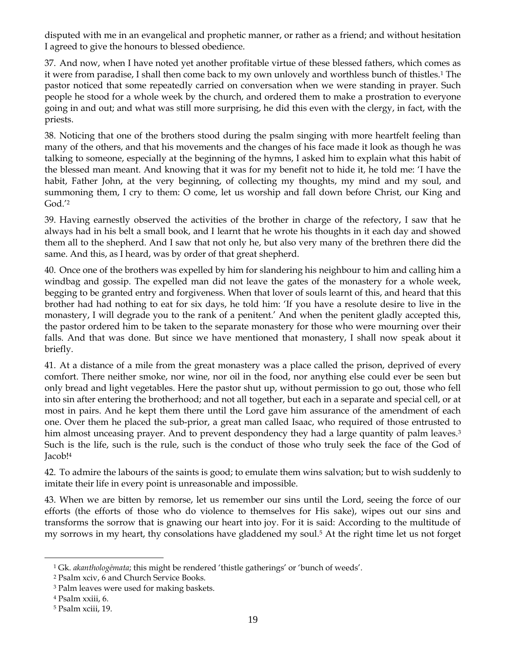disputed with me in an evangelical and prophetic manner, or rather as a friend; and without hesitation I agreed to give the honours to blessed obedience.

37. And now, when I have noted yet another profitable virtue of these blessed fathers, which comes as it were from paradise, I shall then come back to my own unlovely and worthless bunch of thistles.<sup>1</sup> The pastor noticed that some repeatedly carried on conversation when we were standing in prayer. Such people he stood for a whole week by the church, and ordered them to make a prostration to everyone going in and out; and what was still more surprising, he did this even with the clergy, in fact, with the priests.

38. Noticing that one of the brothers stood during the psalm singing with more heartfelt feeling than many of the others, and that his movements and the changes of his face made it look as though he was talking to someone, especially at the beginning of the hymns, I asked him to explain what this habit of the blessed man meant. And knowing that it was for my benefit not to hide it, he told me: 'I have the habit, Father John, at the very beginning, of collecting my thoughts, my mind and my soul, and summoning them, I cry to them: O come, let us worship and fall down before Christ, our King and God.'<sup>2</sup>

39. Having earnestly observed the activities of the brother in charge of the refectory, I saw that he always had in his belt a small book, and I learnt that he wrote his thoughts in it each day and showed them all to the shepherd. And I saw that not only he, but also very many of the brethren there did the same. And this, as I heard, was by order of that great shepherd.

40. Once one of the brothers was expelled by him for slandering his neighbour to him and calling him a windbag and gossip. The expelled man did not leave the gates of the monastery for a whole week, begging to be granted entry and forgiveness. When that lover of souls learnt of this, and heard that this brother had had nothing to eat for six days, he told him: 'If you have a resolute desire to live in the monastery, I will degrade you to the rank of a penitent.' And when the penitent gladly accepted this, the pastor ordered him to be taken to the separate monastery for those who were mourning over their falls. And that was done. But since we have mentioned that monastery, I shall now speak about it briefly.

41. At a distance of a mile from the great monastery was a place called the prison, deprived of every comfort. There neither smoke, nor wine, nor oil in the food, nor anything else could ever be seen but only bread and light vegetables. Here the pastor shut up, without permission to go out, those who fell into sin after entering the brotherhood; and not all together, but each in a separate and special cell, or at most in pairs. And he kept them there until the Lord gave him assurance of the amendment of each one. Over them he placed the sub-prior, a great man called Isaac, who required of those entrusted to him almost unceasing prayer. And to prevent despondency they had a large quantity of palm leaves.<sup>3</sup> Such is the life, such is the rule, such is the conduct of those who truly seek the face of the God of Jacob!<sup>4</sup>

42. To admire the labours of the saints is good; to emulate them wins salvation; but to wish suddenly to imitate their life in every point is unreasonable and impossible.

43. When we are bitten by remorse, let us remember our sins until the Lord, seeing the force of our efforts (the efforts of those who do violence to themselves for His sake), wipes out our sins and transforms the sorrow that is gnawing our heart into joy. For it is said: According to the multitude of my sorrows in my heart, thy consolations have gladdened my soul.<sup>5</sup> At the right time let us not forget

<sup>1</sup> Gk. *akanthologēmata*; this might be rendered 'thistle gatherings' or 'bunch of weeds'.

<sup>2</sup> Psalm xciv, 6 and Church Service Books.

<sup>3</sup> Palm leaves were used for making baskets.

<sup>4</sup> Psalm xxiii, 6.

<sup>5</sup> Psalm xciii, 19.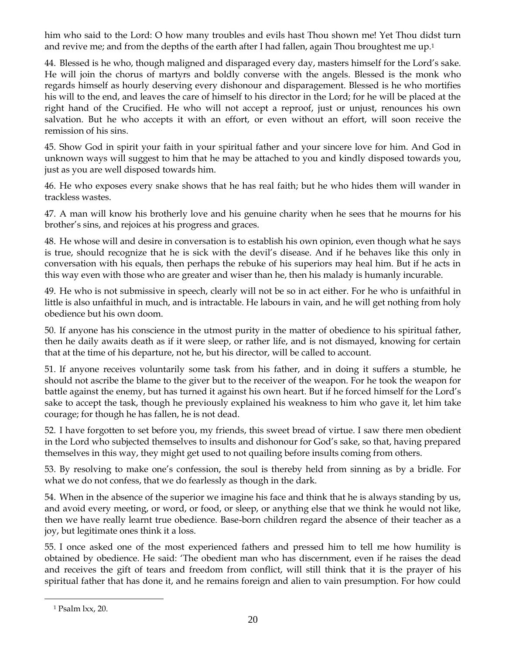him who said to the Lord: O how many troubles and evils hast Thou shown me! Yet Thou didst turn and revive me; and from the depths of the earth after I had fallen, again Thou broughtest me up.<sup>1</sup>

44. Blessed is he who, though maligned and disparaged every day, masters himself for the Lord's sake. He will join the chorus of martyrs and boldly converse with the angels. Blessed is the monk who regards himself as hourly deserving every dishonour and disparagement. Blessed is he who mortifies his will to the end, and leaves the care of himself to his director in the Lord; for he will be placed at the right hand of the Crucified. He who will not accept a reproof, just or unjust, renounces his own salvation. But he who accepts it with an effort, or even without an effort, will soon receive the remission of his sins.

45. Show God in spirit your faith in your spiritual father and your sincere love for him. And God in unknown ways will suggest to him that he may be attached to you and kindly disposed towards you, just as you are well disposed towards him.

46. He who exposes every snake shows that he has real faith; but he who hides them will wander in trackless wastes.

47. A man will know his brotherly love and his genuine charity when he sees that he mourns for his brother's sins, and rejoices at his progress and graces.

48. He whose will and desire in conversation is to establish his own opinion, even though what he says is true, should recognize that he is sick with the devil's disease. And if he behaves like this only in conversation with his equals, then perhaps the rebuke of his superiors may heal him. But if he acts in this way even with those who are greater and wiser than he, then his malady is humanly incurable.

49. He who is not submissive in speech, clearly will not be so in act either. For he who is unfaithful in little is also unfaithful in much, and is intractable. He labours in vain, and he will get nothing from holy obedience but his own doom.

50. If anyone has his conscience in the utmost purity in the matter of obedience to his spiritual father, then he daily awaits death as if it were sleep, or rather life, and is not dismayed, knowing for certain that at the time of his departure, not he, but his director, will be called to account.

51. If anyone receives voluntarily some task from his father, and in doing it suffers a stumble, he should not ascribe the blame to the giver but to the receiver of the weapon. For he took the weapon for battle against the enemy, but has turned it against his own heart. But if he forced himself for the Lord's sake to accept the task, though he previously explained his weakness to him who gave it, let him take courage; for though he has fallen, he is not dead.

52. I have forgotten to set before you, my friends, this sweet bread of virtue. I saw there men obedient in the Lord who subjected themselves to insults and dishonour for God's sake, so that, having prepared themselves in this way, they might get used to not quailing before insults coming from others.

53. By resolving to make one's confession, the soul is thereby held from sinning as by a bridle. For what we do not confess, that we do fearlessly as though in the dark.

54. When in the absence of the superior we imagine his face and think that he is always standing by us, and avoid every meeting, or word, or food, or sleep, or anything else that we think he would not like, then we have really learnt true obedience. Base-born children regard the absence of their teacher as a joy, but legitimate ones think it a loss.

55. I once asked one of the most experienced fathers and pressed him to tell me how humility is obtained by obedience. He said: 'The obedient man who has discernment, even if he raises the dead and receives the gift of tears and freedom from conflict, will still think that it is the prayer of his spiritual father that has done it, and he remains foreign and alien to vain presumption. For how could

<sup>1</sup> Psalm lxx, 20.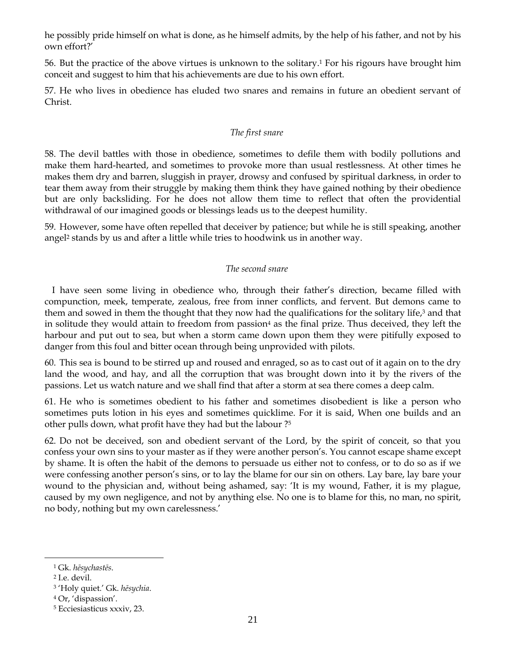he possibly pride himself on what is done, as he himself admits, by the help of his father, and not by his own effort?'

56. But the practice of the above virtues is unknown to the solitary.<sup>1</sup> For his rigours have brought him conceit and suggest to him that his achievements are due to his own effort.

57. He who lives in obedience has eluded two snares and remains in future an obedient servant of Christ.

#### *The first snare*

58. The devil battles with those in obedience, sometimes to defile them with bodily pollutions and make them hard-hearted, and sometimes to provoke more than usual restlessness. At other times he makes them dry and barren, sluggish in prayer, drowsy and confused by spiritual darkness, in order to tear them away from their struggle by making them think they have gained nothing by their obedience but are only backsliding. For he does not allow them time to reflect that often the providential withdrawal of our imagined goods or blessings leads us to the deepest humility.

59. However, some have often repelled that deceiver by patience; but while he is still speaking, another angel<sup>2</sup> stands by us and after a little while tries to hoodwink us in another way.

## *The second snare*

I have seen some living in obedience who, through their father's direction, became filled with compunction, meek, temperate, zealous, free from inner conflicts, and fervent. But demons came to them and sowed in them the thought that they now had the qualifications for the solitary life,<sup>3</sup> and that in solitude they would attain to freedom from passion<sup>4</sup> as the final prize. Thus deceived, they left the harbour and put out to sea, but when a storm came down upon them they were pitifully exposed to danger from this foul and bitter ocean through being unprovided with pilots.

60. This sea is bound to be stirred up and roused and enraged, so as to cast out of it again on to the dry land the wood, and hay, and all the corruption that was brought down into it by the rivers of the passions. Let us watch nature and we shall find that after a storm at sea there comes a deep calm.

61. He who is sometimes obedient to his father and sometimes disobedient is like a person who sometimes puts lotion in his eyes and sometimes quicklime. For it is said, When one builds and an other pulls down, what profit have they had but the labour ?<sup>5</sup>

62. Do not be deceived, son and obedient servant of the Lord, by the spirit of conceit, so that you confess your own sins to your master as if they were another person's. You cannot escape shame except by shame. It is often the habit of the demons to persuade us either not to confess, or to do so as if we were confessing another person's sins, or to lay the blame for our sin on others. Lay bare, lay bare your wound to the physician and, without being ashamed, say: 'It is my wound, Father, it is my plague, caused by my own negligence, and not by anything else. No one is to blame for this, no man, no spirit, no body, nothing but my own carelessness.'

<sup>1</sup> Gk. *hēsychastēs*.

<sup>2</sup> I.e. devil.

<sup>3</sup> 'Holy quiet.' Gk. *hēsychia*.

<sup>4</sup> Or, 'dispassion'.

<sup>5</sup> Ecciesiasticus xxxiv, 23.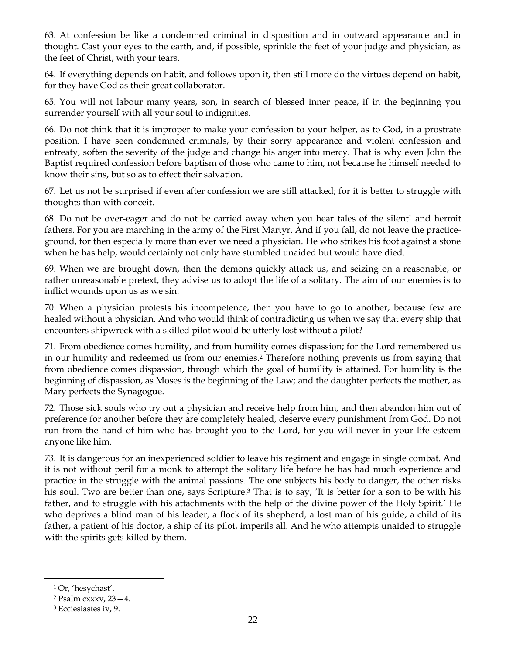63. At confession be like a condemned criminal in disposition and in outward appearance and in thought. Cast your eyes to the earth, and, if possible, sprinkle the feet of your judge and physician, as the feet of Christ, with your tears.

64. If everything depends on habit, and follows upon it, then still more do the virtues depend on habit, for they have God as their great collaborator.

65. You will not labour many years, son, in search of blessed inner peace, if in the beginning you surrender yourself with all your soul to indignities.

66. Do not think that it is improper to make your confession to your helper, as to God, in a prostrate position. I have seen condemned criminals, by their sorry appearance and violent confession and entreaty, soften the severity of the judge and change his anger into mercy. That is why even John the Baptist required confession before baptism of those who came to him, not because he himself needed to know their sins, but so as to effect their salvation.

67. Let us not be surprised if even after confession we are still attacked; for it is better to struggle with thoughts than with conceit.

68. Do not be over-eager and do not be carried away when you hear tales of the silent<sup>1</sup> and hermit fathers. For you are marching in the army of the First Martyr. And if you fall, do not leave the practiceground, for then especially more than ever we need a physician. He who strikes his foot against a stone when he has help, would certainly not only have stumbled unaided but would have died.

69. When we are brought down, then the demons quickly attack us, and seizing on a reasonable, or rather unreasonable pretext, they advise us to adopt the life of a solitary. The aim of our enemies is to inflict wounds upon us as we sin.

70. When a physician protests his incompetence, then you have to go to another, because few are healed without a physician. And who would think of contradicting us when we say that every ship that encounters shipwreck with a skilled pilot would be utterly lost without a pilot?

71. From obedience comes humility, and from humility comes dispassion; for the Lord remembered us in our humility and redeemed us from our enemies.<sup>2</sup> Therefore nothing prevents us from saying that from obedience comes dispassion, through which the goal of humility is attained. For humility is the beginning of dispassion, as Moses is the beginning of the Law; and the daughter perfects the mother, as Mary perfects the Synagogue.

72. Those sick souls who try out a physician and receive help from him, and then abandon him out of preference for another before they are completely healed, deserve every punishment from God. Do not run from the hand of him who has brought you to the Lord, for you will never in your life esteem anyone like him.

73. It is dangerous for an inexperienced soldier to leave his regiment and engage in single combat. And it is not without peril for a monk to attempt the solitary life before he has had much experience and practice in the struggle with the animal passions. The one subjects his body to danger, the other risks his soul. Two are better than one, says Scripture.<sup>3</sup> That is to say, 'It is better for a son to be with his father, and to struggle with his attachments with the help of the divine power of the Holy Spirit.' He who deprives a blind man of his leader, a flock of its shepherd, a lost man of his guide, a child of its father, a patient of his doctor, a ship of its pilot, imperils all. And he who attempts unaided to struggle with the spirits gets killed by them.

<sup>1</sup> Or, 'hesychast'.

<sup>2</sup> Psalm cxxxv, 23—4.

<sup>3</sup> Ecciesiastes iv, 9.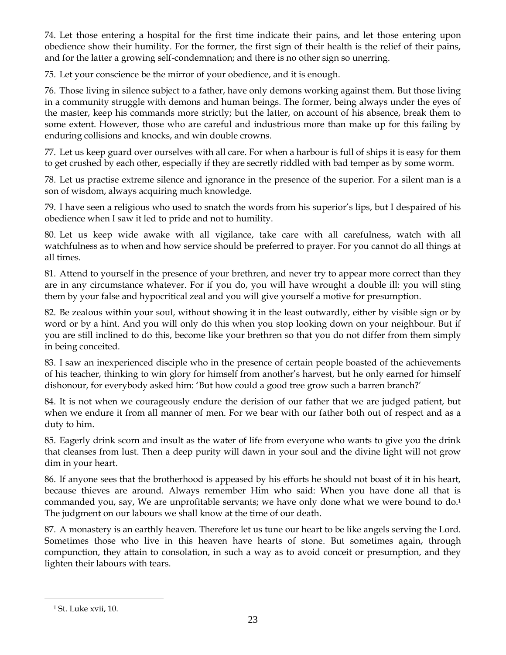74. Let those entering a hospital for the first time indicate their pains, and let those entering upon obedience show their humility. For the former, the first sign of their health is the relief of their pains, and for the latter a growing self-condemnation; and there is no other sign so unerring.

75. Let your conscience be the mirror of your obedience, and it is enough.

76. Those living in silence subject to a father, have only demons working against them. But those living in a community struggle with demons and human beings. The former, being always under the eyes of the master, keep his commands more strictly; but the latter, on account of his absence, break them to some extent. However, those who are careful and industrious more than make up for this failing by enduring collisions and knocks, and win double crowns.

77. Let us keep guard over ourselves with all care. For when a harbour is full of ships it is easy for them to get crushed by each other, especially if they are secretly riddled with bad temper as by some worm.

78. Let us practise extreme silence and ignorance in the presence of the superior. For a silent man is a son of wisdom, always acquiring much knowledge.

79. I have seen a religious who used to snatch the words from his superior's lips, but I despaired of his obedience when I saw it led to pride and not to humility.

80. Let us keep wide awake with all vigilance, take care with all carefulness, watch with all watchfulness as to when and how service should be preferred to prayer. For you cannot do all things at all times.

81. Attend to yourself in the presence of your brethren, and never try to appear more correct than they are in any circumstance whatever. For if you do, you will have wrought a double ill: you will sting them by your false and hypocritical zeal and you will give yourself a motive for presumption.

82. Be zealous within your soul, without showing it in the least outwardly, either by visible sign or by word or by a hint. And you will only do this when you stop looking down on your neighbour. But if you are still inclined to do this, become like your brethren so that you do not differ from them simply in being conceited.

83. I saw an inexperienced disciple who in the presence of certain people boasted of the achievements of his teacher, thinking to win glory for himself from another's harvest, but he only earned for himself dishonour, for everybody asked him: 'But how could a good tree grow such a barren branch?'

84. It is not when we courageously endure the derision of our father that we are judged patient, but when we endure it from all manner of men. For we bear with our father both out of respect and as a duty to him.

85. Eagerly drink scorn and insult as the water of life from everyone who wants to give you the drink that cleanses from lust. Then a deep purity will dawn in your soul and the divine light will not grow dim in your heart.

86. If anyone sees that the brotherhood is appeased by his efforts he should not boast of it in his heart, because thieves are around. Always remember Him who said: When you have done all that is commanded you, say, We are unprofitable servants; we have only done what we were bound to do.<sup>1</sup> The judgment on our labours we shall know at the time of our death.

87. A monastery is an earthly heaven. Therefore let us tune our heart to be like angels serving the Lord. Sometimes those who live in this heaven have hearts of stone. But sometimes again, through compunction, they attain to consolation, in such a way as to avoid conceit or presumption, and they lighten their labours with tears.

<sup>1</sup> St. Luke xvii, 10.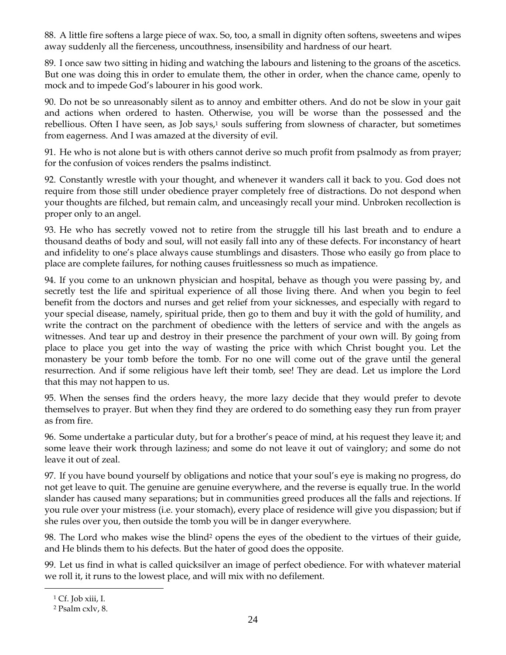88. A little fire softens a large piece of wax. So, too, a small in dignity often softens, sweetens and wipes away suddenly all the fierceness, uncouthness, insensibility and hardness of our heart.

89. I once saw two sitting in hiding and watching the labours and listening to the groans of the ascetics. But one was doing this in order to emulate them, the other in order, when the chance came, openly to mock and to impede God's labourer in his good work.

90. Do not be so unreasonably silent as to annoy and embitter others. And do not be slow in your gait and actions when ordered to hasten. Otherwise, you will be worse than the possessed and the rebellious. Often I have seen, as Job says, $1$  souls suffering from slowness of character, but sometimes from eagerness. And I was amazed at the diversity of evil.

91. He who is not alone but is with others cannot derive so much profit from psalmody as from prayer; for the confusion of voices renders the psalms indistinct.

92. Constantly wrestle with your thought, and whenever it wanders call it back to you. God does not require from those still under obedience prayer completely free of distractions. Do not despond when your thoughts are filched, but remain calm, and unceasingly recall your mind. Unbroken recollection is proper only to an angel.

93. He who has secretly vowed not to retire from the struggle till his last breath and to endure a thousand deaths of body and soul, will not easily fall into any of these defects. For inconstancy of heart and infidelity to one's place always cause stumblings and disasters. Those who easily go from place to place are complete failures, for nothing causes fruitlessness so much as impatience.

94. If you come to an unknown physician and hospital, behave as though you were passing by, and secretly test the life and spiritual experience of all those living there. And when you begin to feel benefit from the doctors and nurses and get relief from your sicknesses, and especially with regard to your special disease, namely, spiritual pride, then go to them and buy it with the gold of humility, and write the contract on the parchment of obedience with the letters of service and with the angels as witnesses. And tear up and destroy in their presence the parchment of your own will. By going from place to place you get into the way of wasting the price with which Christ bought you. Let the monastery be your tomb before the tomb. For no one will come out of the grave until the general resurrection. And if some religious have left their tomb, see! They are dead. Let us implore the Lord that this may not happen to us.

95. When the senses find the orders heavy, the more lazy decide that they would prefer to devote themselves to prayer. But when they find they are ordered to do something easy they run from prayer as from fire.

96. Some undertake a particular duty, but for a brother's peace of mind, at his request they leave it; and some leave their work through laziness; and some do not leave it out of vainglory; and some do not leave it out of zeal.

97. If you have bound yourself by obligations and notice that your soul's eye is making no progress, do not get leave to quit. The genuine are genuine everywhere, and the reverse is equally true. In the world slander has caused many separations; but in communities greed produces all the falls and rejections. If you rule over your mistress (i.e. your stomach), every place of residence will give you dispassion; but if she rules over you, then outside the tomb you will be in danger everywhere.

98. The Lord who makes wise the blind<sup>2</sup> opens the eyes of the obedient to the virtues of their guide, and He blinds them to his defects. But the hater of good does the opposite.

99. Let us find in what is called quicksilver an image of perfect obedience. For with whatever material we roll it, it runs to the lowest place, and will mix with no defilement.

 $1 \text{Cf}$ . Job xiii, I.

<sup>2</sup> Psalm cxlv, 8.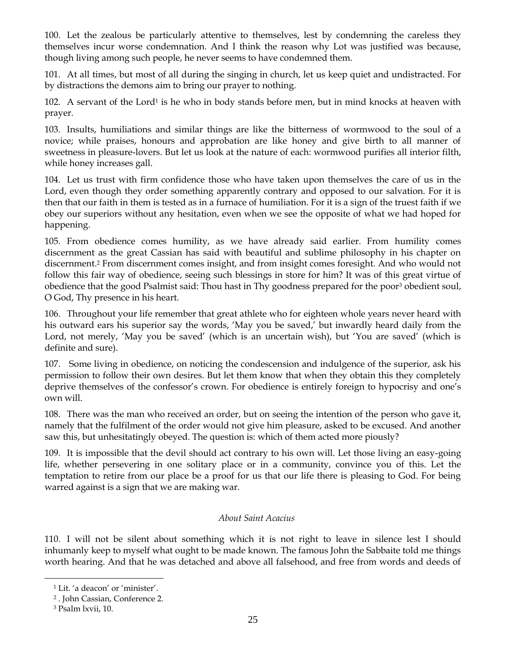100. Let the zealous be particularly attentive to themselves, lest by condemning the careless they themselves incur worse condemnation. And I think the reason why Lot was justified was because, though living among such people, he never seems to have condemned them.

101. At all times, but most of all during the singing in church, let us keep quiet and undistracted. For by distractions the demons aim to bring our prayer to nothing.

102. A servant of the Lord<sup>1</sup> is he who in body stands before men, but in mind knocks at heaven with prayer.

103. Insults, humiliations and similar things are like the bitterness of wormwood to the soul of a novice; while praises, honours and approbation are like honey and give birth to all manner of sweetness in pleasure-lovers. But let us look at the nature of each: wormwood purifies all interior filth, while honey increases gall.

104. Let us trust with firm confidence those who have taken upon themselves the care of us in the Lord, even though they order something apparently contrary and opposed to our salvation. For it is then that our faith in them is tested as in a furnace of humiliation. For it is a sign of the truest faith if we obey our superiors without any hesitation, even when we see the opposite of what we had hoped for happening.

105. From obedience comes humility, as we have already said earlier. From humility comes discernment as the great Cassian has said with beautiful and sublime philosophy in his chapter on discernment.<sup>2</sup> From discernment comes insight, and from insight comes foresight. And who would not follow this fair way of obedience, seeing such blessings in store for him? It was of this great virtue of obedience that the good Psalmist said: Thou hast in Thy goodness prepared for the poor<sup>3</sup> obedient soul, O God, Thy presence in his heart.

106. Throughout your life remember that great athlete who for eighteen whole years never heard with his outward ears his superior say the words, 'May you be saved,' but inwardly heard daily from the Lord, not merely, 'May you be saved' (which is an uncertain wish), but 'You are saved' (which is definite and sure).

107. Some living in obedience, on noticing the condescension and indulgence of the superior, ask his permission to follow their own desires. But let them know that when they obtain this they completely deprive themselves of the confessor's crown. For obedience is entirely foreign to hypocrisy and one's own will.

108. There was the man who received an order, but on seeing the intention of the person who gave it, namely that the fulfilment of the order would not give him pleasure, asked to be excused. And another saw this, but unhesitatingly obeyed. The question is: which of them acted more piously?

109. It is impossible that the devil should act contrary to his own will. Let those living an easy-going life, whether persevering in one solitary place or in a community, convince you of this. Let the temptation to retire from our place be a proof for us that our life there is pleasing to God. For being warred against is a sign that we are making war.

## *About Saint Acacius*

110. I will not be silent about something which it is not right to leave in silence lest I should inhumanly keep to myself what ought to be made known. The famous John the Sabbaite told me things worth hearing. And that he was detached and above all falsehood, and free from words and deeds of

<sup>1</sup> Lit. 'a deacon' or 'minister'.

<sup>2</sup> . John Cassian, Conference 2.

<sup>3</sup> Psalm lxvii, 10.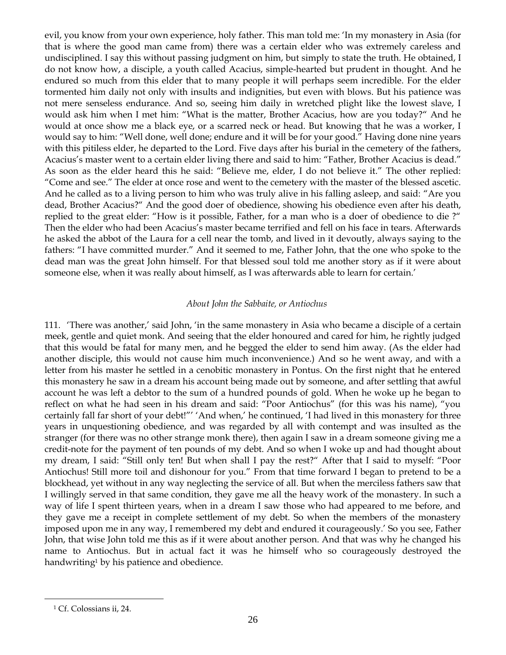evil, you know from your own experience, holy father. This man told me: 'In my monastery in Asia (for that is where the good man came from) there was a certain elder who was extremely careless and undisciplined. I say this without passing judgment on him, but simply to state the truth. He obtained, I do not know how, a disciple, a youth called Acacius, simple-hearted but prudent in thought. And he endured so much from this elder that to many people it will perhaps seem incredible. For the elder tormented him daily not only with insults and indignities, but even with blows. But his patience was not mere senseless endurance. And so, seeing him daily in wretched plight like the lowest slave, I would ask him when I met him: "What is the matter, Brother Acacius, how are you today?" And he would at once show me a black eye, or a scarred neck or head. But knowing that he was a worker, I would say to him: "Well done, well done; endure and it will be for your good." Having done nine years with this pitiless elder, he departed to the Lord. Five days after his burial in the cemetery of the fathers, Acacius's master went to a certain elder living there and said to him: "Father, Brother Acacius is dead." As soon as the elder heard this he said: "Believe me, elder, I do not believe it." The other replied: "Come and see." The elder at once rose and went to the cemetery with the master of the blessed ascetic. And he called as to a living person to him who was truly alive in his falling asleep, and said: "Are you dead, Brother Acacius?" And the good doer of obedience, showing his obedience even after his death, replied to the great elder: "How is it possible, Father, for a man who is a doer of obedience to die ?" Then the elder who had been Acacius's master became terrified and fell on his face in tears. Afterwards he asked the abbot of the Laura for a cell near the tomb, and lived in it devoutly, always saying to the fathers: "I have committed murder." And it seemed to me, Father John, that the one who spoke to the dead man was the great John himself. For that blessed soul told me another story as if it were about someone else, when it was really about himself, as I was afterwards able to learn for certain.'

#### *About John the Sabbaite, or Antiochus*

111. 'There was another,' said John, 'in the same monastery in Asia who became a disciple of a certain meek, gentle and quiet monk. And seeing that the elder honoured and cared for him, he rightly judged that this would be fatal for many men, and he begged the elder to send him away. (As the elder had another disciple, this would not cause him much inconvenience.) And so he went away, and with a letter from his master he settled in a cenobitic monastery in Pontus. On the first night that he entered this monastery he saw in a dream his account being made out by someone, and after settling that awful account he was left a debtor to the sum of a hundred pounds of gold. When he woke up he began to reflect on what he had seen in his dream and said: "Poor Antiochus" (for this was his name), "you certainly fall far short of your debt!"' 'And when,' he continued, 'I had lived in this monastery for three years in unquestioning obedience, and was regarded by all with contempt and was insulted as the stranger (for there was no other strange monk there), then again I saw in a dream someone giving me a credit-note for the payment of ten pounds of my debt. And so when I woke up and had thought about my dream, I said: "Still only ten! But when shall I pay the rest?" After that I said to myself: "Poor Antiochus! Still more toil and dishonour for you." From that time forward I began to pretend to be a blockhead, yet without in any way neglecting the service of all. But when the merciless fathers saw that I willingly served in that same condition, they gave me all the heavy work of the monastery. In such a way of life I spent thirteen years, when in a dream I saw those who had appeared to me before, and they gave me a receipt in complete settlement of my debt. So when the members of the monastery imposed upon me in any way, I remembered my debt and endured it courageously.' So you see, Father John, that wise John told me this as if it were about another person. And that was why he changed his name to Antiochus. But in actual fact it was he himself who so courageously destroyed the handwriting<sup>1</sup> by his patience and obedience.

<sup>1</sup> Cf. Colossians ii, 24.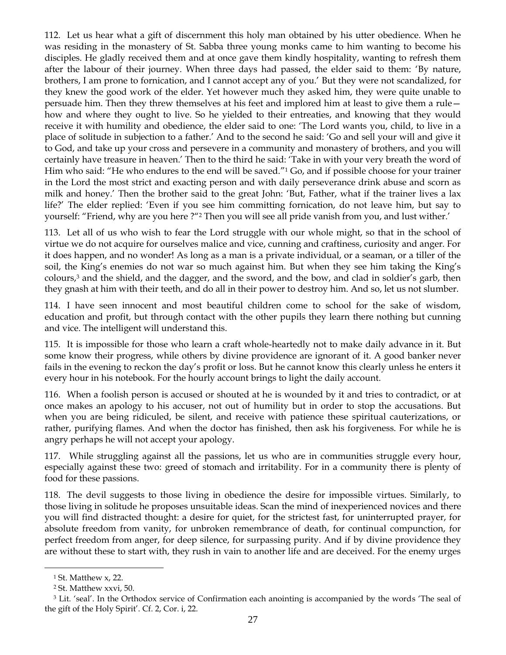112. Let us hear what a gift of discernment this holy man obtained by his utter obedience. When he was residing in the monastery of St. Sabba three young monks came to him wanting to become his disciples. He gladly received them and at once gave them kindly hospitality, wanting to refresh them after the labour of their journey. When three days had passed, the elder said to them: 'By nature, brothers, I am prone to fornication, and I cannot accept any of you.' But they were not scandalized, for they knew the good work of the elder. Yet however much they asked him, they were quite unable to persuade him. Then they threw themselves at his feet and implored him at least to give them a rule how and where they ought to live. So he yielded to their entreaties, and knowing that they would receive it with humility and obedience, the elder said to one: 'The Lord wants you, child, to live in a place of solitude in subjection to a father.' And to the second he said: 'Go and sell your will and give it to God, and take up your cross and persevere in a community and monastery of brothers, and you will certainly have treasure in heaven.' Then to the third he said: 'Take in with your very breath the word of Him who said: "He who endures to the end will be saved."<sup>1</sup> Go, and if possible choose for your trainer in the Lord the most strict and exacting person and with daily perseverance drink abuse and scorn as milk and honey.' Then the brother said to the great John: 'But, Father, what if the trainer lives a lax life?' The elder replied: 'Even if you see him committing fornication, do not leave him, but say to yourself: "Friend, why are you here ?"<sup>2</sup> Then you will see all pride vanish from you, and lust wither.'

113. Let all of us who wish to fear the Lord struggle with our whole might, so that in the school of virtue we do not acquire for ourselves malice and vice, cunning and craftiness, curiosity and anger. For it does happen, and no wonder! As long as a man is a private individual, or a seaman, or a tiller of the soil, the King's enemies do not war so much against him. But when they see him taking the King's colours,<sup>3</sup> and the shield, and the dagger, and the sword, and the bow, and clad in soldier's garb, then they gnash at him with their teeth, and do all in their power to destroy him. And so, let us not slumber.

114. I have seen innocent and most beautiful children come to school for the sake of wisdom, education and profit, but through contact with the other pupils they learn there nothing but cunning and vice. The intelligent will understand this.

115. It is impossible for those who learn a craft whole-heartedly not to make daily advance in it. But some know their progress, while others by divine providence are ignorant of it. A good banker never fails in the evening to reckon the day's profit or loss. But he cannot know this clearly unless he enters it every hour in his notebook. For the hourly account brings to light the daily account.

116. When a foolish person is accused or shouted at he is wounded by it and tries to contradict, or at once makes an apology to his accuser, not out of humility but in order to stop the accusations. But when you are being ridiculed, be silent, and receive with patience these spiritual cauterizations, or rather, purifying flames. And when the doctor has finished, then ask his forgiveness. For while he is angry perhaps he will not accept your apology.

117. While struggling against all the passions, let us who are in communities struggle every hour, especially against these two: greed of stomach and irritability. For in a community there is plenty of food for these passions.

118. The devil suggests to those living in obedience the desire for impossible virtues. Similarly, to those living in solitude he proposes unsuitable ideas. Scan the mind of inexperienced novices and there you will find distracted thought: a desire for quiet, for the strictest fast, for uninterrupted prayer, for absolute freedom from vanity, for unbroken remembrance of death, for continual compunction, for perfect freedom from anger, for deep silence, for surpassing purity. And if by divine providence they are without these to start with, they rush in vain to another life and are deceived. For the enemy urges

<sup>&</sup>lt;sup>1</sup> St. Matthew x, 22.

<sup>2</sup> St. Matthew xxvi, 50.

<sup>&</sup>lt;sup>3</sup> Lit. 'seal'. In the Orthodox service of Confirmation each anointing is accompanied by the words 'The seal of the gift of the Holy Spirit'. Cf. 2, Cor. i, 22.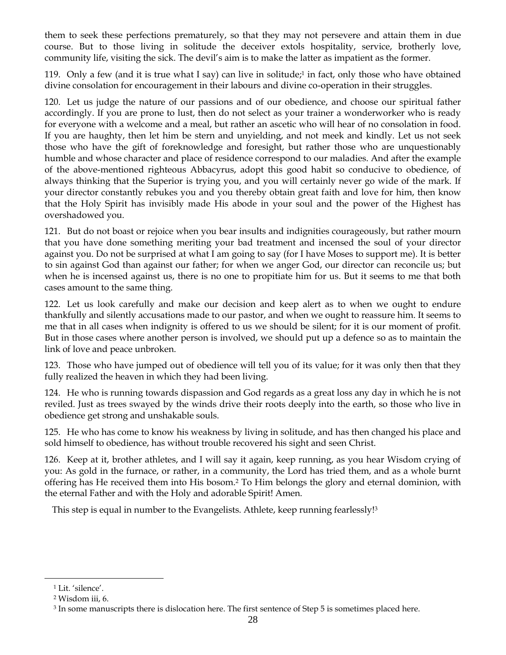them to seek these perfections prematurely, so that they may not persevere and attain them in due course. But to those living in solitude the deceiver extols hospitality, service, brotherly love, community life, visiting the sick. The devil's aim is to make the latter as impatient as the former.

119. Only a few (and it is true what I say) can live in solitude;<sup>1</sup> in fact, only those who have obtained divine consolation for encouragement in their labours and divine co-operation in their struggles.

120. Let us judge the nature of our passions and of our obedience, and choose our spiritual father accordingly. If you are prone to lust, then do not select as your trainer a wonderworker who is ready for everyone with a welcome and a meal, but rather an ascetic who will hear of no consolation in food. If you are haughty, then let him be stern and unyielding, and not meek and kindly. Let us not seek those who have the gift of foreknowledge and foresight, but rather those who are unquestionably humble and whose character and place of residence correspond to our maladies. And after the example of the above-mentioned righteous Abbacyrus, adopt this good habit so conducive to obedience, of always thinking that the Superior is trying you, and you will certainly never go wide of the mark. If your director constantly rebukes you and you thereby obtain great faith and love for him, then know that the Holy Spirit has invisibly made His abode in your soul and the power of the Highest has overshadowed you.

121. But do not boast or rejoice when you bear insults and indignities courageously, but rather mourn that you have done something meriting your bad treatment and incensed the soul of your director against you. Do not be surprised at what I am going to say (for I have Moses to support me). It is better to sin against God than against our father; for when we anger God, our director can reconcile us; but when he is incensed against us, there is no one to propitiate him for us. But it seems to me that both cases amount to the same thing.

122. Let us look carefully and make our decision and keep alert as to when we ought to endure thankfully and silently accusations made to our pastor, and when we ought to reassure him. It seems to me that in all cases when indignity is offered to us we should be silent; for it is our moment of profit. But in those cases where another person is involved, we should put up a defence so as to maintain the link of love and peace unbroken.

123. Those who have jumped out of obedience will tell you of its value; for it was only then that they fully realized the heaven in which they had been living.

124. He who is running towards dispassion and God regards as a great loss any day in which he is not reviled. Just as trees swayed by the winds drive their roots deeply into the earth, so those who live in obedience get strong and unshakable souls.

125. He who has come to know his weakness by living in solitude, and has then changed his place and sold himself to obedience, has without trouble recovered his sight and seen Christ.

126. Keep at it, brother athletes, and I will say it again, keep running, as you hear Wisdom crying of you: As gold in the furnace, or rather, in a community, the Lord has tried them, and as a whole burnt offering has He received them into His bosom.<sup>2</sup> To Him belongs the glory and eternal dominion, with the eternal Father and with the Holy and adorable Spirit! Amen.

This step is equal in number to the Evangelists. Athlete, keep running fearlessly!<sup>3</sup>

<sup>&</sup>lt;sup>1</sup> Lit. 'silence'.

<sup>2</sup> Wisdom iii, 6.

<sup>&</sup>lt;sup>3</sup> In some manuscripts there is dislocation here. The first sentence of Step 5 is sometimes placed here.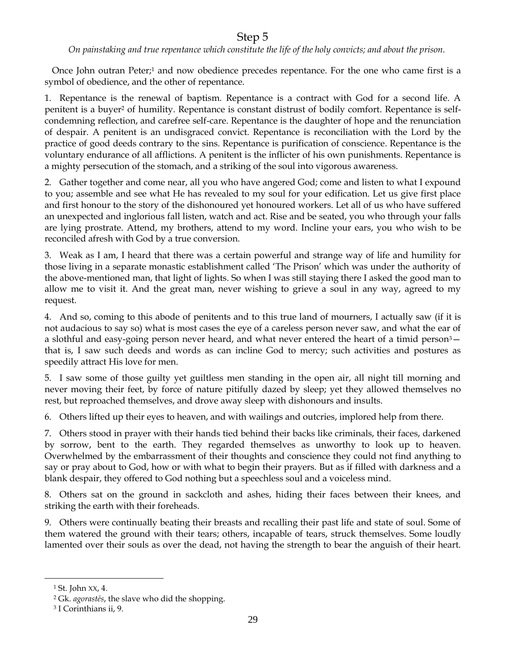# Step 5

## *On painstaking and true repentance which constitute the life of the holy convicts; and about the prison.*

Once John outran Peter;<sup>1</sup> and now obedience precedes repentance. For the one who came first is a symbol of obedience, and the other of repentance.

1. Repentance is the renewal of baptism. Repentance is a contract with God for a second life. A penitent is a buyer<sup>2</sup> of humility. Repentance is constant distrust of bodily comfort. Repentance is selfcondemning reflection, and carefree self-care. Repentance is the daughter of hope and the renunciation of despair. A penitent is an undisgraced convict. Repentance is reconciliation with the Lord by the practice of good deeds contrary to the sins. Repentance is purification of conscience. Repentance is the voluntary endurance of all afflictions. A penitent is the inflicter of his own punishments. Repentance is a mighty persecution of the stomach, and a striking of the soul into vigorous awareness.

2. Gather together and come near, all you who have angered God; come and listen to what I expound to you; assemble and see what He has revealed to my soul for your edification. Let us give first place and first honour to the story of the dishonoured yet honoured workers. Let all of us who have suffered an unexpected and inglorious fall listen, watch and act. Rise and be seated, you who through your falls are lying prostrate. Attend, my brothers, attend to my word. Incline your ears, you who wish to be reconciled afresh with God by a true conversion.

3. Weak as I am, I heard that there was a certain powerful and strange way of life and humility for those living in a separate monastic establishment called 'The Prison' which was under the authority of the above-mentioned man, that light of lights. So when I was still staying there I asked the good man to allow me to visit it. And the great man, never wishing to grieve a soul in any way, agreed to my request.

4. And so, coming to this abode of penitents and to this true land of mourners, I actually saw (if it is not audacious to say so) what is most cases the eye of a careless person never saw, and what the ear of a slothful and easy-going person never heard, and what never entered the heart of a timid person<sup>3</sup> that is, I saw such deeds and words as can incline God to mercy; such activities and postures as speedily attract His love for men.

5. I saw some of those guilty yet guiltless men standing in the open air, all night till morning and never moving their feet, by force of nature pitifully dazed by sleep; yet they allowed themselves no rest, but reproached themselves, and drove away sleep with dishonours and insults.

6. Others lifted up their eyes to heaven, and with wailings and outcries, implored help from there.

7. Others stood in prayer with their hands tied behind their backs like criminals, their faces, darkened by sorrow, bent to the earth. They regarded themselves as unworthy to look up to heaven. Overwhelmed by the embarrassment of their thoughts and conscience they could not find anything to say or pray about to God, how or with what to begin their prayers. But as if filled with darkness and a blank despair, they offered to God nothing but a speechless soul and a voiceless mind.

8. Others sat on the ground in sackcloth and ashes, hiding their faces between their knees, and striking the earth with their foreheads.

9. Others were continually beating their breasts and recalling their past life and state of soul. Some of them watered the ground with their tears; others, incapable of tears, struck themselves. Some loudly lamented over their souls as over the dead, not having the strength to bear the anguish of their heart.

 $1$  St. John XX, 4.

<sup>2</sup> Gk. *agorastēs*, the slave who did the shopping.

<sup>3</sup> I Corinthians ii, 9.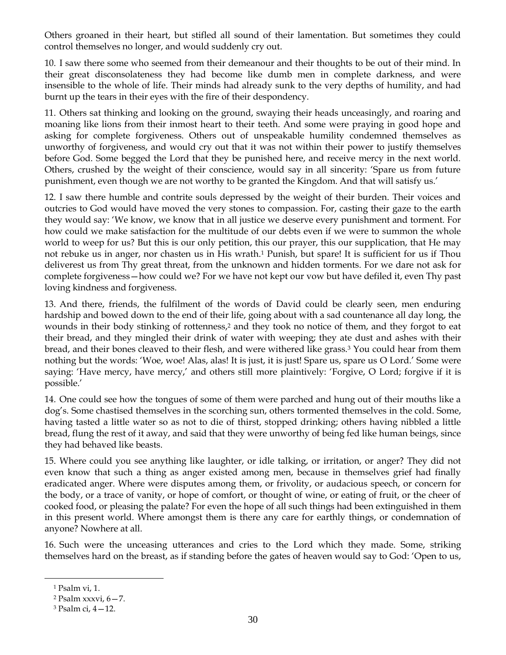Others groaned in their heart, but stifled all sound of their lamentation. But sometimes they could control themselves no longer, and would suddenly cry out.

10. I saw there some who seemed from their demeanour and their thoughts to be out of their mind. In their great disconsolateness they had become like dumb men in complete darkness, and were insensible to the whole of life. Their minds had already sunk to the very depths of humility, and had burnt up the tears in their eyes with the fire of their despondency.

11. Others sat thinking and looking on the ground, swaying their heads unceasingly, and roaring and moaning like lions from their inmost heart to their teeth. And some were praying in good hope and asking for complete forgiveness. Others out of unspeakable humility condemned themselves as unworthy of forgiveness, and would cry out that it was not within their power to justify themselves before God. Some begged the Lord that they be punished here, and receive mercy in the next world. Others, crushed by the weight of their conscience, would say in all sincerity: 'Spare us from future punishment, even though we are not worthy to be granted the Kingdom. And that will satisfy us.'

12. I saw there humble and contrite souls depressed by the weight of their burden. Their voices and outcries to God would have moved the very stones to compassion. For, casting their gaze to the earth they would say: 'We know, we know that in all justice we deserve every punishment and torment. For how could we make satisfaction for the multitude of our debts even if we were to summon the whole world to weep for us? But this is our only petition, this our prayer, this our supplication, that He may not rebuke us in anger, nor chasten us in His wrath.<sup>1</sup> Punish, but spare! It is sufficient for us if Thou deliverest us from Thy great threat, from the unknown and hidden torments. For we dare not ask for complete forgiveness—how could we? For we have not kept our vow but have defiled it, even Thy past loving kindness and forgiveness.

13. And there, friends, the fulfilment of the words of David could be clearly seen, men enduring hardship and bowed down to the end of their life, going about with a sad countenance all day long, the wounds in their body stinking of rottenness,<sup>2</sup> and they took no notice of them, and they forgot to eat their bread, and they mingled their drink of water with weeping; they ate dust and ashes with their bread, and their bones cleaved to their flesh, and were withered like grass.<sup>3</sup> You could hear from them nothing but the words: 'Woe, woe! Alas, alas! It is just, it is just! Spare us, spare us O Lord.' Some were saying: 'Have mercy, have mercy,' and others still more plaintively: 'Forgive, O Lord; forgive if it is possible.'

14. One could see how the tongues of some of them were parched and hung out of their mouths like a dog's. Some chastised themselves in the scorching sun, others tormented themselves in the cold. Some, having tasted a little water so as not to die of thirst, stopped drinking; others having nibbled a little bread, flung the rest of it away, and said that they were unworthy of being fed like human beings, since they had behaved like beasts.

15. Where could you see anything like laughter, or idle talking, or irritation, or anger? They did not even know that such a thing as anger existed among men, because in themselves grief had finally eradicated anger. Where were disputes among them, or frivolity, or audacious speech, or concern for the body, or a trace of vanity, or hope of comfort, or thought of wine, or eating of fruit, or the cheer of cooked food, or pleasing the palate? For even the hope of all such things had been extinguished in them in this present world. Where amongst them is there any care for earthly things, or condemnation of anyone? Nowhere at all.

16. Such were the unceasing utterances and cries to the Lord which they made. Some, striking themselves hard on the breast, as if standing before the gates of heaven would say to God: 'Open to us,

<sup>1</sup> Psalm vi, 1.

 $2$  Psalm xxxvi,  $6 - 7$ .

<sup>3</sup> Psalm ci, 4—12.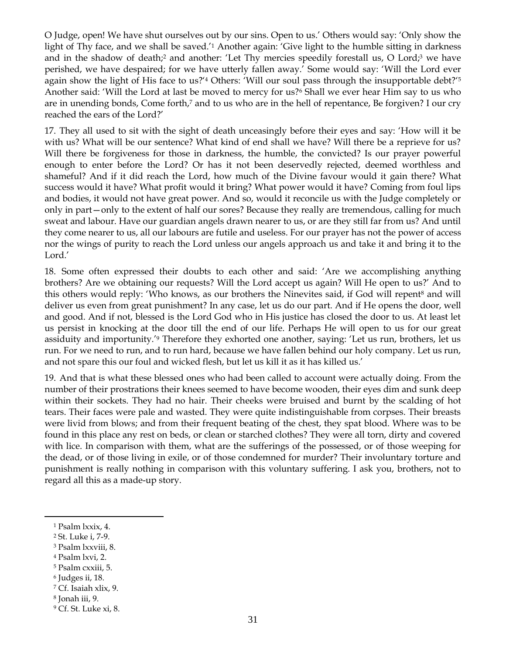O Judge, open! We have shut ourselves out by our sins. Open to us.' Others would say: 'Only show the light of Thy face, and we shall be saved.'<sup>1</sup> Another again: 'Give light to the humble sitting in darkness and in the shadow of death;<sup>2</sup> and another: 'Let Thy mercies speedily forestall us, O Lord;<sup>3</sup> we have perished, we have despaired; for we have utterly fallen away.' Some would say: 'Will the Lord ever again show the light of His face to us?<sup>'4</sup> Others: 'Will our soul pass through the insupportable debt?'<sup>5</sup> Another said: 'Will the Lord at last be moved to mercy for us?<sup>6</sup> Shall we ever hear Him say to us who are in unending bonds, Come forth,<sup>7</sup> and to us who are in the hell of repentance, Be forgiven? I our cry reached the ears of the Lord?'

17. They all used to sit with the sight of death unceasingly before their eyes and say: 'How will it be with us? What will be our sentence? What kind of end shall we have? Will there be a reprieve for us? Will there be forgiveness for those in darkness, the humble, the convicted? Is our prayer powerful enough to enter before the Lord? Or has it not been deservedly rejected, deemed worthless and shameful? And if it did reach the Lord, how much of the Divine favour would it gain there? What success would it have? What profit would it bring? What power would it have? Coming from foul lips and bodies, it would not have great power. And so, would it reconcile us with the Judge completely or only in part—only to the extent of half our sores? Because they really are tremendous, calling for much sweat and labour. Have our guardian angels drawn nearer to us, or are they still far from us? And until they come nearer to us, all our labours are futile and useless. For our prayer has not the power of access nor the wings of purity to reach the Lord unless our angels approach us and take it and bring it to the Lord.'

18. Some often expressed their doubts to each other and said: 'Are we accomplishing anything brothers? Are we obtaining our requests? Will the Lord accept us again? Will He open to us?' And to this others would reply: 'Who knows, as our brothers the Ninevites said, if God will repent<sup>8</sup> and will deliver us even from great punishment? In any case, let us do our part. And if He opens the door, well and good. And if not, blessed is the Lord God who in His justice has closed the door to us. At least let us persist in knocking at the door till the end of our life. Perhaps He will open to us for our great assiduity and importunity.' <sup>9</sup> Therefore they exhorted one another, saying: 'Let us run, brothers, let us run. For we need to run, and to run hard, because we have fallen behind our holy company. Let us run, and not spare this our foul and wicked flesh, but let us kill it as it has killed us.'

19. And that is what these blessed ones who had been called to account were actually doing. From the number of their prostrations their knees seemed to have become wooden, their eyes dim and sunk deep within their sockets. They had no hair. Their cheeks were bruised and burnt by the scalding of hot tears. Their faces were pale and wasted. They were quite indistinguishable from corpses. Their breasts were livid from blows; and from their frequent beating of the chest, they spat blood. Where was to be found in this place any rest on beds, or clean or starched clothes? They were all torn, dirty and covered with lice. In comparison with them, what are the sufferings of the possessed, or of those weeping for the dead, or of those living in exile, or of those condemned for murder? Their involuntary torture and punishment is really nothing in comparison with this voluntary suffering. I ask you, brothers, not to regard all this as a made-up story.

- <sup>3</sup> Psalm lxxviii, 8.
- <sup>4</sup> Psalm lxvi, 2.
- <sup>5</sup> Psalm cxxiii, 5.
- 6 Judges ii, 18.
- <sup>7</sup> Cf. Isaiah xlix, 9.

<sup>1</sup> Psalm lxxix, 4.

<sup>2</sup> St. Luke i, 7-9.

<sup>8</sup> Jonah iii, 9.

<sup>9</sup> Cf. St. Luke xi, 8.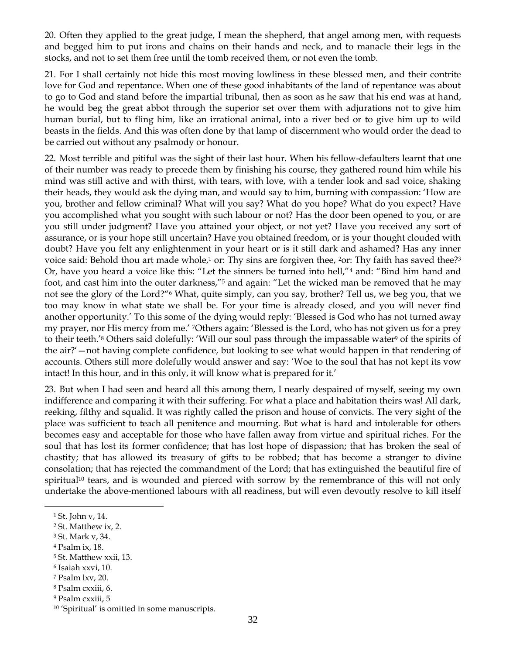20. Often they applied to the great judge, I mean the shepherd, that angel among men, with requests and begged him to put irons and chains on their hands and neck, and to manacle their legs in the stocks, and not to set them free until the tomb received them, or not even the tomb.

21. For I shall certainly not hide this most moving lowliness in these blessed men, and their contrite love for God and repentance. When one of these good inhabitants of the land of repentance was about to go to God and stand before the impartial tribunal, then as soon as he saw that his end was at hand, he would beg the great abbot through the superior set over them with adjurations not to give him human burial, but to fling him, like an irrational animal, into a river bed or to give him up to wild beasts in the fields. And this was often done by that lamp of discernment who would order the dead to be carried out without any psalmody or honour.

22. Most terrible and pitiful was the sight of their last hour. When his fellow-defaulters learnt that one of their number was ready to precede them by finishing his course, they gathered round him while his mind was still active and with thirst, with tears, with love, with a tender look and sad voice, shaking their heads, they would ask the dying man, and would say to him, burning with compassion: 'How are you, brother and fellow criminal? What will you say? What do you hope? What do you expect? Have you accomplished what you sought with such labour or not? Has the door been opened to you, or are you still under judgment? Have you attained your object, or not yet? Have you received any sort of assurance, or is your hope still uncertain? Have you obtained freedom, or is your thought clouded with doubt? Have you felt any enlightenment in your heart or is it still dark and ashamed? Has any inner voice said: Behold thou art made whole,<sup>1</sup> or: Thy sins are forgiven thee, <sup>2</sup>or: Thy faith has saved thee?<sup>3</sup> Or, have you heard a voice like this: "Let the sinners be turned into hell,"<sup>4</sup> and: "Bind him hand and foot, and cast him into the outer darkness,"<sup>5</sup> and again: "Let the wicked man be removed that he may not see the glory of the Lord?"<sup>6</sup> What, quite simply, can you say, brother? Tell us, we beg you, that we too may know in what state we shall be. For your time is already closed, and you will never find another opportunity.' To this some of the dying would reply: 'Blessed is God who has not turned away my prayer, nor His mercy from me.' 7Others again: 'Blessed is the Lord, who has not given us for a prey to their teeth.'<sup>8</sup> Others said dolefully: 'Will our soul pass through the impassable water<sup>9</sup> of the spirits of the air?'—not having complete confidence, but looking to see what would happen in that rendering of accounts. Others still more dolefully would answer and say: 'Woe to the soul that has not kept its vow intact! In this hour, and in this only, it will know what is prepared for it.'

23. But when I had seen and heard all this among them, I nearly despaired of myself, seeing my own indifference and comparing it with their suffering. For what a place and habitation theirs was! All dark, reeking, filthy and squalid. It was rightly called the prison and house of convicts. The very sight of the place was sufficient to teach all penitence and mourning. But what is hard and intolerable for others becomes easy and acceptable for those who have fallen away from virtue and spiritual riches. For the soul that has lost its former confidence; that has lost hope of dispassion; that has broken the seal of chastity; that has allowed its treasury of gifts to be robbed; that has become a stranger to divine consolation; that has rejected the commandment of the Lord; that has extinguished the beautiful fire of spiritual<sup>10</sup> tears, and is wounded and pierced with sorrow by the remembrance of this will not only undertake the above-mentioned labours with all readiness, but will even devoutly resolve to kill itself

 $\overline{a}$ 

<sup>4</sup> Psalm ix, 18.

- 6 Isaiah xxvi, 10.
- <sup>7</sup> Psalm lxv, 20.
- <sup>8</sup> Psalm cxxiii, 6.

<sup>1</sup> St. John v, 14.

<sup>2</sup> St. Matthew ix, 2.

<sup>3</sup> St. Mark v, 34.

<sup>5</sup> St. Matthew xxii, 13.

<sup>9</sup> Psalm cxxiii, 5

<sup>10</sup> 'Spiritual' is omitted in some manuscripts.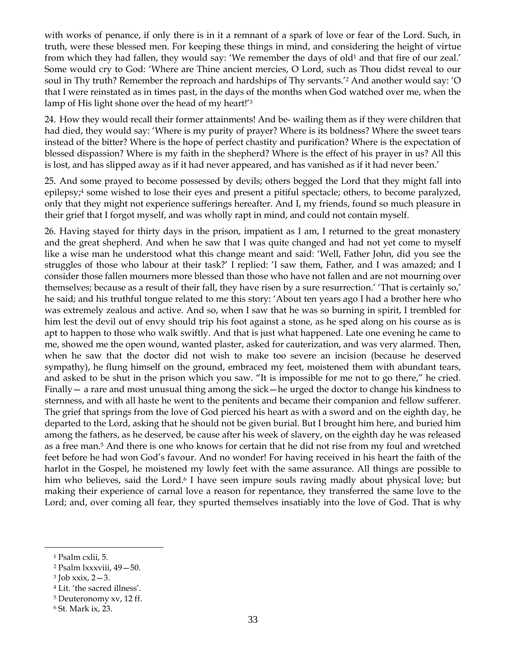with works of penance, if only there is in it a remnant of a spark of love or fear of the Lord. Such, in truth, were these blessed men. For keeping these things in mind, and considering the height of virtue from which they had fallen, they would say: 'We remember the days of old<sup>1</sup> and that fire of our zeal.' Some would cry to God: 'Where are Thine ancient mercies, O Lord, such as Thou didst reveal to our soul in Thy truth? Remember the reproach and hardships of Thy servants.'<sup>2</sup> And another would say: 'O that I were reinstated as in times past, in the days of the months when God watched over me, when the lamp of His light shone over the head of my heart!<sup>'3</sup>

24. How they would recall their former attainments! And be- wailing them as if they were children that had died, they would say: 'Where is my purity of prayer? Where is its boldness? Where the sweet tears instead of the bitter? Where is the hope of perfect chastity and purification? Where is the expectation of blessed dispassion? Where is my faith in the shepherd? Where is the effect of his prayer in us? All this is lost, and has slipped away as if it had never appeared, and has vanished as if it had never been.'

25. And some prayed to become possessed by devils; others begged the Lord that they might fall into epilepsy;<sup>4</sup> some wished to lose their eyes and present a pitiful spectacle; others, to become paralyzed, only that they might not experience sufferings hereafter. And I, my friends, found so much pleasure in their grief that I forgot myself, and was wholly rapt in mind, and could not contain myself.

26. Having stayed for thirty days in the prison, impatient as I am, I returned to the great monastery and the great shepherd. And when he saw that I was quite changed and had not yet come to myself like a wise man he understood what this change meant and said: 'Well, Father John, did you see the struggles of those who labour at their task?' I replied: 'I saw them, Father, and I was amazed; and I consider those fallen mourners more blessed than those who have not fallen and are not mourning over themselves; because as a result of their fall, they have risen by a sure resurrection.' 'That is certainly so,' he said; and his truthful tongue related to me this story: 'About ten years ago I had a brother here who was extremely zealous and active. And so, when I saw that he was so burning in spirit, I trembled for him lest the devil out of envy should trip his foot against a stone, as he sped along on his course as is apt to happen to those who walk swiftly. And that is just what happened. Late one evening he came to me, showed me the open wound, wanted plaster, asked for cauterization, and was very alarmed. Then, when he saw that the doctor did not wish to make too severe an incision (because he deserved sympathy), he flung himself on the ground, embraced my feet, moistened them with abundant tears, and asked to be shut in the prison which you saw. "It is impossible for me not to go there," he cried. Finally— a rare and most unusual thing among the sick—he urged the doctor to change his kindness to sternness, and with all haste he went to the penitents and became their companion and fellow sufferer. The grief that springs from the love of God pierced his heart as with a sword and on the eighth day, he departed to the Lord, asking that he should not be given burial. But I brought him here, and buried him among the fathers, as he deserved, be cause after his week of slavery, on the eighth day he was released as a free man.<sup>5</sup> And there is one who knows for certain that he did not rise from my foul and wretched feet before he had won God's favour. And no wonder! For having received in his heart the faith of the harlot in the Gospel, he moistened my lowly feet with the same assurance. All things are possible to him who believes, said the Lord.<sup>6</sup> I have seen impure souls raving madly about physical love; but making their experience of carnal love a reason for repentance, they transferred the same love to the Lord; and, over coming all fear, they spurted themselves insatiably into the love of God. That is why

<sup>1</sup> Psalm cxlii, 5.

<sup>2</sup> Psalm lxxxviii, 49—50.

<sup>3</sup> Job xxix, 2—3.

<sup>4</sup> Lit. 'the sacred illness'.

<sup>5</sup> Deuteronomy xv, 12 ff.

<sup>6</sup> St. Mark ix, 23.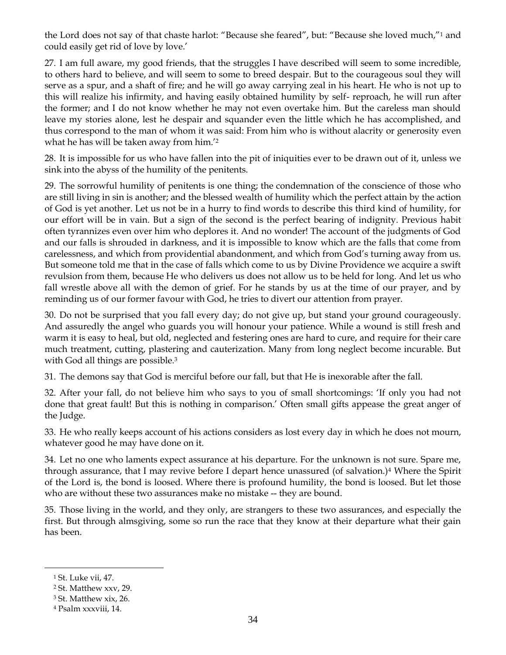the Lord does not say of that chaste harlot: "Because she feared", but: "Because she loved much,"<sup>1</sup> and could easily get rid of love by love.'

27. I am full aware, my good friends, that the struggles I have described will seem to some incredible, to others hard to believe, and will seem to some to breed despair. But to the courageous soul they will serve as a spur, and a shaft of fire; and he will go away carrying zeal in his heart. He who is not up to this will realize his infirmity, and having easily obtained humility by self- reproach, he will run after the former; and I do not know whether he may not even overtake him. But the careless man should leave my stories alone, lest he despair and squander even the little which he has accomplished, and thus correspond to the man of whom it was said: From him who is without alacrity or generosity even what he has will be taken away from him.'<sup>2</sup>

28. It is impossible for us who have fallen into the pit of iniquities ever to be drawn out of it, unless we sink into the abyss of the humility of the penitents.

29. The sorrowful humility of penitents is one thing; the condemnation of the conscience of those who are still living in sin is another; and the blessed wealth of humility which the perfect attain by the action of God is yet another. Let us not be in a hurry to find words to describe this third kind of humility, for our effort will be in vain. But a sign of the second is the perfect bearing of indignity. Previous habit often tyrannizes even over him who deplores it. And no wonder! The account of the judgments of God and our falls is shrouded in darkness, and it is impossible to know which are the falls that come from carelessness, and which from providential abandonment, and which from God's turning away from us. But someone told me that in the case of falls which come to us by Divine Providence we acquire a swift revulsion from them, because He who delivers us does not allow us to be held for long. And let us who fall wrestle above all with the demon of grief. For he stands by us at the time of our prayer, and by reminding us of our former favour with God, he tries to divert our attention from prayer.

30. Do not be surprised that you fall every day; do not give up, but stand your ground courageously. And assuredly the angel who guards you will honour your patience. While a wound is still fresh and warm it is easy to heal, but old, neglected and festering ones are hard to cure, and require for their care much treatment, cutting, plastering and cauterization. Many from long neglect become incurable. But with God all things are possible.<sup>3</sup>

31. The demons say that God is merciful before our fall, but that He is inexorable after the fall.

32. After your fall, do not believe him who says to you of small shortcomings: 'If only you had not done that great fault! But this is nothing in comparison.' Often small gifts appease the great anger of the Judge.

33. He who really keeps account of his actions considers as lost every day in which he does not mourn, whatever good he may have done on it.

34. Let no one who laments expect assurance at his departure. For the unknown is not sure. Spare me, through assurance, that I may revive before I depart hence unassured (of salvation.)<sup>4</sup> Where the Spirit of the Lord is, the bond is loosed. Where there is profound humility, the bond is loosed. But let those who are without these two assurances make no mistake -- they are bound.

35. Those living in the world, and they only, are strangers to these two assurances, and especially the first. But through almsgiving, some so run the race that they know at their departure what their gain has been.

<sup>&</sup>lt;sup>1</sup> St. Luke vii, 47.

<sup>2</sup> St. Matthew xxv, 29.

<sup>3</sup> St. Matthew xix, 26.

<sup>4</sup> Psalm xxxviii, 14.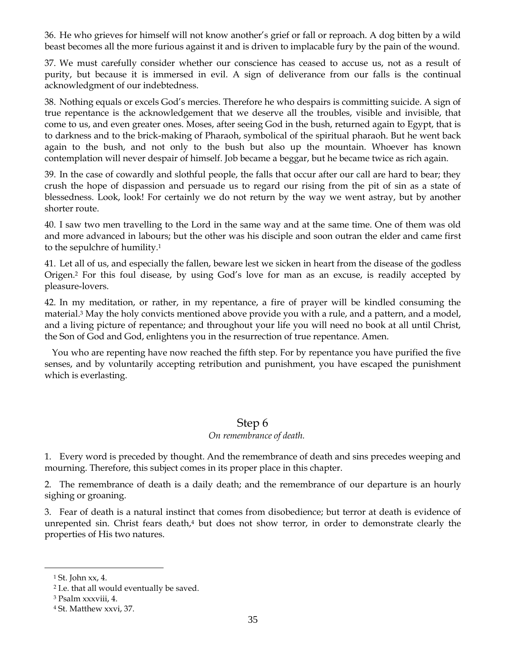36. He who grieves for himself will not know another's grief or fall or reproach. A dog bitten by a wild beast becomes all the more furious against it and is driven to implacable fury by the pain of the wound.

37. We must carefully consider whether our conscience has ceased to accuse us, not as a result of purity, but because it is immersed in evil. A sign of deliverance from our falls is the continual acknowledgment of our indebtedness.

38. Nothing equals or excels God's mercies. Therefore he who despairs is committing suicide. A sign of true repentance is the acknowledgement that we deserve all the troubles, visible and invisible, that come to us, and even greater ones. Moses, after seeing God in the bush, returned again to Egypt, that is to darkness and to the brick-making of Pharaoh, symbolical of the spiritual pharaoh. But he went back again to the bush, and not only to the bush but also up the mountain. Whoever has known contemplation will never despair of himself. Job became a beggar, but he became twice as rich again.

39. In the case of cowardly and slothful people, the falls that occur after our call are hard to bear; they crush the hope of dispassion and persuade us to regard our rising from the pit of sin as a state of blessedness. Look, look! For certainly we do not return by the way we went astray, but by another shorter route.

40. I saw two men travelling to the Lord in the same way and at the same time. One of them was old and more advanced in labours; but the other was his disciple and soon outran the elder and came first to the sepulchre of humility.<sup>1</sup>

41. Let all of us, and especially the fallen, beware lest we sicken in heart from the disease of the godless Origen.<sup>2</sup> For this foul disease, by using God's love for man as an excuse, is readily accepted by pleasure-lovers.

42. In my meditation, or rather, in my repentance, a fire of prayer will be kindled consuming the material.<sup>3</sup> May the holy convicts mentioned above provide you with a rule, and a pattern, and a model, and a living picture of repentance; and throughout your life you will need no book at all until Christ, the Son of God and God, enlightens you in the resurrection of true repentance. Amen.

You who are repenting have now reached the fifth step. For by repentance you have purified the five senses, and by voluntarily accepting retribution and punishment, you have escaped the punishment which is everlasting.

## Step 6

## *On remembrance of death.*

1. Every word is preceded by thought. And the remembrance of death and sins precedes weeping and mourning. Therefore, this subject comes in its proper place in this chapter.

2. The remembrance of death is a daily death; and the remembrance of our departure is an hourly sighing or groaning.

3. Fear of death is a natural instinct that comes from disobedience; but terror at death is evidence of unrepented sin. Christ fears death,<sup>4</sup> but does not show terror, in order to demonstrate clearly the properties of His two natures.

 $1$  St. John xx, 4.

<sup>2</sup> I.e. that all would eventually be saved.

<sup>3</sup> Psalm xxxviii, 4.

<sup>4</sup> St. Matthew xxvi, 37.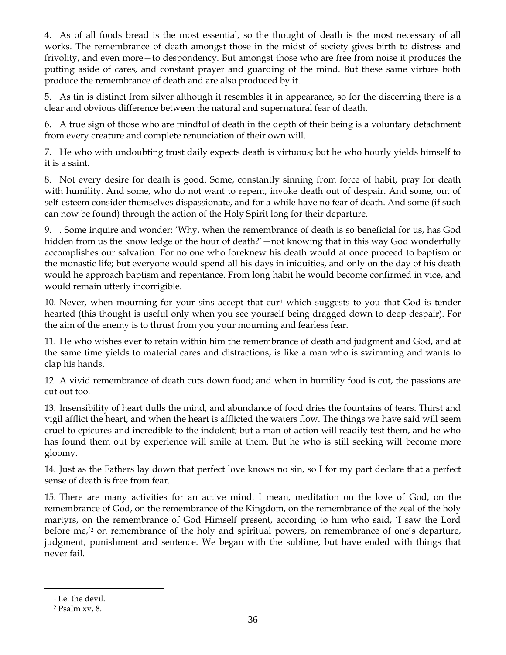4. As of all foods bread is the most essential, so the thought of death is the most necessary of all works. The remembrance of death amongst those in the midst of society gives birth to distress and frivolity, and even more—to despondency. But amongst those who are free from noise it produces the putting aside of cares, and constant prayer and guarding of the mind. But these same virtues both produce the remembrance of death and are also produced by it.

5. As tin is distinct from silver although it resembles it in appearance, so for the discerning there is a clear and obvious difference between the natural and supernatural fear of death.

6. A true sign of those who are mindful of death in the depth of their being is a voluntary detachment from every creature and complete renunciation of their own will.

7. He who with undoubting trust daily expects death is virtuous; but he who hourly yields himself to it is a saint.

8. Not every desire for death is good. Some, constantly sinning from force of habit, pray for death with humility. And some, who do not want to repent, invoke death out of despair. And some, out of self-esteem consider themselves dispassionate, and for a while have no fear of death. And some (if such can now be found) through the action of the Holy Spirit long for their departure.

9. . Some inquire and wonder: 'Why, when the remembrance of death is so beneficial for us, has God hidden from us the know ledge of the hour of death?'—not knowing that in this way God wonderfully accomplishes our salvation. For no one who foreknew his death would at once proceed to baptism or the monastic life; but everyone would spend all his days in iniquities, and only on the day of his death would he approach baptism and repentance. From long habit he would become confirmed in vice, and would remain utterly incorrigible.

10. Never, when mourning for your sins accept that  $cur<sup>1</sup>$  which suggests to you that God is tender hearted (this thought is useful only when you see yourself being dragged down to deep despair). For the aim of the enemy is to thrust from you your mourning and fearless fear.

11. He who wishes ever to retain within him the remembrance of death and judgment and God, and at the same time yields to material cares and distractions, is like a man who is swimming and wants to clap his hands.

12. A vivid remembrance of death cuts down food; and when in humility food is cut, the passions are cut out too.

13. Insensibility of heart dulls the mind, and abundance of food dries the fountains of tears. Thirst and vigil afflict the heart, and when the heart is afflicted the waters flow. The things we have said will seem cruel to epicures and incredible to the indolent; but a man of action will readily test them, and he who has found them out by experience will smile at them. But he who is still seeking will become more gloomy.

14. Just as the Fathers lay down that perfect love knows no sin, so I for my part declare that a perfect sense of death is free from fear.

15. There are many activities for an active mind. I mean, meditation on the love of God, on the remembrance of God, on the remembrance of the Kingdom, on the remembrance of the zeal of the holy martyrs, on the remembrance of God Himself present, according to him who said, 'I saw the Lord before me,'<sup>2</sup> on remembrance of the holy and spiritual powers, on remembrance of one's departure, judgment, punishment and sentence. We began with the sublime, but have ended with things that never fail.

<sup>1</sup> I.e. the devil.

<sup>2</sup> Psalm xv, 8.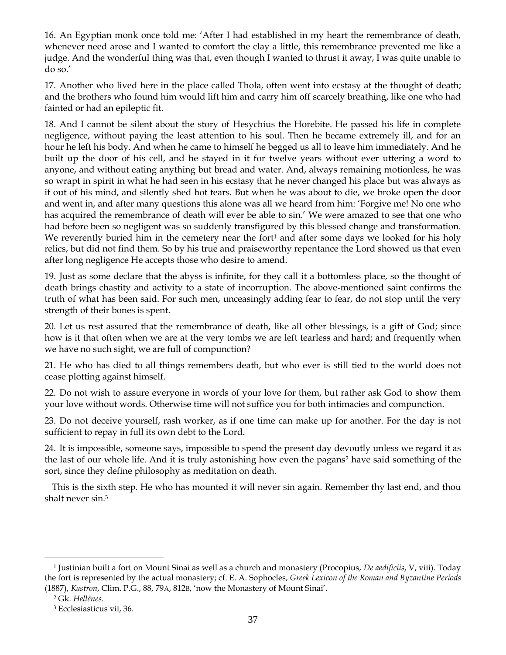16. An Egyptian monk once told me: 'After I had established in my heart the remembrance of death, whenever need arose and I wanted to comfort the clay a little, this remembrance prevented me like a judge. And the wonderful thing was that, even though I wanted to thrust it away, I was quite unable to do so.'

17. Another who lived here in the place called Thola, often went into ecstasy at the thought of death; and the brothers who found him would lift him and carry him off scarcely breathing, like one who had fainted or had an epileptic fit.

18. And I cannot be silent about the story of Hesychius the Horebite. He passed his life in complete negligence, without paying the least attention to his soul. Then he became extremely ill, and for an hour he left his body. And when he came to himself he begged us all to leave him immediately. And he built up the door of his cell, and he stayed in it for twelve years without ever uttering a word to anyone, and without eating anything but bread and water. And, always remaining motionless, he was so wrapt in spirit in what he had seen in his ecstasy that he never changed his place but was always as if out of his mind, and silently shed hot tears. But when he was about to die, we broke open the door and went in, and after many questions this alone was all we heard from him: 'Forgive me! No one who has acquired the remembrance of death will ever be able to sin.' We were amazed to see that one who had before been so negligent was so suddenly transfigured by this blessed change and transformation. We reverently buried him in the cemetery near the fort<sup>1</sup> and after some days we looked for his holy relics, but did not find them. So by his true and praiseworthy repentance the Lord showed us that even after long negligence He accepts those who desire to amend.

<span id="page-36-1"></span>19. Just as some declare that the abyss is infinite, for they call it a bottomless place, so the thought of death brings chastity and activity to a state of incorruption. The above-mentioned saint confirms the truth of what has been said. For such men, unceasingly adding fear to fear, do not stop until the very strength of their bones is spent.

20. Let us rest assured that the remembrance of death, like all other blessings, is a gift of God; since how is it that often when we are at the very tombs we are left tearless and hard; and frequently when we have no such sight, we are full of compunction?

21. He who has died to all things remembers death, but who ever is still tied to the world does not cease plotting against himself.

22. Do not wish to assure everyone in words of your love for them, but rather ask God to show them your love without words. Otherwise time will not suffice you for both intimacies and compunction.

23. Do not deceive yourself, rash worker, as if one time can make up for another. For the day is not sufficient to repay in full its own debt to the Lord.

24. It is impossible, someone says, impossible to spend the present day devoutly unless we regard it as the last of our whole life. And it is truly astonishing how even the pagans<sup>2</sup> have said something of the sort, since they define philosophy as meditation on death.

This is the sixth step. He who has mounted it will never sin again. Remember thy last end, and thou shalt never sin.<sup>3</sup>

<span id="page-36-0"></span><sup>1</sup> Justinian built a fort on Mount Sinai as well as a church and monastery (Procopius, *De aedificiis*, V, viii). Today the fort is represented by the actual monastery; cf. E. A. Sophocles, *Greek Lexicon of the Roman and Byzantine Periods* (1887), *Kastron*, Clim. P.G., 88, 79A, 812B, 'now the Monastery of Mount Sinai'.

<sup>2</sup> Gk. *Hellēnes*.

<sup>3</sup> Ecclesiasticus vii, 36.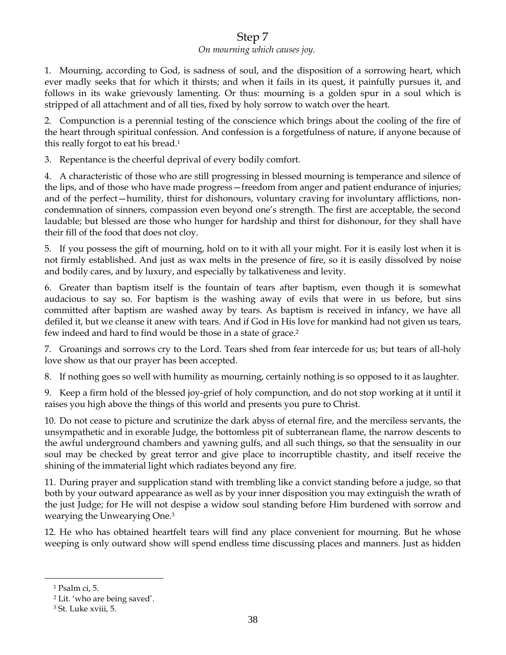# Step 7

### *On mourning which causes joy.*

1. Mourning, according to God, is sadness of soul, and the disposition of a sorrowing heart, which ever madly seeks that for which it thirsts; and when it fails in its quest, it painfully pursues it, and follows in its wake grievously lamenting. Or thus: mourning is a golden spur in a soul which is stripped of all attachment and of all ties, fixed by holy sorrow to watch over the heart.

2. Compunction is a perennial testing of the conscience which brings about the cooling of the fire of the heart through spiritual confession. And confession is a forgetfulness of nature, if anyone because of this really forgot to eat his bread.<sup>1</sup>

3. Repentance is the cheerful deprival of every bodily comfort.

4. A characteristic of those who are still progressing in blessed mourning is temperance and silence of the lips, and of those who have made progress—freedom from anger and patient endurance of injuries; and of the perfect—humility, thirst for dishonours, voluntary craving for involuntary afflictions, noncondemnation of sinners, compassion even beyond one's strength. The first are acceptable, the second laudable; but blessed are those who hunger for hardship and thirst for dishonour, for they shall have their fill of the food that does not cloy.

5. If you possess the gift of mourning, hold on to it with all your might. For it is easily lost when it is not firmly established. And just as wax melts in the presence of fire, so it is easily dissolved by noise and bodily cares, and by luxury, and especially by talkativeness and levity.

6. Greater than baptism itself is the fountain of tears after baptism, even though it is somewhat audacious to say so. For baptism is the washing away of evils that were in us before, but sins committed after baptism are washed away by tears. As baptism is received in infancy, we have all defiled it, but we cleanse it anew with tears. And if God in His love for mankind had not given us tears, few indeed and hard to find would be those in a state of grace.<sup>2</sup>

7. Groanings and sorrows cry to the Lord. Tears shed from fear intercede for us; but tears of all-holy love show us that our prayer has been accepted.

8. If nothing goes so well with humility as mourning, certainly nothing is so opposed to it as laughter.

9. Keep a firm hold of the blessed joy-grief of holy compunction, and do not stop working at it until it raises you high above the things of this world and presents you pure to Christ.

10. Do not cease to picture and scrutinize the dark abyss of eternal fire, and the merciless servants, the unsympathetic and in exorable Judge, the bottomless pit of subterranean flame, the narrow descents to the awful underground chambers and yawning gulfs, and all such things, so that the sensuality in our soul may be checked by great terror and give place to incorruptible chastity, and itself receive the shining of the immaterial light which radiates beyond any fire.

11. During prayer and supplication stand with trembling like a convict standing before a judge, so that both by your outward appearance as well as by your inner disposition you may extinguish the wrath of the just Judge; for He will not despise a widow soul standing before Him burdened with sorrow and wearying the Unwearying One.<sup>3</sup>

12. He who has obtained heartfelt tears will find any place convenient for mourning. But he whose weeping is only outward show will spend endless time discussing places and manners. Just as hidden

<sup>1</sup> Psalm ci, 5.

<sup>2</sup> Lit. 'who are being saved'.

<sup>3</sup> St. Luke xviii, 5.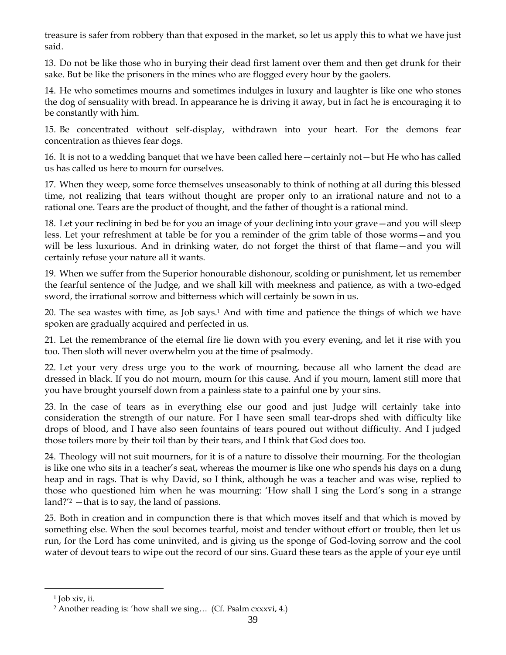treasure is safer from robbery than that exposed in the market, so let us apply this to what we have just said.

13. Do not be like those who in burying their dead first lament over them and then get drunk for their sake. But be like the prisoners in the mines who are flogged every hour by the gaolers.

14. He who sometimes mourns and sometimes indulges in luxury and laughter is like one who stones the dog of sensuality with bread. In appearance he is driving it away, but in fact he is encouraging it to be constantly with him.

15. Be concentrated without self-display, withdrawn into your heart. For the demons fear concentration as thieves fear dogs.

16. It is not to a wedding banquet that we have been called here—certainly not—but He who has called us has called us here to mourn for ourselves.

17. When they weep, some force themselves unseasonably to think of nothing at all during this blessed time, not realizing that tears without thought are proper only to an irrational nature and not to a rational one. Tears are the product of thought, and the father of thought is a rational mind.

18. Let your reclining in bed be for you an image of your declining into your grave—and you will sleep less. Let your refreshment at table be for you a reminder of the grim table of those worms—and you will be less luxurious. And in drinking water, do not forget the thirst of that flame—and you will certainly refuse your nature all it wants.

19. When we suffer from the Superior honourable dishonour, scolding or punishment, let us remember the fearful sentence of the Judge, and we shall kill with meekness and patience, as with a two-edged sword, the irrational sorrow and bitterness which will certainly be sown in us.

20. The sea wastes with time, as Job says.<sup>1</sup> And with time and patience the things of which we have spoken are gradually acquired and perfected in us.

21. Let the remembrance of the eternal fire lie down with you every evening, and let it rise with you too. Then sloth will never overwhelm you at the time of psalmody.

22. Let your very dress urge you to the work of mourning, because all who lament the dead are dressed in black. If you do not mourn, mourn for this cause. And if you mourn, lament still more that you have brought yourself down from a painless state to a painful one by your sins.

23. In the case of tears as in everything else our good and just Judge will certainly take into consideration the strength of our nature. For I have seen small tear-drops shed with difficulty like drops of blood, and I have also seen fountains of tears poured out without difficulty. And I judged those toilers more by their toil than by their tears, and I think that God does too.

24. Theology will not suit mourners, for it is of a nature to dissolve their mourning. For the theologian is like one who sits in a teacher's seat, whereas the mourner is like one who spends his days on a dung heap and in rags. That is why David, so I think, although he was a teacher and was wise, replied to those who questioned him when he was mourning: 'How shall I sing the Lord's song in a strange land? $^2$  - that is to say, the land of passions.

25. Both in creation and in compunction there is that which moves itself and that which is moved by something else. When the soul becomes tearful, moist and tender without effort or trouble, then let us run, for the Lord has come uninvited, and is giving us the sponge of God-loving sorrow and the cool water of devout tears to wipe out the record of our sins. Guard these tears as the apple of your eye until

<sup>1</sup> Job xiv, ii.

<sup>2</sup> Another reading is: 'how shall we sing… (Cf. Psalm cxxxvi, 4.)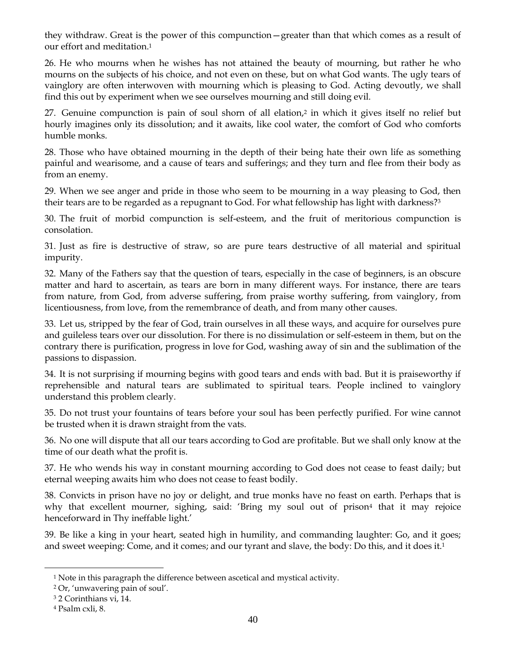they withdraw. Great is the power of this compunction—greater than that which comes as a result of our effort and meditation.<sup>1</sup>

26. He who mourns when he wishes has not attained the beauty of mourning, but rather he who mourns on the subjects of his choice, and not even on these, but on what God wants. The ugly tears of vainglory are often interwoven with mourning which is pleasing to God. Acting devoutly, we shall find this out by experiment when we see ourselves mourning and still doing evil.

27. Genuine compunction is pain of soul shorn of all elation,<sup>2</sup> in which it gives itself no relief but hourly imagines only its dissolution; and it awaits, like cool water, the comfort of God who comforts humble monks.

28. Those who have obtained mourning in the depth of their being hate their own life as something painful and wearisome, and a cause of tears and sufferings; and they turn and flee from their body as from an enemy.

29. When we see anger and pride in those who seem to be mourning in a way pleasing to God, then their tears are to be regarded as a repugnant to God. For what fellowship has light with darkness?<sup>3</sup>

30. The fruit of morbid compunction is self-esteem, and the fruit of meritorious compunction is consolation.

31. Just as fire is destructive of straw, so are pure tears destructive of all material and spiritual impurity.

32. Many of the Fathers say that the question of tears, especially in the case of beginners, is an obscure matter and hard to ascertain, as tears are born in many different ways. For instance, there are tears from nature, from God, from adverse suffering, from praise worthy suffering, from vainglory, from licentiousness, from love, from the remembrance of death, and from many other causes.

33. Let us, stripped by the fear of God, train ourselves in all these ways, and acquire for ourselves pure and guileless tears over our dissolution. For there is no dissimulation or self-esteem in them, but on the contrary there is purification, progress in love for God, washing away of sin and the sublimation of the passions to dispassion.

34. It is not surprising if mourning begins with good tears and ends with bad. But it is praiseworthy if reprehensible and natural tears are sublimated to spiritual tears. People inclined to vainglory understand this problem clearly.

35. Do not trust your fountains of tears before your soul has been perfectly purified. For wine cannot be trusted when it is drawn straight from the vats.

36. No one will dispute that all our tears according to God are profitable. But we shall only know at the time of our death what the profit is.

37. He who wends his way in constant mourning according to God does not cease to feast daily; but eternal weeping awaits him who does not cease to feast bodily.

38. Convicts in prison have no joy or delight, and true monks have no feast on earth. Perhaps that is why that excellent mourner, sighing, said: 'Bring my soul out of prison<sup>4</sup> that it may rejoice henceforward in Thy ineffable light.'

39. Be like a king in your heart, seated high in humility, and commanding laughter: Go, and it goes; and sweet weeping: Come, and it comes; and our tyrant and slave, the body: Do this, and it does it.<sup>1</sup>

<sup>&</sup>lt;sup>1</sup> Note in this paragraph the difference between ascetical and mystical activity.

<sup>2</sup> Or, 'unwavering pain of soul'.

<sup>3</sup> 2 Corinthians vi, 14.

<sup>4</sup> Psalm cxli, 8.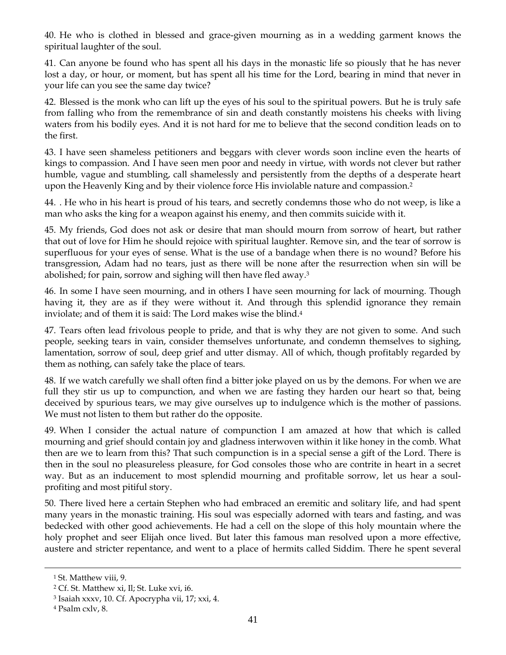40. He who is clothed in blessed and grace-given mourning as in a wedding garment knows the spiritual laughter of the soul.

41. Can anyone be found who has spent all his days in the monastic life so piously that he has never lost a day, or hour, or moment, but has spent all his time for the Lord, bearing in mind that never in your life can you see the same day twice?

42. Blessed is the monk who can lift up the eyes of his soul to the spiritual powers. But he is truly safe from falling who from the remembrance of sin and death constantly moistens his cheeks with living waters from his bodily eyes. And it is not hard for me to believe that the second condition leads on to the first.

43. I have seen shameless petitioners and beggars with clever words soon incline even the hearts of kings to compassion. And I have seen men poor and needy in virtue, with words not clever but rather humble, vague and stumbling, call shamelessly and persistently from the depths of a desperate heart upon the Heavenly King and by their violence force His inviolable nature and compassion.<sup>2</sup>

44. . He who in his heart is proud of his tears, and secretly condemns those who do not weep, is like a man who asks the king for a weapon against his enemy, and then commits suicide with it.

45. My friends, God does not ask or desire that man should mourn from sorrow of heart, but rather that out of love for Him he should rejoice with spiritual laughter. Remove sin, and the tear of sorrow is superfluous for your eyes of sense. What is the use of a bandage when there is no wound? Before his transgression, Adam had no tears, just as there will be none after the resurrection when sin will be abolished; for pain, sorrow and sighing will then have fled away.<sup>3</sup>

46. In some I have seen mourning, and in others I have seen mourning for lack of mourning. Though having it, they are as if they were without it. And through this splendid ignorance they remain inviolate; and of them it is said: The Lord makes wise the blind.<sup>4</sup>

47. Tears often lead frivolous people to pride, and that is why they are not given to some. And such people, seeking tears in vain, consider themselves unfortunate, and condemn themselves to sighing, lamentation, sorrow of soul, deep grief and utter dismay. All of which, though profitably regarded by them as nothing, can safely take the place of tears.

48. If we watch carefully we shall often find a bitter joke played on us by the demons. For when we are full they stir us up to compunction, and when we are fasting they harden our heart so that, being deceived by spurious tears, we may give ourselves up to indulgence which is the mother of passions. We must not listen to them but rather do the opposite.

49. When I consider the actual nature of compunction I am amazed at how that which is called mourning and grief should contain joy and gladness interwoven within it like honey in the comb. What then are we to learn from this? That such compunction is in a special sense a gift of the Lord. There is then in the soul no pleasureless pleasure, for God consoles those who are contrite in heart in a secret way. But as an inducement to most splendid mourning and profitable sorrow, let us hear a soulprofiting and most pitiful story.

50. There lived here a certain Stephen who had embraced an eremitic and solitary life, and had spent many years in the monastic training. His soul was especially adorned with tears and fasting, and was bedecked with other good achievements. He had a cell on the slope of this holy mountain where the holy prophet and seer Elijah once lived. But later this famous man resolved upon a more effective, austere and stricter repentance, and went to a place of hermits called Siddim. There he spent several

<sup>1</sup> St. Matthew viii, 9.

<sup>2</sup> Cf. St. Matthew xi, Il; St. Luke xvi, i6.

<sup>3</sup> Isaiah xxxv, 10. Cf. Apocrypha vii, 17; xxi, 4.

<sup>4</sup> Psalm cxlv, 8.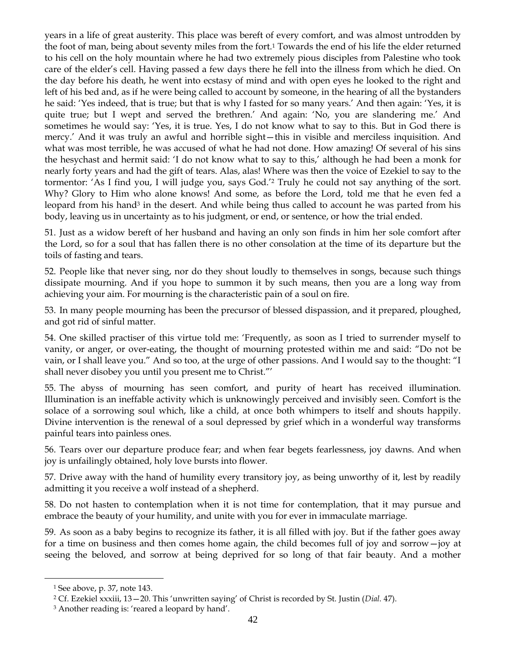years in a life of great austerity. This place was bereft of every comfort, and was almost untrodden by the foot of man, being about seventy miles from the fort.<sup>1</sup> Towards the end of his life the elder returned to his cell on the holy mountain where he had two extremely pious disciples from Palestine who took care of the elder's cell. Having passed a few days there he fell into the illness from which he died. On the day before his death, he went into ecstasy of mind and with open eyes he looked to the right and left of his bed and, as if he were being called to account by someone, in the hearing of all the bystanders he said: 'Yes indeed, that is true; but that is why I fasted for so many years.' And then again: 'Yes, it is quite true; but I wept and served the brethren.' And again: 'No, you are slandering me.' And sometimes he would say: 'Yes, it is true. Yes, I do not know what to say to this. But in God there is mercy.' And it was truly an awful and horrible sight—this in visible and merciless inquisition. And what was most terrible, he was accused of what he had not done. How amazing! Of several of his sins the hesychast and hermit said: 'I do not know what to say to this,' although he had been a monk for nearly forty years and had the gift of tears. Alas, alas! Where was then the voice of Ezekiel to say to the tormentor: 'As I find you, I will judge you, says God.' <sup>2</sup> Truly he could not say anything of the sort. Why? Glory to Him who alone knows! And some, as before the Lord, told me that he even fed a leopard from his hand<sup>3</sup> in the desert. And while being thus called to account he was parted from his body, leaving us in uncertainty as to his judgment, or end, or sentence, or how the trial ended.

51. Just as a widow bereft of her husband and having an only son finds in him her sole comfort after the Lord, so for a soul that has fallen there is no other consolation at the time of its departure but the toils of fasting and tears.

52. People like that never sing, nor do they shout loudly to themselves in songs, because such things dissipate mourning. And if you hope to summon it by such means, then you are a long way from achieving your aim. For mourning is the characteristic pain of a soul on fire.

53. In many people mourning has been the precursor of blessed dispassion, and it prepared, ploughed, and got rid of sinful matter.

54. One skilled practiser of this virtue told me: 'Frequently, as soon as I tried to surrender myself to vanity, or anger, or over-eating, the thought of mourning protested within me and said: "Do not be vain, or I shall leave you." And so too, at the urge of other passions. And I would say to the thought: "I shall never disobey you until you present me to Christ."'

55. The abyss of mourning has seen comfort, and purity of heart has received illumination. Illumination is an ineffable activity which is unknowingly perceived and invisibly seen. Comfort is the solace of a sorrowing soul which, like a child, at once both whimpers to itself and shouts happily. Divine intervention is the renewal of a soul depressed by grief which in a wonderful way transforms painful tears into painless ones.

56. Tears over our departure produce fear; and when fear begets fearlessness, joy dawns. And when joy is unfailingly obtained, holy love bursts into flower.

57. Drive away with the hand of humility every transitory joy, as being unworthy of it, lest by readily admitting it you receive a wolf instead of a shepherd.

58. Do not hasten to contemplation when it is not time for contemplation, that it may pursue and embrace the beauty of your humility, and unite with you for ever in immaculate marriage.

59. As soon as a baby begins to recognize its father, it is all filled with joy. But if the father goes away for a time on business and then comes home again, the child becomes full of joy and sorrow—joy at seeing the beloved, and sorrow at being deprived for so long of that fair beauty. And a mother

<sup>1</sup> See above, p. [37,](#page-36-0) note [143.](#page-36-1)

<sup>2</sup> Cf. Ezekiel xxxiii, 13—20. This 'unwritten saying' of Christ is recorded by St. Justin (*Dial.* 47).

<sup>&</sup>lt;sup>3</sup> Another reading is: 'reared a leopard by hand'.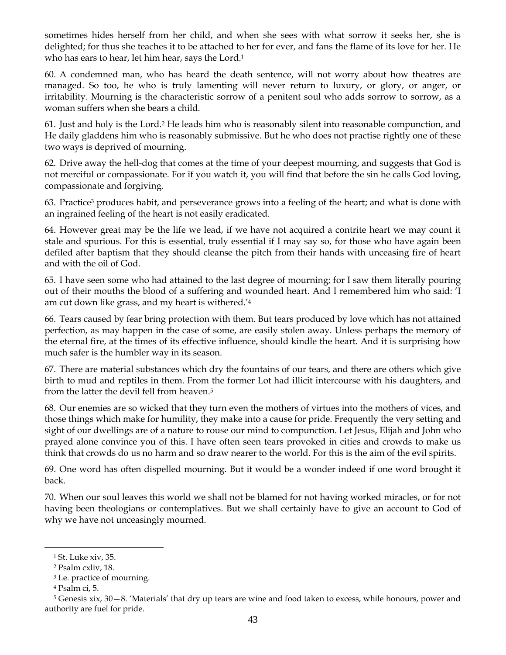sometimes hides herself from her child, and when she sees with what sorrow it seeks her, she is delighted; for thus she teaches it to be attached to her for ever, and fans the flame of its love for her. He who has ears to hear, let him hear, says the Lord.<sup>1</sup>

60. A condemned man, who has heard the death sentence, will not worry about how theatres are managed. So too, he who is truly lamenting will never return to luxury, or glory, or anger, or irritability. Mourning is the characteristic sorrow of a penitent soul who adds sorrow to sorrow, as a woman suffers when she bears a child.

61. Just and holy is the Lord.<sup>2</sup> He leads him who is reasonably silent into reasonable compunction, and He daily gladdens him who is reasonably submissive. But he who does not practise rightly one of these two ways is deprived of mourning.

62. Drive away the hell-dog that comes at the time of your deepest mourning, and suggests that God is not merciful or compassionate. For if you watch it, you will find that before the sin he calls God loving, compassionate and forgiving.

63. Practice<sup>3</sup> produces habit, and perseverance grows into a feeling of the heart; and what is done with an ingrained feeling of the heart is not easily eradicated.

64. However great may be the life we lead, if we have not acquired a contrite heart we may count it stale and spurious. For this is essential, truly essential if I may say so, for those who have again been defiled after baptism that they should cleanse the pitch from their hands with unceasing fire of heart and with the oil of God.

65. I have seen some who had attained to the last degree of mourning; for I saw them literally pouring out of their mouths the blood of a suffering and wounded heart. And I remembered him who said: 'I am cut down like grass, and my heart is withered.'<sup>4</sup>

66. Tears caused by fear bring protection with them. But tears produced by love which has not attained perfection, as may happen in the case of some, are easily stolen away. Unless perhaps the memory of the eternal fire, at the times of its effective influence, should kindle the heart. And it is surprising how much safer is the humbler way in its season.

67. There are material substances which dry the fountains of our tears, and there are others which give birth to mud and reptiles in them. From the former Lot had illicit intercourse with his daughters, and from the latter the devil fell from heaven.<sup>5</sup>

68. Our enemies are so wicked that they turn even the mothers of virtues into the mothers of vices, and those things which make for humility, they make into a cause for pride. Frequently the very setting and sight of our dwellings are of a nature to rouse our mind to compunction. Let Jesus, Elijah and John who prayed alone convince you of this. I have often seen tears provoked in cities and crowds to make us think that crowds do us no harm and so draw nearer to the world. For this is the aim of the evil spirits.

69. One word has often dispelled mourning. But it would be a wonder indeed if one word brought it back.

70. When our soul leaves this world we shall not be blamed for not having worked miracles, or for not having been theologians or contemplatives. But we shall certainly have to give an account to God of why we have not unceasingly mourned.

<sup>1</sup> St. Luke xiv, 35.

<sup>2</sup> Psalm cxliv, 18.

<sup>3</sup> I.e. practice of mourning.

<sup>4</sup> Psalm ci, 5.

<sup>5</sup> Genesis xix, 30—8. 'Materials' that dry up tears are wine and food taken to excess, while honours, power and authority are fuel for pride.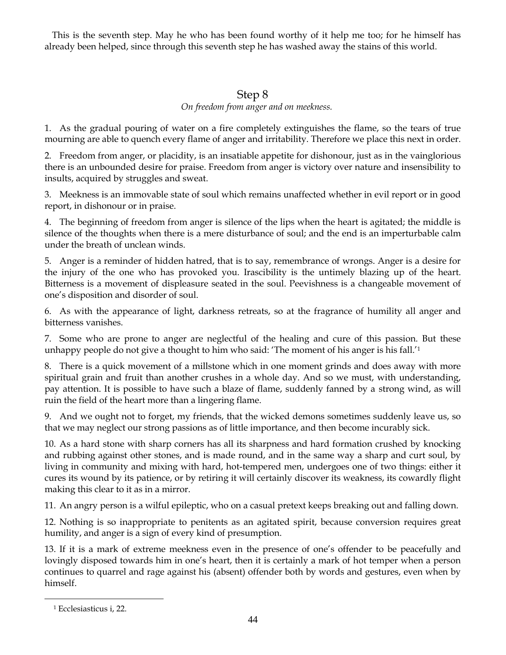This is the seventh step. May he who has been found worthy of it help me too; for he himself has already been helped, since through this seventh step he has washed away the stains of this world.

## Step 8

*On freedom from anger and on meekness.*

1. As the gradual pouring of water on a fire completely extinguishes the flame, so the tears of true mourning are able to quench every flame of anger and irritability. Therefore we place this next in order.

2. Freedom from anger, or placidity, is an insatiable appetite for dishonour, just as in the vainglorious there is an unbounded desire for praise. Freedom from anger is victory over nature and insensibility to insults, acquired by struggles and sweat.

3. Meekness is an immovable state of soul which remains unaffected whether in evil report or in good report, in dishonour or in praise.

4. The beginning of freedom from anger is silence of the lips when the heart is agitated; the middle is silence of the thoughts when there is a mere disturbance of soul; and the end is an imperturbable calm under the breath of unclean winds.

5. Anger is a reminder of hidden hatred, that is to say, remembrance of wrongs. Anger is a desire for the injury of the one who has provoked you. Irascibility is the untimely blazing up of the heart. Bitterness is a movement of displeasure seated in the soul. Peevishness is a changeable movement of one's disposition and disorder of soul.

6. As with the appearance of light, darkness retreats, so at the fragrance of humility all anger and bitterness vanishes.

7. Some who are prone to anger are neglectful of the healing and cure of this passion. But these unhappy people do not give a thought to him who said: 'The moment of his anger is his fall.'<sup>1</sup>

8. There is a quick movement of a millstone which in one moment grinds and does away with more spiritual grain and fruit than another crushes in a whole day. And so we must, with understanding, pay attention. It is possible to have such a blaze of flame, suddenly fanned by a strong wind, as will ruin the field of the heart more than a lingering flame.

9. And we ought not to forget, my friends, that the wicked demons sometimes suddenly leave us, so that we may neglect our strong passions as of little importance, and then become incurably sick.

10. As a hard stone with sharp corners has all its sharpness and hard formation crushed by knocking and rubbing against other stones, and is made round, and in the same way a sharp and curt soul, by living in community and mixing with hard, hot-tempered men, undergoes one of two things: either it cures its wound by its patience, or by retiring it will certainly discover its weakness, its cowardly flight making this clear to it as in a mirror.

11. An angry person is a wilful epileptic, who on a casual pretext keeps breaking out and falling down.

12. Nothing is so inappropriate to penitents as an agitated spirit, because conversion requires great humility, and anger is a sign of every kind of presumption.

13. If it is a mark of extreme meekness even in the presence of one's offender to be peacefully and lovingly disposed towards him in one's heart, then it is certainly a mark of hot temper when a person continues to quarrel and rage against his (absent) offender both by words and gestures, even when by himself.

<sup>1</sup> Ecclesiasticus i, 22.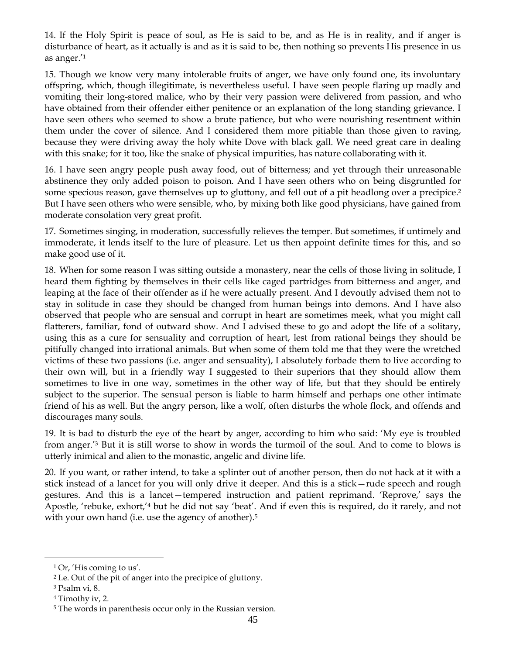14. If the Holy Spirit is peace of soul, as He is said to be, and as He is in reality, and if anger is disturbance of heart, as it actually is and as it is said to be, then nothing so prevents His presence in us as anger.'<sup>1</sup>

15. Though we know very many intolerable fruits of anger, we have only found one, its involuntary offspring, which, though illegitimate, is nevertheless useful. I have seen people flaring up madly and vomiting their long-stored malice, who by their very passion were delivered from passion, and who have obtained from their offender either penitence or an explanation of the long standing grievance. I have seen others who seemed to show a brute patience, but who were nourishing resentment within them under the cover of silence. And I considered them more pitiable than those given to raving, because they were driving away the holy white Dove with black gall. We need great care in dealing with this snake; for it too, like the snake of physical impurities, has nature collaborating with it.

16. I have seen angry people push away food, out of bitterness; and yet through their unreasonable abstinence they only added poison to poison. And I have seen others who on being disgruntled for some specious reason, gave themselves up to gluttony, and fell out of a pit headlong over a precipice.<sup>2</sup> But I have seen others who were sensible, who, by mixing both like good physicians, have gained from moderate consolation very great profit.

17. Sometimes singing, in moderation, successfully relieves the temper. But sometimes, if untimely and immoderate, it lends itself to the lure of pleasure. Let us then appoint definite times for this, and so make good use of it.

18. When for some reason I was sitting outside a monastery, near the cells of those living in solitude, I heard them fighting by themselves in their cells like caged partridges from bitterness and anger, and leaping at the face of their offender as if he were actually present. And I devoutly advised them not to stay in solitude in case they should be changed from human beings into demons. And I have also observed that people who are sensual and corrupt in heart are sometimes meek, what you might call flatterers, familiar, fond of outward show. And I advised these to go and adopt the life of a solitary, using this as a cure for sensuality and corruption of heart, lest from rational beings they should be pitifully changed into irrational animals. But when some of them told me that they were the wretched victims of these two passions (i.e. anger and sensuality), I absolutely forbade them to live according to their own will, but in a friendly way I suggested to their superiors that they should allow them sometimes to live in one way, sometimes in the other way of life, but that they should be entirely subject to the superior. The sensual person is liable to harm himself and perhaps one other intimate friend of his as well. But the angry person, like a wolf, often disturbs the whole flock, and offends and discourages many souls.

19. It is bad to disturb the eye of the heart by anger, according to him who said: 'My eye is troubled from anger.'<sup>3</sup> But it is still worse to show in words the turmoil of the soul. And to come to blows is utterly inimical and alien to the monastic, angelic and divine life.

20. If you want, or rather intend, to take a splinter out of another person, then do not hack at it with a stick instead of a lancet for you will only drive it deeper. And this is a stick—rude speech and rough gestures. And this is a lancet—tempered instruction and patient reprimand. 'Reprove,' says the Apostle, 'rebuke, exhort,'<sup>4</sup> but he did not say 'beat'. And if even this is required, do it rarely, and not with your own hand (i.e. use the agency of another).<sup>5</sup>

<sup>1</sup> Or, 'His coming to us'.

<sup>2</sup> I.e. Out of the pit of anger into the precipice of gluttony.

<sup>3</sup> Psalm vi, 8.

<sup>4</sup> Timothy iv, 2.

<sup>5</sup> The words in parenthesis occur only in the Russian version.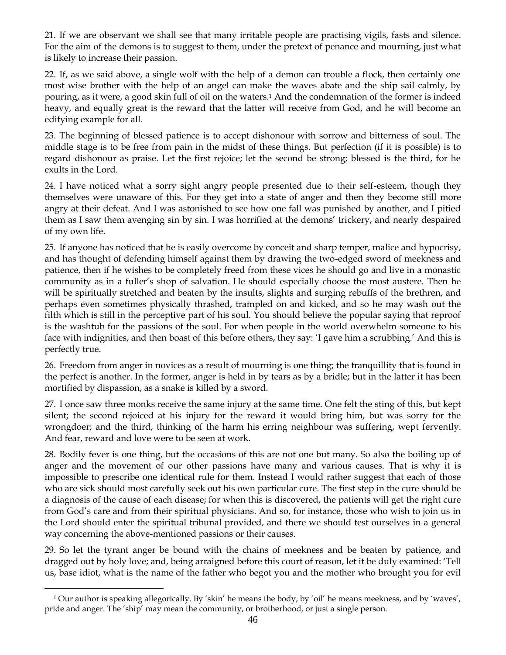21. If we are observant we shall see that many irritable people are practising vigils, fasts and silence. For the aim of the demons is to suggest to them, under the pretext of penance and mourning, just what is likely to increase their passion.

22. If, as we said above, a single wolf with the help of a demon can trouble a flock, then certainly one most wise brother with the help of an angel can make the waves abate and the ship sail calmly, by pouring, as it were, a good skin full of oil on the waters.<sup>1</sup> And the condemnation of the former is indeed heavy, and equally great is the reward that the latter will receive from God, and he will become an edifying example for all.

23. The beginning of blessed patience is to accept dishonour with sorrow and bitterness of soul. The middle stage is to be free from pain in the midst of these things. But perfection (if it is possible) is to regard dishonour as praise. Let the first rejoice; let the second be strong; blessed is the third, for he exults in the Lord.

24. I have noticed what a sorry sight angry people presented due to their self-esteem, though they themselves were unaware of this. For they get into a state of anger and then they become still more angry at their defeat. And I was astonished to see how one fall was punished by another, and I pitied them as I saw them avenging sin by sin. I was horrified at the demons' trickery, and nearly despaired of my own life.

25. If anyone has noticed that he is easily overcome by conceit and sharp temper, malice and hypocrisy, and has thought of defending himself against them by drawing the two-edged sword of meekness and patience, then if he wishes to be completely freed from these vices he should go and live in a monastic community as in a fuller's shop of salvation. He should especially choose the most austere. Then he will be spiritually stretched and beaten by the insults, slights and surging rebuffs of the brethren, and perhaps even sometimes physically thrashed, trampled on and kicked, and so he may wash out the filth which is still in the perceptive part of his soul. You should believe the popular saying that reproof is the washtub for the passions of the soul. For when people in the world overwhelm someone to his face with indignities, and then boast of this before others, they say: 'I gave him a scrubbing.' And this is perfectly true.

26. Freedom from anger in novices as a result of mourning is one thing; the tranquillity that is found in the perfect is another. In the former, anger is held in by tears as by a bridle; but in the latter it has been mortified by dispassion, as a snake is killed by a sword.

27. I once saw three monks receive the same injury at the same time. One felt the sting of this, but kept silent; the second rejoiced at his injury for the reward it would bring him, but was sorry for the wrongdoer; and the third, thinking of the harm his erring neighbour was suffering, wept fervently. And fear, reward and love were to be seen at work.

28. Bodily fever is one thing, but the occasions of this are not one but many. So also the boiling up of anger and the movement of our other passions have many and various causes. That is why it is impossible to prescribe one identical rule for them. Instead I would rather suggest that each of those who are sick should most carefully seek out his own particular cure. The first step in the cure should be a diagnosis of the cause of each disease; for when this is discovered, the patients will get the right cure from God's care and from their spiritual physicians. And so, for instance, those who wish to join us in the Lord should enter the spiritual tribunal provided, and there we should test ourselves in a general way concerning the above-mentioned passions or their causes.

29. So let the tyrant anger be bound with the chains of meekness and be beaten by patience, and dragged out by holy love; and, being arraigned before this court of reason, let it be duly examined: 'Tell us, base idiot, what is the name of the father who begot you and the mother who brought you for evil

 $\overline{a}$ <sup>1</sup> Our author is speaking allegorically. By 'skin' he means the body, by 'oil' he means meekness, and by 'waves', pride and anger. The 'ship' may mean the community, or brotherhood, or just a single person.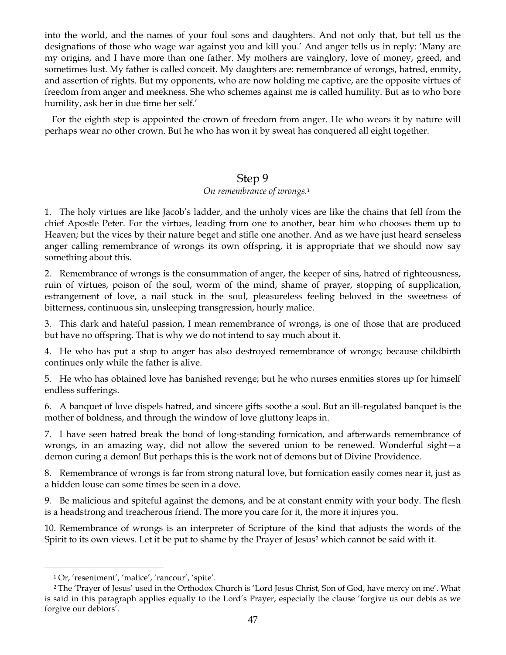into the world, and the names of your foul sons and daughters. And not only that, but tell us the designations of those who wage war against you and kill you.' And anger tells us in reply: 'Many are my origins, and I have more than one father. My mothers are vainglory, love of money, greed, and sometimes lust. My father is called conceit. My daughters are: remembrance of wrongs, hatred, enmity, and assertion of rights. But my opponents, who are now holding me captive, are the opposite virtues of freedom from anger and meekness. She who schemes against me is called humility. But as to who bore humility, ask her in due time her self.'

For the eighth step is appointed the crown of freedom from anger. He who wears it by nature will perhaps wear no other crown. But he who has won it by sweat has conquered all eight together.

### Step 9

#### *On remembrance of wrongs. 1*

1. The holy virtues are like Jacob's ladder, and the unholy vices are like the chains that fell from the chief Apostle Peter. For the virtues, leading from one to another, bear him who chooses them up to Heaven; but the vices by their nature beget and stifle one another. And as we have just heard senseless anger calling remembrance of wrongs its own offspring, it is appropriate that we should now say something about this.

2. Remembrance of wrongs is the consummation of anger, the keeper of sins, hatred of righteousness, ruin of virtues, poison of the soul, worm of the mind, shame of prayer, stopping of supplication, estrangement of love, a nail stuck in the soul, pleasureless feeling beloved in the sweetness of bitterness, continuous sin, unsleeping transgression, hourly malice.

3. This dark and hateful passion, I mean remembrance of wrongs, is one of those that are produced but have no offspring. That is why we do not intend to say much about it.

4. He who has put a stop to anger has also destroyed remembrance of wrongs; because childbirth continues only while the father is alive.

5. He who has obtained love has banished revenge; but he who nurses enmities stores up for himself endless sufferings.

6. A banquet of love dispels hatred, and sincere gifts soothe a soul. But an ill-regulated banquet is the mother of boldness, and through the window of love gluttony leaps in.

7. I have seen hatred break the bond of long-standing fornication, and afterwards remembrance of wrongs, in an amazing way, did not allow the severed union to be renewed. Wonderful sight—a demon curing a demon! But perhaps this is the work not of demons but of Divine Providence.

8. Remembrance of wrongs is far from strong natural love, but fornication easily comes near it, just as a hidden louse can some times be seen in a dove.

9. Be malicious and spiteful against the demons, and be at constant enmity with your body. The flesh is a headstrong and treacherous friend. The more you care for it, the more it injures you.

10. Remembrance of wrongs is an interpreter of Scripture of the kind that adjusts the words of the Spirit to its own views. Let it be put to shame by the Prayer of Jesus<sup>2</sup> which cannot be said with it.

<span id="page-46-1"></span><sup>1</sup> Or, 'resentment', 'malice', 'rancour', 'spite'.

<span id="page-46-0"></span><sup>2</sup> The 'Prayer of Jesus' used in the Orthodox Church is 'Lord Jesus Christ, Son of God, have mercy on me'. What is said in this paragraph applies equally to the Lord's Prayer, especially the clause 'forgive us our debts as we forgive our debtors'.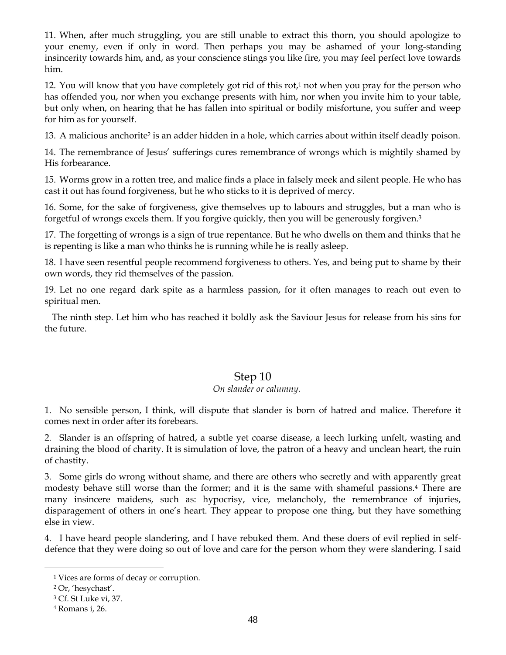11. When, after much struggling, you are still unable to extract this thorn, you should apologize to your enemy, even if only in word. Then perhaps you may be ashamed of your long-standing insincerity towards him, and, as your conscience stings you like fire, you may feel perfect love towards him.

12. You will know that you have completely got rid of this rot, $1$  not when you pray for the person who has offended you, nor when you exchange presents with him, nor when you invite him to your table, but only when, on hearing that he has fallen into spiritual or bodily misfortune, you suffer and weep for him as for yourself.

13. A malicious anchorite<sup>2</sup> is an adder hidden in a hole, which carries about within itself deadly poison.

14. The remembrance of Jesus' sufferings cures remembrance of wrongs which is mightily shamed by His forbearance.

15. Worms grow in a rotten tree, and malice finds a place in falsely meek and silent people. He who has cast it out has found forgiveness, but he who sticks to it is deprived of mercy.

16. Some, for the sake of forgiveness, give themselves up to labours and struggles, but a man who is forgetful of wrongs excels them. If you forgive quickly, then you will be generously forgiven.<sup>3</sup>

17. The forgetting of wrongs is a sign of true repentance. But he who dwells on them and thinks that he is repenting is like a man who thinks he is running while he is really asleep.

18. I have seen resentful people recommend forgiveness to others. Yes, and being put to shame by their own words, they rid themselves of the passion.

19. Let no one regard dark spite as a harmless passion, for it often manages to reach out even to spiritual men.

The ninth step. Let him who has reached it boldly ask the Saviour Jesus for release from his sins for the future.

## Step 10

#### *On slander or calumny.*

1. No sensible person, I think, will dispute that slander is born of hatred and malice. Therefore it comes next in order after its forebears.

2. Slander is an offspring of hatred, a subtle yet coarse disease, a leech lurking unfelt, wasting and draining the blood of charity. It is simulation of love, the patron of a heavy and unclean heart, the ruin of chastity.

3. Some girls do wrong without shame, and there are others who secretly and with apparently great modesty behave still worse than the former; and it is the same with shameful passions.<sup>4</sup> There are many insincere maidens, such as: hypocrisy, vice, melancholy, the remembrance of injuries, disparagement of others in one's heart. They appear to propose one thing, but they have something else in view.

4. I have heard people slandering, and I have rebuked them. And these doers of evil replied in selfdefence that they were doing so out of love and care for the person whom they were slandering. I said

<sup>1</sup> Vices are forms of decay or corruption.

<sup>2</sup> Or, 'hesychast'.

<sup>3</sup> Cf. St Luke vi, 37.

<sup>4</sup> Romans i, 26.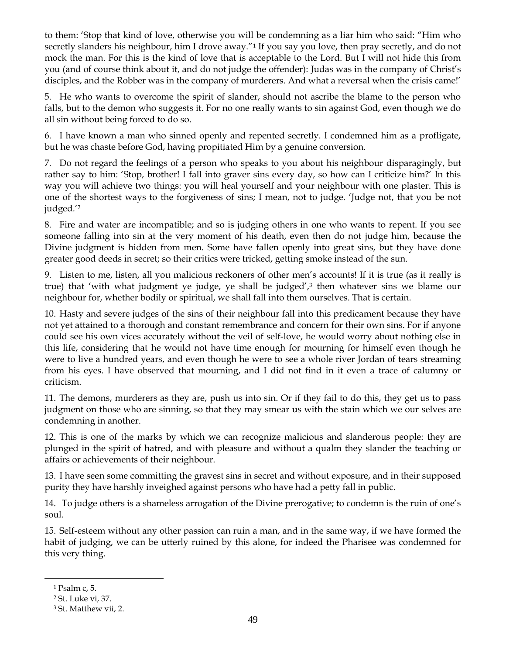to them: 'Stop that kind of love, otherwise you will be condemning as a liar him who said: "Him who secretly slanders his neighbour, him I drove away."<sup>1</sup> If you say you love, then pray secretly, and do not mock the man. For this is the kind of love that is acceptable to the Lord. But I will not hide this from you (and of course think about it, and do not judge the offender): Judas was in the company of Christ's disciples, and the Robber was in the company of murderers. And what a reversal when the crisis came!'

5. He who wants to overcome the spirit of slander, should not ascribe the blame to the person who falls, but to the demon who suggests it. For no one really wants to sin against God, even though we do all sin without being forced to do so.

6. I have known a man who sinned openly and repented secretly. I condemned him as a profligate, but he was chaste before God, having propitiated Him by a genuine conversion.

7. Do not regard the feelings of a person who speaks to you about his neighbour disparagingly, but rather say to him: 'Stop, brother! I fall into graver sins every day, so how can I criticize him?' In this way you will achieve two things: you will heal yourself and your neighbour with one plaster. This is one of the shortest ways to the forgiveness of sins; I mean, not to judge. 'Judge not, that you be not judged.'<sup>2</sup>

8. Fire and water are incompatible; and so is judging others in one who wants to repent. If you see someone falling into sin at the very moment of his death, even then do not judge him, because the Divine judgment is hidden from men. Some have fallen openly into great sins, but they have done greater good deeds in secret; so their critics were tricked, getting smoke instead of the sun.

9. Listen to me, listen, all you malicious reckoners of other men's accounts! If it is true (as it really is true) that 'with what judgment ye judge, ye shall be judged', $3$  then whatever sins we blame our neighbour for, whether bodily or spiritual, we shall fall into them ourselves. That is certain.

10. Hasty and severe judges of the sins of their neighbour fall into this predicament because they have not yet attained to a thorough and constant remembrance and concern for their own sins. For if anyone could see his own vices accurately without the veil of self-love, he would worry about nothing else in this life, considering that he would not have time enough for mourning for himself even though he were to live a hundred years, and even though he were to see a whole river Jordan of tears streaming from his eyes. I have observed that mourning, and I did not find in it even a trace of calumny or criticism.

11. The demons, murderers as they are, push us into sin. Or if they fail to do this, they get us to pass judgment on those who are sinning, so that they may smear us with the stain which we our selves are condemning in another.

12. This is one of the marks by which we can recognize malicious and slanderous people: they are plunged in the spirit of hatred, and with pleasure and without a qualm they slander the teaching or affairs or achievements of their neighbour.

13. I have seen some committing the gravest sins in secret and without exposure, and in their supposed purity they have harshly inveighed against persons who have had a petty fall in public.

14. To judge others is a shameless arrogation of the Divine prerogative; to condemn is the ruin of one's soul.

15. Self-esteem without any other passion can ruin a man, and in the same way, if we have formed the habit of judging, we can be utterly ruined by this alone, for indeed the Pharisee was condemned for this very thing.

<sup>1</sup> Psalm c, 5.

<sup>2</sup> St. Luke vi, 37.

<sup>3</sup> St. Matthew vii, 2.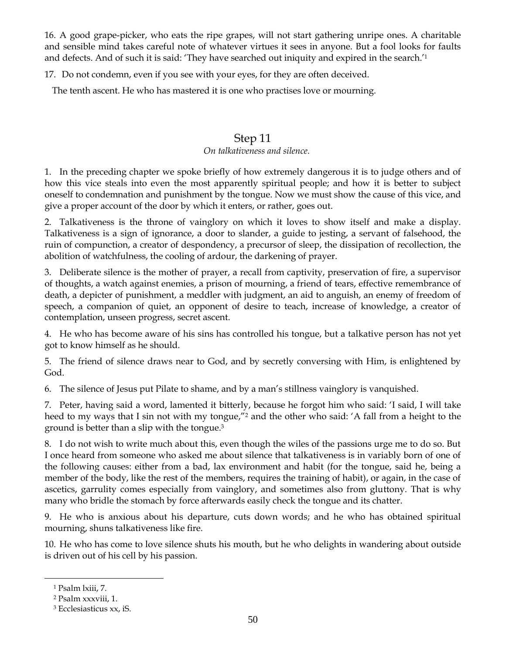16. A good grape-picker, who eats the ripe grapes, will not start gathering unripe ones. A charitable and sensible mind takes careful note of whatever virtues it sees in anyone. But a fool looks for faults and defects. And of such it is said: 'They have searched out iniquity and expired in the search.'<sup>1</sup>

17. Do not condemn, even if you see with your eyes, for they are often deceived.

The tenth ascent. He who has mastered it is one who practises love or mourning.

## Step 11

### *On talkativeness and silence.*

1. In the preceding chapter we spoke briefly of how extremely dangerous it is to judge others and of how this vice steals into even the most apparently spiritual people; and how it is better to subject oneself to condemnation and punishment by the tongue. Now we must show the cause of this vice, and give a proper account of the door by which it enters, or rather, goes out.

2. Talkativeness is the throne of vainglory on which it loves to show itself and make a display. Talkativeness is a sign of ignorance, a door to slander, a guide to jesting, a servant of falsehood, the ruin of compunction, a creator of despondency, a precursor of sleep, the dissipation of recollection, the abolition of watchfulness, the cooling of ardour, the darkening of prayer.

3. Deliberate silence is the mother of prayer, a recall from captivity, preservation of fire, a supervisor of thoughts, a watch against enemies, a prison of mourning, a friend of tears, effective remembrance of death, a depicter of punishment, a meddler with judgment, an aid to anguish, an enemy of freedom of speech, a companion of quiet, an opponent of desire to teach, increase of knowledge, a creator of contemplation, unseen progress, secret ascent.

4. He who has become aware of his sins has controlled his tongue, but a talkative person has not yet got to know himself as he should.

5. The friend of silence draws near to God, and by secretly conversing with Him, is enlightened by God.

6. The silence of Jesus put Pilate to shame, and by a man's stillness vainglory is vanquished.

7. Peter, having said a word, lamented it bitterly, because he forgot him who said: 'I said, I will take heed to my ways that I sin not with my tongue,"<sup>2</sup> and the other who said: 'A fall from a height to the ground is better than a slip with the tongue.<sup>3</sup>

8. I do not wish to write much about this, even though the wiles of the passions urge me to do so. But I once heard from someone who asked me about silence that talkativeness is in variably born of one of the following causes: either from a bad, lax environment and habit (for the tongue, said he, being a member of the body, like the rest of the members, requires the training of habit), or again, in the case of ascetics, garrulity comes especially from vainglory, and sometimes also from gluttony. That is why many who bridle the stomach by force afterwards easily check the tongue and its chatter.

9. He who is anxious about his departure, cuts down words; and he who has obtained spiritual mourning, shuns talkativeness like fire.

10. He who has come to love silence shuts his mouth, but he who delights in wandering about outside is driven out of his cell by his passion.

<sup>1</sup> Psalm lxiii, 7.

<sup>2</sup> Psalm xxxviii, 1.

<sup>3</sup> Ecclesiasticus xx, iS.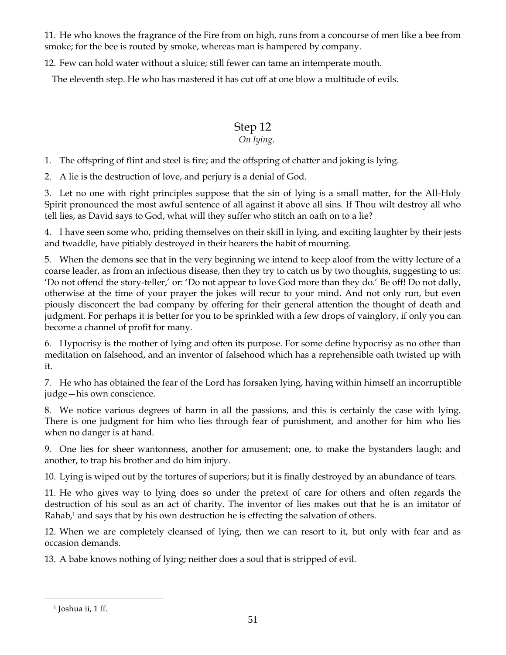11. He who knows the fragrance of the Fire from on high, runs from a concourse of men like a bee from smoke; for the bee is routed by smoke, whereas man is hampered by company.

12. Few can hold water without a sluice; still fewer can tame an intemperate mouth.

The eleventh step. He who has mastered it has cut off at one blow a multitude of evils.

# Step 12

### *On lying.*

1. The offspring of flint and steel is fire; and the offspring of chatter and joking is lying.

2. A lie is the destruction of love, and perjury is a denial of God.

3. Let no one with right principles suppose that the sin of lying is a small matter, for the All-Holy Spirit pronounced the most awful sentence of all against it above all sins. If Thou wilt destroy all who tell lies, as David says to God, what will they suffer who stitch an oath on to a lie?

4. I have seen some who, priding themselves on their skill in lying, and exciting laughter by their jests and twaddle, have pitiably destroyed in their hearers the habit of mourning.

5. When the demons see that in the very beginning we intend to keep aloof from the witty lecture of a coarse leader, as from an infectious disease, then they try to catch us by two thoughts, suggesting to us: 'Do not offend the story-teller,' or: 'Do not appear to love God more than they do.' Be off! Do not dally, otherwise at the time of your prayer the jokes will recur to your mind. And not only run, but even piously disconcert the bad company by offering for their general attention the thought of death and judgment. For perhaps it is better for you to be sprinkled with a few drops of vainglory, if only you can become a channel of profit for many.

6. Hypocrisy is the mother of lying and often its purpose. For some define hypocrisy as no other than meditation on falsehood, and an inventor of falsehood which has a reprehensible oath twisted up with it.

7. He who has obtained the fear of the Lord has forsaken lying, having within himself an incorruptible judge—his own conscience.

8. We notice various degrees of harm in all the passions, and this is certainly the case with lying. There is one judgment for him who lies through fear of punishment, and another for him who lies when no danger is at hand.

9. One lies for sheer wantonness, another for amusement; one, to make the bystanders laugh; and another, to trap his brother and do him injury.

10. Lying is wiped out by the tortures of superiors; but it is finally destroyed by an abundance of tears.

11. He who gives way to lying does so under the pretext of care for others and often regards the destruction of his soul as an act of charity. The inventor of lies makes out that he is an imitator of Rahab,<sup>1</sup> and says that by his own destruction he is effecting the salvation of others.

12. When we are completely cleansed of lying, then we can resort to it, but only with fear and as occasion demands.

13. A babe knows nothing of lying; neither does a soul that is stripped of evil.

<sup>1</sup> Joshua ii, 1 ff.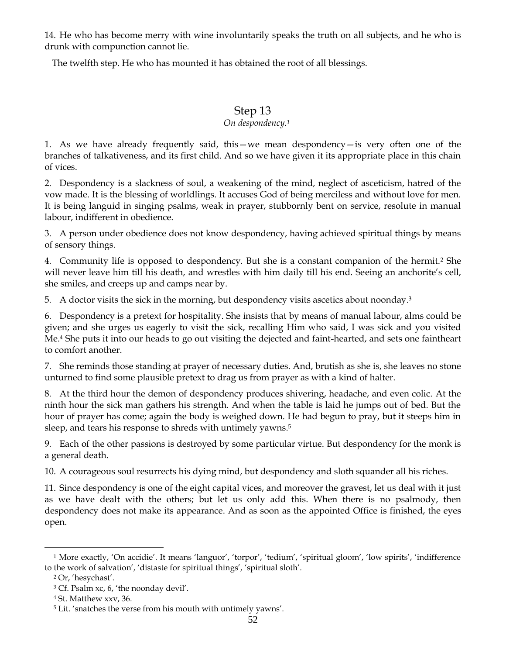14. He who has become merry with wine involuntarily speaks the truth on all subjects, and he who is drunk with compunction cannot lie.

The twelfth step. He who has mounted it has obtained the root of all blessings.

## Step 13

### <span id="page-51-0"></span>*On despondency. 1*

1. As we have already frequently said, this—we mean despondency—is very often one of the branches of talkativeness, and its first child. And so we have given it its appropriate place in this chain of vices.

2. Despondency is a slackness of soul, a weakening of the mind, neglect of asceticism, hatred of the vow made. It is the blessing of worldlings. It accuses God of being merciless and without love for men. It is being languid in singing psalms, weak in prayer, stubbornly bent on service, resolute in manual labour, indifferent in obedience.

3. A person under obedience does not know despondency, having achieved spiritual things by means of sensory things.

4. Community life is opposed to despondency. But she is a constant companion of the hermit.<sup>2</sup> She will never leave him till his death, and wrestles with him daily till his end. Seeing an anchorite's cell, she smiles, and creeps up and camps near by.

5. A doctor visits the sick in the morning, but despondency visits ascetics about noonday.<sup>3</sup>

6. Despondency is a pretext for hospitality. She insists that by means of manual labour, alms could be given; and she urges us eagerly to visit the sick, recalling Him who said, I was sick and you visited Me.<sup>4</sup> She puts it into our heads to go out visiting the dejected and faint-hearted, and sets one faintheart to comfort another.

7. She reminds those standing at prayer of necessary duties. And, brutish as she is, she leaves no stone unturned to find some plausible pretext to drag us from prayer as with a kind of halter.

8. At the third hour the demon of despondency produces shivering, headache, and even colic. At the ninth hour the sick man gathers his strength. And when the table is laid he jumps out of bed. But the hour of prayer has come; again the body is weighed down. He had begun to pray, but it steeps him in sleep, and tears his response to shreds with untimely yawns.<sup>5</sup>

9. Each of the other passions is destroyed by some particular virtue. But despondency for the monk is a general death.

10. A courageous soul resurrects his dying mind, but despondency and sloth squander all his riches.

11. Since despondency is one of the eight capital vices, and moreover the gravest, let us deal with it just as we have dealt with the others; but let us only add this. When there is no psalmody, then despondency does not make its appearance. And as soon as the appointed Office is finished, the eyes open.

<span id="page-51-1"></span><sup>1</sup> More exactly, 'On accidie'. It means 'languor', 'torpor', 'tedium', 'spiritual gloom', 'low spirits', 'indifference to the work of salvation', 'distaste for spiritual things', 'spiritual sloth'.

<sup>2</sup> Or, 'hesychast'.

<sup>3</sup> Cf. Psalm xc, 6, 'the noonday devil'.

<sup>4</sup> St. Matthew xxv, 36.

<sup>5</sup> Lit. 'snatches the verse from his mouth with untimely yawns'.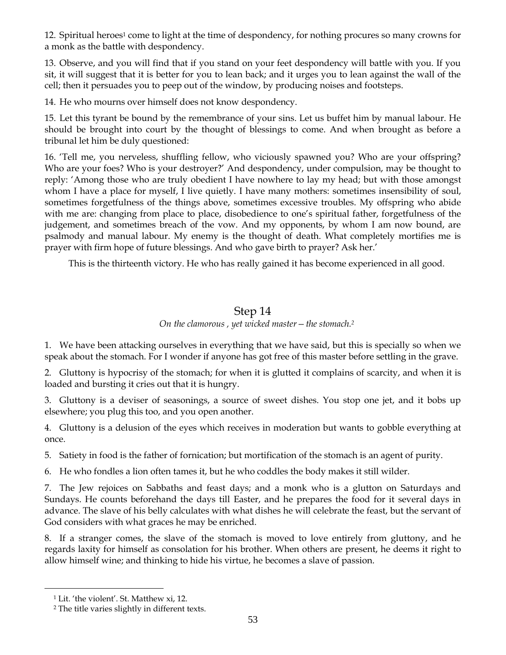12. Spiritual heroes<sup>1</sup> come to light at the time of despondency, for nothing procures so many crowns for a monk as the battle with despondency.

13. Observe, and you will find that if you stand on your feet despondency will battle with you. If you sit, it will suggest that it is better for you to lean back; and it urges you to lean against the wall of the cell; then it persuades you to peep out of the window, by producing noises and footsteps.

14. He who mourns over himself does not know despondency.

15. Let this tyrant be bound by the remembrance of your sins. Let us buffet him by manual labour. He should be brought into court by the thought of blessings to come. And when brought as before a tribunal let him be duly questioned:

16. 'Tell me, you nerveless, shuffling fellow, who viciously spawned you? Who are your offspring? Who are your foes? Who is your destroyer?' And despondency, under compulsion, may be thought to reply: 'Among those who are truly obedient I have nowhere to lay my head; but with those amongst whom I have a place for myself, I live quietly. I have many mothers: sometimes insensibility of soul, sometimes forgetfulness of the things above, sometimes excessive troubles. My offspring who abide with me are: changing from place to place, disobedience to one's spiritual father, forgetfulness of the judgement, and sometimes breach of the vow. And my opponents, by whom I am now bound, are psalmody and manual labour. My enemy is the thought of death. What completely mortifies me is prayer with firm hope of future blessings. And who gave birth to prayer? Ask her.'

This is the thirteenth victory. He who has really gained it has become experienced in all good.

## Step 14

*On the clamorous , yet wicked master—the stomach.<sup>2</sup>*

1. We have been attacking ourselves in everything that we have said, but this is specially so when we speak about the stomach. For I wonder if anyone has got free of this master before settling in the grave.

2. Gluttony is hypocrisy of the stomach; for when it is glutted it complains of scarcity, and when it is loaded and bursting it cries out that it is hungry.

3. Gluttony is a deviser of seasonings, a source of sweet dishes. You stop one jet, and it bobs up elsewhere; you plug this too, and you open another.

4. Gluttony is a delusion of the eyes which receives in moderation but wants to gobble everything at once.

5. Satiety in food is the father of fornication; but mortification of the stomach is an agent of purity.

6. He who fondles a lion often tames it, but he who coddles the body makes it still wilder.

7. The Jew rejoices on Sabbaths and feast days; and a monk who is a glutton on Saturdays and Sundays. He counts beforehand the days till Easter, and he prepares the food for it several days in advance. The slave of his belly calculates with what dishes he will celebrate the feast, but the servant of God considers with what graces he may be enriched.

8. If a stranger comes, the slave of the stomach is moved to love entirely from gluttony, and he regards laxity for himself as consolation for his brother. When others are present, he deems it right to allow himself wine; and thinking to hide his virtue, he becomes a slave of passion.

<sup>&</sup>lt;sup>1</sup> Lit. 'the violent'. St. Matthew xi, 12.

<sup>2</sup> The title varies slightly in different texts.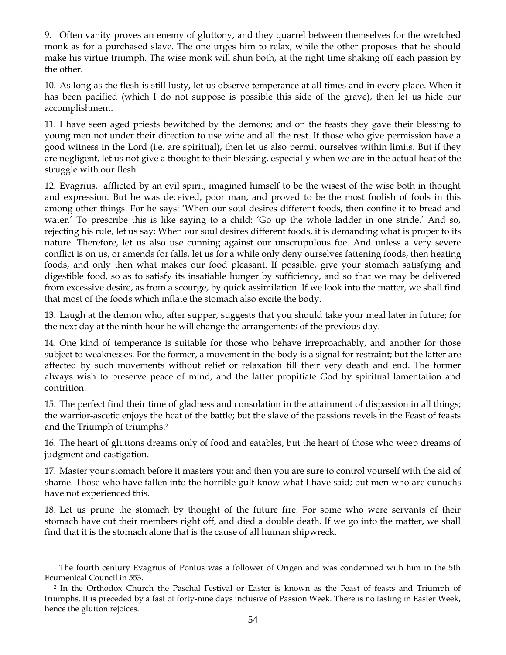9. Often vanity proves an enemy of gluttony, and they quarrel between themselves for the wretched monk as for a purchased slave. The one urges him to relax, while the other proposes that he should make his virtue triumph. The wise monk will shun both, at the right time shaking off each passion by the other.

10. As long as the flesh is still lusty, let us observe temperance at all times and in every place. When it has been pacified (which I do not suppose is possible this side of the grave), then let us hide our accomplishment.

11. I have seen aged priests bewitched by the demons; and on the feasts they gave their blessing to young men not under their direction to use wine and all the rest. If those who give permission have a good witness in the Lord (i.e. are spiritual), then let us also permit ourselves within limits. But if they are negligent, let us not give a thought to their blessing, especially when we are in the actual heat of the struggle with our flesh.

12. Evagrius,<sup>1</sup> afflicted by an evil spirit, imagined himself to be the wisest of the wise both in thought and expression. But he was deceived, poor man, and proved to be the most foolish of fools in this among other things. For he says: 'When our soul desires different foods, then confine it to bread and water.' To prescribe this is like saying to a child: 'Go up the whole ladder in one stride.' And so, rejecting his rule, let us say: When our soul desires different foods, it is demanding what is proper to its nature. Therefore, let us also use cunning against our unscrupulous foe. And unless a very severe conflict is on us, or amends for falls, let us for a while only deny ourselves fattening foods, then heating foods, and only then what makes our food pleasant. If possible, give your stomach satisfying and digestible food, so as to satisfy its insatiable hunger by sufficiency, and so that we may be delivered from excessive desire, as from a scourge, by quick assimilation. If we look into the matter, we shall find that most of the foods which inflate the stomach also excite the body.

13. Laugh at the demon who, after supper, suggests that you should take your meal later in future; for the next day at the ninth hour he will change the arrangements of the previous day.

14. One kind of temperance is suitable for those who behave irreproachably, and another for those subject to weaknesses. For the former, a movement in the body is a signal for restraint; but the latter are affected by such movements without relief or relaxation till their very death and end. The former always wish to preserve peace of mind, and the latter propitiate God by spiritual lamentation and contrition.

15. The perfect find their time of gladness and consolation in the attainment of dispassion in all things; the warrior-ascetic enjoys the heat of the battle; but the slave of the passions revels in the Feast of feasts and the Triumph of triumphs.<sup>2</sup>

16. The heart of gluttons dreams only of food and eatables, but the heart of those who weep dreams of judgment and castigation.

17. Master your stomach before it masters you; and then you are sure to control yourself with the aid of shame. Those who have fallen into the horrible gulf know what I have said; but men who are eunuchs have not experienced this.

18. Let us prune the stomach by thought of the future fire. For some who were servants of their stomach have cut their members right off, and died a double death. If we go into the matter, we shall find that it is the stomach alone that is the cause of all human shipwreck.

<sup>&</sup>lt;sup>1</sup> The fourth century Evagrius of Pontus was a follower of Origen and was condemned with him in the 5th Ecumenical Council in 553.

<sup>2</sup> In the Orthodox Church the Paschal Festival or Easter is known as the Feast of feasts and Triumph of triumphs. It is preceded by a fast of forty-nine days inclusive of Passion Week. There is no fasting in Easter Week, hence the glutton rejoices.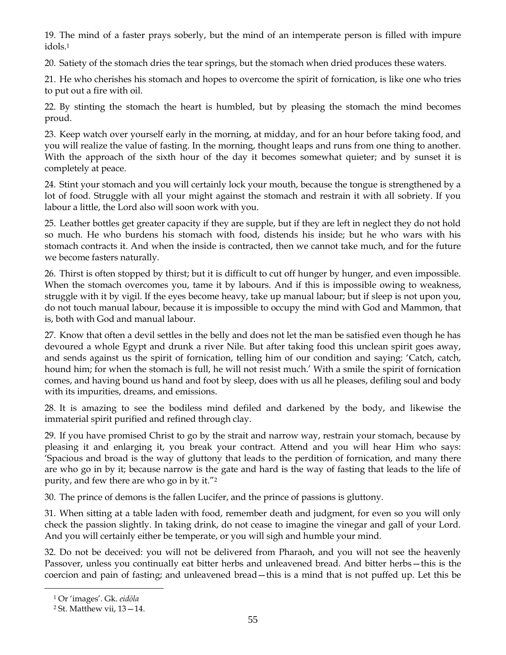19. The mind of a faster prays soberly, but the mind of an intemperate person is filled with impure idols.<sup>1</sup>

20. Satiety of the stomach dries the tear springs, but the stomach when dried produces these waters.

21. He who cherishes his stomach and hopes to overcome the spirit of fornication, is like one who tries to put out a fire with oil.

22. By stinting the stomach the heart is humbled, but by pleasing the stomach the mind becomes proud.

23. Keep watch over yourself early in the morning, at midday, and for an hour before taking food, and you will realize the value of fasting. In the morning, thought leaps and runs from one thing to another. With the approach of the sixth hour of the day it becomes somewhat quieter; and by sunset it is completely at peace.

24. Stint your stomach and you will certainly lock your mouth, because the tongue is strengthened by a lot of food. Struggle with all your might against the stomach and restrain it with all sobriety. If you labour a little, the Lord also will soon work with you.

25. Leather bottles get greater capacity if they are supple, but if they are left in neglect they do not hold so much. He who burdens his stomach with food, distends his inside; but he who wars with his stomach contracts it. And when the inside is contracted, then we cannot take much, and for the future we become fasters naturally.

26. Thirst is often stopped by thirst; but it is difficult to cut off hunger by hunger, and even impossible. When the stomach overcomes you, tame it by labours. And if this is impossible owing to weakness, struggle with it by vigil. If the eyes become heavy, take up manual labour; but if sleep is not upon you, do not touch manual labour, because it is impossible to occupy the mind with God and Mammon, that is, both with God and manual labour.

27. Know that often a devil settles in the belly and does not let the man be satisfied even though he has devoured a whole Egypt and drunk a river Nile. But after taking food this unclean spirit goes away, and sends against us the spirit of fornication, telling him of our condition and saying: 'Catch, catch, hound him; for when the stomach is full, he will not resist much.' With a smile the spirit of fornication comes, and having bound us hand and foot by sleep, does with us all he pleases, defiling soul and body with its impurities, dreams, and emissions.

28. It is amazing to see the bodiless mind defiled and darkened by the body, and likewise the immaterial spirit purified and refined through clay.

29. If you have promised Christ to go by the strait and narrow way, restrain your stomach, because by pleasing it and enlarging it, you break your contract. Attend and you will hear Him who says: 'Spacious and broad is the way of gluttony that leads to the perdition of fornication, and many there are who go in by it; because narrow is the gate and hard is the way of fasting that leads to the life of purity, and few there are who go in by it."<sup>2</sup>

30. The prince of demons is the fallen Lucifer, and the prince of passions is gluttony.

31. When sitting at a table laden with food, remember death and judgment, for even so you will only check the passion slightly. In taking drink, do not cease to imagine the vinegar and gall of your Lord. And you will certainly either be temperate, or you will sigh and humble your mind.

32. Do not be deceived: you will not be delivered from Pharaoh, and you will not see the heavenly Passover, unless you continually eat bitter herbs and unleavened bread. And bitter herbs—this is the coercion and pain of fasting; and unleavened bread—this is a mind that is not puffed up. Let this be

<sup>1</sup> Or 'images'. Gk. *eidōla*

<sup>2</sup> St. Matthew vii, 13—14.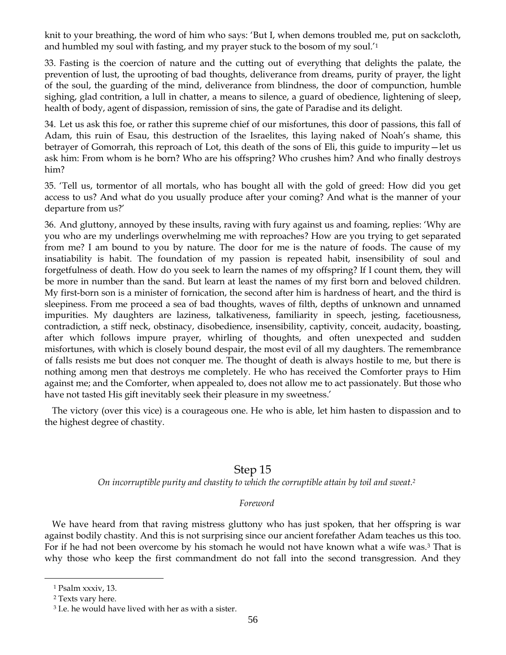knit to your breathing, the word of him who says: 'But I, when demons troubled me, put on sackcloth, and humbled my soul with fasting, and my prayer stuck to the bosom of my soul.'<sup>1</sup>

33. Fasting is the coercion of nature and the cutting out of everything that delights the palate, the prevention of lust, the uprooting of bad thoughts, deliverance from dreams, purity of prayer, the light of the soul, the guarding of the mind, deliverance from blindness, the door of compunction, humble sighing, glad contrition, a lull in chatter, a means to silence, a guard of obedience, lightening of sleep, health of body, agent of dispassion, remission of sins, the gate of Paradise and its delight.

34. Let us ask this foe, or rather this supreme chief of our misfortunes, this door of passions, this fall of Adam, this ruin of Esau, this destruction of the Israelites, this laying naked of Noah's shame, this betrayer of Gomorrah, this reproach of Lot, this death of the sons of Eli, this guide to impurity—let us ask him: From whom is he born? Who are his offspring? Who crushes him? And who finally destroys him?

35. 'Tell us, tormentor of all mortals, who has bought all with the gold of greed: How did you get access to us? And what do you usually produce after your coming? And what is the manner of your departure from us?'

36. And gluttony, annoyed by these insults, raving with fury against us and foaming, replies: 'Why are you who are my underlings overwhelming me with reproaches? How are you trying to get separated from me? I am bound to you by nature. The door for me is the nature of foods. The cause of my insatiability is habit. The foundation of my passion is repeated habit, insensibility of soul and forgetfulness of death. How do you seek to learn the names of my offspring? If I count them, they will be more in number than the sand. But learn at least the names of my first born and beloved children. My first-born son is a minister of fornication, the second after him is hardness of heart, and the third is sleepiness. From me proceed a sea of bad thoughts, waves of filth, depths of unknown and unnamed impurities. My daughters are laziness, talkativeness, familiarity in speech, jesting, facetiousness, contradiction, a stiff neck, obstinacy, disobedience, insensibility, captivity, conceit, audacity, boasting, after which follows impure prayer, whirling of thoughts, and often unexpected and sudden misfortunes, with which is closely bound despair, the most evil of all my daughters. The remembrance of falls resists me but does not conquer me. The thought of death is always hostile to me, but there is nothing among men that destroys me completely. He who has received the Comforter prays to Him against me; and the Comforter, when appealed to, does not allow me to act passionately. But those who have not tasted His gift inevitably seek their pleasure in my sweetness.'

The victory (over this vice) is a courageous one. He who is able, let him hasten to dispassion and to the highest degree of chastity.

## Step 15

*On incorruptible purity and chastity to which the corruptible attain by toil and sweat.<sup>2</sup>*

### *Foreword*

We have heard from that raving mistress gluttony who has just spoken, that her offspring is war against bodily chastity. And this is not surprising since our ancient forefather Adam teaches us this too. For if he had not been overcome by his stomach he would not have known what a wife was.<sup>3</sup> That is why those who keep the first commandment do not fall into the second transgression. And they

<sup>1</sup> Psalm xxxiv, 13.

<sup>2</sup> Texts vary here.

<sup>3</sup> I.e. he would have lived with her as with a sister.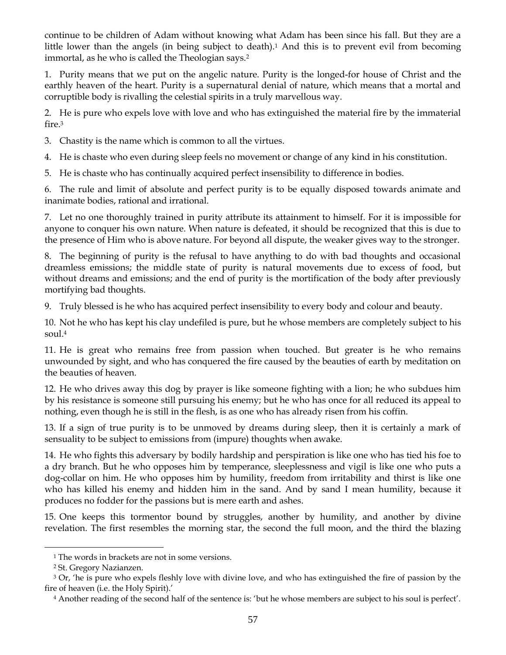continue to be children of Adam without knowing what Adam has been since his fall. But they are a little lower than the angels (in being subject to death).<sup>1</sup> And this is to prevent evil from becoming immortal, as he who is called the Theologian says.<sup>2</sup>

1. Purity means that we put on the angelic nature. Purity is the longed-for house of Christ and the earthly heaven of the heart. Purity is a supernatural denial of nature, which means that a mortal and corruptible body is rivalling the celestial spirits in a truly marvellous way.

2. He is pure who expels love with love and who has extinguished the material fire by the immaterial fire.<sup>3</sup>

3. Chastity is the name which is common to all the virtues.

4. He is chaste who even during sleep feels no movement or change of any kind in his constitution.

5. He is chaste who has continually acquired perfect insensibility to difference in bodies.

6. The rule and limit of absolute and perfect purity is to be equally disposed towards animate and inanimate bodies, rational and irrational.

7. Let no one thoroughly trained in purity attribute its attainment to himself. For it is impossible for anyone to conquer his own nature. When nature is defeated, it should be recognized that this is due to the presence of Him who is above nature. For beyond all dispute, the weaker gives way to the stronger.

8. The beginning of purity is the refusal to have anything to do with bad thoughts and occasional dreamless emissions; the middle state of purity is natural movements due to excess of food, but without dreams and emissions; and the end of purity is the mortification of the body after previously mortifying bad thoughts.

9. Truly blessed is he who has acquired perfect insensibility to every body and colour and beauty.

10. Not he who has kept his clay undefiled is pure, but he whose members are completely subject to his soul.<sup>4</sup>

11. He is great who remains free from passion when touched. But greater is he who remains unwounded by sight, and who has conquered the fire caused by the beauties of earth by meditation on the beauties of heaven.

12. He who drives away this dog by prayer is like someone fighting with a lion; he who subdues him by his resistance is someone still pursuing his enemy; but he who has once for all reduced its appeal to nothing, even though he is still in the flesh, is as one who has already risen from his coffin.

13. If a sign of true purity is to be unmoved by dreams during sleep, then it is certainly a mark of sensuality to be subject to emissions from (impure) thoughts when awake.

14. He who fights this adversary by bodily hardship and perspiration is like one who has tied his foe to a dry branch. But he who opposes him by temperance, sleeplessness and vigil is like one who puts a dog-collar on him. He who opposes him by humility, freedom from irritability and thirst is like one who has killed his enemy and hidden him in the sand. And by sand I mean humility, because it produces no fodder for the passions but is mere earth and ashes.

15. One keeps this tormentor bound by struggles, another by humility, and another by divine revelation. The first resembles the morning star, the second the full moon, and the third the blazing

<sup>1</sup> The words in brackets are not in some versions.

<sup>2</sup> St. Gregory Nazianzen.

<sup>&</sup>lt;sup>3</sup> Or, 'he is pure who expels fleshly love with divine love, and who has extinguished the fire of passion by the fire of heaven (i.e. the Holy Spirit).'

<sup>4</sup> Another reading of the second half of the sentence is: 'but he whose members are subject to his soul is perfect'.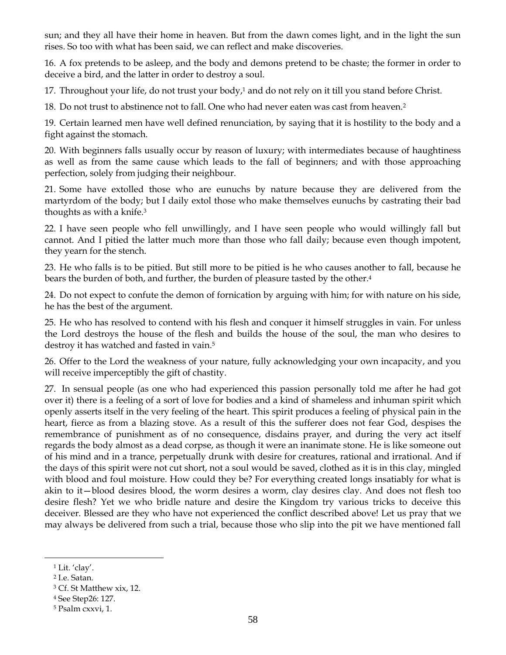sun; and they all have their home in heaven. But from the dawn comes light, and in the light the sun rises. So too with what has been said, we can reflect and make discoveries.

16. A fox pretends to be asleep, and the body and demons pretend to be chaste; the former in order to deceive a bird, and the latter in order to destroy a soul.

17. Throughout your life, do not trust your body,<sup>1</sup> and do not rely on it till you stand before Christ.

18. Do not trust to abstinence not to fall. One who had never eaten was cast from heaven.<sup>2</sup>

19. Certain learned men have well defined renunciation, by saying that it is hostility to the body and a fight against the stomach.

20. With beginners falls usually occur by reason of luxury; with intermediates because of haughtiness as well as from the same cause which leads to the fall of beginners; and with those approaching perfection, solely from judging their neighbour.

21. Some have extolled those who are eunuchs by nature because they are delivered from the martyrdom of the body; but I daily extol those who make themselves eunuchs by castrating their bad thoughts as with a knife.<sup>3</sup>

22. I have seen people who fell unwillingly, and I have seen people who would willingly fall but cannot. And I pitied the latter much more than those who fall daily; because even though impotent, they yearn for the stench.

23. He who falls is to be pitied. But still more to be pitied is he who causes another to fall, because he bears the burden of both, and further, the burden of pleasure tasted by the other.<sup>4</sup>

24. Do not expect to confute the demon of fornication by arguing with him; for with nature on his side, he has the best of the argument.

25. He who has resolved to contend with his flesh and conquer it himself struggles in vain. For unless the Lord destroys the house of the flesh and builds the house of the soul, the man who desires to destroy it has watched and fasted in vain.<sup>5</sup>

26. Offer to the Lord the weakness of your nature, fully acknowledging your own incapacity, and you will receive imperceptibly the gift of chastity.

27. In sensual people (as one who had experienced this passion personally told me after he had got over it) there is a feeling of a sort of love for bodies and a kind of shameless and inhuman spirit which openly asserts itself in the very feeling of the heart. This spirit produces a feeling of physical pain in the heart, fierce as from a blazing stove. As a result of this the sufferer does not fear God, despises the remembrance of punishment as of no consequence, disdains prayer, and during the very act itself regards the body almost as a dead corpse, as though it were an inanimate stone. He is like someone out of his mind and in a trance, perpetually drunk with desire for creatures, rational and irrational. And if the days of this spirit were not cut short, not a soul would be saved, clothed as it is in this clay, mingled with blood and foul moisture. How could they be? For everything created longs insatiably for what is akin to it—blood desires blood, the worm desires a worm, clay desires clay. And does not flesh too desire flesh? Yet we who bridle nature and desire the Kingdom try various tricks to deceive this deceiver. Blessed are they who have not experienced the conflict described above! Let us pray that we may always be delivered from such a trial, because those who slip into the pit we have mentioned fall

<sup>1</sup> Lit. 'clay'.

<sup>2</sup> I.e. Satan.

<sup>3</sup> Cf. St Matthew xix, 12.

<sup>4</sup> See Step26: 127.

<sup>5</sup> Psalm cxxvi, 1.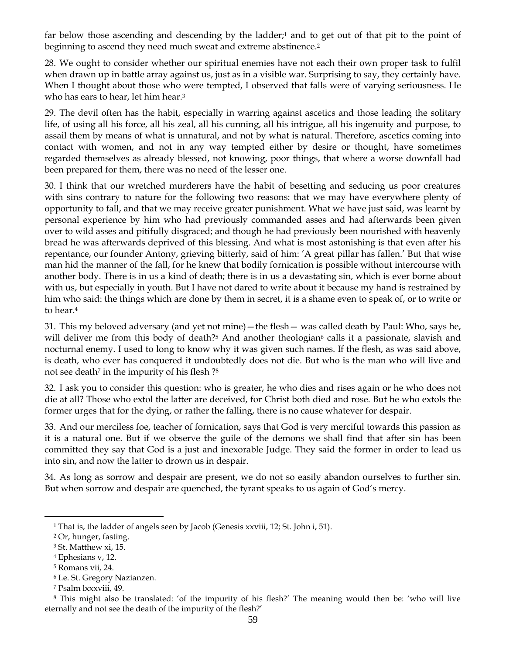far below those ascending and descending by the ladder; $\frac{1}{2}$  and to get out of that pit to the point of beginning to ascend they need much sweat and extreme abstinence.<sup>2</sup>

28. We ought to consider whether our spiritual enemies have not each their own proper task to fulfil when drawn up in battle array against us, just as in a visible war. Surprising to say, they certainly have. When I thought about those who were tempted, I observed that falls were of varying seriousness. He who has ears to hear, let him hear.<sup>3</sup>

29. The devil often has the habit, especially in warring against ascetics and those leading the solitary life, of using all his force, all his zeal, all his cunning, all his intrigue, all his ingenuity and purpose, to assail them by means of what is unnatural, and not by what is natural. Therefore, ascetics coming into contact with women, and not in any way tempted either by desire or thought, have sometimes regarded themselves as already blessed, not knowing, poor things, that where a worse downfall had been prepared for them, there was no need of the lesser one.

30. I think that our wretched murderers have the habit of besetting and seducing us poor creatures with sins contrary to nature for the following two reasons: that we may have everywhere plenty of opportunity to fall, and that we may receive greater punishment. What we have just said, was learnt by personal experience by him who had previously commanded asses and had afterwards been given over to wild asses and pitifully disgraced; and though he had previously been nourished with heavenly bread he was afterwards deprived of this blessing. And what is most astonishing is that even after his repentance, our founder Antony, grieving bitterly, said of him: 'A great pillar has fallen.' But that wise man hid the manner of the fall, for he knew that bodily fornication is possible without intercourse with another body. There is in us a kind of death; there is in us a devastating sin, which is ever borne about with us, but especially in youth. But I have not dared to write about it because my hand is restrained by him who said: the things which are done by them in secret, it is a shame even to speak of, or to write or to hear.<sup>4</sup>

31. This my beloved adversary (and yet not mine)—the flesh— was called death by Paul: Who, says he, will deliver me from this body of death?<sup>5</sup> And another theologian<sup>6</sup> calls it a passionate, slavish and nocturnal enemy. I used to long to know why it was given such names. If the flesh, as was said above, is death, who ever has conquered it undoubtedly does not die. But who is the man who will live and not see death<sup>7</sup> in the impurity of his flesh ?<sup>8</sup>

32. I ask you to consider this question: who is greater, he who dies and rises again or he who does not die at all? Those who extol the latter are deceived, for Christ both died and rose. But he who extols the former urges that for the dying, or rather the falling, there is no cause whatever for despair.

33. And our merciless foe, teacher of fornication, says that God is very merciful towards this passion as it is a natural one. But if we observe the guile of the demons we shall find that after sin has been committed they say that God is a just and inexorable Judge. They said the former in order to lead us into sin, and now the latter to drown us in despair.

34. As long as sorrow and despair are present, we do not so easily abandon ourselves to further sin. But when sorrow and despair are quenched, the tyrant speaks to us again of God's mercy.

<sup>4</sup> Ephesians v, 12.

 $\overline{a}$ 

6 I.e. St. Gregory Nazianzen.

<sup>1</sup> That is, the ladder of angels seen by Jacob (Genesis xxviii, 12; St. John i, 51).

<sup>2</sup> Or, hunger, fasting.

<sup>3</sup> St. Matthew xi, 15.

<sup>5</sup> Romans vii, 24.

<sup>7</sup> Psalm lxxxviii, 49.

<sup>8</sup> This might also be translated: 'of the impurity of his flesh?' The meaning would then be: 'who will live eternally and not see the death of the impurity of the flesh?'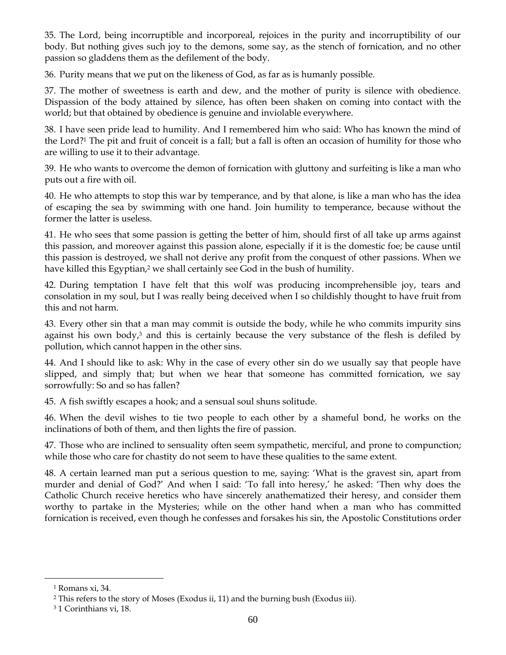35. The Lord, being incorruptible and incorporeal, rejoices in the purity and incorruptibility of our body. But nothing gives such joy to the demons, some say, as the stench of fornication, and no other passion so gladdens them as the defilement of the body.

36. Purity means that we put on the likeness of God, as far as is humanly possible.

37. The mother of sweetness is earth and dew, and the mother of purity is silence with obedience. Dispassion of the body attained by silence, has often been shaken on coming into contact with the world; but that obtained by obedience is genuine and inviolable everywhere.

38. I have seen pride lead to humility. And I remembered him who said: Who has known the mind of the Lord?<sup>1</sup> The pit and fruit of conceit is a fall; but a fall is often an occasion of humility for those who are willing to use it to their advantage.

39. He who wants to overcome the demon of fornication with gluttony and surfeiting is like a man who puts out a fire with oil.

40. He who attempts to stop this war by temperance, and by that alone, is like a man who has the idea of escaping the sea by swimming with one hand. Join humility to temperance, because without the former the latter is useless.

41. He who sees that some passion is getting the better of him, should first of all take up arms against this passion, and moreover against this passion alone, especially if it is the domestic foe; be cause until this passion is destroyed, we shall not derive any profit from the conquest of other passions. When we have killed this Egyptian,<sup>2</sup> we shall certainly see God in the bush of humility.

42. During temptation I have felt that this wolf was producing incomprehensible joy, tears and consolation in my soul, but I was really being deceived when I so childishly thought to have fruit from this and not harm.

43. Every other sin that a man may commit is outside the body, while he who commits impurity sins against his own body, $3$  and this is certainly because the very substance of the flesh is defiled by pollution, which cannot happen in the other sins.

44. And I should like to ask: Why in the case of every other sin do we usually say that people have slipped, and simply that; but when we hear that someone has committed fornication, we say sorrowfully: So and so has fallen?

45. A fish swiftly escapes a hook; and a sensual soul shuns solitude.

46. When the devil wishes to tie two people to each other by a shameful bond, he works on the inclinations of both of them, and then lights the fire of passion.

47. Those who are inclined to sensuality often seem sympathetic, merciful, and prone to compunction; while those who care for chastity do not seem to have these qualities to the same extent.

48. A certain learned man put a serious question to me, saying: 'What is the gravest sin, apart from murder and denial of God?' And when I said: 'To fall into heresy,' he asked: 'Then why does the Catholic Church receive heretics who have sincerely anathematized their heresy, and consider them worthy to partake in the Mysteries; while on the other hand when a man who has committed fornication is received, even though he confesses and forsakes his sin, the Apostolic Constitutions order

<sup>1</sup> Romans xi, 34.

<sup>2</sup> This refers to the story of Moses (Exodus ii, 11) and the burning bush (Exodus iii).

<sup>3</sup> 1 Corinthians vi, 18.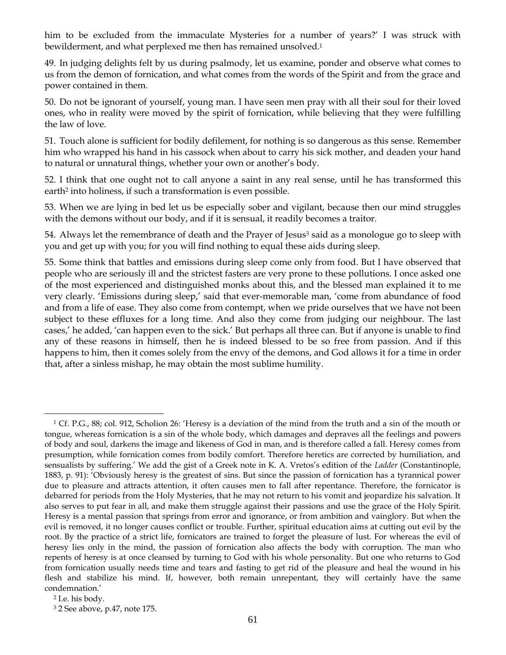him to be excluded from the immaculate Mysteries for a number of years?' I was struck with bewilderment, and what perplexed me then has remained unsolved.<sup>1</sup>

49. In judging delights felt by us during psalmody, let us examine, ponder and observe what comes to us from the demon of fornication, and what comes from the words of the Spirit and from the grace and power contained in them.

50. Do not be ignorant of yourself, young man. I have seen men pray with all their soul for their loved ones, who in reality were moved by the spirit of fornication, while believing that they were fulfilling the law of love.

51. Touch alone is sufficient for bodily defilement, for nothing is so dangerous as this sense. Remember him who wrapped his hand in his cassock when about to carry his sick mother, and deaden your hand to natural or unnatural things, whether your own or another's body.

52. I think that one ought not to call anyone a saint in any real sense, until he has transformed this earth<sup>2</sup> into holiness, if such a transformation is even possible.

53. When we are lying in bed let us be especially sober and vigilant, because then our mind struggles with the demons without our body, and if it is sensual, it readily becomes a traitor.

54. Always let the remembrance of death and the Prayer of Jesus<sup>3</sup> said as a monologue go to sleep with you and get up with you; for you will find nothing to equal these aids during sleep.

55. Some think that battles and emissions during sleep come only from food. But I have observed that people who are seriously ill and the strictest fasters are very prone to these pollutions. I once asked one of the most experienced and distinguished monks about this, and the blessed man explained it to me very clearly. 'Emissions during sleep,' said that ever-memorable man, 'come from abundance of food and from a life of ease. They also come from contempt, when we pride ourselves that we have not been subject to these effluxes for a long time. And also they come from judging our neighbour. The last cases,' he added, 'can happen even to the sick.' But perhaps all three can. But if anyone is unable to find any of these reasons in himself, then he is indeed blessed to be so free from passion. And if this happens to him, then it comes solely from the envy of the demons, and God allows it for a time in order that, after a sinless mishap, he may obtain the most sublime humility.

<sup>1</sup> Cf. P.G., 88; col. 912, Scholion 26: 'Heresy is a deviation of the mind from the truth and a sin of the mouth or tongue, whereas fornication is a sin of the whole body, which damages and depraves all the feelings and powers of body and soul, darkens the image and likeness of God in man, and is therefore called a fall. Heresy comes from presumption, while fornication comes from bodily comfort. Therefore heretics are corrected by humiliation, and sensualists by suffering.' We add the gist of a Greek note in K. A. Vretos's edition of the *Ladder* (Constantinople, 1883, p. 91): 'Obviously heresy is the greatest of sins. But since the passion of fornication has a tyrannical power due to pleasure and attracts attention, it often causes men to fall after repentance. Therefore, the fornicator is debarred for periods from the Holy Mysteries, that he may not return to his vomit and jeopardize his salvation. It also serves to put fear in all, and make them struggle against their passions and use the grace of the Holy Spirit. Heresy is a mental passion that springs from error and ignorance, or from ambition and vainglory. But when the evil is removed, it no longer causes conflict or trouble. Further, spiritual education aims at cutting out evil by the root. By the practice of a strict life, fornicators are trained to forget the pleasure of lust. For whereas the evil of heresy lies only in the mind, the passion of fornication also affects the body with corruption. The man who repents of heresy is at once cleansed by turning to God with his whole personality. But one who returns to God from fornication usually needs time and tears and fasting to get rid of the pleasure and heal the wound in his flesh and stabilize his mind. If, however, both remain unrepentant, they will certainly have the same condemnation.'

<sup>2</sup> I.e. his body.

<sup>3</sup> 2 See above, p[.47,](#page-46-0) note [175.](#page-46-1)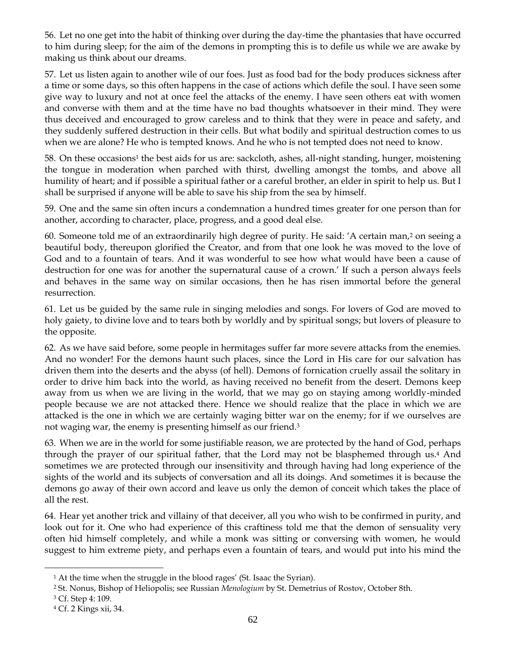56. Let no one get into the habit of thinking over during the day-time the phantasies that have occurred to him during sleep; for the aim of the demons in prompting this is to defile us while we are awake by making us think about our dreams.

57. Let us listen again to another wile of our foes. Just as food bad for the body produces sickness after a time or some days, so this often happens in the case of actions which defile the soul. I have seen some give way to luxury and not at once feel the attacks of the enemy. I have seen others eat with women and converse with them and at the time have no bad thoughts whatsoever in their mind. They were thus deceived and encouraged to grow careless and to think that they were in peace and safety, and they suddenly suffered destruction in their cells. But what bodily and spiritual destruction comes to us when we are alone? He who is tempted knows. And he who is not tempted does not need to know.

58. On these occasions<sup>1</sup> the best aids for us are: sackcloth, ashes, all-night standing, hunger, moistening the tongue in moderation when parched with thirst, dwelling amongst the tombs, and above all humility of heart; and if possible a spiritual father or a careful brother, an elder in spirit to help us. But I shall be surprised if anyone will be able to save his ship from the sea by himself.

59. One and the same sin often incurs a condemnation a hundred times greater for one person than for another, according to character, place, progress, and a good deal else.

60. Someone told me of an extraordinarily high degree of purity. He said: 'A certain man,<sup>2</sup> on seeing a beautiful body, thereupon glorified the Creator, and from that one look he was moved to the love of God and to a fountain of tears. And it was wonderful to see how what would have been a cause of destruction for one was for another the supernatural cause of a crown.' If such a person always feels and behaves in the same way on similar occasions, then he has risen immortal before the general resurrection.

61. Let us be guided by the same rule in singing melodies and songs. For lovers of God are moved to holy gaiety, to divine love and to tears both by worldly and by spiritual songs; but lovers of pleasure to the opposite.

62. As we have said before, some people in hermitages suffer far more severe attacks from the enemies. And no wonder! For the demons haunt such places, since the Lord in His care for our salvation has driven them into the deserts and the abyss (of hell). Demons of fornication cruelly assail the solitary in order to drive him back into the world, as having received no benefit from the desert. Demons keep away from us when we are living in the world, that we may go on staying among worldly-minded people because we are not attacked there. Hence we should realize that the place in which we are attacked is the one in which we are certainly waging bitter war on the enemy; for if we ourselves are not waging war, the enemy is presenting himself as our friend.<sup>3</sup>

63. When we are in the world for some justifiable reason, we are protected by the hand of God, perhaps through the prayer of our spiritual father, that the Lord may not be blasphemed through us.<sup>4</sup> And sometimes we are protected through our insensitivity and through having had long experience of the sights of the world and its subjects of conversation and all its doings. And sometimes it is because the demons go away of their own accord and leave us only the demon of conceit which takes the place of all the rest.

64. Hear yet another trick and villainy of that deceiver, all you who wish to be confirmed in purity, and look out for it. One who had experience of this craftiness told me that the demon of sensuality very often hid himself completely, and while a monk was sitting or conversing with women, he would suggest to him extreme piety, and perhaps even a fountain of tears, and would put into his mind the

<sup>&</sup>lt;sup>1</sup> At the time when the struggle in the blood rages' (St. Isaac the Syrian).

<sup>2</sup> St. Nonus, Bishop of Heliopolis; see Russian *Menologium* by St. Demetrius of Rostov, October 8th.

<sup>3</sup> Cf. Step 4: 109.

<sup>4</sup> Cf. 2 Kings xii, 34.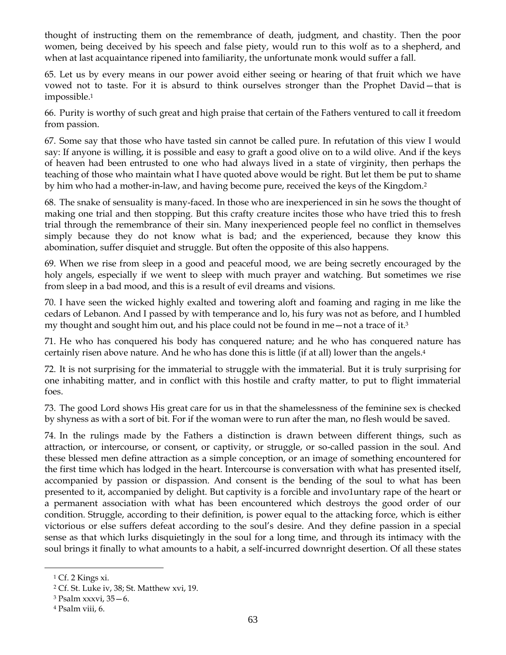thought of instructing them on the remembrance of death, judgment, and chastity. Then the poor women, being deceived by his speech and false piety, would run to this wolf as to a shepherd, and when at last acquaintance ripened into familiarity, the unfortunate monk would suffer a fall.

65. Let us by every means in our power avoid either seeing or hearing of that fruit which we have vowed not to taste. For it is absurd to think ourselves stronger than the Prophet David—that is impossible.<sup>1</sup>

66. Purity is worthy of such great and high praise that certain of the Fathers ventured to call it freedom from passion.

67. Some say that those who have tasted sin cannot be called pure. In refutation of this view I would say: If anyone is willing, it is possible and easy to graft a good olive on to a wild olive. And if the keys of heaven had been entrusted to one who had always lived in a state of virginity, then perhaps the teaching of those who maintain what I have quoted above would be right. But let them be put to shame by him who had a mother-in-law, and having become pure, received the keys of the Kingdom.<sup>2</sup>

68. The snake of sensuality is many-faced. In those who are inexperienced in sin he sows the thought of making one trial and then stopping. But this crafty creature incites those who have tried this to fresh trial through the remembrance of their sin. Many inexperienced people feel no conflict in themselves simply because they do not know what is bad; and the experienced, because they know this abomination, suffer disquiet and struggle. But often the opposite of this also happens.

69. When we rise from sleep in a good and peaceful mood, we are being secretly encouraged by the holy angels, especially if we went to sleep with much prayer and watching. But sometimes we rise from sleep in a bad mood, and this is a result of evil dreams and visions.

70. I have seen the wicked highly exalted and towering aloft and foaming and raging in me like the cedars of Lebanon. And I passed by with temperance and lo, his fury was not as before, and I humbled my thought and sought him out, and his place could not be found in me—not a trace of it.<sup>3</sup>

71. He who has conquered his body has conquered nature; and he who has conquered nature has certainly risen above nature. And he who has done this is little (if at all) lower than the angels.<sup>4</sup>

72. It is not surprising for the immaterial to struggle with the immaterial. But it is truly surprising for one inhabiting matter, and in conflict with this hostile and crafty matter, to put to flight immaterial foes.

73. The good Lord shows His great care for us in that the shamelessness of the feminine sex is checked by shyness as with a sort of bit. For if the woman were to run after the man, no flesh would be saved.

74. In the rulings made by the Fathers a distinction is drawn between different things, such as attraction, or intercourse, or consent, or captivity, or struggle, or so-called passion in the soul. And these blessed men define attraction as a simple conception, or an image of something encountered for the first time which has lodged in the heart. Intercourse is conversation with what has presented itself, accompanied by passion or dispassion. And consent is the bending of the soul to what has been presented to it, accompanied by delight. But captivity is a forcible and invo1untary rape of the heart or a permanent association with what has been encountered which destroys the good order of our condition. Struggle, according to their definition, is power equal to the attacking force, which is either victorious or else suffers defeat according to the soul's desire. And they define passion in a special sense as that which lurks disquietingly in the soul for a long time, and through its intimacy with the soul brings it finally to what amounts to a habit, a self-incurred downright desertion. Of all these states

<sup>&</sup>lt;sup>1</sup> Cf. 2 Kings xi.

<sup>2</sup> Cf. St. Luke iv, 38; St. Matthew xvi, 19.

<sup>3</sup> Psalm xxxvi, 35—6.

<sup>4</sup> Psalm viii, 6.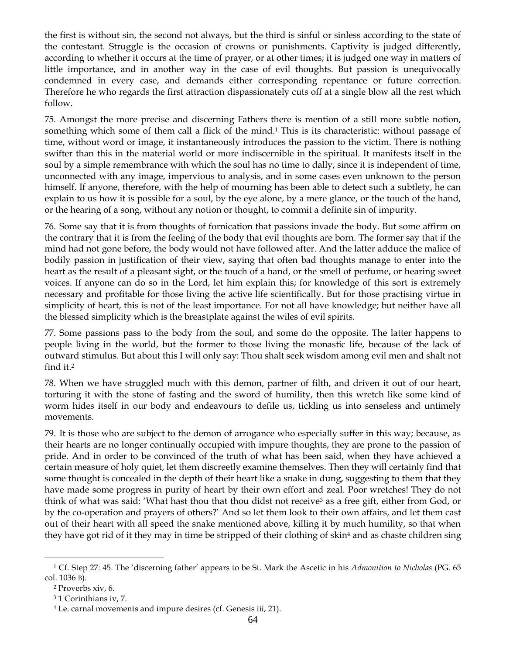the first is without sin, the second not always, but the third is sinful or sinless according to the state of the contestant. Struggle is the occasion of crowns or punishments. Captivity is judged differently, according to whether it occurs at the time of prayer, or at other times; it is judged one way in matters of little importance, and in another way in the case of evil thoughts. But passion is unequivocally condemned in every case, and demands either corresponding repentance or future correction. Therefore he who regards the first attraction dispassionately cuts off at a single blow all the rest which follow.

75. Amongst the more precise and discerning Fathers there is mention of a still more subtle notion, something which some of them call a flick of the mind.<sup>1</sup> This is its characteristic: without passage of time, without word or image, it instantaneously introduces the passion to the victim. There is nothing swifter than this in the material world or more indiscernible in the spiritual. It manifests itself in the soul by a simple remembrance with which the soul has no time to dally, since it is independent of time, unconnected with any image, impervious to analysis, and in some cases even unknown to the person himself. If anyone, therefore, with the help of mourning has been able to detect such a subtlety, he can explain to us how it is possible for a soul, by the eye alone, by a mere glance, or the touch of the hand, or the hearing of a song, without any notion or thought, to commit a definite sin of impurity.

76. Some say that it is from thoughts of fornication that passions invade the body. But some affirm on the contrary that it is from the feeling of the body that evil thoughts are born. The former say that if the mind had not gone before, the body would not have followed after. And the latter adduce the malice of bodily passion in justification of their view, saying that often bad thoughts manage to enter into the heart as the result of a pleasant sight, or the touch of a hand, or the smell of perfume, or hearing sweet voices. If anyone can do so in the Lord, let him explain this; for knowledge of this sort is extremely necessary and profitable for those living the active life scientifically. But for those practising virtue in simplicity of heart, this is not of the least importance. For not all have knowledge; but neither have all the blessed simplicity which is the breastplate against the wiles of evil spirits.

77. Some passions pass to the body from the soul, and some do the opposite. The latter happens to people living in the world, but the former to those living the monastic life, because of the lack of outward stimulus. But about this I will only say: Thou shalt seek wisdom among evil men and shalt not find it.<sup>2</sup>

78. When we have struggled much with this demon, partner of filth, and driven it out of our heart, torturing it with the stone of fasting and the sword of humility, then this wretch like some kind of worm hides itself in our body and endeavours to defile us, tickling us into senseless and untimely movements.

79. It is those who are subject to the demon of arrogance who especially suffer in this way; because, as their hearts are no longer continually occupied with impure thoughts, they are prone to the passion of pride. And in order to be convinced of the truth of what has been said, when they have achieved a certain measure of holy quiet, let them discreetly examine themselves. Then they will certainly find that some thought is concealed in the depth of their heart like a snake in dung, suggesting to them that they have made some progress in purity of heart by their own effort and zeal. Poor wretches! They do not think of what was said: 'What hast thou that thou didst not receive<sup>3</sup> as a free gift, either from God, or by the co-operation and prayers of others?' And so let them look to their own affairs, and let them cast out of their heart with all speed the snake mentioned above, killing it by much humility, so that when they have got rid of it they may in time be stripped of their clothing of skin<sup>4</sup> and as chaste children sing

<sup>1</sup> Cf. Step 27: 45. The 'discerning father' appears to be St. Mark the Ascetic in his *Admonition to Nicholas* (PG. 65 col. 1036 B).

<sup>2</sup> Proverbs xiv, 6.

<sup>3</sup> 1 Corinthians iv, 7.

<sup>4</sup> I.e. carnal movements and impure desires (cf. Genesis iii, 21).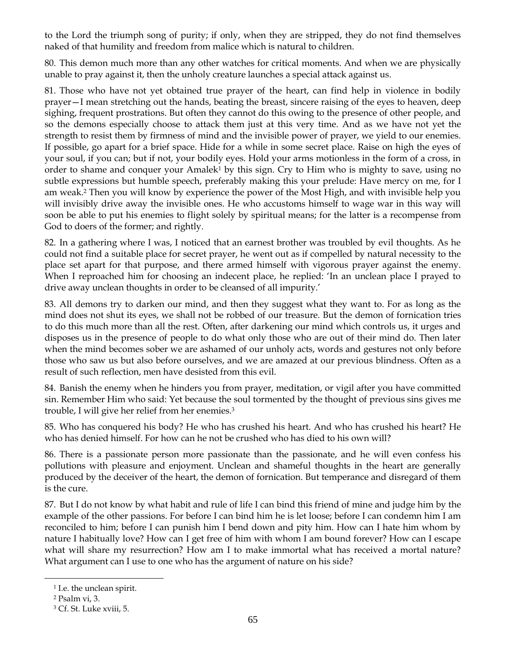to the Lord the triumph song of purity; if only, when they are stripped, they do not find themselves naked of that humility and freedom from malice which is natural to children.

80. This demon much more than any other watches for critical moments. And when we are physically unable to pray against it, then the unholy creature launches a special attack against us.

81. Those who have not yet obtained true prayer of the heart, can find help in violence in bodily prayer—I mean stretching out the hands, beating the breast, sincere raising of the eyes to heaven, deep sighing, frequent prostrations. But often they cannot do this owing to the presence of other people, and so the demons especially choose to attack them just at this very time. And as we have not yet the strength to resist them by firmness of mind and the invisible power of prayer, we yield to our enemies. If possible, go apart for a brief space. Hide for a while in some secret place. Raise on high the eyes of your soul, if you can; but if not, your bodily eyes. Hold your arms motionless in the form of a cross, in order to shame and conquer your Amalek<sup>1</sup> by this sign. Cry to Him who is mighty to save, using no subtle expressions but humble speech, preferably making this your prelude: Have mercy on me, for I am weak.<sup>2</sup> Then you will know by experience the power of the Most High, and with invisible help you will invisibly drive away the invisible ones. He who accustoms himself to wage war in this way will soon be able to put his enemies to flight solely by spiritual means; for the latter is a recompense from God to doers of the former; and rightly.

82. In a gathering where I was, I noticed that an earnest brother was troubled by evil thoughts. As he could not find a suitable place for secret prayer, he went out as if compelled by natural necessity to the place set apart for that purpose, and there armed himself with vigorous prayer against the enemy. When I reproached him for choosing an indecent place, he replied: 'In an unclean place I prayed to drive away unclean thoughts in order to be cleansed of all impurity.'

83. All demons try to darken our mind, and then they suggest what they want to. For as long as the mind does not shut its eyes, we shall not be robbed of our treasure. But the demon of fornication tries to do this much more than all the rest. Often, after darkening our mind which controls us, it urges and disposes us in the presence of people to do what only those who are out of their mind do. Then later when the mind becomes sober we are ashamed of our unholy acts, words and gestures not only before those who saw us but also before ourselves, and we are amazed at our previous blindness. Often as a result of such reflection, men have desisted from this evil.

84. Banish the enemy when he hinders you from prayer, meditation, or vigil after you have committed sin. Remember Him who said: Yet because the soul tormented by the thought of previous sins gives me trouble, I will give her relief from her enemies.<sup>3</sup>

85. Who has conquered his body? He who has crushed his heart. And who has crushed his heart? He who has denied himself. For how can he not be crushed who has died to his own will?

86. There is a passionate person more passionate than the passionate, and he will even confess his pollutions with pleasure and enjoyment. Unclean and shameful thoughts in the heart are generally produced by the deceiver of the heart, the demon of fornication. But temperance and disregard of them is the cure.

87. But I do not know by what habit and rule of life I can bind this friend of mine and judge him by the example of the other passions. For before I can bind him he is let loose; before I can condemn him I am reconciled to him; before I can punish him I bend down and pity him. How can I hate him whom by nature I habitually love? How can I get free of him with whom I am bound forever? How can I escape what will share my resurrection? How am I to make immortal what has received a mortal nature? What argument can I use to one who has the argument of nature on his side?

<sup>1</sup> I.e. the unclean spirit.

<sup>2</sup> Psalm vi, 3.

<sup>3</sup> Cf. St. Luke xviii, 5.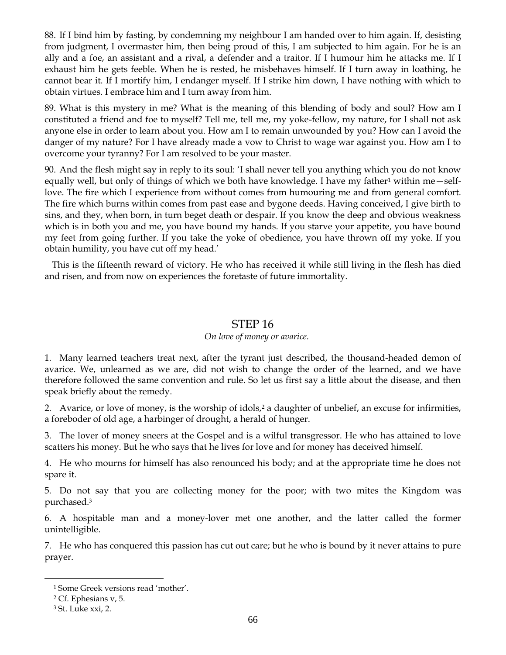88. If I bind him by fasting, by condemning my neighbour I am handed over to him again. If, desisting from judgment, I overmaster him, then being proud of this, I am subjected to him again. For he is an ally and a foe, an assistant and a rival, a defender and a traitor. If I humour him he attacks me. If I exhaust him he gets feeble. When he is rested, he misbehaves himself. If I turn away in loathing, he cannot bear it. If I mortify him, I endanger myself. If I strike him down, I have nothing with which to obtain virtues. I embrace him and I turn away from him.

89. What is this mystery in me? What is the meaning of this blending of body and soul? How am I constituted a friend and foe to myself? Tell me, tell me, my yoke-fellow, my nature, for I shall not ask anyone else in order to learn about you. How am I to remain unwounded by you? How can I avoid the danger of my nature? For I have already made a vow to Christ to wage war against you. How am I to overcome your tyranny? For I am resolved to be your master.

90. And the flesh might say in reply to its soul: 'I shall never tell you anything which you do not know equally well, but only of things of which we both have knowledge. I have my father<sup>1</sup> within me  $-$  selflove. The fire which I experience from without comes from humouring me and from general comfort. The fire which burns within comes from past ease and bygone deeds. Having conceived, I give birth to sins, and they, when born, in turn beget death or despair. If you know the deep and obvious weakness which is in both you and me, you have bound my hands. If you starve your appetite, you have bound my feet from going further. If you take the yoke of obedience, you have thrown off my yoke. If you obtain humility, you have cut off my head.'

This is the fifteenth reward of victory. He who has received it while still living in the flesh has died and risen, and from now on experiences the foretaste of future immortality.

### STEP 16

#### *On love of money or avarice.*

1. Many learned teachers treat next, after the tyrant just described, the thousand-headed demon of avarice. We, unlearned as we are, did not wish to change the order of the learned, and we have therefore followed the same convention and rule. So let us first say a little about the disease, and then speak briefly about the remedy.

2. Avarice, or love of money, is the worship of idols,<sup>2</sup> a daughter of unbelief, an excuse for infirmities, a foreboder of old age, a harbinger of drought, a herald of hunger.

3. The lover of money sneers at the Gospel and is a wilful transgressor. He who has attained to love scatters his money. But he who says that he lives for love and for money has deceived himself.

4. He who mourns for himself has also renounced his body; and at the appropriate time he does not spare it.

5. Do not say that you are collecting money for the poor; with two mites the Kingdom was purchased.<sup>3</sup>

6. A hospitable man and a money-lover met one another, and the latter called the former unintelligible.

7. He who has conquered this passion has cut out care; but he who is bound by it never attains to pure prayer.

<sup>1</sup> Some Greek versions read 'mother'.

<sup>2</sup> Cf. Ephesians v, 5.

<sup>3</sup> St. Luke xxi, 2.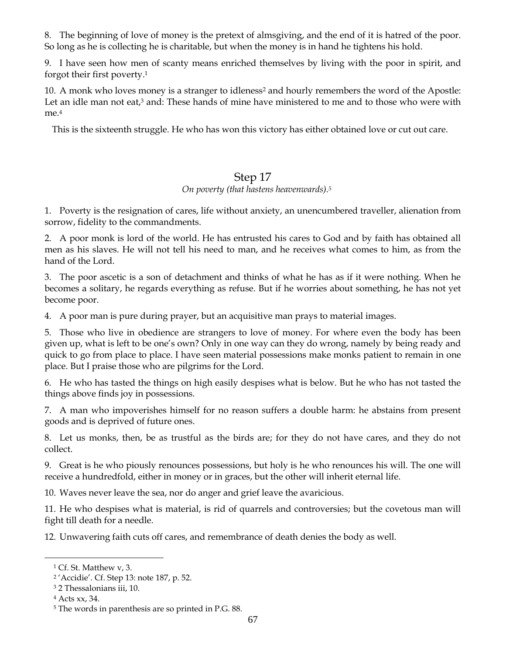8. The beginning of love of money is the pretext of almsgiving, and the end of it is hatred of the poor. So long as he is collecting he is charitable, but when the money is in hand he tightens his hold.

9. I have seen how men of scanty means enriched themselves by living with the poor in spirit, and forgot their first poverty.<sup>1</sup>

10. A monk who loves money is a stranger to idleness<sup>2</sup> and hourly remembers the word of the Apostle: Let an idle man not eat,<sup>3</sup> and: These hands of mine have ministered to me and to those who were with me.<sup>4</sup>

This is the sixteenth struggle. He who has won this victory has either obtained love or cut out care.

# Step 17

*On poverty (that hastens heavenwards).<sup>5</sup>*

1. Poverty is the resignation of cares, life without anxiety, an unencumbered traveller, alienation from sorrow, fidelity to the commandments.

2. A poor monk is lord of the world. He has entrusted his cares to God and by faith has obtained all men as his slaves. He will not tell his need to man, and he receives what comes to him, as from the hand of the Lord.

3. The poor ascetic is a son of detachment and thinks of what he has as if it were nothing. When he becomes a solitary, he regards everything as refuse. But if he worries about something, he has not yet become poor.

4. A poor man is pure during prayer, but an acquisitive man prays to material images.

5. Those who live in obedience are strangers to love of money. For where even the body has been given up, what is left to be one's own? Only in one way can they do wrong, namely by being ready and quick to go from place to place. I have seen material possessions make monks patient to remain in one place. But I praise those who are pilgrims for the Lord.

6. He who has tasted the things on high easily despises what is below. But he who has not tasted the things above finds joy in possessions.

7. A man who impoverishes himself for no reason suffers a double harm: he abstains from present goods and is deprived of future ones.

8. Let us monks, then, be as trustful as the birds are; for they do not have cares, and they do not collect.

9. Great is he who piously renounces possessions, but holy is he who renounces his will. The one will receive a hundredfold, either in money or in graces, but the other will inherit eternal life.

10. Waves never leave the sea, nor do anger and grief leave the avaricious.

11. He who despises what is material, is rid of quarrels and controversies; but the covetous man will fight till death for a needle.

12. Unwavering faith cuts off cares, and remembrance of death denies the body as well.

<sup>1</sup> Cf. St. Matthew v, 3.

<sup>2</sup> 'Accidie'. Cf. Step 13: note [187,](#page-51-0) p[. 52.](#page-51-1)

<sup>3</sup> 2 Thessalonians iii, 10.

<sup>4</sup> Acts xx, 34.

<sup>5</sup> The words in parenthesis are so printed in P.G. 88.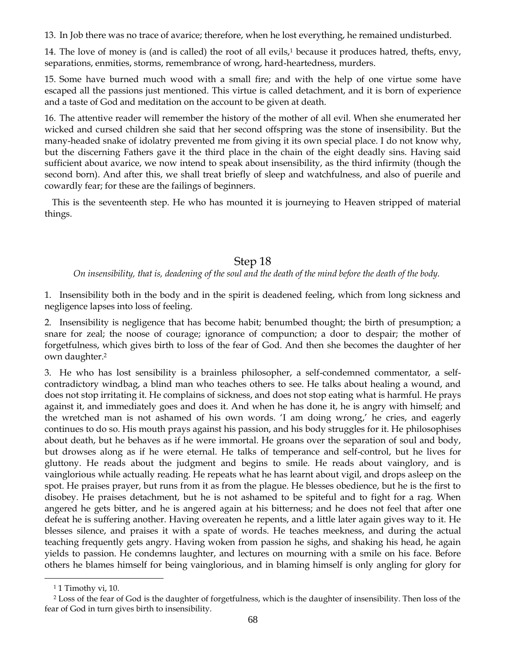13. In Job there was no trace of avarice; therefore, when he lost everything, he remained undisturbed.

14. The love of money is (and is called) the root of all evils,<sup>1</sup> because it produces hatred, thefts, envy, separations, enmities, storms, remembrance of wrong, hard-heartedness, murders.

15. Some have burned much wood with a small fire; and with the help of one virtue some have escaped all the passions just mentioned. This virtue is called detachment, and it is born of experience and a taste of God and meditation on the account to be given at death.

16. The attentive reader will remember the history of the mother of all evil. When she enumerated her wicked and cursed children she said that her second offspring was the stone of insensibility. But the many-headed snake of idolatry prevented me from giving it its own special place. I do not know why, but the discerning Fathers gave it the third place in the chain of the eight deadly sins. Having said sufficient about avarice, we now intend to speak about insensibility, as the third infirmity (though the second born). And after this, we shall treat briefly of sleep and watchfulness, and also of puerile and cowardly fear; for these are the failings of beginners.

This is the seventeenth step. He who has mounted it is journeying to Heaven stripped of material things.

## Step 18

### *On insensibility, that is, deadening of the soul and the death of the mind before the death of the body.*

1. Insensibility both in the body and in the spirit is deadened feeling, which from long sickness and negligence lapses into loss of feeling.

2. Insensibility is negligence that has become habit; benumbed thought; the birth of presumption; a snare for zeal; the noose of courage; ignorance of compunction; a door to despair; the mother of forgetfulness, which gives birth to loss of the fear of God. And then she becomes the daughter of her own daughter.<sup>2</sup>

3. He who has lost sensibility is a brainless philosopher, a self-condemned commentator, a selfcontradictory windbag, a blind man who teaches others to see. He talks about healing a wound, and does not stop irritating it. He complains of sickness, and does not stop eating what is harmful. He prays against it, and immediately goes and does it. And when he has done it, he is angry with himself; and the wretched man is not ashamed of his own words. 'I am doing wrong,' he cries, and eagerly continues to do so. His mouth prays against his passion, and his body struggles for it. He philosophises about death, but he behaves as if he were immortal. He groans over the separation of soul and body, but drowses along as if he were eternal. He talks of temperance and self-control, but he lives for gluttony. He reads about the judgment and begins to smile. He reads about vainglory, and is vainglorious while actually reading. He repeats what he has learnt about vigil, and drops asleep on the spot. He praises prayer, but runs from it as from the plague. He blesses obedience, but he is the first to disobey. He praises detachment, but he is not ashamed to be spiteful and to fight for a rag. When angered he gets bitter, and he is angered again at his bitterness; and he does not feel that after one defeat he is suffering another. Having overeaten he repents, and a little later again gives way to it. He blesses silence, and praises it with a spate of words. He teaches meekness, and during the actual teaching frequently gets angry. Having woken from passion he sighs, and shaking his head, he again yields to passion. He condemns laughter, and lectures on mourning with a smile on his face. Before others he blames himself for being vainglorious, and in blaming himself is only angling for glory for

<sup>&</sup>lt;sup>1</sup> 1 Timothy vi, 10.

<sup>2</sup> Loss of the fear of God is the daughter of forgetfulness, which is the daughter of insensibility. Then loss of the fear of God in turn gives birth to insensibility.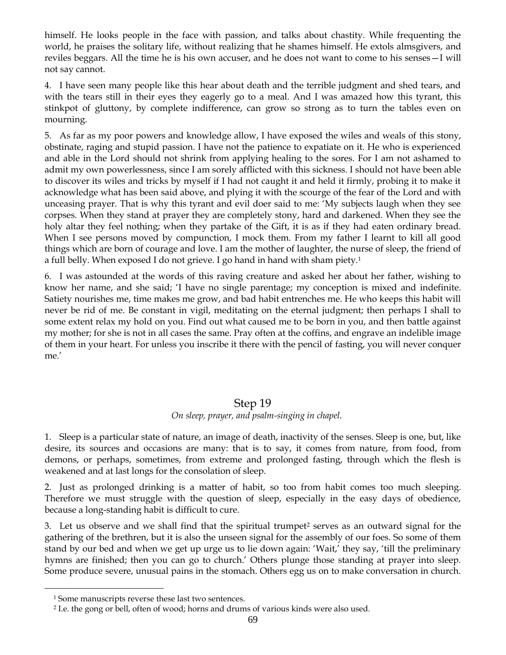himself. He looks people in the face with passion, and talks about chastity. While frequenting the world, he praises the solitary life, without realizing that he shames himself. He extols almsgivers, and reviles beggars. All the time he is his own accuser, and he does not want to come to his senses—I will not say cannot.

4. I have seen many people like this hear about death and the terrible judgment and shed tears, and with the tears still in their eyes they eagerly go to a meal. And I was amazed how this tyrant, this stinkpot of gluttony, by complete indifference, can grow so strong as to turn the tables even on mourning.

5. As far as my poor powers and knowledge allow, I have exposed the wiles and weals of this stony, obstinate, raging and stupid passion. I have not the patience to expatiate on it. He who is experienced and able in the Lord should not shrink from applying healing to the sores. For I am not ashamed to admit my own powerlessness, since I am sorely afflicted with this sickness. I should not have been able to discover its wiles and tricks by myself if I had not caught it and held it firmly, probing it to make it acknowledge what has been said above, and plying it with the scourge of the fear of the Lord and with unceasing prayer. That is why this tyrant and evil doer said to me: 'My subjects laugh when they see corpses. When they stand at prayer they are completely stony, hard and darkened. When they see the holy altar they feel nothing; when they partake of the Gift, it is as if they had eaten ordinary bread. When I see persons moved by compunction, I mock them. From my father I learnt to kill all good things which are born of courage and love. I am the mother of laughter, the nurse of sleep, the friend of a full belly. When exposed I do not grieve. I go hand in hand with sham piety.<sup>1</sup>

6. I was astounded at the words of this raving creature and asked her about her father, wishing to know her name, and she said; 'I have no single parentage; my conception is mixed and indefinite. Satiety nourishes me, time makes me grow, and bad habit entrenches me. He who keeps this habit will never be rid of me. Be constant in vigil, meditating on the eternal judgment; then perhaps I shall to some extent relax my hold on you. Find out what caused me to be born in you, and then battle against my mother; for she is not in all cases the same. Pray often at the coffins, and engrave an indelible image of them in your heart. For unless you inscribe it there with the pencil of fasting, you will never conquer me.'

### Step 19

### *On sleep, prayer, and psalm-singing in chapel.*

1. Sleep is a particular state of nature, an image of death, inactivity of the senses. Sleep is one, but, like desire, its sources and occasions are many: that is to say, it comes from nature, from food, from demons, or perhaps, sometimes, from extreme and prolonged fasting, through which the flesh is weakened and at last longs for the consolation of sleep.

2. Just as prolonged drinking is a matter of habit, so too from habit comes too much sleeping. Therefore we must struggle with the question of sleep, especially in the easy days of obedience, because a long-standing habit is difficult to cure.

3. Let us observe and we shall find that the spiritual trumpet<sup>2</sup> serves as an outward signal for the gathering of the brethren, but it is also the unseen signal for the assembly of our foes. So some of them stand by our bed and when we get up urge us to lie down again: 'Wait,' they say, 'till the preliminary hymns are finished; then you can go to church.' Others plunge those standing at prayer into sleep. Some produce severe, unusual pains in the stomach. Others egg us on to make conversation in church.

<sup>1</sup> Some manuscripts reverse these last two sentences.

<sup>2</sup> I.e. the gong or bell, often of wood; horns and drums of various kinds were also used.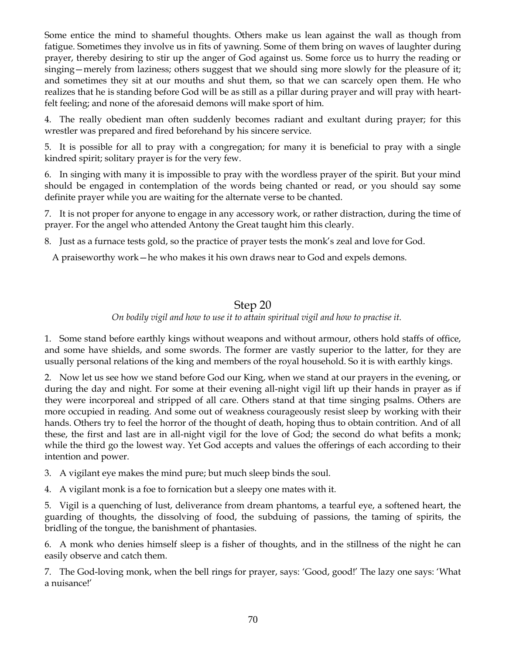Some entice the mind to shameful thoughts. Others make us lean against the wall as though from fatigue. Sometimes they involve us in fits of yawning. Some of them bring on waves of laughter during prayer, thereby desiring to stir up the anger of God against us. Some force us to hurry the reading or singing—merely from laziness; others suggest that we should sing more slowly for the pleasure of it; and sometimes they sit at our mouths and shut them, so that we can scarcely open them. He who realizes that he is standing before God will be as still as a pillar during prayer and will pray with heartfelt feeling; and none of the aforesaid demons will make sport of him.

4. The really obedient man often suddenly becomes radiant and exultant during prayer; for this wrestler was prepared and fired beforehand by his sincere service.

5. It is possible for all to pray with a congregation; for many it is beneficial to pray with a single kindred spirit; solitary prayer is for the very few.

6. In singing with many it is impossible to pray with the wordless prayer of the spirit. But your mind should be engaged in contemplation of the words being chanted or read, or you should say some definite prayer while you are waiting for the alternate verse to be chanted.

7. It is not proper for anyone to engage in any accessory work, or rather distraction, during the time of prayer. For the angel who attended Antony the Great taught him this clearly.

8. Just as a furnace tests gold, so the practice of prayer tests the monk's zeal and love for God.

A praiseworthy work—he who makes it his own draws near to God and expels demons.

## Step 20

### *On bodily vigil and how to use it to attain spiritual vigil and how to practise it.*

1. Some stand before earthly kings without weapons and without armour, others hold staffs of office, and some have shields, and some swords. The former are vastly superior to the latter, for they are usually personal relations of the king and members of the royal household. So it is with earthly kings.

2. Now let us see how we stand before God our King, when we stand at our prayers in the evening, or during the day and night. For some at their evening all-night vigil lift up their hands in prayer as if they were incorporeal and stripped of all care. Others stand at that time singing psalms. Others are more occupied in reading. And some out of weakness courageously resist sleep by working with their hands. Others try to feel the horror of the thought of death, hoping thus to obtain contrition. And of all these, the first and last are in all-night vigil for the love of God; the second do what befits a monk; while the third go the lowest way. Yet God accepts and values the offerings of each according to their intention and power.

3. A vigilant eye makes the mind pure; but much sleep binds the soul.

4. A vigilant monk is a foe to fornication but a sleepy one mates with it.

5. Vigil is a quenching of lust, deliverance from dream phantoms, a tearful eye, a softened heart, the guarding of thoughts, the dissolving of food, the subduing of passions, the taming of spirits, the bridling of the tongue, the banishment of phantasies.

6. A monk who denies himself sleep is a fisher of thoughts, and in the stillness of the night he can easily observe and catch them.

7. The God-loving monk, when the bell rings for prayer, says: 'Good, good!' The lazy one says: 'What a nuisance!'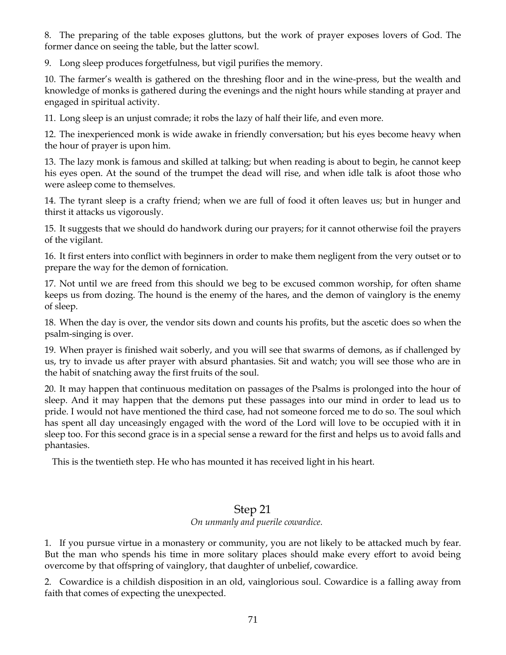8. The preparing of the table exposes gluttons, but the work of prayer exposes lovers of God. The former dance on seeing the table, but the latter scowl.

9. Long sleep produces forgetfulness, but vigil purifies the memory.

10. The farmer's wealth is gathered on the threshing floor and in the wine-press, but the wealth and knowledge of monks is gathered during the evenings and the night hours while standing at prayer and engaged in spiritual activity.

11. Long sleep is an unjust comrade; it robs the lazy of half their life, and even more.

12. The inexperienced monk is wide awake in friendly conversation; but his eyes become heavy when the hour of prayer is upon him.

13. The lazy monk is famous and skilled at talking; but when reading is about to begin, he cannot keep his eyes open. At the sound of the trumpet the dead will rise, and when idle talk is afoot those who were asleep come to themselves.

14. The tyrant sleep is a crafty friend; when we are full of food it often leaves us; but in hunger and thirst it attacks us vigorously.

15. It suggests that we should do handwork during our prayers; for it cannot otherwise foil the prayers of the vigilant.

16. It first enters into conflict with beginners in order to make them negligent from the very outset or to prepare the way for the demon of fornication.

17. Not until we are freed from this should we beg to be excused common worship, for often shame keeps us from dozing. The hound is the enemy of the hares, and the demon of vainglory is the enemy of sleep.

18. When the day is over, the vendor sits down and counts his profits, but the ascetic does so when the psalm-singing is over.

19. When prayer is finished wait soberly, and you will see that swarms of demons, as if challenged by us, try to invade us after prayer with absurd phantasies. Sit and watch; you will see those who are in the habit of snatching away the first fruits of the soul.

20. It may happen that continuous meditation on passages of the Psalms is prolonged into the hour of sleep. And it may happen that the demons put these passages into our mind in order to lead us to pride. I would not have mentioned the third case, had not someone forced me to do so. The soul which has spent all day unceasingly engaged with the word of the Lord will love to be occupied with it in sleep too. For this second grace is in a special sense a reward for the first and helps us to avoid falls and phantasies.

This is the twentieth step. He who has mounted it has received light in his heart.

### Step 21 *On unmanly and puerile cowardice.*

1. If you pursue virtue in a monastery or community, you are not likely to be attacked much by fear. But the man who spends his time in more solitary places should make every effort to avoid being overcome by that offspring of vainglory, that daughter of unbelief, cowardice.

2. Cowardice is a childish disposition in an old, vainglorious soul. Cowardice is a falling away from faith that comes of expecting the unexpected.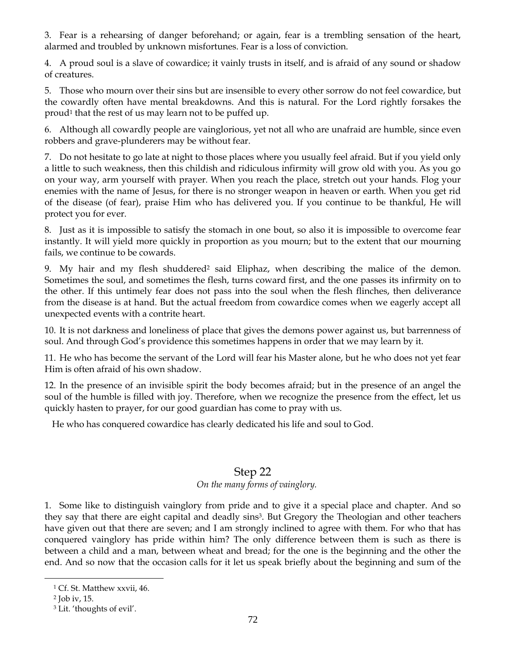3. Fear is a rehearsing of danger beforehand; or again, fear is a trembling sensation of the heart, alarmed and troubled by unknown misfortunes. Fear is a loss of conviction.

4. A proud soul is a slave of cowardice; it vainly trusts in itself, and is afraid of any sound or shadow of creatures.

5. Those who mourn over their sins but are insensible to every other sorrow do not feel cowardice, but the cowardly often have mental breakdowns. And this is natural. For the Lord rightly forsakes the proud<sup>1</sup> that the rest of us may learn not to be puffed up.

6. Although all cowardly people are vainglorious, yet not all who are unafraid are humble, since even robbers and grave-plunderers may be without fear.

7. Do not hesitate to go late at night to those places where you usually feel afraid. But if you yield only a little to such weakness, then this childish and ridiculous infirmity will grow old with you. As you go on your way, arm yourself with prayer. When you reach the place, stretch out your hands. Flog your enemies with the name of Jesus, for there is no stronger weapon in heaven or earth. When you get rid of the disease (of fear), praise Him who has delivered you. If you continue to be thankful, He will protect you for ever.

8. Just as it is impossible to satisfy the stomach in one bout, so also it is impossible to overcome fear instantly. It will yield more quickly in proportion as you mourn; but to the extent that our mourning fails, we continue to be cowards.

9. My hair and my flesh shuddered<sup>2</sup> said Eliphaz, when describing the malice of the demon. Sometimes the soul, and sometimes the flesh, turns coward first, and the one passes its infirmity on to the other. If this untimely fear does not pass into the soul when the flesh flinches, then deliverance from the disease is at hand. But the actual freedom from cowardice comes when we eagerly accept all unexpected events with a contrite heart.

10. It is not darkness and loneliness of place that gives the demons power against us, but barrenness of soul. And through God's providence this sometimes happens in order that we may learn by it.

11. He who has become the servant of the Lord will fear his Master alone, but he who does not yet fear Him is often afraid of his own shadow.

12. In the presence of an invisible spirit the body becomes afraid; but in the presence of an angel the soul of the humble is filled with joy. Therefore, when we recognize the presence from the effect, let us quickly hasten to prayer, for our good guardian has come to pray with us.

He who has conquered cowardice has clearly dedicated his life and soul to God.

## Step 22

### *On the many forms of vainglory.*

1. Some like to distinguish vainglory from pride and to give it a special place and chapter. And so they say that there are eight capital and deadly sins3. But Gregory the Theologian and other teachers have given out that there are seven; and I am strongly inclined to agree with them. For who that has conquered vainglory has pride within him? The only difference between them is such as there is between a child and a man, between wheat and bread; for the one is the beginning and the other the end. And so now that the occasion calls for it let us speak briefly about the beginning and sum of the

<sup>&</sup>lt;sup>1</sup> Cf. St. Matthew xxvii, 46.

<sup>2</sup> Job iv, 15.

<sup>3</sup> Lit. 'thoughts of evil'.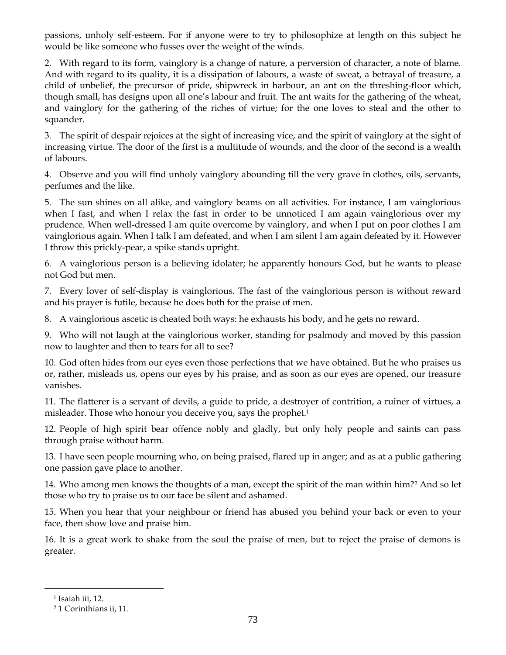passions, unholy self-esteem. For if anyone were to try to philosophize at length on this subject he would be like someone who fusses over the weight of the winds.

2. With regard to its form, vainglory is a change of nature, a perversion of character, a note of blame. And with regard to its quality, it is a dissipation of labours, a waste of sweat, a betrayal of treasure, a child of unbelief, the precursor of pride, shipwreck in harbour, an ant on the threshing-floor which, though small, has designs upon all one's labour and fruit. The ant waits for the gathering of the wheat, and vainglory for the gathering of the riches of virtue; for the one loves to steal and the other to squander.

3. The spirit of despair rejoices at the sight of increasing vice, and the spirit of vainglory at the sight of increasing virtue. The door of the first is a multitude of wounds, and the door of the second is a wealth of labours.

4. Observe and you will find unholy vainglory abounding till the very grave in clothes, oils, servants, perfumes and the like.

5. The sun shines on all alike, and vainglory beams on all activities. For instance, I am vainglorious when I fast, and when I relax the fast in order to be unnoticed I am again vainglorious over my prudence. When well-dressed I am quite overcome by vainglory, and when I put on poor clothes I am vainglorious again. When I talk I am defeated, and when I am silent I am again defeated by it. However I throw this prickly-pear, a spike stands upright.

6. A vainglorious person is a believing idolater; he apparently honours God, but he wants to please not God but men.

7. Every lover of self-display is vainglorious. The fast of the vainglorious person is without reward and his prayer is futile, because he does both for the praise of men.

8. A vainglorious ascetic is cheated both ways: he exhausts his body, and he gets no reward.

9. Who will not laugh at the vainglorious worker, standing for psalmody and moved by this passion now to laughter and then to tears for all to see?

10. God often hides from our eyes even those perfections that we have obtained. But he who praises us or, rather, misleads us, opens our eyes by his praise, and as soon as our eyes are opened, our treasure vanishes.

11. The flatterer is a servant of devils, a guide to pride, a destroyer of contrition, a ruiner of virtues, a misleader. Those who honour you deceive you, says the prophet.<sup>1</sup>

12. People of high spirit bear offence nobly and gladly, but only holy people and saints can pass through praise without harm.

13. I have seen people mourning who, on being praised, flared up in anger; and as at a public gathering one passion gave place to another.

14. Who among men knows the thoughts of a man, except the spirit of the man within him?<sup>2</sup> And so let those who try to praise us to our face be silent and ashamed.

15. When you hear that your neighbour or friend has abused you behind your back or even to your face, then show love and praise him.

16. It is a great work to shake from the soul the praise of men, but to reject the praise of demons is greater.

<sup>1</sup> Isaiah iii, 12.

<sup>2</sup> 1 Corinthians ii, 11.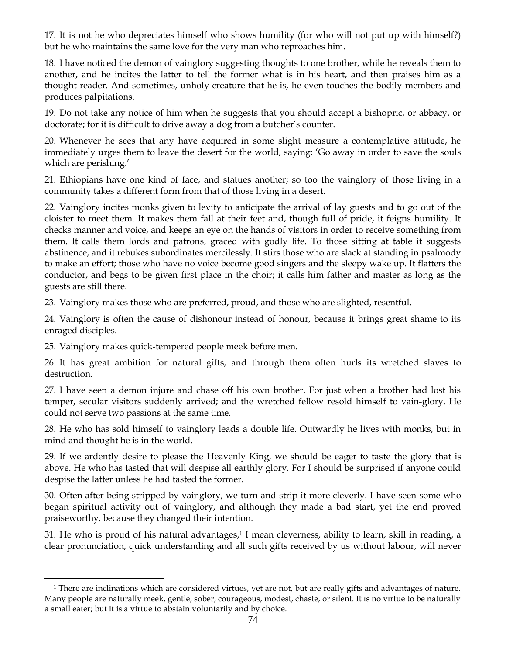17. It is not he who depreciates himself who shows humility (for who will not put up with himself?) but he who maintains the same love for the very man who reproaches him.

18. I have noticed the demon of vainglory suggesting thoughts to one brother, while he reveals them to another, and he incites the latter to tell the former what is in his heart, and then praises him as a thought reader. And sometimes, unholy creature that he is, he even touches the bodily members and produces palpitations.

19. Do not take any notice of him when he suggests that you should accept a bishopric, or abbacy, or doctorate; for it is difficult to drive away a dog from a butcher's counter.

20. Whenever he sees that any have acquired in some slight measure a contemplative attitude, he immediately urges them to leave the desert for the world, saying: 'Go away in order to save the souls which are perishing.'

21. Ethiopians have one kind of face, and statues another; so too the vainglory of those living in a community takes a different form from that of those living in a desert.

22. Vainglory incites monks given to levity to anticipate the arrival of lay guests and to go out of the cloister to meet them. It makes them fall at their feet and, though full of pride, it feigns humility. It checks manner and voice, and keeps an eye on the hands of visitors in order to receive something from them. It calls them lords and patrons, graced with godly life. To those sitting at table it suggests abstinence, and it rebukes subordinates mercilessly. It stirs those who are slack at standing in psalmody to make an effort; those who have no voice become good singers and the sleepy wake up. It flatters the conductor, and begs to be given first place in the choir; it calls him father and master as long as the guests are still there.

23. Vainglory makes those who are preferred, proud, and those who are slighted, resentful.

24. Vainglory is often the cause of dishonour instead of honour, because it brings great shame to its enraged disciples.

25. Vainglory makes quick-tempered people meek before men.

 $\overline{a}$ 

26. It has great ambition for natural gifts, and through them often hurls its wretched slaves to destruction.

27. I have seen a demon injure and chase off his own brother. For just when a brother had lost his temper, secular visitors suddenly arrived; and the wretched fellow resold himself to vain-glory. He could not serve two passions at the same time.

28. He who has sold himself to vainglory leads a double life. Outwardly he lives with monks, but in mind and thought he is in the world.

29. If we ardently desire to please the Heavenly King, we should be eager to taste the glory that is above. He who has tasted that will despise all earthly glory. For I should be surprised if anyone could despise the latter unless he had tasted the former.

30. Often after being stripped by vainglory, we turn and strip it more cleverly. I have seen some who began spiritual activity out of vainglory, and although they made a bad start, yet the end proved praiseworthy, because they changed their intention.

31. He who is proud of his natural advantages, $1$  I mean cleverness, ability to learn, skill in reading, a clear pronunciation, quick understanding and all such gifts received by us without labour, will never

<sup>&</sup>lt;sup>1</sup> There are inclinations which are considered virtues, yet are not, but are really gifts and advantages of nature. Many people are naturally meek, gentle, sober, courageous, modest, chaste, or silent. It is no virtue to be naturally a small eater; but it is a virtue to abstain voluntarily and by choice.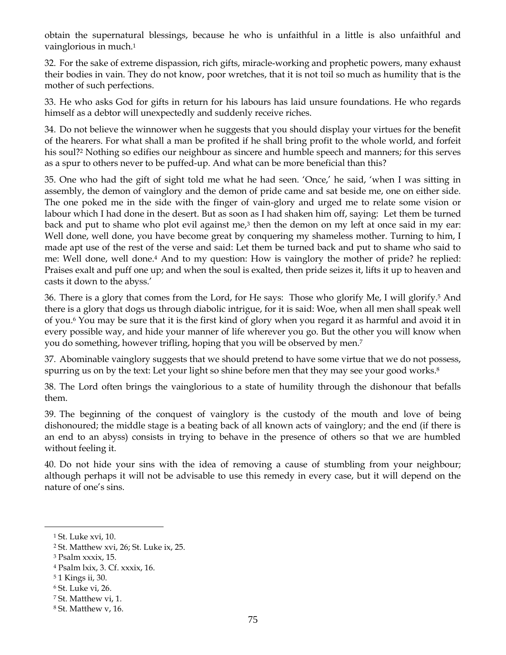obtain the supernatural blessings, because he who is unfaithful in a little is also unfaithful and vainglorious in much.<sup>1</sup>

32. For the sake of extreme dispassion, rich gifts, miracle-working and prophetic powers, many exhaust their bodies in vain. They do not know, poor wretches, that it is not toil so much as humility that is the mother of such perfections.

33. He who asks God for gifts in return for his labours has laid unsure foundations. He who regards himself as a debtor will unexpectedly and suddenly receive riches.

34. Do not believe the winnower when he suggests that you should display your virtues for the benefit of the hearers. For what shall a man be profited if he shall bring profit to the whole world, and forfeit his soul?<sup>2</sup> Nothing so edifies our neighbour as sincere and humble speech and manners; for this serves as a spur to others never to be puffed-up. And what can be more beneficial than this?

35. One who had the gift of sight told me what he had seen. 'Once,' he said, 'when I was sitting in assembly, the demon of vainglory and the demon of pride came and sat beside me, one on either side. The one poked me in the side with the finger of vain-glory and urged me to relate some vision or labour which I had done in the desert. But as soon as I had shaken him off, saying: Let them be turned back and put to shame who plot evil against me,<sup>3</sup> then the demon on my left at once said in my ear: Well done, well done, you have become great by conquering my shameless mother. Turning to him, I made apt use of the rest of the verse and said: Let them be turned back and put to shame who said to me: Well done, well done.<sup>4</sup> And to my question: How is vainglory the mother of pride? he replied: Praises exalt and puff one up; and when the soul is exalted, then pride seizes it, lifts it up to heaven and casts it down to the abyss.'

36. There is a glory that comes from the Lord, for He says: Those who glorify Me, I will glorify.<sup>5</sup> And there is a glory that dogs us through diabolic intrigue, for it is said: Woe, when all men shall speak well of you.<sup>6</sup> You may be sure that it is the first kind of glory when you regard it as harmful and avoid it in every possible way, and hide your manner of life wherever you go. But the other you will know when you do something, however trifling, hoping that you will be observed by men.<sup>7</sup>

37. Abominable vainglory suggests that we should pretend to have some virtue that we do not possess, spurring us on by the text: Let your light so shine before men that they may see your good works.<sup>8</sup>

38. The Lord often brings the vainglorious to a state of humility through the dishonour that befalls them.

39. The beginning of the conquest of vainglory is the custody of the mouth and love of being dishonoured; the middle stage is a beating back of all known acts of vainglory; and the end (if there is an end to an abyss) consists in trying to behave in the presence of others so that we are humbled without feeling it.

40. Do not hide your sins with the idea of removing a cause of stumbling from your neighbour; although perhaps it will not be advisable to use this remedy in every case, but it will depend on the nature of one's sins.

<sup>1</sup> St. Luke xvi, 10.

<sup>2</sup> St. Matthew xvi, 26; St. Luke ix, 25.

<sup>3</sup> Psalm xxxix, 15.

<sup>4</sup> Psalm lxix, 3. Cf. xxxix, 16.

<sup>5</sup> 1 Kings ii, 30.

<sup>6</sup> St. Luke vi, 26.

<sup>7</sup> St. Matthew vi, 1.

<sup>8</sup> St. Matthew v, 16.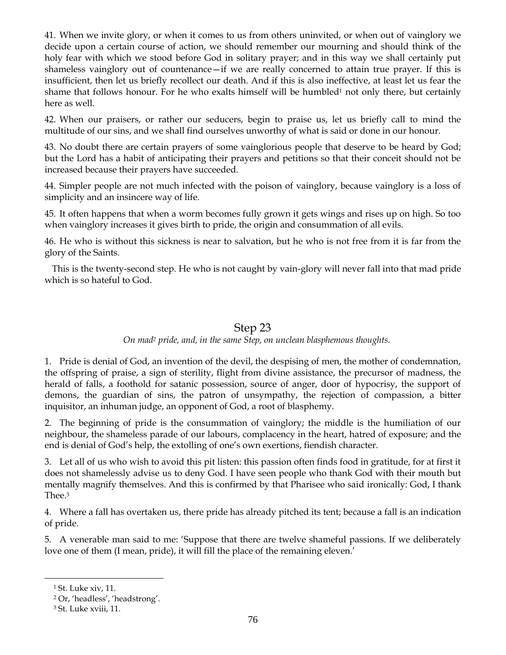41. When we invite glory, or when it comes to us from others uninvited, or when out of vainglory we decide upon a certain course of action, we should remember our mourning and should think of the holy fear with which we stood before God in solitary prayer; and in this way we shall certainly put shameless vainglory out of countenance—if we are really concerned to attain true prayer. If this is insufficient, then let us briefly recollect our death. And if this is also ineffective, at least let us fear the shame that follows honour. For he who exalts himself will be humbled<sup>1</sup> not only there, but certainly here as well.

42. When our praisers, or rather our seducers, begin to praise us, let us briefly call to mind the multitude of our sins, and we shall find ourselves unworthy of what is said or done in our honour.

43. No doubt there are certain prayers of some vainglorious people that deserve to be heard by God; but the Lord has a habit of anticipating their prayers and petitions so that their conceit should not be increased because their prayers have succeeded.

44. Simpler people are not much infected with the poison of vainglory, because vainglory is a loss of simplicity and an insincere way of life.

45. It often happens that when a worm becomes fully grown it gets wings and rises up on high. So too when vainglory increases it gives birth to pride, the origin and consummation of all evils.

46. He who is without this sickness is near to salvation, but he who is not free from it is far from the glory of the Saints.

This is the twenty-second step. He who is not caught by vain-glory will never fall into that mad pride which is so hateful to God.

## Step 23

#### <span id="page-75-1"></span>*On mad<sup>2</sup> pride, and, in the same Step, on unclean blasphemous thoughts.*

1. Pride is denial of God, an invention of the devil, the despising of men, the mother of condemnation, the offspring of praise, a sign of sterility, flight from divine assistance, the precursor of madness, the herald of falls, a foothold for satanic possession, source of anger, door of hypocrisy, the support of demons, the guardian of sins, the patron of unsympathy, the rejection of compassion, a bitter inquisitor, an inhuman judge, an opponent of God, a root of blasphemy.

2. The beginning of pride is the consummation of vainglory; the middle is the humiliation of our neighbour, the shameless parade of our labours, complacency in the heart, hatred of exposure; and the end is denial of God's help, the extolling of one's own exertions, fiendish character.

3. Let all of us who wish to avoid this pit listen: this passion often finds food in gratitude, for at first it does not shamelessly advise us to deny God. I have seen people who thank God with their mouth but mentally magnify themselves. And this is confirmed by that Pharisee who said ironically: God, I thank Thee.<sup>3</sup>

4. Where a fall has overtaken us, there pride has already pitched its tent; because a fall is an indication of pride.

5. A venerable man said to me: 'Suppose that there are twelve shameful passions. If we deliberately love one of them (I mean, pride), it will fill the place of the remaining eleven.'

<sup>&</sup>lt;sup>1</sup> St. Luke xiv, 11.

<span id="page-75-0"></span><sup>2</sup> Or, 'headless', 'headstrong'.

<sup>3</sup> St. Luke xviii, 11.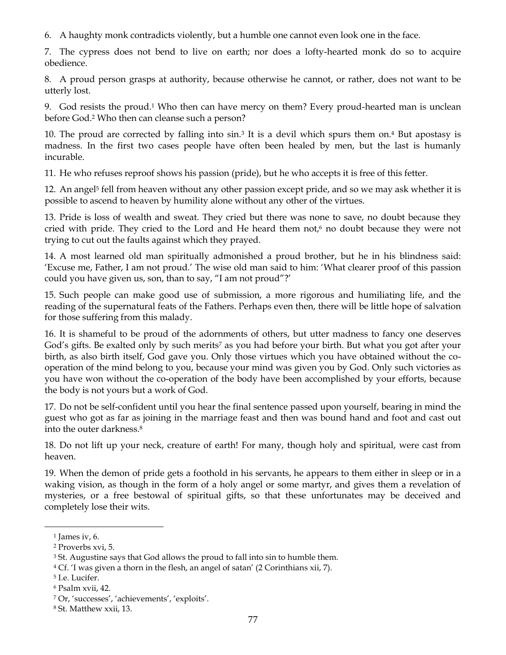6. A haughty monk contradicts violently, but a humble one cannot even look one in the face.

7. The cypress does not bend to live on earth; nor does a lofty-hearted monk do so to acquire obedience.

8. A proud person grasps at authority, because otherwise he cannot, or rather, does not want to be utterly lost.

9. God resists the proud.<sup>1</sup> Who then can have mercy on them? Every proud-hearted man is unclean before God.<sup>2</sup> Who then can cleanse such a person?

10. The proud are corrected by falling into sin.<sup>3</sup> It is a devil which spurs them on.<sup>4</sup> But apostasy is madness. In the first two cases people have often been healed by men, but the last is humanly incurable.

11. He who refuses reproof shows his passion (pride), but he who accepts it is free of this fetter.

12. An angel<sup>5</sup> fell from heaven without any other passion except pride, and so we may ask whether it is possible to ascend to heaven by humility alone without any other of the virtues.

13. Pride is loss of wealth and sweat. They cried but there was none to save, no doubt because they cried with pride. They cried to the Lord and He heard them not, $6$  no doubt because they were not trying to cut out the faults against which they prayed.

14. A most learned old man spiritually admonished a proud brother, but he in his blindness said: 'Excuse me, Father, I am not proud.' The wise old man said to him: 'What clearer proof of this passion could you have given us, son, than to say, "I am not proud"?'

15. Such people can make good use of submission, a more rigorous and humiliating life, and the reading of the supernatural feats of the Fathers. Perhaps even then, there will be little hope of salvation for those suffering from this malady.

16. It is shameful to be proud of the adornments of others, but utter madness to fancy one deserves God's gifts. Be exalted only by such merits<sup>7</sup> as you had before your birth. But what you got after your birth, as also birth itself, God gave you. Only those virtues which you have obtained without the cooperation of the mind belong to you, because your mind was given you by God. Only such victories as you have won without the co-operation of the body have been accomplished by your efforts, because the body is not yours but a work of God.

17. Do not be self-confident until you hear the final sentence passed upon yourself, bearing in mind the guest who got as far as joining in the marriage feast and then was bound hand and foot and cast out into the outer darkness.<sup>8</sup>

18. Do not lift up your neck, creature of earth! For many, though holy and spiritual, were cast from heaven.

19. When the demon of pride gets a foothold in his servants, he appears to them either in sleep or in a waking vision, as though in the form of a holy angel or some martyr, and gives them a revelation of mysteries, or a free bestowal of spiritual gifts, so that these unfortunates may be deceived and completely lose their wits.

<sup>1</sup> James iv, 6.

<sup>2</sup> Proverbs xvi, 5.

<sup>&</sup>lt;sup>3</sup> St. Augustine says that God allows the proud to fall into sin to humble them.

<sup>4</sup> Cf. 'I was given a thorn in the flesh, an angel of satan' (2 Corinthians xii, 7).

<sup>5</sup> I.e. Lucifer.

<sup>6</sup> Psalm xvii, 42.

<sup>7</sup> Or, 'successes', 'achievements', 'exploits'.

<sup>8</sup> St. Matthew xxii, 13.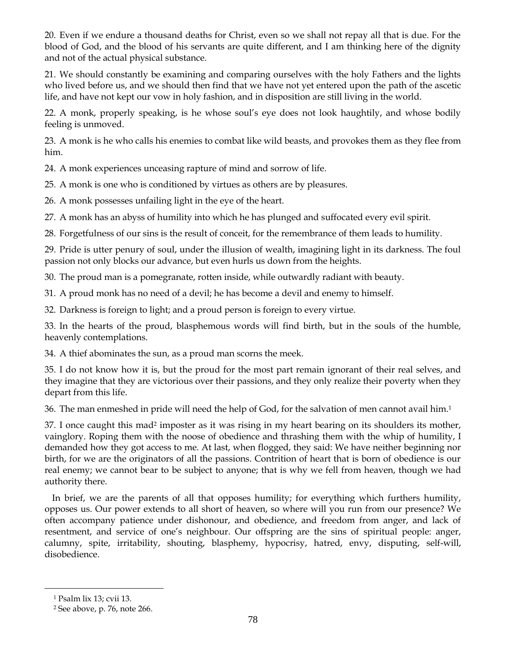20. Even if we endure a thousand deaths for Christ, even so we shall not repay all that is due. For the blood of God, and the blood of his servants are quite different, and I am thinking here of the dignity and not of the actual physical substance.

21. We should constantly be examining and comparing ourselves with the holy Fathers and the lights who lived before us, and we should then find that we have not yet entered upon the path of the ascetic life, and have not kept our vow in holy fashion, and in disposition are still living in the world.

22. A monk, properly speaking, is he whose soul's eye does not look haughtily, and whose bodily feeling is unmoved.

23. A monk is he who calls his enemies to combat like wild beasts, and provokes them as they flee from him.

24. A monk experiences unceasing rapture of mind and sorrow of life.

25. A monk is one who is conditioned by virtues as others are by pleasures.

26. A monk possesses unfailing light in the eye of the heart.

27. A monk has an abyss of humility into which he has plunged and suffocated every evil spirit.

28. Forgetfulness of our sins is the result of conceit, for the remembrance of them leads to humility.

29. Pride is utter penury of soul, under the illusion of wealth, imagining light in its darkness. The foul passion not only blocks our advance, but even hurls us down from the heights.

30. The proud man is a pomegranate, rotten inside, while outwardly radiant with beauty.

31. A proud monk has no need of a devil; he has become a devil and enemy to himself.

32. Darkness is foreign to light; and a proud person is foreign to every virtue.

33. In the hearts of the proud, blasphemous words will find birth, but in the souls of the humble, heavenly contemplations.

34. A thief abominates the sun, as a proud man scorns the meek.

35. I do not know how it is, but the proud for the most part remain ignorant of their real selves, and they imagine that they are victorious over their passions, and they only realize their poverty when they depart from this life.

36. The man enmeshed in pride will need the help of God, for the salvation of men cannot avail him.<sup>1</sup>

37. I once caught this mad<sup>2</sup> imposter as it was rising in my heart bearing on its shoulders its mother, vainglory. Roping them with the noose of obedience and thrashing them with the whip of humility, I demanded how they got access to me. At last, when flogged, they said: We have neither beginning nor birth, for we are the originators of all the passions. Contrition of heart that is born of obedience is our real enemy; we cannot bear to be subject to anyone; that is why we fell from heaven, though we had authority there.

In brief, we are the parents of all that opposes humility; for everything which furthers humility, opposes us. Our power extends to all short of heaven, so where will you run from our presence? We often accompany patience under dishonour, and obedience, and freedom from anger, and lack of resentment, and service of one's neighbour. Our offspring are the sins of spiritual people: anger, calumny, spite, irritability, shouting, blasphemy, hypocrisy, hatred, envy, disputing, self-will, disobedience.

<sup>1</sup> Psalm lix 13; cvii 13.

<sup>2</sup> See above, p. [76,](#page-75-0) note [266.](#page-75-1)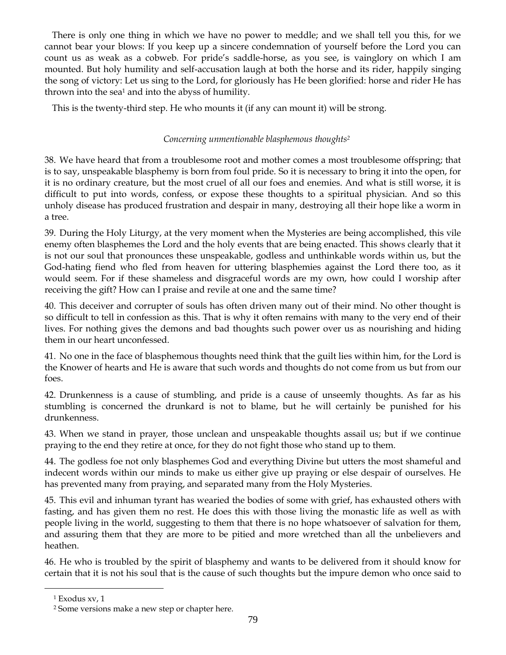There is only one thing in which we have no power to meddle; and we shall tell you this, for we cannot bear your blows: If you keep up a sincere condemnation of yourself before the Lord you can count us as weak as a cobweb. For pride's saddle-horse, as you see, is vainglory on which I am mounted. But holy humility and self-accusation laugh at both the horse and its rider, happily singing the song of victory: Let us sing to the Lord, for gloriously has He been glorified: horse and rider He has thrown into the sea<sup>1</sup> and into the abyss of humility.

This is the twenty-third step. He who mounts it (if any can mount it) will be strong.

### *Concerning unmentionable blasphemous thoughts<sup>2</sup>*

38. We have heard that from a troublesome root and mother comes a most troublesome offspring; that is to say, unspeakable blasphemy is born from foul pride. So it is necessary to bring it into the open, for it is no ordinary creature, but the most cruel of all our foes and enemies. And what is still worse, it is difficult to put into words, confess, or expose these thoughts to a spiritual physician. And so this unholy disease has produced frustration and despair in many, destroying all their hope like a worm in a tree.

39. During the Holy Liturgy, at the very moment when the Mysteries are being accomplished, this vile enemy often blasphemes the Lord and the holy events that are being enacted. This shows clearly that it is not our soul that pronounces these unspeakable, godless and unthinkable words within us, but the God-hating fiend who fled from heaven for uttering blasphemies against the Lord there too, as it would seem. For if these shameless and disgraceful words are my own, how could I worship after receiving the gift? How can I praise and revile at one and the same time?

40. This deceiver and corrupter of souls has often driven many out of their mind. No other thought is so difficult to tell in confession as this. That is why it often remains with many to the very end of their lives. For nothing gives the demons and bad thoughts such power over us as nourishing and hiding them in our heart unconfessed.

41. No one in the face of blasphemous thoughts need think that the guilt lies within him, for the Lord is the Knower of hearts and He is aware that such words and thoughts do not come from us but from our foes.

42. Drunkenness is a cause of stumbling, and pride is a cause of unseemly thoughts. As far as his stumbling is concerned the drunkard is not to blame, but he will certainly be punished for his drunkenness.

43. When we stand in prayer, those unclean and unspeakable thoughts assail us; but if we continue praying to the end they retire at once, for they do not fight those who stand up to them.

44. The godless foe not only blasphemes God and everything Divine but utters the most shameful and indecent words within our minds to make us either give up praying or else despair of ourselves. He has prevented many from praying, and separated many from the Holy Mysteries.

45. This evil and inhuman tyrant has wearied the bodies of some with grief, has exhausted others with fasting, and has given them no rest. He does this with those living the monastic life as well as with people living in the world, suggesting to them that there is no hope whatsoever of salvation for them, and assuring them that they are more to be pitied and more wretched than all the unbelievers and heathen.

46. He who is troubled by the spirit of blasphemy and wants to be delivered from it should know for certain that it is not his soul that is the cause of such thoughts but the impure demon who once said to

<sup>1</sup> Exodus xv, 1

<sup>2</sup> Some versions make a new step or chapter here.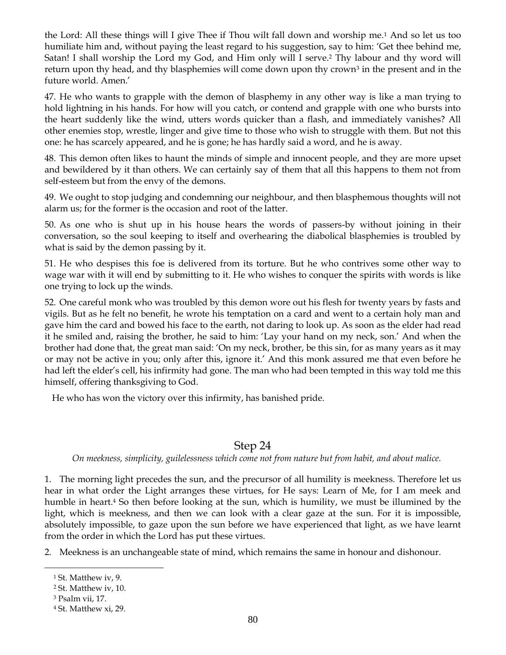the Lord: All these things will I give Thee if Thou wilt fall down and worship me.<sup>1</sup> And so let us too humiliate him and, without paying the least regard to his suggestion, say to him: 'Get thee behind me, Satan! I shall worship the Lord my God, and Him only will I serve.<sup>2</sup> Thy labour and thy word will return upon thy head, and thy blasphemies will come down upon thy crown<sup>3</sup> in the present and in the future world. Amen.'

47. He who wants to grapple with the demon of blasphemy in any other way is like a man trying to hold lightning in his hands. For how will you catch, or contend and grapple with one who bursts into the heart suddenly like the wind, utters words quicker than a flash, and immediately vanishes? All other enemies stop, wrestle, linger and give time to those who wish to struggle with them. But not this one: he has scarcely appeared, and he is gone; he has hardly said a word, and he is away.

48. This demon often likes to haunt the minds of simple and innocent people, and they are more upset and bewildered by it than others. We can certainly say of them that all this happens to them not from self-esteem but from the envy of the demons.

49. We ought to stop judging and condemning our neighbour, and then blasphemous thoughts will not alarm us; for the former is the occasion and root of the latter.

50. As one who is shut up in his house hears the words of passers-by without joining in their conversation, so the soul keeping to itself and overhearing the diabolical blasphemies is troubled by what is said by the demon passing by it.

51. He who despises this foe is delivered from its torture. But he who contrives some other way to wage war with it will end by submitting to it. He who wishes to conquer the spirits with words is like one trying to lock up the winds.

52. One careful monk who was troubled by this demon wore out his flesh for twenty years by fasts and vigils. But as he felt no benefit, he wrote his temptation on a card and went to a certain holy man and gave him the card and bowed his face to the earth, not daring to look up. As soon as the elder had read it he smiled and, raising the brother, he said to him: 'Lay your hand on my neck, son.' And when the brother had done that, the great man said: 'On my neck, brother, be this sin, for as many years as it may or may not be active in you; only after this, ignore it.' And this monk assured me that even before he had left the elder's cell, his infirmity had gone. The man who had been tempted in this way told me this himself, offering thanksgiving to God.

He who has won the victory over this infirmity, has banished pride.

## Step 24

*On meekness, simplicity, guilelessness which come not from nature but from habit, and about malice.*

1. The morning light precedes the sun, and the precursor of all humility is meekness. Therefore let us hear in what order the Light arranges these virtues, for He says: Learn of Me, for I am meek and humble in heart.<sup>4</sup> So then before looking at the sun, which is humility, we must be illumined by the light, which is meekness, and then we can look with a clear gaze at the sun. For it is impossible, absolutely impossible, to gaze upon the sun before we have experienced that light, as we have learnt from the order in which the Lord has put these virtues.

2. Meekness is an unchangeable state of mind, which remains the same in honour and dishonour.

<sup>&</sup>lt;sup>1</sup> St. Matthew iv, 9.

<sup>2</sup> St. Matthew iv, 10.

<sup>3</sup> Psalm vii, 17.

<sup>4</sup> St. Matthew xi, 29.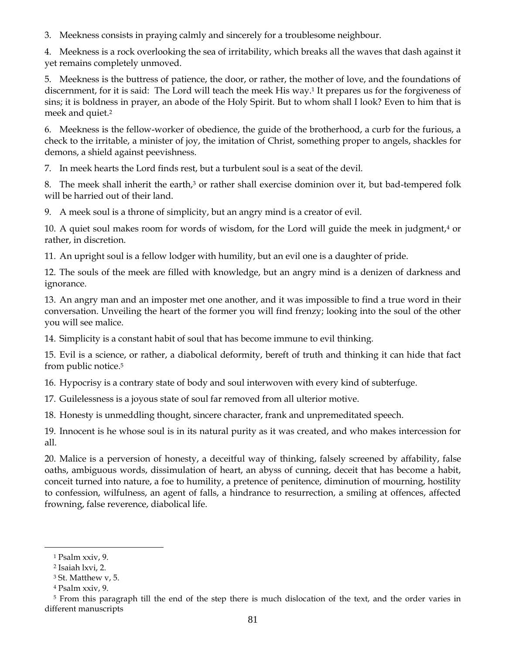3. Meekness consists in praying calmly and sincerely for a troublesome neighbour.

4. Meekness is a rock overlooking the sea of irritability, which breaks all the waves that dash against it yet remains completely unmoved.

5. Meekness is the buttress of patience, the door, or rather, the mother of love, and the foundations of discernment, for it is said: The Lord will teach the meek His way.<sup>1</sup> It prepares us for the forgiveness of sins; it is boldness in prayer, an abode of the Holy Spirit. But to whom shall I look? Even to him that is meek and quiet.<sup>2</sup>

6. Meekness is the fellow-worker of obedience, the guide of the brotherhood, a curb for the furious, a check to the irritable, a minister of joy, the imitation of Christ, something proper to angels, shackles for demons, a shield against peevishness.

7. In meek hearts the Lord finds rest, but a turbulent soul is a seat of the devil.

8. The meek shall inherit the earth,<sup>3</sup> or rather shall exercise dominion over it, but bad-tempered folk will be harried out of their land.

9. A meek soul is a throne of simplicity, but an angry mind is a creator of evil.

10. A quiet soul makes room for words of wisdom, for the Lord will guide the meek in judgment,<sup>4</sup> or rather, in discretion.

11. An upright soul is a fellow lodger with humility, but an evil one is a daughter of pride.

12. The souls of the meek are filled with knowledge, but an angry mind is a denizen of darkness and ignorance.

13. An angry man and an imposter met one another, and it was impossible to find a true word in their conversation. Unveiling the heart of the former you will find frenzy; looking into the soul of the other you will see malice.

14. Simplicity is a constant habit of soul that has become immune to evil thinking.

15. Evil is a science, or rather, a diabolical deformity, bereft of truth and thinking it can hide that fact from public notice.<sup>5</sup>

16. Hypocrisy is a contrary state of body and soul interwoven with every kind of subterfuge.

17. Guilelessness is a joyous state of soul far removed from all ulterior motive.

18. Honesty is unmeddling thought, sincere character, frank and unpremeditated speech.

19. Innocent is he whose soul is in its natural purity as it was created, and who makes intercession for all.

20. Malice is a perversion of honesty, a deceitful way of thinking, falsely screened by affability, false oaths, ambiguous words, dissimulation of heart, an abyss of cunning, deceit that has become a habit, conceit turned into nature, a foe to humility, a pretence of penitence, diminution of mourning, hostility to confession, wilfulness, an agent of falls, a hindrance to resurrection, a smiling at offences, affected frowning, false reverence, diabolical life.

<sup>1</sup> Psalm xxiv, 9.

<sup>2</sup> Isaiah lxvi, 2.

<sup>3</sup> St. Matthew v, 5.

<sup>4</sup> Psalm xxiv, 9.

<sup>5</sup> From this paragraph till the end of the step there is much dislocation of the text, and the order varies in different manuscripts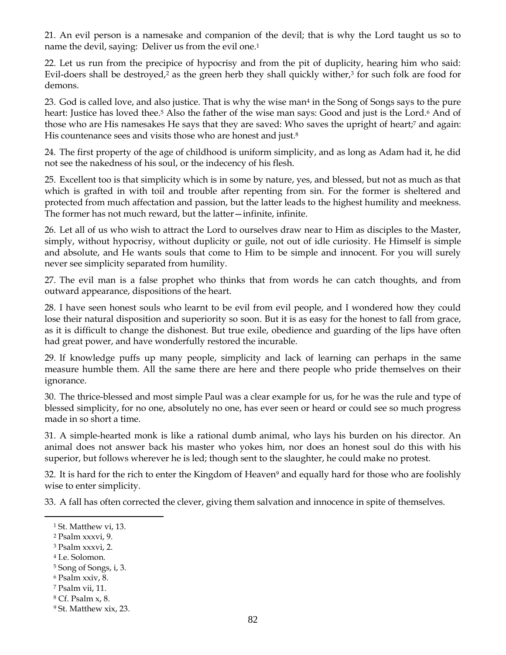21. An evil person is a namesake and companion of the devil; that is why the Lord taught us so to name the devil, saying: Deliver us from the evil one.<sup>1</sup>

22. Let us run from the precipice of hypocrisy and from the pit of duplicity, hearing him who said: Evil-doers shall be destroyed,<sup>2</sup> as the green herb they shall quickly wither,<sup>3</sup> for such folk are food for demons.

23. God is called love, and also justice. That is why the wise man<sup>4</sup> in the Song of Songs says to the pure heart: Justice has loved thee.<sup>5</sup> Also the father of the wise man says: Good and just is the Lord.<sup>6</sup> And of those who are His namesakes He says that they are saved: Who saves the upright of heart;<sup>7</sup> and again: His countenance sees and visits those who are honest and just.<sup>8</sup>

24. The first property of the age of childhood is uniform simplicity, and as long as Adam had it, he did not see the nakedness of his soul, or the indecency of his flesh.

25. Excellent too is that simplicity which is in some by nature, yes, and blessed, but not as much as that which is grafted in with toil and trouble after repenting from sin. For the former is sheltered and protected from much affectation and passion, but the latter leads to the highest humility and meekness. The former has not much reward, but the latter—infinite, infinite.

26. Let all of us who wish to attract the Lord to ourselves draw near to Him as disciples to the Master, simply, without hypocrisy, without duplicity or guile, not out of idle curiosity. He Himself is simple and absolute, and He wants souls that come to Him to be simple and innocent. For you will surely never see simplicity separated from humility.

27. The evil man is a false prophet who thinks that from words he can catch thoughts, and from outward appearance, dispositions of the heart.

28. I have seen honest souls who learnt to be evil from evil people, and I wondered how they could lose their natural disposition and superiority so soon. But it is as easy for the honest to fall from grace, as it is difficult to change the dishonest. But true exile, obedience and guarding of the lips have often had great power, and have wonderfully restored the incurable.

29. If knowledge puffs up many people, simplicity and lack of learning can perhaps in the same measure humble them. All the same there are here and there people who pride themselves on their ignorance.

30. The thrice-blessed and most simple Paul was a clear example for us, for he was the rule and type of blessed simplicity, for no one, absolutely no one, has ever seen or heard or could see so much progress made in so short a time.

31. A simple-hearted monk is like a rational dumb animal, who lays his burden on his director. An animal does not answer back his master who yokes him, nor does an honest soul do this with his superior, but follows wherever he is led; though sent to the slaughter, he could make no protest.

32. It is hard for the rich to enter the Kingdom of Heaven<sup>9</sup> and equally hard for those who are foolishly wise to enter simplicity.

33. A fall has often corrected the clever, giving them salvation and innocence in spite of themselves.

- <sup>3</sup> Psalm xxxvi, 2.
- 4 I.e. Solomon.
- <sup>5</sup> Song of Songs, i, 3.
- <sup>6</sup> Psalm xxiv, 8.
- <sup>7</sup> Psalm vii, 11.
- <sup>8</sup> Cf. Psalm x, 8.
- <sup>9</sup> St. Matthew xix, 23.

<sup>1</sup> St. Matthew vi, 13.

<sup>2</sup> Psalm xxxvi, 9.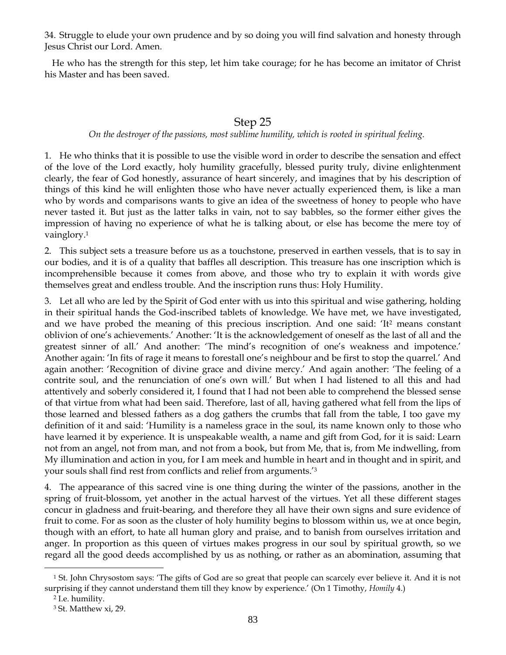34. Struggle to elude your own prudence and by so doing you will find salvation and honesty through Jesus Christ our Lord. Amen.

He who has the strength for this step, let him take courage; for he has become an imitator of Christ his Master and has been saved.

# Step 25

#### *On the destroyer of the passions, most sublime humility, which is rooted in spiritual feeling.*

1. He who thinks that it is possible to use the visible word in order to describe the sensation and effect of the love of the Lord exactly, holy humility gracefully, blessed purity truly, divine enlightenment clearly, the fear of God honestly, assurance of heart sincerely, and imagines that by his description of things of this kind he will enlighten those who have never actually experienced them, is like a man who by words and comparisons wants to give an idea of the sweetness of honey to people who have never tasted it. But just as the latter talks in vain, not to say babbles, so the former either gives the impression of having no experience of what he is talking about, or else has become the mere toy of vainglory.<sup>1</sup>

2. This subject sets a treasure before us as a touchstone, preserved in earthen vessels, that is to say in our bodies, and it is of a quality that baffles all description. This treasure has one inscription which is incomprehensible because it comes from above, and those who try to explain it with words give themselves great and endless trouble. And the inscription runs thus: Holy Humility.

3. Let all who are led by the Spirit of God enter with us into this spiritual and wise gathering, holding in their spiritual hands the God-inscribed tablets of knowledge. We have met, we have investigated, and we have probed the meaning of this precious inscription. And one said: 'It<sup>2</sup> means constant oblivion of one's achievements.' Another: 'It is the acknowledgement of oneself as the last of all and the greatest sinner of all.' And another: 'The mind's recognition of one's weakness and impotence.' Another again: 'In fits of rage it means to forestall one's neighbour and be first to stop the quarrel.' And again another: 'Recognition of divine grace and divine mercy.' And again another: 'The feeling of a contrite soul, and the renunciation of one's own will.' But when I had listened to all this and had attentively and soberly considered it, I found that I had not been able to comprehend the blessed sense of that virtue from what had been said. Therefore, last of all, having gathered what fell from the lips of those learned and blessed fathers as a dog gathers the crumbs that fall from the table, I too gave my definition of it and said: 'Humility is a nameless grace in the soul, its name known only to those who have learned it by experience. It is unspeakable wealth, a name and gift from God, for it is said: Learn not from an angel, not from man, and not from a book, but from Me, that is, from Me indwelling, from My illumination and action in you, for I am meek and humble in heart and in thought and in spirit, and your souls shall find rest from conflicts and relief from arguments.'<sup>3</sup>

4. The appearance of this sacred vine is one thing during the winter of the passions, another in the spring of fruit-blossom, yet another in the actual harvest of the virtues. Yet all these different stages concur in gladness and fruit-bearing, and therefore they all have their own signs and sure evidence of fruit to come. For as soon as the cluster of holy humility begins to blossom within us, we at once begin, though with an effort, to hate all human glory and praise, and to banish from ourselves irritation and anger. In proportion as this queen of virtues makes progress in our soul by spiritual growth, so we regard all the good deeds accomplished by us as nothing, or rather as an abomination, assuming that

<sup>&</sup>lt;sup>1</sup> St. John Chrysostom says: 'The gifts of God are so great that people can scarcely ever believe it. And it is not surprising if they cannot understand them till they know by experience.' (On 1 Timothy, *Homily* 4.)

<sup>2</sup> I.e. humility.

<sup>3</sup> St. Matthew xi, 29.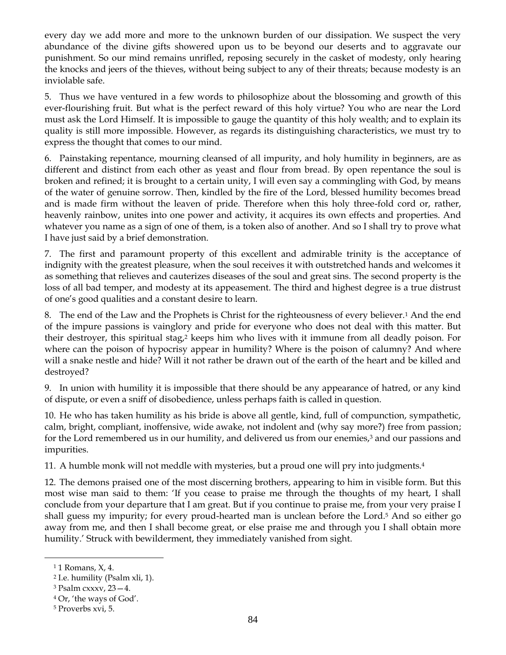every day we add more and more to the unknown burden of our dissipation. We suspect the very abundance of the divine gifts showered upon us to be beyond our deserts and to aggravate our punishment. So our mind remains unrifled, reposing securely in the casket of modesty, only hearing the knocks and jeers of the thieves, without being subject to any of their threats; because modesty is an inviolable safe.

5. Thus we have ventured in a few words to philosophize about the blossoming and growth of this ever-flourishing fruit. But what is the perfect reward of this holy virtue? You who are near the Lord must ask the Lord Himself. It is impossible to gauge the quantity of this holy wealth; and to explain its quality is still more impossible. However, as regards its distinguishing characteristics, we must try to express the thought that comes to our mind.

6. Painstaking repentance, mourning cleansed of all impurity, and holy humility in beginners, are as different and distinct from each other as yeast and flour from bread. By open repentance the soul is broken and refined; it is brought to a certain unity, I will even say a commingling with God, by means of the water of genuine sorrow. Then, kindled by the fire of the Lord, blessed humility becomes bread and is made firm without the leaven of pride. Therefore when this holy three-fold cord or, rather, heavenly rainbow, unites into one power and activity, it acquires its own effects and properties. And whatever you name as a sign of one of them, is a token also of another. And so I shall try to prove what I have just said by a brief demonstration.

7. The first and paramount property of this excellent and admirable trinity is the acceptance of indignity with the greatest pleasure, when the soul receives it with outstretched hands and welcomes it as something that relieves and cauterizes diseases of the soul and great sins. The second property is the loss of all bad temper, and modesty at its appeasement. The third and highest degree is a true distrust of one's good qualities and a constant desire to learn.

8. The end of the Law and the Prophets is Christ for the righteousness of every believer.<sup>1</sup> And the end of the impure passions is vainglory and pride for everyone who does not deal with this matter. But their destroyer, this spiritual stag,<sup>2</sup> keeps him who lives with it immune from all deadly poison. For where can the poison of hypocrisy appear in humility? Where is the poison of calumny? And where will a snake nestle and hide? Will it not rather be drawn out of the earth of the heart and be killed and destroyed?

9. In union with humility it is impossible that there should be any appearance of hatred, or any kind of dispute, or even a sniff of disobedience, unless perhaps faith is called in question.

10. He who has taken humility as his bride is above all gentle, kind, full of compunction, sympathetic, calm, bright, compliant, inoffensive, wide awake, not indolent and (why say more?) free from passion; for the Lord remembered us in our humility, and delivered us from our enemies,<sup>3</sup> and our passions and impurities.

11. A humble monk will not meddle with mysteries, but a proud one will pry into judgments.<sup>4</sup>

12. The demons praised one of the most discerning brothers, appearing to him in visible form. But this most wise man said to them: 'If you cease to praise me through the thoughts of my heart, I shall conclude from your departure that I am great. But if you continue to praise me, from your very praise I shall guess my impurity; for every proud-hearted man is unclean before the Lord.<sup>5</sup> And so either go away from me, and then I shall become great, or else praise me and through you I shall obtain more humility.' Struck with bewilderment, they immediately vanished from sight.

<sup>1</sup> 1 Romans, X, 4.

<sup>2</sup> I.e. humility (Psalm xli, 1).

 $3$  Psalm cxxxv,  $23 - 4$ .

<sup>4</sup> Or, 'the ways of God'.

<sup>5</sup> Proverbs xvi, 5.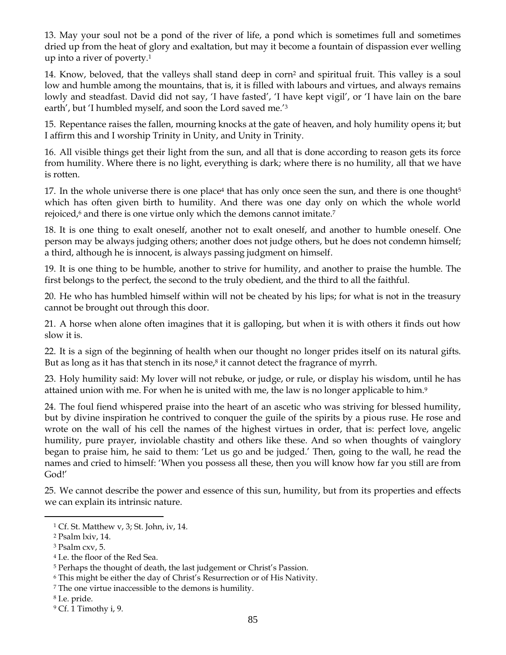13. May your soul not be a pond of the river of life, a pond which is sometimes full and sometimes dried up from the heat of glory and exaltation, but may it become a fountain of dispassion ever welling up into a river of poverty.<sup>1</sup>

14. Know, beloved, that the valleys shall stand deep in corn<sup>2</sup> and spiritual fruit. This valley is a soul low and humble among the mountains, that is, it is filled with labours and virtues, and always remains lowly and steadfast. David did not say, 'I have fasted', 'I have kept vigil', or 'I have lain on the bare earth', but 'I humbled myself, and soon the Lord saved me.'<sup>3</sup>

15. Repentance raises the fallen, mourning knocks at the gate of heaven, and holy humility opens it; but I affirm this and I worship Trinity in Unity, and Unity in Trinity.

16. All visible things get their light from the sun, and all that is done according to reason gets its force from humility. Where there is no light, everything is dark; where there is no humility, all that we have is rotten.

17. In the whole universe there is one place<sup>4</sup> that has only once seen the sun, and there is one thought<sup>5</sup> which has often given birth to humility. And there was one day only on which the whole world rejoiced,<sup>6</sup> and there is one virtue only which the demons cannot imitate.<sup>7</sup>

18. It is one thing to exalt oneself, another not to exalt oneself, and another to humble oneself. One person may be always judging others; another does not judge others, but he does not condemn himself; a third, although he is innocent, is always passing judgment on himself.

19. It is one thing to be humble, another to strive for humility, and another to praise the humble. The first belongs to the perfect, the second to the truly obedient, and the third to all the faithful.

20. He who has humbled himself within will not be cheated by his lips; for what is not in the treasury cannot be brought out through this door.

21. A horse when alone often imagines that it is galloping, but when it is with others it finds out how slow it is.

22. It is a sign of the beginning of health when our thought no longer prides itself on its natural gifts. But as long as it has that stench in its nose, $\delta$  it cannot detect the fragrance of myrrh.

23. Holy humility said: My lover will not rebuke, or judge, or rule, or display his wisdom, until he has attained union with me. For when he is united with me, the law is no longer applicable to him.<sup>9</sup>

24. The foul fiend whispered praise into the heart of an ascetic who was striving for blessed humility, but by divine inspiration he contrived to conquer the guile of the spirits by a pious ruse. He rose and wrote on the wall of his cell the names of the highest virtues in order, that is: perfect love, angelic humility, pure prayer, inviolable chastity and others like these. And so when thoughts of vainglory began to praise him, he said to them: 'Let us go and be judged.' Then, going to the wall, he read the names and cried to himself: 'When you possess all these, then you will know how far you still are from God!'

25. We cannot describe the power and essence of this sun, humility, but from its properties and effects we can explain its intrinsic nature.

<sup>1</sup> Cf. St. Matthew v, 3; St. John, iv, 14.

<sup>2</sup> Psalm lxiv, 14.

<sup>3</sup> Psalm cxv, 5.

<sup>4</sup> I.e. the floor of the Red Sea.

<sup>5</sup> Perhaps the thought of death, the last judgement or Christ's Passion.

<sup>6</sup> This might be either the day of Christ's Resurrection or of His Nativity.

<sup>7</sup> The one virtue inaccessible to the demons is humility.

<sup>8</sup> I.e. pride.

<sup>9</sup> Cf. 1 Timothy i, 9.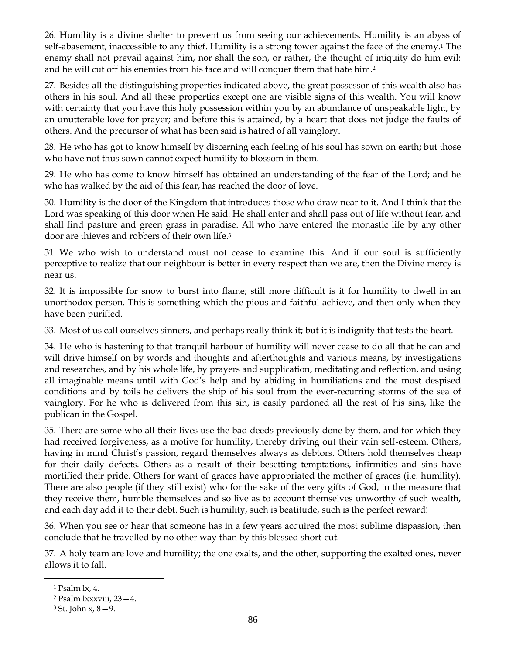26. Humility is a divine shelter to prevent us from seeing our achievements. Humility is an abyss of self-abasement, inaccessible to any thief. Humility is a strong tower against the face of the enemy.<sup>1</sup> The enemy shall not prevail against him, nor shall the son, or rather, the thought of iniquity do him evil: and he will cut off his enemies from his face and will conquer them that hate him.<sup>2</sup>

27. Besides all the distinguishing properties indicated above, the great possessor of this wealth also has others in his soul. And all these properties except one are visible signs of this wealth. You will know with certainty that you have this holy possession within you by an abundance of unspeakable light, by an unutterable love for prayer; and before this is attained, by a heart that does not judge the faults of others. And the precursor of what has been said is hatred of all vainglory.

28. He who has got to know himself by discerning each feeling of his soul has sown on earth; but those who have not thus sown cannot expect humility to blossom in them.

29. He who has come to know himself has obtained an understanding of the fear of the Lord; and he who has walked by the aid of this fear, has reached the door of love.

30. Humility is the door of the Kingdom that introduces those who draw near to it. And I think that the Lord was speaking of this door when He said: He shall enter and shall pass out of life without fear, and shall find pasture and green grass in paradise. All who have entered the monastic life by any other door are thieves and robbers of their own life.<sup>3</sup>

31. We who wish to understand must not cease to examine this. And if our soul is sufficiently perceptive to realize that our neighbour is better in every respect than we are, then the Divine mercy is near us.

32. It is impossible for snow to burst into flame; still more difficult is it for humility to dwell in an unorthodox person. This is something which the pious and faithful achieve, and then only when they have been purified.

33. Most of us call ourselves sinners, and perhaps really think it; but it is indignity that tests the heart.

34. He who is hastening to that tranquil harbour of humility will never cease to do all that he can and will drive himself on by words and thoughts and afterthoughts and various means, by investigations and researches, and by his whole life, by prayers and supplication, meditating and reflection, and using all imaginable means until with God's help and by abiding in humiliations and the most despised conditions and by toils he delivers the ship of his soul from the ever-recurring storms of the sea of vainglory. For he who is delivered from this sin, is easily pardoned all the rest of his sins, like the publican in the Gospel.

35. There are some who all their lives use the bad deeds previously done by them, and for which they had received forgiveness, as a motive for humility, thereby driving out their vain self-esteem. Others, having in mind Christ's passion, regard themselves always as debtors. Others hold themselves cheap for their daily defects. Others as a result of their besetting temptations, infirmities and sins have mortified their pride. Others for want of graces have appropriated the mother of graces (i.e. humility). There are also people (if they still exist) who for the sake of the very gifts of God, in the measure that they receive them, humble themselves and so live as to account themselves unworthy of such wealth, and each day add it to their debt. Such is humility, such is beatitude, such is the perfect reward!

36. When you see or hear that someone has in a few years acquired the most sublime dispassion, then conclude that he travelled by no other way than by this blessed short-cut.

37. A holy team are love and humility; the one exalts, and the other, supporting the exalted ones, never allows it to fall.

 $1$  Psalm lx, 4.

<sup>2</sup> Psalm lxxxviii, 23—4.

 $3$  St. John x,  $8 - 9$ .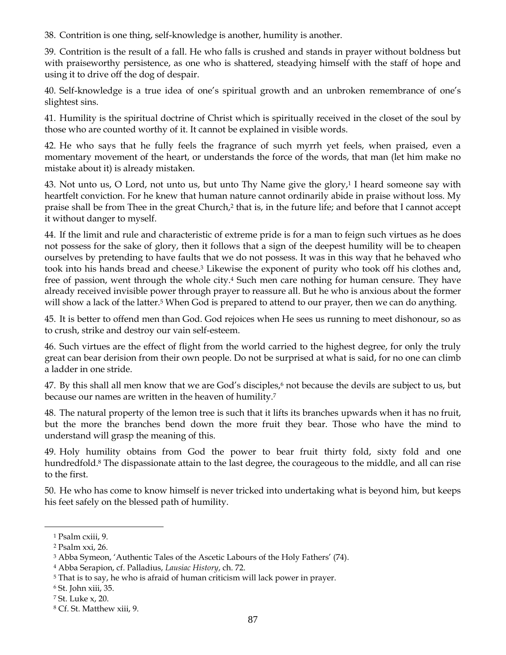38. Contrition is one thing, self-knowledge is another, humility is another.

39. Contrition is the result of a fall. He who falls is crushed and stands in prayer without boldness but with praiseworthy persistence, as one who is shattered, steadying himself with the staff of hope and using it to drive off the dog of despair.

40. Self-knowledge is a true idea of one's spiritual growth and an unbroken remembrance of one's slightest sins.

41. Humility is the spiritual doctrine of Christ which is spiritually received in the closet of the soul by those who are counted worthy of it. It cannot be explained in visible words.

42. He who says that he fully feels the fragrance of such myrrh yet feels, when praised, even a momentary movement of the heart, or understands the force of the words, that man (let him make no mistake about it) is already mistaken.

43. Not unto us, O Lord, not unto us, but unto Thy Name give the glory,<sup>1</sup> I heard someone say with heartfelt conviction. For he knew that human nature cannot ordinarily abide in praise without loss. My praise shall be from Thee in the great Church,<sup>2</sup> that is, in the future life; and before that I cannot accept it without danger to myself.

44. If the limit and rule and characteristic of extreme pride is for a man to feign such virtues as he does not possess for the sake of glory, then it follows that a sign of the deepest humility will be to cheapen ourselves by pretending to have faults that we do not possess. It was in this way that he behaved who took into his hands bread and cheese.<sup>3</sup> Likewise the exponent of purity who took off his clothes and, free of passion, went through the whole city.<sup>4</sup> Such men care nothing for human censure. They have already received invisible power through prayer to reassure all. But he who is anxious about the former will show a lack of the latter.<sup>5</sup> When God is prepared to attend to our prayer, then we can do anything.

45. It is better to offend men than God. God rejoices when He sees us running to meet dishonour, so as to crush, strike and destroy our vain self-esteem.

46. Such virtues are the effect of flight from the world carried to the highest degree, for only the truly great can bear derision from their own people. Do not be surprised at what is said, for no one can climb a ladder in one stride.

47. By this shall all men know that we are God's disciples,<sup>6</sup> not because the devils are subject to us, but because our names are written in the heaven of humility.<sup>7</sup>

48. The natural property of the lemon tree is such that it lifts its branches upwards when it has no fruit, but the more the branches bend down the more fruit they bear. Those who have the mind to understand will grasp the meaning of this.

49. Holy humility obtains from God the power to bear fruit thirty fold, sixty fold and one hundredfold.<sup>8</sup> The dispassionate attain to the last degree, the courageous to the middle, and all can rise to the first.

50. He who has come to know himself is never tricked into undertaking what is beyond him, but keeps his feet safely on the blessed path of humility.

<sup>1</sup> Psalm cxiii, 9.

<sup>2</sup> Psalm xxi, 26.

<sup>3</sup> Abba Symeon, 'Authentic Tales of the Ascetic Labours of the Holy Fathers' (74).

<sup>4</sup> Abba Serapion, cf. Palladius, *Lausiac History*, ch. 72.

<sup>&</sup>lt;sup>5</sup> That is to say, he who is afraid of human criticism will lack power in prayer.

<sup>6</sup> St. John xiii, 35.

<sup>7</sup> St. Luke x, 20.

<sup>8</sup> Cf. St. Matthew xiii, 9.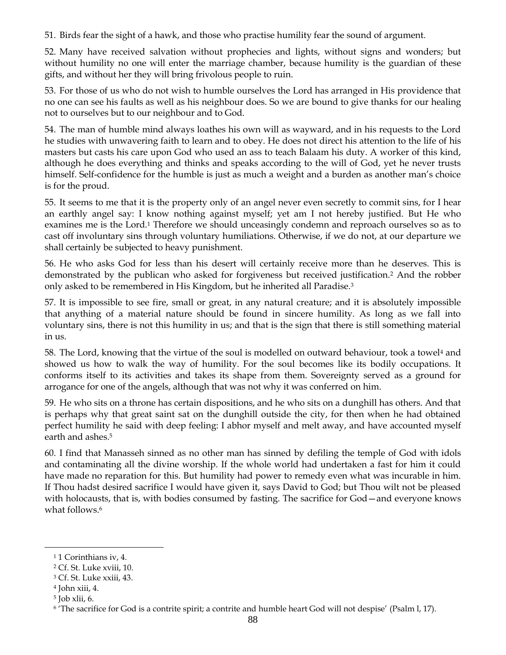51. Birds fear the sight of a hawk, and those who practise humility fear the sound of argument.

52. Many have received salvation without prophecies and lights, without signs and wonders; but without humility no one will enter the marriage chamber, because humility is the guardian of these gifts, and without her they will bring frivolous people to ruin.

53. For those of us who do not wish to humble ourselves the Lord has arranged in His providence that no one can see his faults as well as his neighbour does. So we are bound to give thanks for our healing not to ourselves but to our neighbour and to God.

54. The man of humble mind always loathes his own will as wayward, and in his requests to the Lord he studies with unwavering faith to learn and to obey. He does not direct his attention to the life of his masters but casts his care upon God who used an ass to teach Balaam his duty. A worker of this kind, although he does everything and thinks and speaks according to the will of God, yet he never trusts himself. Self-confidence for the humble is just as much a weight and a burden as another man's choice is for the proud.

55. It seems to me that it is the property only of an angel never even secretly to commit sins, for I hear an earthly angel say: I know nothing against myself; yet am I not hereby justified. But He who examines me is the Lord.<sup>1</sup> Therefore we should unceasingly condemn and reproach ourselves so as to cast off involuntary sins through voluntary humiliations. Otherwise, if we do not, at our departure we shall certainly be subjected to heavy punishment.

56. He who asks God for less than his desert will certainly receive more than he deserves. This is demonstrated by the publican who asked for forgiveness but received justification.<sup>2</sup> And the robber only asked to be remembered in His Kingdom, but he inherited all Paradise.<sup>3</sup>

57. It is impossible to see fire, small or great, in any natural creature; and it is absolutely impossible that anything of a material nature should be found in sincere humility. As long as we fall into voluntary sins, there is not this humility in us; and that is the sign that there is still something material in us.

58. The Lord, knowing that the virtue of the soul is modelled on outward behaviour, took a towel<sup>4</sup> and showed us how to walk the way of humility. For the soul becomes like its bodily occupations. It conforms itself to its activities and takes its shape from them. Sovereignty served as a ground for arrogance for one of the angels, although that was not why it was conferred on him.

59. He who sits on a throne has certain dispositions, and he who sits on a dunghill has others. And that is perhaps why that great saint sat on the dunghill outside the city, for then when he had obtained perfect humility he said with deep feeling: I abhor myself and melt away, and have accounted myself earth and ashes.<sup>5</sup>

60. I find that Manasseh sinned as no other man has sinned by defiling the temple of God with idols and contaminating all the divine worship. If the whole world had undertaken a fast for him it could have made no reparation for this. But humility had power to remedy even what was incurable in him. If Thou hadst desired sacrifice I would have given it, says David to God; but Thou wilt not be pleased with holocausts, that is, with bodies consumed by fasting. The sacrifice for God—and everyone knows what follows.<sup>6</sup>

<sup>1</sup> 1 Corinthians iv, 4.

<sup>2</sup> Cf. St. Luke xviii, 10.

<sup>3</sup> Cf. St. Luke xxiii, 43.

<sup>4</sup> John xiii, 4.

<sup>5</sup> Job xlii, 6.

<sup>6</sup> 'The sacrifice for God is a contrite spirit; a contrite and humble heart God will not despise' (Psalm l, 17).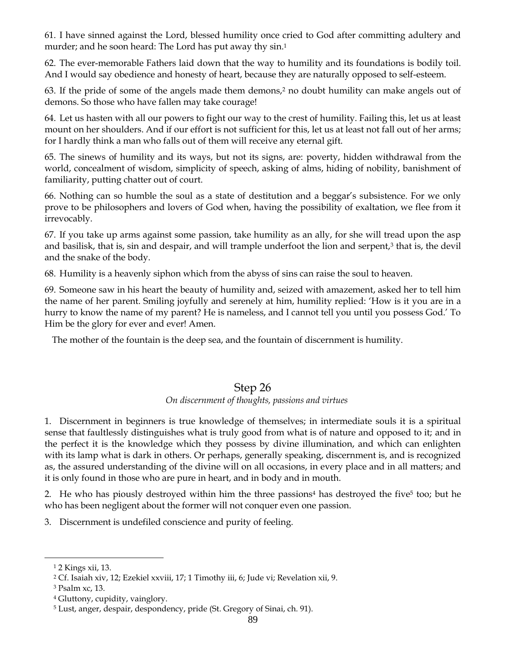61. I have sinned against the Lord, blessed humility once cried to God after committing adultery and murder; and he soon heard: The Lord has put away thy sin.<sup>1</sup>

62. The ever-memorable Fathers laid down that the way to humility and its foundations is bodily toil. And I would say obedience and honesty of heart, because they are naturally opposed to self-esteem.

63. If the pride of some of the angels made them demons,<sup>2</sup> no doubt humility can make angels out of demons. So those who have fallen may take courage!

64. Let us hasten with all our powers to fight our way to the crest of humility. Failing this, let us at least mount on her shoulders. And if our effort is not sufficient for this, let us at least not fall out of her arms; for I hardly think a man who falls out of them will receive any eternal gift.

65. The sinews of humility and its ways, but not its signs, are: poverty, hidden withdrawal from the world, concealment of wisdom, simplicity of speech, asking of alms, hiding of nobility, banishment of familiarity, putting chatter out of court.

66. Nothing can so humble the soul as a state of destitution and a beggar's subsistence. For we only prove to be philosophers and lovers of God when, having the possibility of exaltation, we flee from it irrevocably.

67. If you take up arms against some passion, take humility as an ally, for she will tread upon the asp and basilisk, that is, sin and despair, and will trample underfoot the lion and serpent,<sup>3</sup> that is, the devil and the snake of the body.

68. Humility is a heavenly siphon which from the abyss of sins can raise the soul to heaven.

69. Someone saw in his heart the beauty of humility and, seized with amazement, asked her to tell him the name of her parent. Smiling joyfully and serenely at him, humility replied: 'How is it you are in a hurry to know the name of my parent? He is nameless, and I cannot tell you until you possess God.' To Him be the glory for ever and ever! Amen.

The mother of the fountain is the deep sea, and the fountain of discernment is humility.

## Step 26

#### *On discernment of thoughts, passions and virtues*

1. Discernment in beginners is true knowledge of themselves; in intermediate souls it is a spiritual sense that faultlessly distinguishes what is truly good from what is of nature and opposed to it; and in the perfect it is the knowledge which they possess by divine illumination, and which can enlighten with its lamp what is dark in others. Or perhaps, generally speaking, discernment is, and is recognized as, the assured understanding of the divine will on all occasions, in every place and in all matters; and it is only found in those who are pure in heart, and in body and in mouth.

2. He who has piously destroyed within him the three passions<sup>4</sup> has destroyed the five<sup>5</sup> too; but he who has been negligent about the former will not conquer even one passion.

3. Discernment is undefiled conscience and purity of feeling.

<sup>1</sup> 2 Kings xii, 13.

<sup>2</sup> Cf. Isaiah xiv, 12; Ezekiel xxviii, 17; 1 Timothy iii, 6; Jude vi; Revelation xii, 9.

<sup>3</sup> Psalm xc, 13.

<sup>4</sup> Gluttony, cupidity, vainglory.

<sup>5</sup> Lust, anger, despair, despondency, pride (St. Gregory of Sinai, ch. 91).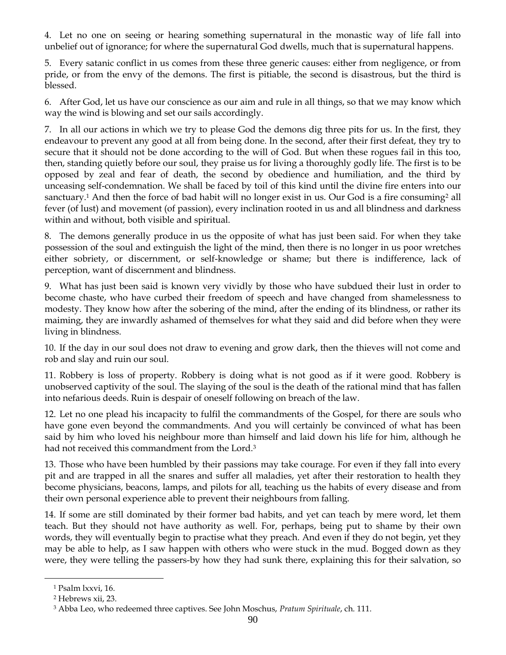4. Let no one on seeing or hearing something supernatural in the monastic way of life fall into unbelief out of ignorance; for where the supernatural God dwells, much that is supernatural happens.

5. Every satanic conflict in us comes from these three generic causes: either from negligence, or from pride, or from the envy of the demons. The first is pitiable, the second is disastrous, but the third is blessed.

6. After God, let us have our conscience as our aim and rule in all things, so that we may know which way the wind is blowing and set our sails accordingly.

7. In all our actions in which we try to please God the demons dig three pits for us. In the first, they endeavour to prevent any good at all from being done. In the second, after their first defeat, they try to secure that it should not be done according to the will of God. But when these rogues fail in this too, then, standing quietly before our soul, they praise us for living a thoroughly godly life. The first is to be opposed by zeal and fear of death, the second by obedience and humiliation, and the third by unceasing self-condemnation. We shall be faced by toil of this kind until the divine fire enters into our sanctuary.<sup>1</sup> And then the force of bad habit will no longer exist in us. Our God is a fire consuming<sup>2</sup> all fever (of lust) and movement (of passion), every inclination rooted in us and all blindness and darkness within and without, both visible and spiritual.

8. The demons generally produce in us the opposite of what has just been said. For when they take possession of the soul and extinguish the light of the mind, then there is no longer in us poor wretches either sobriety, or discernment, or self-knowledge or shame; but there is indifference, lack of perception, want of discernment and blindness.

9. What has just been said is known very vividly by those who have subdued their lust in order to become chaste, who have curbed their freedom of speech and have changed from shamelessness to modesty. They know how after the sobering of the mind, after the ending of its blindness, or rather its maiming, they are inwardly ashamed of themselves for what they said and did before when they were living in blindness.

10. If the day in our soul does not draw to evening and grow dark, then the thieves will not come and rob and slay and ruin our soul.

11. Robbery is loss of property. Robbery is doing what is not good as if it were good. Robbery is unobserved captivity of the soul. The slaying of the soul is the death of the rational mind that has fallen into nefarious deeds. Ruin is despair of oneself following on breach of the law.

12. Let no one plead his incapacity to fulfil the commandments of the Gospel, for there are souls who have gone even beyond the commandments. And you will certainly be convinced of what has been said by him who loved his neighbour more than himself and laid down his life for him, although he had not received this commandment from the Lord.<sup>3</sup>

13. Those who have been humbled by their passions may take courage. For even if they fall into every pit and are trapped in all the snares and suffer all maladies, yet after their restoration to health they become physicians, beacons, lamps, and pilots for all, teaching us the habits of every disease and from their own personal experience able to prevent their neighbours from falling.

14. If some are still dominated by their former bad habits, and yet can teach by mere word, let them teach. But they should not have authority as well. For, perhaps, being put to shame by their own words, they will eventually begin to practise what they preach. And even if they do not begin, yet they may be able to help, as I saw happen with others who were stuck in the mud. Bogged down as they were, they were telling the passers-by how they had sunk there, explaining this for their salvation, so

<sup>1</sup> Psalm lxxvi, 16.

<sup>2</sup> Hebrews xii, 23.

<sup>3</sup> Abba Leo, who redeemed three captives. See John Moschus, *Pratum Spirituale*, ch. 111.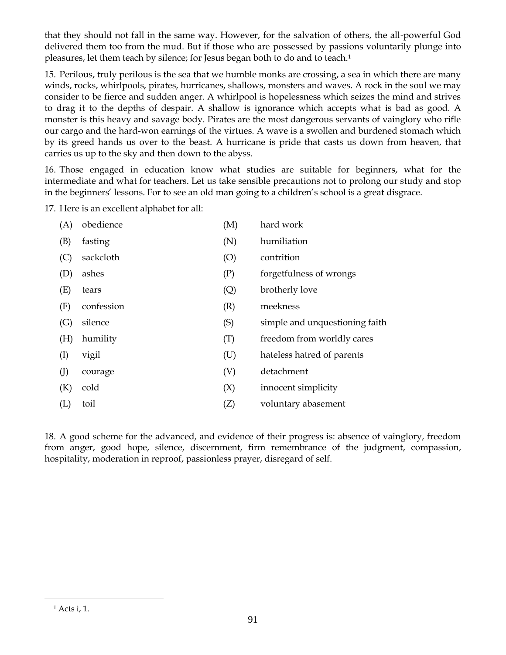that they should not fall in the same way. However, for the salvation of others, the all-powerful God delivered them too from the mud. But if those who are possessed by passions voluntarily plunge into pleasures, let them teach by silence; for Jesus began both to do and to teach.<sup>1</sup>

15. Perilous, truly perilous is the sea that we humble monks are crossing, a sea in which there are many winds, rocks, whirlpools, pirates, hurricanes, shallows, monsters and waves. A rock in the soul we may consider to be fierce and sudden anger. A whirlpool is hopelessness which seizes the mind and strives to drag it to the depths of despair. A shallow is ignorance which accepts what is bad as good. A monster is this heavy and savage body. Pirates are the most dangerous servants of vainglory who rifle our cargo and the hard-won earnings of the virtues. A wave is a swollen and burdened stomach which by its greed hands us over to the beast. A hurricane is pride that casts us down from heaven, that carries us up to the sky and then down to the abyss.

16. Those engaged in education know what studies are suitable for beginners, what for the intermediate and what for teachers. Let us take sensible precautions not to prolong our study and stop in the beginners' lessons. For to see an old man going to a children's school is a great disgrace.

17. Here is an excellent alphabet for all:

| (A) | obedience  | (M) | hard work                      |
|-----|------------|-----|--------------------------------|
| (B) | fasting    | (N) | humiliation                    |
| (C) | sackcloth  | (O) | contrition                     |
| (D) | ashes      | (P) | forgetfulness of wrongs        |
| (E) | tears      | (Q) | brotherly love                 |
| (F) | confession | (R) | meekness                       |
| (G) | silence    | (S) | simple and unquestioning faith |
| (H) | humility   | (T) | freedom from worldly cares     |
| (I) | vigil      | (U) | hateless hatred of parents     |
| (J) | courage    | (V) | detachment                     |
| (K) | cold       | (X) | innocent simplicity            |
| (L) | toil       | (Z) | voluntary abasement            |

18. A good scheme for the advanced, and evidence of their progress is: absence of vainglory, freedom from anger, good hope, silence, discernment, firm remembrance of the judgment, compassion, hospitality, moderation in reproof, passionless prayer, disregard of self.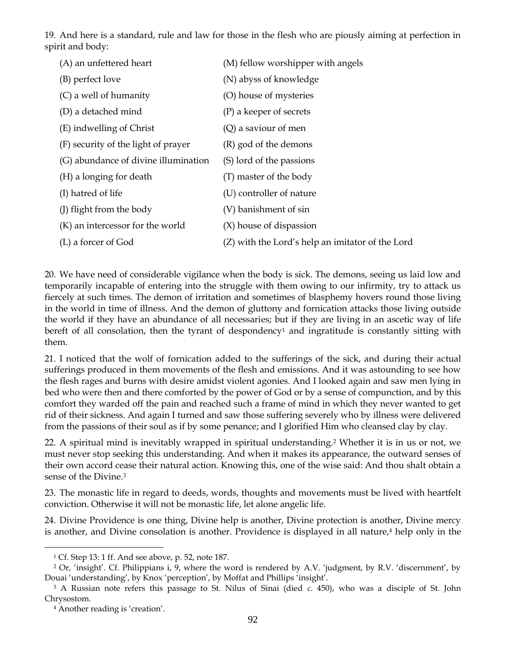19. And here is a standard, rule and law for those in the flesh who are piously aiming at perfection in spirit and body:

| (A) an unfettered heart              | (M) fellow worshipper with angels                |  |  |
|--------------------------------------|--------------------------------------------------|--|--|
| (B) perfect love                     | (N) abyss of knowledge                           |  |  |
| (C) a well of humanity               | (O) house of mysteries                           |  |  |
| (D) a detached mind                  | (P) a keeper of secrets                          |  |  |
| (E) indwelling of Christ             | (Q) a saviour of men                             |  |  |
| (F) security of the light of prayer  | (R) god of the demons                            |  |  |
| (G) abundance of divine illumination | (S) lord of the passions                         |  |  |
| (H) a longing for death              | (T) master of the body                           |  |  |
| (I) hatred of life                   | (U) controller of nature                         |  |  |
| (J) flight from the body             | (V) banishment of sin                            |  |  |
| (K) an intercessor for the world     | (X) house of dispassion                          |  |  |
| (L) a forcer of God                  | (Z) with the Lord's help an imitator of the Lord |  |  |

20. We have need of considerable vigilance when the body is sick. The demons, seeing us laid low and temporarily incapable of entering into the struggle with them owing to our infirmity, try to attack us fiercely at such times. The demon of irritation and sometimes of blasphemy hovers round those living in the world in time of illness. And the demon of gluttony and fornication attacks those living outside the world if they have an abundance of all necessaries; but if they are living in an ascetic way of life bereft of all consolation, then the tyrant of despondency<sup>1</sup> and ingratitude is constantly sitting with them.

21. I noticed that the wolf of fornication added to the sufferings of the sick, and during their actual sufferings produced in them movements of the flesh and emissions. And it was astounding to see how the flesh rages and burns with desire amidst violent agonies. And I looked again and saw men lying in bed who were then and there comforted by the power of God or by a sense of compunction, and by this comfort they warded off the pain and reached such a frame of mind in which they never wanted to get rid of their sickness. And again I turned and saw those suffering severely who by illness were delivered from the passions of their soul as if by some penance; and I glorified Him who cleansed clay by clay.

22. A spiritual mind is inevitably wrapped in spiritual understanding.<sup>2</sup> Whether it is in us or not, we must never stop seeking this understanding. And when it makes its appearance, the outward senses of their own accord cease their natural action. Knowing this, one of the wise said: And thou shalt obtain a sense of the Divine.<sup>3</sup>

23. The monastic life in regard to deeds, words, thoughts and movements must be lived with heartfelt conviction. Otherwise it will not be monastic life, let alone angelic life.

24. Divine Providence is one thing, Divine help is another, Divine protection is another, Divine mercy is another, and Divine consolation is another. Providence is displayed in all nature,<sup>4</sup> help only in the

<sup>1</sup> Cf. Step 13: 1 ff. And see above, p. [52,](#page-51-0) not[e 187.](#page-51-1)

<sup>2</sup> Or, 'insight'. Cf. Philippians i, 9, where the word is rendered by A.V. 'judgment, by R.V. 'discernment', by Douai 'understanding', by Knox 'perception', by Moffat and Phillips 'insight'.

<sup>3</sup> A Russian note refers this passage to St. Nilus of Sinai (died *c*. 450), who was a disciple of St. John Chrysostom.

<sup>4</sup> Another reading is 'creation'.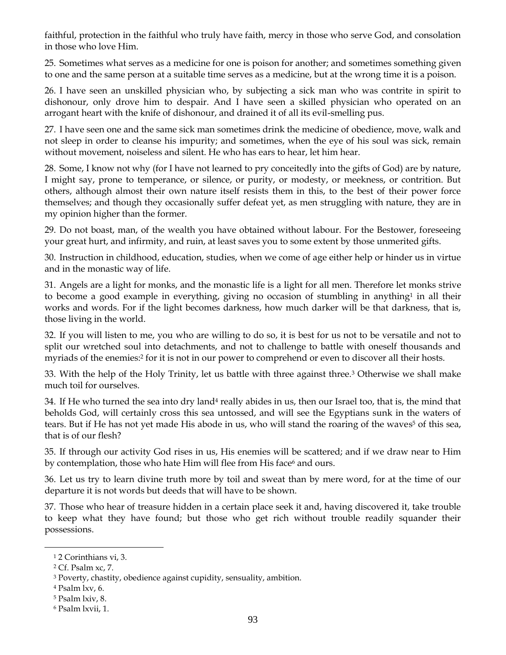faithful, protection in the faithful who truly have faith, mercy in those who serve God, and consolation in those who love Him.

25. Sometimes what serves as a medicine for one is poison for another; and sometimes something given to one and the same person at a suitable time serves as a medicine, but at the wrong time it is a poison.

26. I have seen an unskilled physician who, by subjecting a sick man who was contrite in spirit to dishonour, only drove him to despair. And I have seen a skilled physician who operated on an arrogant heart with the knife of dishonour, and drained it of all its evil-smelling pus.

27. I have seen one and the same sick man sometimes drink the medicine of obedience, move, walk and not sleep in order to cleanse his impurity; and sometimes, when the eye of his soul was sick, remain without movement, noiseless and silent. He who has ears to hear, let him hear.

28. Some, I know not why (for I have not learned to pry conceitedly into the gifts of God) are by nature, I might say, prone to temperance, or silence, or purity, or modesty, or meekness, or contrition. But others, although almost their own nature itself resists them in this, to the best of their power force themselves; and though they occasionally suffer defeat yet, as men struggling with nature, they are in my opinion higher than the former.

29. Do not boast, man, of the wealth you have obtained without labour. For the Bestower, foreseeing your great hurt, and infirmity, and ruin, at least saves you to some extent by those unmerited gifts.

30. Instruction in childhood, education, studies, when we come of age either help or hinder us in virtue and in the monastic way of life.

31. Angels are a light for monks, and the monastic life is a light for all men. Therefore let monks strive to become a good example in everything, giving no occasion of stumbling in anything<sup>1</sup> in all their works and words. For if the light becomes darkness, how much darker will be that darkness, that is, those living in the world.

32. If you will listen to me, you who are willing to do so, it is best for us not to be versatile and not to split our wretched soul into detachments, and not to challenge to battle with oneself thousands and myriads of the enemies:<sup>2</sup> for it is not in our power to comprehend or even to discover all their hosts.

33. With the help of the Holy Trinity, let us battle with three against three.<sup>3</sup> Otherwise we shall make much toil for ourselves.

34. If He who turned the sea into dry land<sup>4</sup> really abides in us, then our Israel too, that is, the mind that beholds God, will certainly cross this sea untossed, and will see the Egyptians sunk in the waters of tears. But if He has not yet made His abode in us, who will stand the roaring of the waves <sup>5</sup> of this sea, that is of our flesh?

35. If through our activity God rises in us, His enemies will be scattered; and if we draw near to Him by contemplation, those who hate Him will flee from His face<sup>6</sup> and ours.

36. Let us try to learn divine truth more by toil and sweat than by mere word, for at the time of our departure it is not words but deeds that will have to be shown.

37. Those who hear of treasure hidden in a certain place seek it and, having discovered it, take trouble to keep what they have found; but those who get rich without trouble readily squander their possessions.

<sup>1</sup> 2 Corinthians vi, 3.

<sup>2</sup> Cf. Psalm xc, 7.

<sup>&</sup>lt;sup>3</sup> Poverty, chastity, obedience against cupidity, sensuality, ambition.

<sup>4</sup> Psalm lxv, 6.

<sup>5</sup> Psalm lxiv, 8.

<sup>6</sup> Psalm lxvii, 1.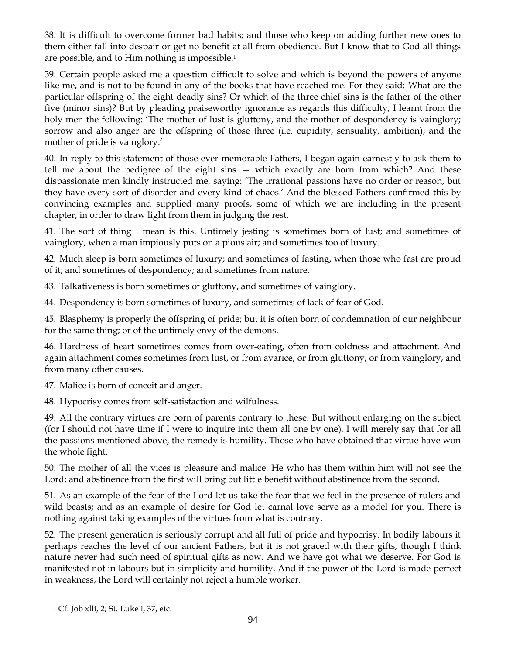38. It is difficult to overcome former bad habits; and those who keep on adding further new ones to them either fall into despair or get no benefit at all from obedience. But I know that to God all things are possible, and to Him nothing is impossible.<sup>1</sup>

39. Certain people asked me a question difficult to solve and which is beyond the powers of anyone like me, and is not to be found in any of the books that have reached me. For they said: What are the particular offspring of the eight deadly sins? Or which of the three chief sins is the father of the other five (minor sins)? But by pleading praiseworthy ignorance as regards this difficulty, I learnt from the holy men the following: 'The mother of lust is gluttony, and the mother of despondency is vainglory; sorrow and also anger are the offspring of those three (i.e. cupidity, sensuality, ambition); and the mother of pride is vainglory.'

40. In reply to this statement of those ever-memorable Fathers, I began again earnestly to ask them to tell me about the pedigree of the eight sins — which exactly are born from which? And these dispassionate men kindly instructed me, saying: 'The irrational passions have no order or reason, but they have every sort of disorder and every kind of chaos.' And the blessed Fathers confirmed this by convincing examples and supplied many proofs, some of which we are including in the present chapter, in order to draw light from them in judging the rest.

41. The sort of thing I mean is this. Untimely jesting is sometimes born of lust; and sometimes of vainglory, when a man impiously puts on a pious air; and sometimes too of luxury.

42. Much sleep is born sometimes of luxury; and sometimes of fasting, when those who fast are proud of it; and sometimes of despondency; and sometimes from nature.

43. Talkativeness is born sometimes of gluttony, and sometimes of vainglory.

44. Despondency is born sometimes of luxury, and sometimes of lack of fear of God.

45. Blasphemy is properly the offspring of pride; but it is often born of condemnation of our neighbour for the same thing; or of the untimely envy of the demons.

46. Hardness of heart sometimes comes from over-eating, often from coldness and attachment. And again attachment comes sometimes from lust, or from avarice, or from gluttony, or from vainglory, and from many other causes.

47. Malice is born of conceit and anger.

48. Hypocrisy comes from self-satisfaction and wilfulness.

49. All the contrary virtues are born of parents contrary to these. But without enlarging on the subject (for I should not have time if I were to inquire into them all one by one), I will merely say that for all the passions mentioned above, the remedy is humility. Those who have obtained that virtue have won the whole fight.

50. The mother of all the vices is pleasure and malice. He who has them within him will not see the Lord; and abstinence from the first will bring but little benefit without abstinence from the second.

51. As an example of the fear of the Lord let us take the fear that we feel in the presence of rulers and wild beasts; and as an example of desire for God let carnal love serve as a model for you. There is nothing against taking examples of the virtues from what is contrary.

52. The present generation is seriously corrupt and all full of pride and hypocrisy. In bodily labours it perhaps reaches the level of our ancient Fathers, but it is not graced with their gifts, though I think nature never had such need of spiritual gifts as now. And we have got what we deserve. For God is manifested not in labours but in simplicity and humility. And if the power of the Lord is made perfect in weakness, the Lord will certainly not reject a humble worker.

<sup>1</sup> Cf. Job xlli, 2; St. Luke i, 37, etc.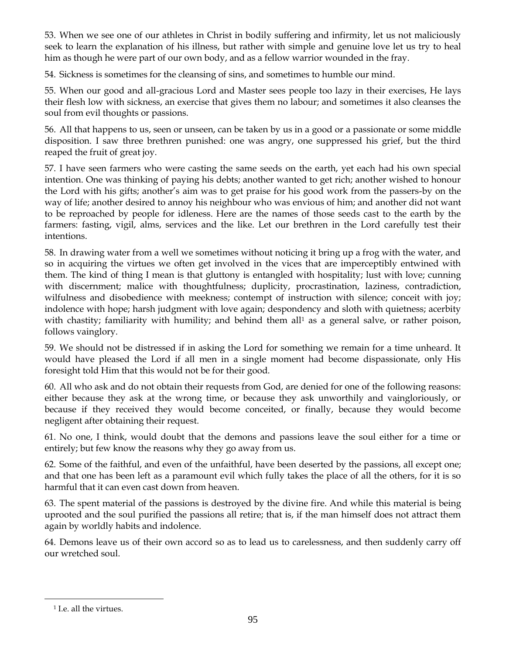53. When we see one of our athletes in Christ in bodily suffering and infirmity, let us not maliciously seek to learn the explanation of his illness, but rather with simple and genuine love let us try to heal him as though he were part of our own body, and as a fellow warrior wounded in the fray.

54. Sickness is sometimes for the cleansing of sins, and sometimes to humble our mind.

55. When our good and all-gracious Lord and Master sees people too lazy in their exercises, He lays their flesh low with sickness, an exercise that gives them no labour; and sometimes it also cleanses the soul from evil thoughts or passions.

56. All that happens to us, seen or unseen, can be taken by us in a good or a passionate or some middle disposition. I saw three brethren punished: one was angry, one suppressed his grief, but the third reaped the fruit of great joy.

57. I have seen farmers who were casting the same seeds on the earth, yet each had his own special intention. One was thinking of paying his debts; another wanted to get rich; another wished to honour the Lord with his gifts; another's aim was to get praise for his good work from the passers-by on the way of life; another desired to annoy his neighbour who was envious of him; and another did not want to be reproached by people for idleness. Here are the names of those seeds cast to the earth by the farmers: fasting, vigil, alms, services and the like. Let our brethren in the Lord carefully test their intentions.

58. In drawing water from a well we sometimes without noticing it bring up a frog with the water, and so in acquiring the virtues we often get involved in the vices that are imperceptibly entwined with them. The kind of thing I mean is that gluttony is entangled with hospitality; lust with love; cunning with discernment; malice with thoughtfulness; duplicity, procrastination, laziness, contradiction, wilfulness and disobedience with meekness; contempt of instruction with silence; conceit with joy; indolence with hope; harsh judgment with love again; despondency and sloth with quietness; acerbity with chastity; familiarity with humility; and behind them all<sup>1</sup> as a general salve, or rather poison, follows vainglory.

59. We should not be distressed if in asking the Lord for something we remain for a time unheard. It would have pleased the Lord if all men in a single moment had become dispassionate, only His foresight told Him that this would not be for their good.

60. All who ask and do not obtain their requests from God, are denied for one of the following reasons: either because they ask at the wrong time, or because they ask unworthily and vaingloriously, or because if they received they would become conceited, or finally, because they would become negligent after obtaining their request.

61. No one, I think, would doubt that the demons and passions leave the soul either for a time or entirely; but few know the reasons why they go away from us.

62. Some of the faithful, and even of the unfaithful, have been deserted by the passions, all except one; and that one has been left as a paramount evil which fully takes the place of all the others, for it is so harmful that it can even cast down from heaven.

63. The spent material of the passions is destroyed by the divine fire. And while this material is being uprooted and the soul purified the passions all retire; that is, if the man himself does not attract them again by worldly habits and indolence.

64. Demons leave us of their own accord so as to lead us to carelessness, and then suddenly carry off our wretched soul.

<sup>1</sup> I.e. all the virtues.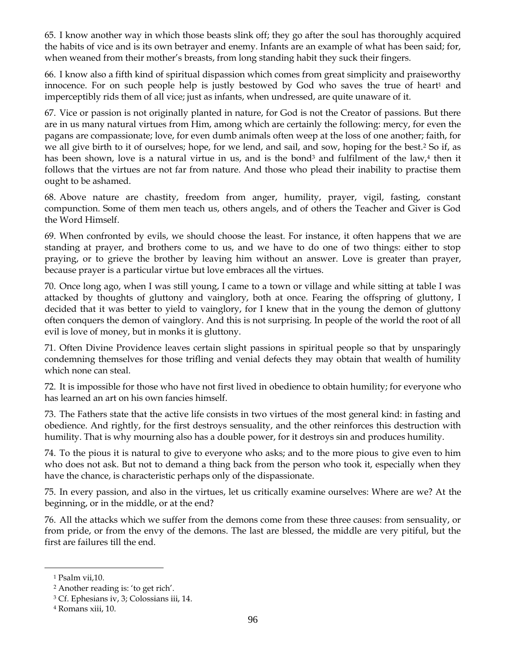65. I know another way in which those beasts slink off; they go after the soul has thoroughly acquired the habits of vice and is its own betrayer and enemy. Infants are an example of what has been said; for, when weaned from their mother's breasts, from long standing habit they suck their fingers.

66. I know also a fifth kind of spiritual dispassion which comes from great simplicity and praiseworthy innocence. For on such people help is justly bestowed by God who saves the true of heart<sup>1</sup> and imperceptibly rids them of all vice; just as infants, when undressed, are quite unaware of it.

67. Vice or passion is not originally planted in nature, for God is not the Creator of passions. But there are in us many natural virtues from Him, among which are certainly the following: mercy, for even the pagans are compassionate; love, for even dumb animals often weep at the loss of one another; faith, for we all give birth to it of ourselves; hope, for we lend, and sail, and sow, hoping for the best.<sup>2</sup> So if, as has been shown, love is a natural virtue in us, and is the bond<sup>3</sup> and fulfilment of the law,<sup>4</sup> then it follows that the virtues are not far from nature. And those who plead their inability to practise them ought to be ashamed.

68. Above nature are chastity, freedom from anger, humility, prayer, vigil, fasting, constant compunction. Some of them men teach us, others angels, and of others the Teacher and Giver is God the Word Himself.

69. When confronted by evils, we should choose the least. For instance, it often happens that we are standing at prayer, and brothers come to us, and we have to do one of two things: either to stop praying, or to grieve the brother by leaving him without an answer. Love is greater than prayer, because prayer is a particular virtue but love embraces all the virtues.

70. Once long ago, when I was still young, I came to a town or village and while sitting at table I was attacked by thoughts of gluttony and vainglory, both at once. Fearing the offspring of gluttony, I decided that it was better to yield to vainglory, for I knew that in the young the demon of gluttony often conquers the demon of vainglory. And this is not surprising. In people of the world the root of all evil is love of money, but in monks it is gluttony.

71. Often Divine Providence leaves certain slight passions in spiritual people so that by unsparingly condemning themselves for those trifling and venial defects they may obtain that wealth of humility which none can steal.

72. It is impossible for those who have not first lived in obedience to obtain humility; for everyone who has learned an art on his own fancies himself.

73. The Fathers state that the active life consists in two virtues of the most general kind: in fasting and obedience. And rightly, for the first destroys sensuality, and the other reinforces this destruction with humility. That is why mourning also has a double power, for it destroys sin and produces humility.

74. To the pious it is natural to give to everyone who asks; and to the more pious to give even to him who does not ask. But not to demand a thing back from the person who took it, especially when they have the chance, is characteristic perhaps only of the dispassionate.

75. In every passion, and also in the virtues, let us critically examine ourselves: Where are we? At the beginning, or in the middle, or at the end?

76. All the attacks which we suffer from the demons come from these three causes: from sensuality, or from pride, or from the envy of the demons. The last are blessed, the middle are very pitiful, but the first are failures till the end.

<sup>1</sup> Psalm vii,10.

<sup>2</sup> Another reading is: 'to get rich'.

<sup>3</sup> Cf. Ephesians iv, 3; Colossians iii, 14.

<sup>4</sup> Romans xiii, 10.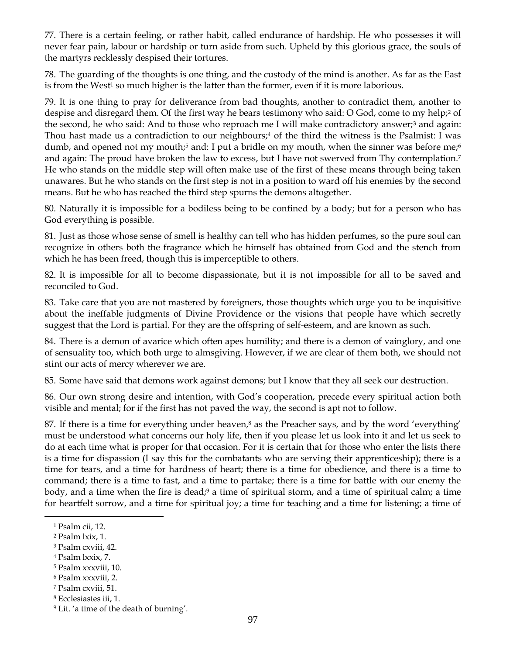77. There is a certain feeling, or rather habit, called endurance of hardship. He who possesses it will never fear pain, labour or hardship or turn aside from such. Upheld by this glorious grace, the souls of the martyrs recklessly despised their tortures.

78. The guarding of the thoughts is one thing, and the custody of the mind is another. As far as the East is from the West<sup>1</sup> so much higher is the latter than the former, even if it is more laborious.

79. It is one thing to pray for deliverance from bad thoughts, another to contradict them, another to despise and disregard them. Of the first way he bears testimony who said: O God, come to my help;<sup>2</sup> of the second, he who said: And to those who reproach me I will make contradictory answer; $3$  and again: Thou hast made us a contradiction to our neighbours;<sup>4</sup> of the third the witness is the Psalmist: I was dumb, and opened not my mouth;<sup>5</sup> and: I put a bridle on my mouth, when the sinner was before me;<sup>6</sup> and again: The proud have broken the law to excess, but I have not swerved from Thy contemplation.<sup>7</sup> He who stands on the middle step will often make use of the first of these means through being taken unawares. But he who stands on the first step is not in a position to ward off his enemies by the second means. But he who has reached the third step spurns the demons altogether.

80. Naturally it is impossible for a bodiless being to be confined by a body; but for a person who has God everything is possible.

81. Just as those whose sense of smell is healthy can tell who has hidden perfumes, so the pure soul can recognize in others both the fragrance which he himself has obtained from God and the stench from which he has been freed, though this is imperceptible to others.

82. It is impossible for all to become dispassionate, but it is not impossible for all to be saved and reconciled to God.

83. Take care that you are not mastered by foreigners, those thoughts which urge you to be inquisitive about the ineffable judgments of Divine Providence or the visions that people have which secretly suggest that the Lord is partial. For they are the offspring of self-esteem, and are known as such.

84. There is a demon of avarice which often apes humility; and there is a demon of vainglory, and one of sensuality too, which both urge to almsgiving. However, if we are clear of them both, we should not stint our acts of mercy wherever we are.

85. Some have said that demons work against demons; but I know that they all seek our destruction.

86. Our own strong desire and intention, with God's cooperation, precede every spiritual action both visible and mental; for if the first has not paved the way, the second is apt not to follow.

87. If there is a time for everything under heaven,<sup>8</sup> as the Preacher says, and by the word 'everything' must be understood what concerns our holy life, then if you please let us look into it and let us seek to do at each time what is proper for that occasion. For it is certain that for those who enter the lists there is a time for dispassion (I say this for the combatants who are serving their apprenticeship); there is a time for tears, and a time for hardness of heart; there is a time for obedience, and there is a time to command; there is a time to fast, and a time to partake; there is a time for battle with our enemy the body, and a time when the fire is dead;<sup>9</sup> a time of spiritual storm, and a time of spiritual calm; a time for heartfelt sorrow, and a time for spiritual joy; a time for teaching and a time for listening; a time of

- <sup>3</sup> Psalm cxviii, 42.
- <sup>4</sup> Psalm lxxix, 7.
- <sup>5</sup> Psalm xxxviii, 10.
- <sup>6</sup> Psalm xxxviii, 2.
- <sup>7</sup> Psalm cxviii, 51.

<sup>1</sup> Psalm cii, 12.

<sup>2</sup> Psalm lxix, 1.

<sup>8</sup> Ecclesiastes iii, 1.

<sup>9</sup> Lit. 'a time of the death of burning'.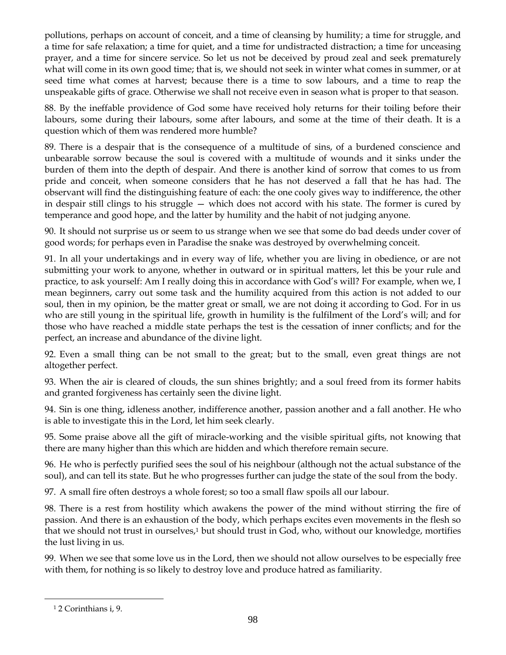pollutions, perhaps on account of conceit, and a time of cleansing by humility; a time for struggle, and a time for safe relaxation; a time for quiet, and a time for undistracted distraction; a time for unceasing prayer, and a time for sincere service. So let us not be deceived by proud zeal and seek prematurely what will come in its own good time; that is, we should not seek in winter what comes in summer, or at seed time what comes at harvest; because there is a time to sow labours, and a time to reap the unspeakable gifts of grace. Otherwise we shall not receive even in season what is proper to that season.

88. By the ineffable providence of God some have received holy returns for their toiling before their labours, some during their labours, some after labours, and some at the time of their death. It is a question which of them was rendered more humble?

89. There is a despair that is the consequence of a multitude of sins, of a burdened conscience and unbearable sorrow because the soul is covered with a multitude of wounds and it sinks under the burden of them into the depth of despair. And there is another kind of sorrow that comes to us from pride and conceit, when someone considers that he has not deserved a fall that he has had. The observant will find the distinguishing feature of each: the one cooly gives way to indifference, the other in despair still clings to his struggle — which does not accord with his state. The former is cured by temperance and good hope, and the latter by humility and the habit of not judging anyone.

90. It should not surprise us or seem to us strange when we see that some do bad deeds under cover of good words; for perhaps even in Paradise the snake was destroyed by overwhelming conceit.

91. In all your undertakings and in every way of life, whether you are living in obedience, or are not submitting your work to anyone, whether in outward or in spiritual matters, let this be your rule and practice, to ask yourself: Am I really doing this in accordance with God's will? For example, when we, I mean beginners, carry out some task and the humility acquired from this action is not added to our soul, then in my opinion, be the matter great or small, we are not doing it according to God. For in us who are still young in the spiritual life, growth in humility is the fulfilment of the Lord's will; and for those who have reached a middle state perhaps the test is the cessation of inner conflicts; and for the perfect, an increase and abundance of the divine light.

92. Even a small thing can be not small to the great; but to the small, even great things are not altogether perfect.

93. When the air is cleared of clouds, the sun shines brightly; and a soul freed from its former habits and granted forgiveness has certainly seen the divine light.

94. Sin is one thing, idleness another, indifference another, passion another and a fall another. He who is able to investigate this in the Lord, let him seek clearly.

95. Some praise above all the gift of miracle-working and the visible spiritual gifts, not knowing that there are many higher than this which are hidden and which therefore remain secure.

96. He who is perfectly purified sees the soul of his neighbour (although not the actual substance of the soul), and can tell its state. But he who progresses further can judge the state of the soul from the body.

97. A small fire often destroys a whole forest; so too a small flaw spoils all our labour.

98. There is a rest from hostility which awakens the power of the mind without stirring the fire of passion. And there is an exhaustion of the body, which perhaps excites even movements in the flesh so that we should not trust in ourselves,<sup>1</sup> but should trust in God, who, without our knowledge, mortifies the lust living in us.

99. When we see that some love us in the Lord, then we should not allow ourselves to be especially free with them, for nothing is so likely to destroy love and produce hatred as familiarity.

<sup>1</sup> 2 Corinthians i, 9.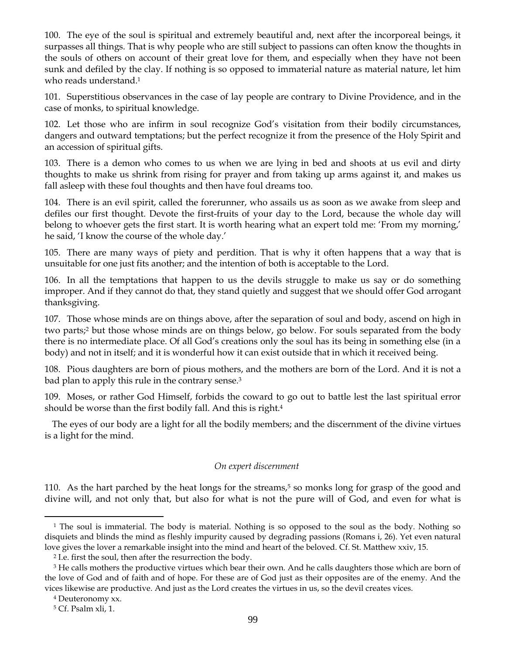100. The eye of the soul is spiritual and extremely beautiful and, next after the incorporeal beings, it surpasses all things. That is why people who are still subject to passions can often know the thoughts in the souls of others on account of their great love for them, and especially when they have not been sunk and defiled by the clay. If nothing is so opposed to immaterial nature as material nature, let him who reads understand.<sup>1</sup>

101. Superstitious observances in the case of lay people are contrary to Divine Providence, and in the case of monks, to spiritual knowledge.

102. Let those who are infirm in soul recognize God's visitation from their bodily circumstances, dangers and outward temptations; but the perfect recognize it from the presence of the Holy Spirit and an accession of spiritual gifts.

103. There is a demon who comes to us when we are lying in bed and shoots at us evil and dirty thoughts to make us shrink from rising for prayer and from taking up arms against it, and makes us fall asleep with these foul thoughts and then have foul dreams too.

104. There is an evil spirit, called the forerunner, who assails us as soon as we awake from sleep and defiles our first thought. Devote the first-fruits of your day to the Lord, because the whole day will belong to whoever gets the first start. It is worth hearing what an expert told me: 'From my morning,' he said, 'I know the course of the whole day.'

105. There are many ways of piety and perdition. That is why it often happens that a way that is unsuitable for one just fits another; and the intention of both is acceptable to the Lord.

106. In all the temptations that happen to us the devils struggle to make us say or do something improper. And if they cannot do that, they stand quietly and suggest that we should offer God arrogant thanksgiving.

107. Those whose minds are on things above, after the separation of soul and body, ascend on high in two parts;<sup>2</sup> but those whose minds are on things below, go below. For souls separated from the body there is no intermediate place. Of all God's creations only the soul has its being in something else (in a body) and not in itself; and it is wonderful how it can exist outside that in which it received being.

108. Pious daughters are born of pious mothers, and the mothers are born of the Lord. And it is not a bad plan to apply this rule in the contrary sense.<sup>3</sup>

109. Moses, or rather God Himself, forbids the coward to go out to battle lest the last spiritual error should be worse than the first bodily fall. And this is right.<sup>4</sup>

The eyes of our body are a light for all the bodily members; and the discernment of the divine virtues is a light for the mind.

## *On expert discernment*

110. As the hart parched by the heat longs for the streams,<sup>5</sup> so monks long for grasp of the good and divine will, and not only that, but also for what is not the pure will of God, and even for what is

<sup>&</sup>lt;sup>1</sup> The soul is immaterial. The body is material. Nothing is so opposed to the soul as the body. Nothing so disquiets and blinds the mind as fleshly impurity caused by degrading passions (Romans i, 26). Yet even natural love gives the lover a remarkable insight into the mind and heart of the beloved. Cf. St. Matthew xxiv, 15.

<sup>2</sup> I.e. first the soul, then after the resurrection the body.

<sup>&</sup>lt;sup>3</sup> He calls mothers the productive virtues which bear their own. And he calls daughters those which are born of the love of God and of faith and of hope. For these are of God just as their opposites are of the enemy. And the vices likewise are productive. And just as the Lord creates the virtues in us, so the devil creates vices.

<sup>4</sup> Deuteronomy xx.

<sup>5</sup> Cf. Psalm xli, 1.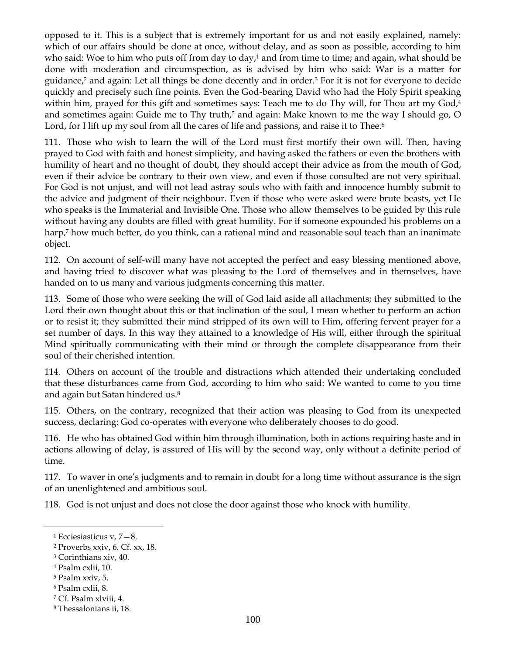opposed to it. This is a subject that is extremely important for us and not easily explained, namely: which of our affairs should be done at once, without delay, and as soon as possible, according to him who said: Woe to him who puts off from day to day,<sup>1</sup> and from time to time; and again, what should be done with moderation and circumspection, as is advised by him who said: War is a matter for guidance,<sup>2</sup> and again: Let all things be done decently and in order.<sup>3</sup> For it is not for everyone to decide quickly and precisely such fine points. Even the God-bearing David who had the Holy Spirit speaking within him, prayed for this gift and sometimes says: Teach me to do Thy will, for Thou art my God,<sup>4</sup> and sometimes again: Guide me to Thy truth, $5$  and again: Make known to me the way I should go, O Lord, for I lift up my soul from all the cares of life and passions, and raise it to Thee.<sup>6</sup>

111. Those who wish to learn the will of the Lord must first mortify their own will. Then, having prayed to God with faith and honest simplicity, and having asked the fathers or even the brothers with humility of heart and no thought of doubt, they should accept their advice as from the mouth of God, even if their advice be contrary to their own view, and even if those consulted are not very spiritual. For God is not unjust, and will not lead astray souls who with faith and innocence humbly submit to the advice and judgment of their neighbour. Even if those who were asked were brute beasts, yet He who speaks is the Immaterial and Invisible One. Those who allow themselves to be guided by this rule without having any doubts are filled with great humility. For if someone expounded his problems on a harp,<sup>7</sup> how much better, do you think, can a rational mind and reasonable soul teach than an inanimate object.

112. On account of self-will many have not accepted the perfect and easy blessing mentioned above, and having tried to discover what was pleasing to the Lord of themselves and in themselves, have handed on to us many and various judgments concerning this matter.

113. Some of those who were seeking the will of God laid aside all attachments; they submitted to the Lord their own thought about this or that inclination of the soul, I mean whether to perform an action or to resist it; they submitted their mind stripped of its own will to Him, offering fervent prayer for a set number of days. In this way they attained to a knowledge of His will, either through the spiritual Mind spiritually communicating with their mind or through the complete disappearance from their soul of their cherished intention.

114. Others on account of the trouble and distractions which attended their undertaking concluded that these disturbances came from God, according to him who said: We wanted to come to you time and again but Satan hindered us.<sup>8</sup>

115. Others, on the contrary, recognized that their action was pleasing to God from its unexpected success, declaring: God co-operates with everyone who deliberately chooses to do good.

116. He who has obtained God within him through illumination, both in actions requiring haste and in actions allowing of delay, is assured of His will by the second way, only without a definite period of time.

117. To waver in one's judgments and to remain in doubt for a long time without assurance is the sign of an unenlightened and ambitious soul.

118. God is not unjust and does not close the door against those who knock with humility.

<sup>1</sup> Ecciesiasticus v, 7—8.

<sup>2</sup> Proverbs xxiv, 6. Cf. xx, 18.

<sup>3</sup> Corinthians xiv, 40.

<sup>4</sup> Psalm cxlii, 10.

<sup>5</sup> Psalm xxiv, 5.

<sup>6</sup> Psalm cxlii, 8.

<sup>7</sup> Cf. Psalm xlviii, 4.

<sup>8</sup> Thessalonians ii, 18.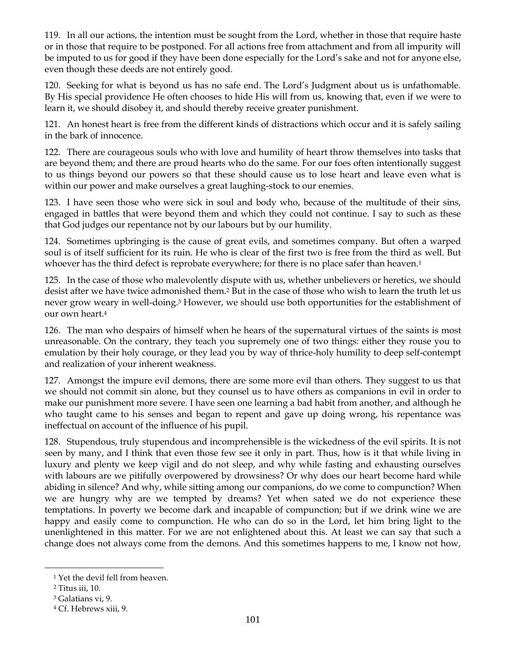119. In all our actions, the intention must be sought from the Lord, whether in those that require haste or in those that require to be postponed. For all actions free from attachment and from all impurity will be imputed to us for good if they have been done especially for the Lord's sake and not for anyone else, even though these deeds are not entirely good.

120. Seeking for what is beyond us has no safe end. The Lord's Judgment about us is unfathomable. By His special providence He often chooses to hide His will from us, knowing that, even if we were to learn it, we should disobey it, and should thereby receive greater punishment.

121. An honest heart is free from the different kinds of distractions which occur and it is safely sailing in the bark of innocence.

122. There are courageous souls who with love and humility of heart throw themselves into tasks that are beyond them; and there are proud hearts who do the same. For our foes often intentionally suggest to us things beyond our powers so that these should cause us to lose heart and leave even what is within our power and make ourselves a great laughing-stock to our enemies.

123. I have seen those who were sick in soul and body who, because of the multitude of their sins, engaged in battles that were beyond them and which they could not continue. I say to such as these that God judges our repentance not by our labours but by our humility.

124. Sometimes upbringing is the cause of great evils, and sometimes company. But often a warped soul is of itself sufficient for its ruin. He who is clear of the first two is free from the third as well. But whoever has the third defect is reprobate everywhere; for there is no place safer than heaven.<sup>1</sup>

125. In the case of those who malevolently dispute with us, whether unbelievers or heretics, we should desist after we have twice admonished them.<sup>2</sup> But in the case of those who wish to learn the truth let us never grow weary in well-doing.<sup>3</sup> However, we should use both opportunities for the establishment of our own heart.<sup>4</sup>

126. The man who despairs of himself when he hears of the supernatural virtues of the saints is most unreasonable. On the contrary, they teach you supremely one of two things: either they rouse you to emulation by their holy courage, or they lead you by way of thrice-holy humility to deep self-contempt and realization of your inherent weakness.

127. Amongst the impure evil demons, there are some more evil than others. They suggest to us that we should not commit sin alone, but they counsel us to have others as companions in evil in order to make our punishment more severe. I have seen one learning a bad habit from another, and although he who taught came to his senses and began to repent and gave up doing wrong, his repentance was ineffectual on account of the influence of his pupil.

128. Stupendous, truly stupendous and incomprehensible is the wickedness of the evil spirits. It is not seen by many, and I think that even those few see it only in part. Thus, how is it that while living in luxury and plenty we keep vigil and do not sleep, and why while fasting and exhausting ourselves with labours are we pitifully overpowered by drowsiness? Or why does our heart become hard while abiding in silence? And why, while sitting among our companions, do we come to compunction? When we are hungry why are we tempted by dreams? Yet when sated we do not experience these temptations. In poverty we become dark and incapable of compunction; but if we drink wine we are happy and easily come to compunction. He who can do so in the Lord, let him bring light to the unenlightened in this matter. For we are not enlightened about this. At least we can say that such a change does not always come from the demons. And this sometimes happens to me, I know not how,

<sup>&</sup>lt;sup>1</sup> Yet the devil fell from heaven.

<sup>2</sup> Titus iii, 10.

<sup>3</sup> Galatians vi, 9.

<sup>4</sup> Cf. Hebrews xiii, 9.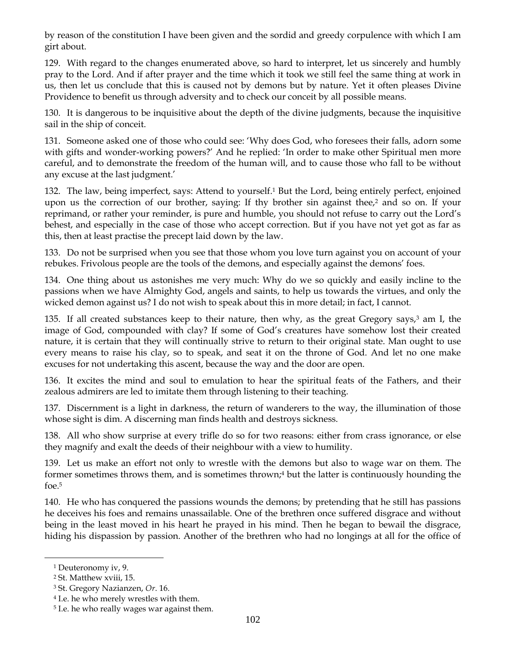by reason of the constitution I have been given and the sordid and greedy corpulence with which I am girt about.

129. With regard to the changes enumerated above, so hard to interpret, let us sincerely and humbly pray to the Lord. And if after prayer and the time which it took we still feel the same thing at work in us, then let us conclude that this is caused not by demons but by nature. Yet it often pleases Divine Providence to benefit us through adversity and to check our conceit by all possible means.

130. It is dangerous to be inquisitive about the depth of the divine judgments, because the inquisitive sail in the ship of conceit.

131. Someone asked one of those who could see: 'Why does God, who foresees their falls, adorn some with gifts and wonder-working powers?' And he replied: 'In order to make other Spiritual men more careful, and to demonstrate the freedom of the human will, and to cause those who fall to be without any excuse at the last judgment.'

132. The law, being imperfect, says: Attend to yourself.<sup>1</sup> But the Lord, being entirely perfect, enjoined upon us the correction of our brother, saying: If thy brother sin against thee,<sup>2</sup> and so on. If your reprimand, or rather your reminder, is pure and humble, you should not refuse to carry out the Lord's behest, and especially in the case of those who accept correction. But if you have not yet got as far as this, then at least practise the precept laid down by the law.

133. Do not be surprised when you see that those whom you love turn against you on account of your rebukes. Frivolous people are the tools of the demons, and especially against the demons' foes.

134. One thing about us astonishes me very much: Why do we so quickly and easily incline to the passions when we have Almighty God, angels and saints, to help us towards the virtues, and only the wicked demon against us? I do not wish to speak about this in more detail; in fact, I cannot.

135. If all created substances keep to their nature, then why, as the great Gregory says, $3$  am I, the image of God, compounded with clay? If some of God's creatures have somehow lost their created nature, it is certain that they will continually strive to return to their original state. Man ought to use every means to raise his clay, so to speak, and seat it on the throne of God. And let no one make excuses for not undertaking this ascent, because the way and the door are open.

136. It excites the mind and soul to emulation to hear the spiritual feats of the Fathers, and their zealous admirers are led to imitate them through listening to their teaching.

137. Discernment is a light in darkness, the return of wanderers to the way, the illumination of those whose sight is dim. A discerning man finds health and destroys sickness.

138. All who show surprise at every trifle do so for two reasons: either from crass ignorance, or else they magnify and exalt the deeds of their neighbour with a view to humility.

139. Let us make an effort not only to wrestle with the demons but also to wage war on them. The former sometimes throws them, and is sometimes thrown;<sup>4</sup> but the latter is continuously hounding the foe.<sup>5</sup>

140. He who has conquered the passions wounds the demons; by pretending that he still has passions he deceives his foes and remains unassailable. One of the brethren once suffered disgrace and without being in the least moved in his heart he prayed in his mind. Then he began to bewail the disgrace, hiding his dispassion by passion. Another of the brethren who had no longings at all for the office of

 $\overline{a}$ 

<sup>3</sup> St. Gregory Nazianzen, *Or*. 16.

<sup>1</sup> Deuteronomy iv, 9.

<sup>2</sup> St. Matthew xviii, 15.

<sup>4</sup> I.e. he who merely wrestles with them.

<sup>5</sup> I.e. he who really wages war against them.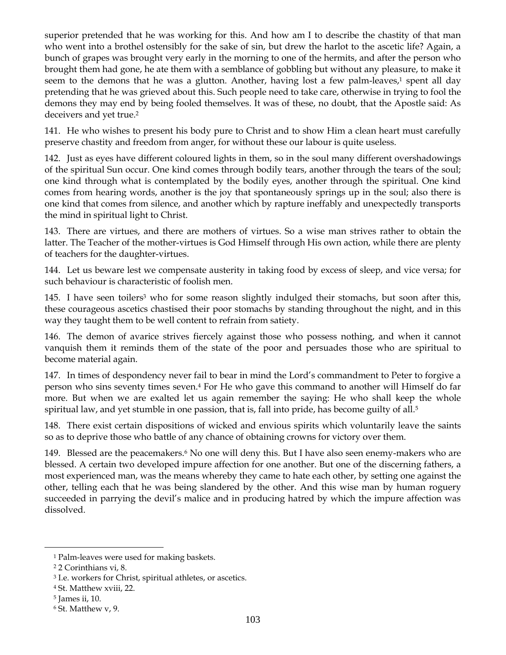superior pretended that he was working for this. And how am I to describe the chastity of that man who went into a brothel ostensibly for the sake of sin, but drew the harlot to the ascetic life? Again, a bunch of grapes was brought very early in the morning to one of the hermits, and after the person who brought them had gone, he ate them with a semblance of gobbling but without any pleasure, to make it seem to the demons that he was a glutton. Another, having lost a few palm-leaves, $\frac{1}{2}$  spent all day pretending that he was grieved about this. Such people need to take care, otherwise in trying to fool the demons they may end by being fooled themselves. It was of these, no doubt, that the Apostle said: As deceivers and yet true.<sup>2</sup>

141. He who wishes to present his body pure to Christ and to show Him a clean heart must carefully preserve chastity and freedom from anger, for without these our labour is quite useless.

142. Just as eyes have different coloured lights in them, so in the soul many different overshadowings of the spiritual Sun occur. One kind comes through bodily tears, another through the tears of the soul; one kind through what is contemplated by the bodily eyes, another through the spiritual. One kind comes from hearing words, another is the joy that spontaneously springs up in the soul; also there is one kind that comes from silence, and another which by rapture ineffably and unexpectedly transports the mind in spiritual light to Christ.

143. There are virtues, and there are mothers of virtues. So a wise man strives rather to obtain the latter. The Teacher of the mother-virtues is God Himself through His own action, while there are plenty of teachers for the daughter-virtues.

144. Let us beware lest we compensate austerity in taking food by excess of sleep, and vice versa; for such behaviour is characteristic of foolish men.

145. I have seen toilers<sup>3</sup> who for some reason slightly indulged their stomachs, but soon after this, these courageous ascetics chastised their poor stomachs by standing throughout the night, and in this way they taught them to be well content to refrain from satiety.

146. The demon of avarice strives fiercely against those who possess nothing, and when it cannot vanquish them it reminds them of the state of the poor and persuades those who are spiritual to become material again.

147. In times of despondency never fail to bear in mind the Lord's commandment to Peter to forgive a person who sins seventy times seven.<sup>4</sup> For He who gave this command to another will Himself do far more. But when we are exalted let us again remember the saying: He who shall keep the whole spiritual law, and yet stumble in one passion, that is, fall into pride, has become guilty of all.<sup>5</sup>

148. There exist certain dispositions of wicked and envious spirits which voluntarily leave the saints so as to deprive those who battle of any chance of obtaining crowns for victory over them.

149. Blessed are the peacemakers.<sup>6</sup> No one will deny this. But I have also seen enemy-makers who are blessed. A certain two developed impure affection for one another. But one of the discerning fathers, a most experienced man, was the means whereby they came to hate each other, by setting one against the other, telling each that he was being slandered by the other. And this wise man by human roguery succeeded in parrying the devil's malice and in producing hatred by which the impure affection was dissolved.

<sup>&</sup>lt;sup>1</sup> Palm-leaves were used for making baskets.

<sup>2</sup> 2 Corinthians vi, 8.

<sup>3</sup> I.e. workers for Christ, spiritual athletes, or ascetics.

<sup>4</sup> St. Matthew xviii, 22.

<sup>5</sup> James ii, 10.

<sup>6</sup> St. Matthew v, 9.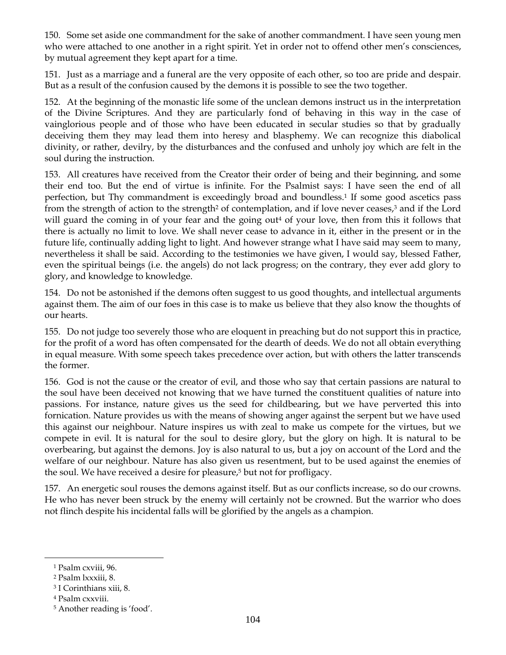150. Some set aside one commandment for the sake of another commandment. I have seen young men who were attached to one another in a right spirit. Yet in order not to offend other men's consciences, by mutual agreement they kept apart for a time.

151. Just as a marriage and a funeral are the very opposite of each other, so too are pride and despair. But as a result of the confusion caused by the demons it is possible to see the two together.

152. At the beginning of the monastic life some of the unclean demons instruct us in the interpretation of the Divine Scriptures. And they are particularly fond of behaving in this way in the case of vainglorious people and of those who have been educated in secular studies so that by gradually deceiving them they may lead them into heresy and blasphemy. We can recognize this diabolical divinity, or rather, devilry, by the disturbances and the confused and unholy joy which are felt in the soul during the instruction.

153. All creatures have received from the Creator their order of being and their beginning, and some their end too. But the end of virtue is infinite. For the Psalmist says: I have seen the end of all perfection, but Thy commandment is exceedingly broad and boundless.<sup>1</sup> If some good ascetics pass from the strength of action to the strength<sup>2</sup> of contemplation, and if love never ceases,<sup>3</sup> and if the Lord will guard the coming in of your fear and the going out<sup>4</sup> of your love, then from this it follows that there is actually no limit to love. We shall never cease to advance in it, either in the present or in the future life, continually adding light to light. And however strange what I have said may seem to many, nevertheless it shall be said. According to the testimonies we have given, I would say, blessed Father, even the spiritual beings (i.e. the angels) do not lack progress; on the contrary, they ever add glory to glory, and knowledge to knowledge.

154. Do not be astonished if the demons often suggest to us good thoughts, and intellectual arguments against them. The aim of our foes in this case is to make us believe that they also know the thoughts of our hearts.

155. Do not judge too severely those who are eloquent in preaching but do not support this in practice, for the profit of a word has often compensated for the dearth of deeds. We do not all obtain everything in equal measure. With some speech takes precedence over action, but with others the latter transcends the former.

156. God is not the cause or the creator of evil, and those who say that certain passions are natural to the soul have been deceived not knowing that we have turned the constituent qualities of nature into passions. For instance, nature gives us the seed for childbearing, but we have perverted this into fornication. Nature provides us with the means of showing anger against the serpent but we have used this against our neighbour. Nature inspires us with zeal to make us compete for the virtues, but we compete in evil. It is natural for the soul to desire glory, but the glory on high. It is natural to be overbearing, but against the demons. Joy is also natural to us, but a joy on account of the Lord and the welfare of our neighbour. Nature has also given us resentment, but to be used against the enemies of the soul. We have received a desire for pleasure,<sup>5</sup> but not for profligacy.

157. An energetic soul rouses the demons against itself. But as our conflicts increase, so do our crowns. He who has never been struck by the enemy will certainly not be crowned. But the warrior who does not flinch despite his incidental falls will be glorified by the angels as a champion.

<sup>1</sup> Psalm cxviii, 96.

<sup>2</sup> Psalm lxxxiii, 8.

<sup>3</sup> I Corinthians xiii, 8.

<sup>4</sup> Psalm cxxviii.

<sup>5</sup> Another reading is 'food'.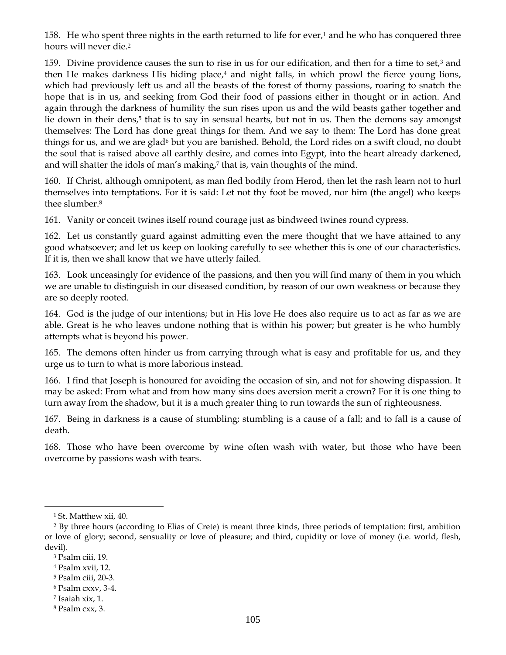158. He who spent three nights in the earth returned to life for ever, $1$  and he who has conquered three hours will never die.<sup>2</sup>

159. Divine providence causes the sun to rise in us for our edification, and then for a time to set, $3$  and then He makes darkness His hiding place,<sup>4</sup> and night falls, in which prowl the fierce young lions, which had previously left us and all the beasts of the forest of thorny passions, roaring to snatch the hope that is in us, and seeking from God their food of passions either in thought or in action. And again through the darkness of humility the sun rises upon us and the wild beasts gather together and lie down in their dens,<sup>5</sup> that is to say in sensual hearts, but not in us. Then the demons say amongst themselves: The Lord has done great things for them. And we say to them: The Lord has done great things for us, and we are glad<sup>6</sup> but you are banished. Behold, the Lord rides on a swift cloud, no doubt the soul that is raised above all earthly desire, and comes into Egypt, into the heart already darkened, and will shatter the idols of man's making,<sup>7</sup> that is, vain thoughts of the mind.

160. If Christ, although omnipotent, as man fled bodily from Herod, then let the rash learn not to hurl themselves into temptations. For it is said: Let not thy foot be moved, nor him (the angel) who keeps thee slumber.<sup>8</sup>

161. Vanity or conceit twines itself round courage just as bindweed twines round cypress.

162. Let us constantly guard against admitting even the mere thought that we have attained to any good whatsoever; and let us keep on looking carefully to see whether this is one of our characteristics. If it is, then we shall know that we have utterly failed.

163. Look unceasingly for evidence of the passions, and then you will find many of them in you which we are unable to distinguish in our diseased condition, by reason of our own weakness or because they are so deeply rooted.

164. God is the judge of our intentions; but in His love He does also require us to act as far as we are able. Great is he who leaves undone nothing that is within his power; but greater is he who humbly attempts what is beyond his power.

165. The demons often hinder us from carrying through what is easy and profitable for us, and they urge us to turn to what is more laborious instead.

166. I find that Joseph is honoured for avoiding the occasion of sin, and not for showing dispassion. It may be asked: From what and from how many sins does aversion merit a crown? For it is one thing to turn away from the shadow, but it is a much greater thing to run towards the sun of righteousness.

167. Being in darkness is a cause of stumbling; stumbling is a cause of a fall; and to fall is a cause of death.

168. Those who have been overcome by wine often wash with water, but those who have been overcome by passions wash with tears.

 $\overline{a}$ 

<sup>6</sup> Psalm cxxv, 3-4.

<sup>1</sup> St. Matthew xii, 40.

<sup>2</sup> By three hours (according to Elias of Crete) is meant three kinds, three periods of temptation: first, ambition or love of glory; second, sensuality or love of pleasure; and third, cupidity or love of money (i.e. world, flesh, devil).

<sup>3</sup> Psalm ciii, 19.

<sup>4</sup> Psalm xvii, 12.

<sup>5</sup> Psalm ciii, 20-3.

<sup>7</sup> Isaiah xix, 1.

<sup>8</sup> Psalm cxx, 3.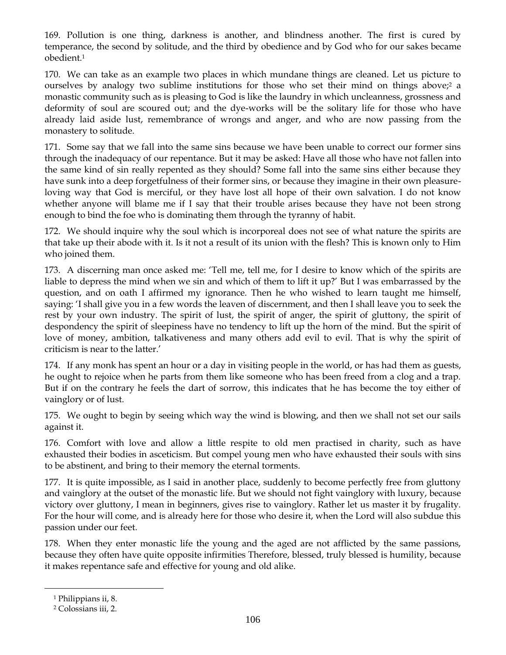169. Pollution is one thing, darkness is another, and blindness another. The first is cured by temperance, the second by solitude, and the third by obedience and by God who for our sakes became obedient.<sup>1</sup>

170. We can take as an example two places in which mundane things are cleaned. Let us picture to ourselves by analogy two sublime institutions for those who set their mind on things above;<sup>2</sup> a monastic community such as is pleasing to God is like the laundry in which uncleanness, grossness and deformity of soul are scoured out; and the dye-works will be the solitary life for those who have already laid aside lust, remembrance of wrongs and anger, and who are now passing from the monastery to solitude.

171. Some say that we fall into the same sins because we have been unable to correct our former sins through the inadequacy of our repentance. But it may be asked: Have all those who have not fallen into the same kind of sin really repented as they should? Some fall into the same sins either because they have sunk into a deep forgetfulness of their former sins, or because they imagine in their own pleasureloving way that God is merciful, or they have lost all hope of their own salvation. I do not know whether anyone will blame me if I say that their trouble arises because they have not been strong enough to bind the foe who is dominating them through the tyranny of habit.

172. We should inquire why the soul which is incorporeal does not see of what nature the spirits are that take up their abode with it. Is it not a result of its union with the flesh? This is known only to Him who joined them.

173. A discerning man once asked me: 'Tell me, tell me, for I desire to know which of the spirits are liable to depress the mind when we sin and which of them to lift it up?' But I was embarrassed by the question, and on oath I affirmed my ignorance. Then he who wished to learn taught me himself, saying: 'I shall give you in a few words the leaven of discernment, and then I shall leave you to seek the rest by your own industry. The spirit of lust, the spirit of anger, the spirit of gluttony, the spirit of despondency the spirit of sleepiness have no tendency to lift up the horn of the mind. But the spirit of love of money, ambition, talkativeness and many others add evil to evil. That is why the spirit of criticism is near to the latter.'

174. If any monk has spent an hour or a day in visiting people in the world, or has had them as guests, he ought to rejoice when he parts from them like someone who has been freed from a clog and a trap. But if on the contrary he feels the dart of sorrow, this indicates that he has become the toy either of vainglory or of lust.

175. We ought to begin by seeing which way the wind is blowing, and then we shall not set our sails against it.

176. Comfort with love and allow a little respite to old men practised in charity, such as have exhausted their bodies in asceticism. But compel young men who have exhausted their souls with sins to be abstinent, and bring to their memory the eternal torments.

177. It is quite impossible, as I said in another place, suddenly to become perfectly free from gluttony and vainglory at the outset of the monastic life. But we should not fight vainglory with luxury, because victory over gluttony, I mean in beginners, gives rise to vainglory. Rather let us master it by frugality. For the hour will come, and is already here for those who desire it, when the Lord will also subdue this passion under our feet.

178. When they enter monastic life the young and the aged are not afflicted by the same passions, because they often have quite opposite infirmities Therefore, blessed, truly blessed is humility, because it makes repentance safe and effective for young and old alike.

<sup>1</sup> Philippians ii, 8.

<sup>2</sup> Colossians iii, 2.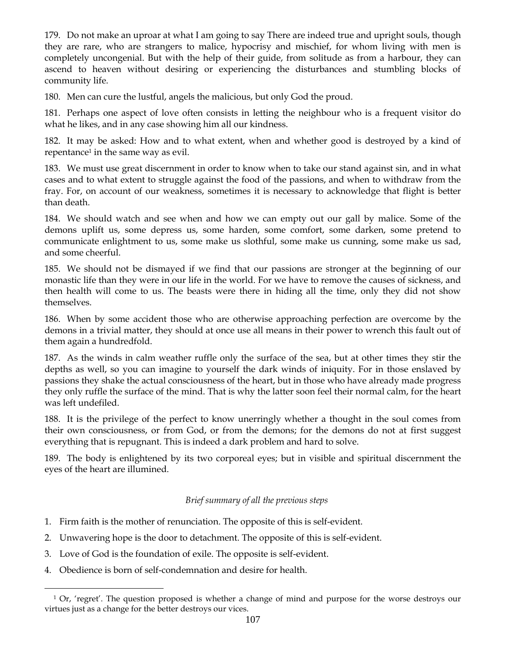179. Do not make an uproar at what I am going to say There are indeed true and upright souls, though they are rare, who are strangers to malice, hypocrisy and mischief, for whom living with men is completely uncongenial. But with the help of their guide, from solitude as from a harbour, they can ascend to heaven without desiring or experiencing the disturbances and stumbling blocks of community life.

180. Men can cure the lustful, angels the malicious, but only God the proud.

181. Perhaps one aspect of love often consists in letting the neighbour who is a frequent visitor do what he likes, and in any case showing him all our kindness.

182. It may be asked: How and to what extent, when and whether good is destroyed by a kind of repentance<sup>1</sup> in the same way as evil.

183. We must use great discernment in order to know when to take our stand against sin, and in what cases and to what extent to struggle against the food of the passions, and when to withdraw from the fray. For, on account of our weakness, sometimes it is necessary to acknowledge that flight is better than death.

184. We should watch and see when and how we can empty out our gall by malice. Some of the demons uplift us, some depress us, some harden, some comfort, some darken, some pretend to communicate enlightment to us, some make us slothful, some make us cunning, some make us sad, and some cheerful.

185. We should not be dismayed if we find that our passions are stronger at the beginning of our monastic life than they were in our life in the world. For we have to remove the causes of sickness, and then health will come to us. The beasts were there in hiding all the time, only they did not show themselves.

186. When by some accident those who are otherwise approaching perfection are overcome by the demons in a trivial matter, they should at once use all means in their power to wrench this fault out of them again a hundredfold.

187. As the winds in calm weather ruffle only the surface of the sea, but at other times they stir the depths as well, so you can imagine to yourself the dark winds of iniquity. For in those enslaved by passions they shake the actual consciousness of the heart, but in those who have already made progress they only ruffle the surface of the mind. That is why the latter soon feel their normal calm, for the heart was left undefiled.

188. It is the privilege of the perfect to know unerringly whether a thought in the soul comes from their own consciousness, or from God, or from the demons; for the demons do not at first suggest everything that is repugnant. This is indeed a dark problem and hard to solve.

189. The body is enlightened by its two corporeal eyes; but in visible and spiritual discernment the eyes of the heart are illumined.

## *Brief summary of all the previous steps*

- 1. Firm faith is the mother of renunciation. The opposite of this is self-evident.
- 2. Unwavering hope is the door to detachment. The opposite of this is self-evident.
- 3. Love of God is the foundation of exile. The opposite is self-evident.
- 4. Obedience is born of self-condemnation and desire for health.

 $1$  Or, 'regret'. The question proposed is whether a change of mind and purpose for the worse destroys our virtues just as a change for the better destroys our vices.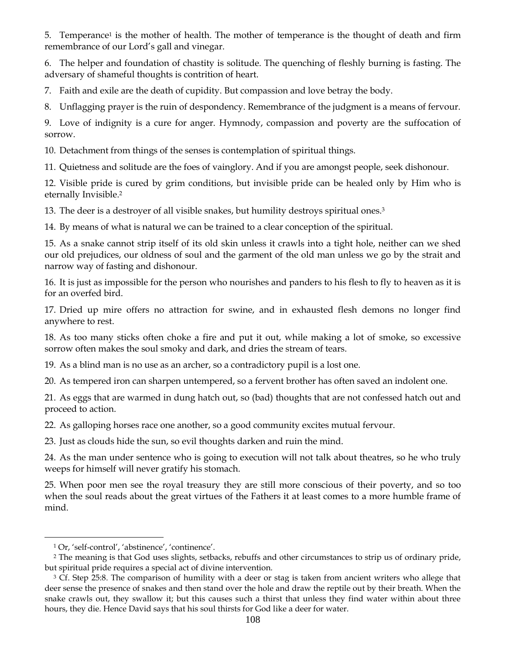5. Temperance<sup>1</sup> is the mother of health. The mother of temperance is the thought of death and firm remembrance of our Lord's gall and vinegar.

6. The helper and foundation of chastity is solitude. The quenching of fleshly burning is fasting. The adversary of shameful thoughts is contrition of heart.

7. Faith and exile are the death of cupidity. But compassion and love betray the body.

8. Unflagging prayer is the ruin of despondency. Remembrance of the judgment is a means of fervour.

9. Love of indignity is a cure for anger. Hymnody, compassion and poverty are the suffocation of sorrow.

10. Detachment from things of the senses is contemplation of spiritual things.

11. Quietness and solitude are the foes of vainglory. And if you are amongst people, seek dishonour.

12. Visible pride is cured by grim conditions, but invisible pride can be healed only by Him who is eternally Invisible.<sup>2</sup>

13. The deer is a destroyer of all visible snakes, but humility destroys spiritual ones.<sup>3</sup>

14. By means of what is natural we can be trained to a clear conception of the spiritual.

15. As a snake cannot strip itself of its old skin unless it crawls into a tight hole, neither can we shed our old prejudices, our oldness of soul and the garment of the old man unless we go by the strait and narrow way of fasting and dishonour.

16. It is just as impossible for the person who nourishes and panders to his flesh to fly to heaven as it is for an overfed bird.

17. Dried up mire offers no attraction for swine, and in exhausted flesh demons no longer find anywhere to rest.

18. As too many sticks often choke a fire and put it out, while making a lot of smoke, so excessive sorrow often makes the soul smoky and dark, and dries the stream of tears.

19. As a blind man is no use as an archer, so a contradictory pupil is a lost one.

20. As tempered iron can sharpen untempered, so a fervent brother has often saved an indolent one.

21. As eggs that are warmed in dung hatch out, so (bad) thoughts that are not confessed hatch out and proceed to action.

22. As galloping horses race one another, so a good community excites mutual fervour.

23. Just as clouds hide the sun, so evil thoughts darken and ruin the mind.

24. As the man under sentence who is going to execution will not talk about theatres, so he who truly weeps for himself will never gratify his stomach.

25. When poor men see the royal treasury they are still more conscious of their poverty, and so too when the soul reads about the great virtues of the Fathers it at least comes to a more humble frame of mind.

<sup>1</sup> Or, 'self-control', 'abstinence', 'continence'.

<sup>2</sup> The meaning is that God uses slights, setbacks, rebuffs and other circumstances to strip us of ordinary pride, but spiritual pride requires a special act of divine intervention.

<sup>&</sup>lt;sup>3</sup> Cf. Step 25:8. The comparison of humility with a deer or stag is taken from ancient writers who allege that deer sense the presence of snakes and then stand over the hole and draw the reptile out by their breath. When the snake crawls out, they swallow it; but this causes such a thirst that unless they find water within about three hours, they die. Hence David says that his soul thirsts for God like a deer for water.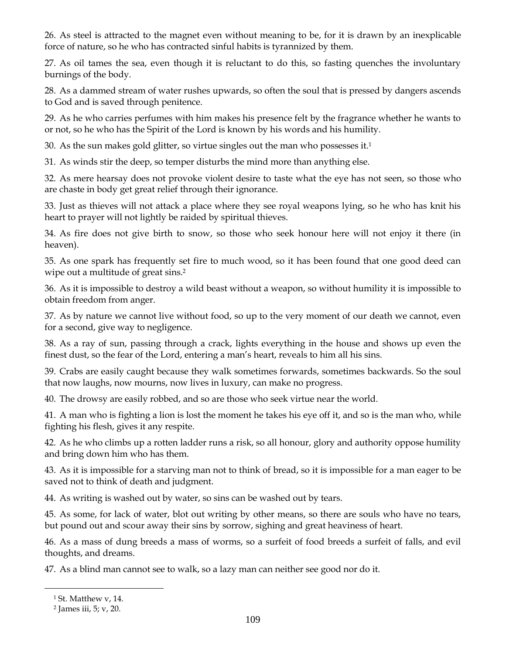26. As steel is attracted to the magnet even without meaning to be, for it is drawn by an inexplicable force of nature, so he who has contracted sinful habits is tyrannized by them.

27. As oil tames the sea, even though it is reluctant to do this, so fasting quenches the involuntary burnings of the body.

28. As a dammed stream of water rushes upwards, so often the soul that is pressed by dangers ascends to God and is saved through penitence.

29. As he who carries perfumes with him makes his presence felt by the fragrance whether he wants to or not, so he who has the Spirit of the Lord is known by his words and his humility.

30. As the sun makes gold glitter, so virtue singles out the man who possesses it.<sup>1</sup>

31. As winds stir the deep, so temper disturbs the mind more than anything else.

32. As mere hearsay does not provoke violent desire to taste what the eye has not seen, so those who are chaste in body get great relief through their ignorance.

33. Just as thieves will not attack a place where they see royal weapons lying, so he who has knit his heart to prayer will not lightly be raided by spiritual thieves.

34. As fire does not give birth to snow, so those who seek honour here will not enjoy it there (in heaven).

35. As one spark has frequently set fire to much wood, so it has been found that one good deed can wipe out a multitude of great sins. 2

36. As it is impossible to destroy a wild beast without a weapon, so without humility it is impossible to obtain freedom from anger.

37. As by nature we cannot live without food, so up to the very moment of our death we cannot, even for a second, give way to negligence.

38. As a ray of sun, passing through a crack, lights everything in the house and shows up even the finest dust, so the fear of the Lord, entering a man's heart, reveals to him all his sins.

39. Crabs are easily caught because they walk sometimes forwards, sometimes backwards. So the soul that now laughs, now mourns, now lives in luxury, can make no progress.

40. The drowsy are easily robbed, and so are those who seek virtue near the world.

41. A man who is fighting a lion is lost the moment he takes his eye off it, and so is the man who, while fighting his flesh, gives it any respite.

42. As he who climbs up a rotten ladder runs a risk, so all honour, glory and authority oppose humility and bring down him who has them.

43. As it is impossible for a starving man not to think of bread, so it is impossible for a man eager to be saved not to think of death and judgment.

44. As writing is washed out by water, so sins can be washed out by tears.

45. As some, for lack of water, blot out writing by other means, so there are souls who have no tears, but pound out and scour away their sins by sorrow, sighing and great heaviness of heart.

46. As a mass of dung breeds a mass of worms, so a surfeit of food breeds a surfeit of falls, and evil thoughts, and dreams.

47. As a blind man cannot see to walk, so a lazy man can neither see good nor do it.

<sup>1</sup> St. Matthew v, 14.

<sup>2</sup> James iii, 5; v, 20.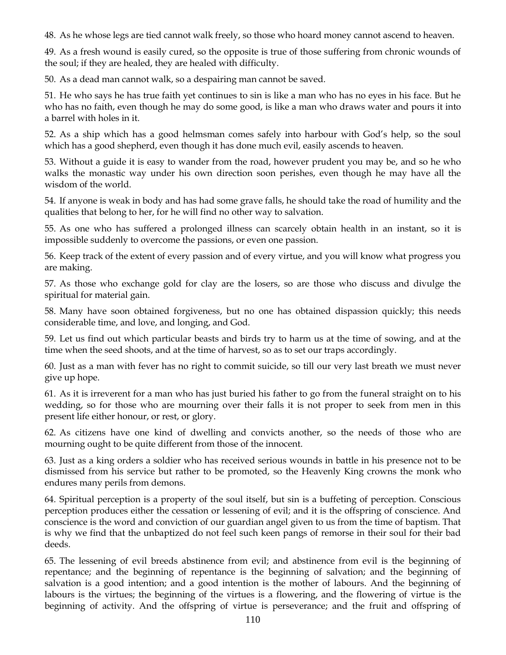48. As he whose legs are tied cannot walk freely, so those who hoard money cannot ascend to heaven.

49. As a fresh wound is easily cured, so the opposite is true of those suffering from chronic wounds of the soul; if they are healed, they are healed with difficulty.

50. As a dead man cannot walk, so a despairing man cannot be saved.

51. He who says he has true faith yet continues to sin is like a man who has no eyes in his face. But he who has no faith, even though he may do some good, is like a man who draws water and pours it into a barrel with holes in it.

52. As a ship which has a good helmsman comes safely into harbour with God's help, so the soul which has a good shepherd, even though it has done much evil, easily ascends to heaven.

53. Without a guide it is easy to wander from the road, however prudent you may be, and so he who walks the monastic way under his own direction soon perishes, even though he may have all the wisdom of the world.

54. If anyone is weak in body and has had some grave falls, he should take the road of humility and the qualities that belong to her, for he will find no other way to salvation.

55. As one who has suffered a prolonged illness can scarcely obtain health in an instant, so it is impossible suddenly to overcome the passions, or even one passion.

56. Keep track of the extent of every passion and of every virtue, and you will know what progress you are making.

57. As those who exchange gold for clay are the losers, so are those who discuss and divulge the spiritual for material gain.

58. Many have soon obtained forgiveness, but no one has obtained dispassion quickly; this needs considerable time, and love, and longing, and God.

59. Let us find out which particular beasts and birds try to harm us at the time of sowing, and at the time when the seed shoots, and at the time of harvest, so as to set our traps accordingly.

60. Just as a man with fever has no right to commit suicide, so till our very last breath we must never give up hope.

61. As it is irreverent for a man who has just buried his father to go from the funeral straight on to his wedding, so for those who are mourning over their falls it is not proper to seek from men in this present life either honour, or rest, or glory.

62. As citizens have one kind of dwelling and convicts another, so the needs of those who are mourning ought to be quite different from those of the innocent.

63. Just as a king orders a soldier who has received serious wounds in battle in his presence not to be dismissed from his service but rather to be promoted, so the Heavenly King crowns the monk who endures many perils from demons.

64. Spiritual perception is a property of the soul itself, but sin is a buffeting of perception. Conscious perception produces either the cessation or lessening of evil; and it is the offspring of conscience. And conscience is the word and conviction of our guardian angel given to us from the time of baptism. That is why we find that the unbaptized do not feel such keen pangs of remorse in their soul for their bad deeds.

65. The lessening of evil breeds abstinence from evil; and abstinence from evil is the beginning of repentance; and the beginning of repentance is the beginning of salvation; and the beginning of salvation is a good intention; and a good intention is the mother of labours. And the beginning of labours is the virtues; the beginning of the virtues is a flowering, and the flowering of virtue is the beginning of activity. And the offspring of virtue is perseverance; and the fruit and offspring of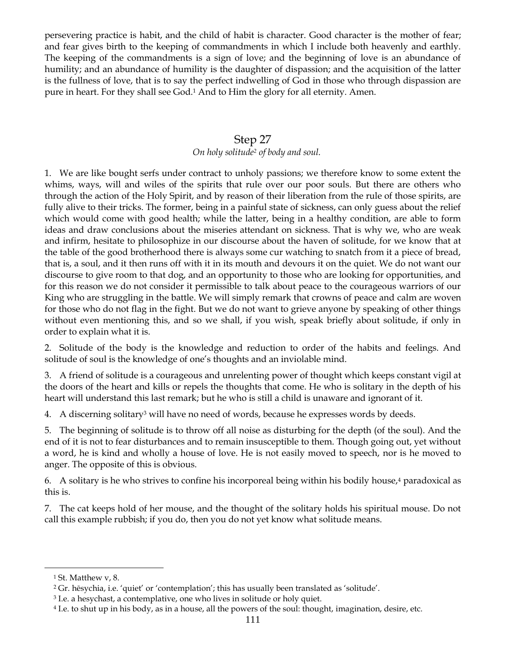persevering practice is habit, and the child of habit is character. Good character is the mother of fear; and fear gives birth to the keeping of commandments in which I include both heavenly and earthly. The keeping of the commandments is a sign of love; and the beginning of love is an abundance of humility; and an abundance of humility is the daughter of dispassion; and the acquisition of the latter is the fullness of love, that is to say the perfect indwelling of God in those who through dispassion are pure in heart. For they shall see God.<sup>1</sup> And to Him the glory for all eternity. Amen.

## Step 27

# *On holy solitude<sup>2</sup> of body and soul.*

1. We are like bought serfs under contract to unholy passions; we therefore know to some extent the whims, ways, will and wiles of the spirits that rule over our poor souls. But there are others who through the action of the Holy Spirit, and by reason of their liberation from the rule of those spirits, are fully alive to their tricks. The former, being in a painful state of sickness, can only guess about the relief which would come with good health; while the latter, being in a healthy condition, are able to form ideas and draw conclusions about the miseries attendant on sickness. That is why we, who are weak and infirm, hesitate to philosophize in our discourse about the haven of solitude, for we know that at the table of the good brotherhood there is always some cur watching to snatch from it a piece of bread, that is, a soul, and it then runs off with it in its mouth and devours it on the quiet. We do not want our discourse to give room to that dog, and an opportunity to those who are looking for opportunities, and for this reason we do not consider it permissible to talk about peace to the courageous warriors of our King who are struggling in the battle. We will simply remark that crowns of peace and calm are woven for those who do not flag in the fight. But we do not want to grieve anyone by speaking of other things without even mentioning this, and so we shall, if you wish, speak briefly about solitude, if only in order to explain what it is.

2. Solitude of the body is the knowledge and reduction to order of the habits and feelings. And solitude of soul is the knowledge of one's thoughts and an inviolable mind.

3. A friend of solitude is a courageous and unrelenting power of thought which keeps constant vigil at the doors of the heart and kills or repels the thoughts that come. He who is solitary in the depth of his heart will understand this last remark; but he who is still a child is unaware and ignorant of it.

4. A discerning solitary<sup>3</sup> will have no need of words, because he expresses words by deeds.

5. The beginning of solitude is to throw off all noise as disturbing for the depth (of the soul). And the end of it is not to fear disturbances and to remain insusceptible to them. Though going out, yet without a word, he is kind and wholly a house of love. He is not easily moved to speech, nor is he moved to anger. The opposite of this is obvious.

6. A solitary is he who strives to confine his incorporeal being within his bodily house,<sup>4</sup> paradoxical as this is.

7. The cat keeps hold of her mouse, and the thought of the solitary holds his spiritual mouse. Do not call this example rubbish; if you do, then you do not yet know what solitude means.

<sup>&</sup>lt;sup>1</sup> St. Matthew v, 8.

<sup>2</sup> Gr. hēsychia, i.e. 'quiet' or 'contemplation'; this has usually been translated as 'solitude'.

<sup>3</sup> I.e. a hesychast, a contemplative, one who lives in solitude or holy quiet.

<sup>4</sup> I.e. to shut up in his body, as in a house, all the powers of the soul: thought, imagination, desire, etc.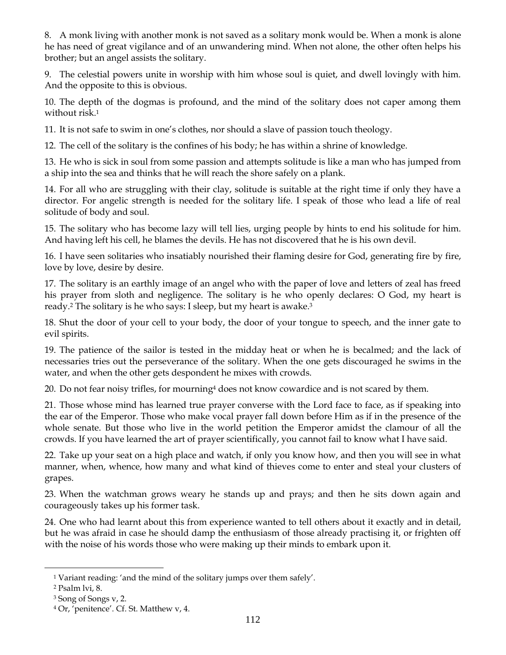8. A monk living with another monk is not saved as a solitary monk would be. When a monk is alone he has need of great vigilance and of an unwandering mind. When not alone, the other often helps his brother; but an angel assists the solitary.

9. The celestial powers unite in worship with him whose soul is quiet, and dwell lovingly with him. And the opposite to this is obvious.

10. The depth of the dogmas is profound, and the mind of the solitary does not caper among them without risk.<sup>1</sup>

11. It is not safe to swim in one's clothes, nor should a slave of passion touch theology.

12. The cell of the solitary is the confines of his body; he has within a shrine of knowledge.

13. He who is sick in soul from some passion and attempts solitude is like a man who has jumped from a ship into the sea and thinks that he will reach the shore safely on a plank.

14. For all who are struggling with their clay, solitude is suitable at the right time if only they have a director. For angelic strength is needed for the solitary life. I speak of those who lead a life of real solitude of body and soul.

15. The solitary who has become lazy will tell lies, urging people by hints to end his solitude for him. And having left his cell, he blames the devils. He has not discovered that he is his own devil.

16. I have seen solitaries who insatiably nourished their flaming desire for God, generating fire by fire, love by love, desire by desire.

17. The solitary is an earthly image of an angel who with the paper of love and letters of zeal has freed his prayer from sloth and negligence. The solitary is he who openly declares: O God, my heart is ready.<sup>2</sup> The solitary is he who says: I sleep, but my heart is awake.<sup>3</sup>

18. Shut the door of your cell to your body, the door of your tongue to speech, and the inner gate to evil spirits.

19. The patience of the sailor is tested in the midday heat or when he is becalmed; and the lack of necessaries tries out the perseverance of the solitary. When the one gets discouraged he swims in the water, and when the other gets despondent he mixes with crowds.

20. Do not fear noisy trifles, for mourning<sup>4</sup> does not know cowardice and is not scared by them.

21. Those whose mind has learned true prayer converse with the Lord face to face, as if speaking into the ear of the Emperor. Those who make vocal prayer fall down before Him as if in the presence of the whole senate. But those who live in the world petition the Emperor amidst the clamour of all the crowds. If you have learned the art of prayer scientifically, you cannot fail to know what I have said.

22. Take up your seat on a high place and watch, if only you know how, and then you will see in what manner, when, whence, how many and what kind of thieves come to enter and steal your clusters of grapes.

23. When the watchman grows weary he stands up and prays; and then he sits down again and courageously takes up his former task.

24. One who had learnt about this from experience wanted to tell others about it exactly and in detail, but he was afraid in case he should damp the enthusiasm of those already practising it, or frighten off with the noise of his words those who were making up their minds to embark upon it.

<sup>1</sup> Variant reading: 'and the mind of the solitary jumps over them safely'.

<sup>2</sup> Psalm lvi, 8.

<sup>3</sup> Song of Songs v, 2.

<sup>4</sup> Or, 'penitence'. Cf. St. Matthew v, 4.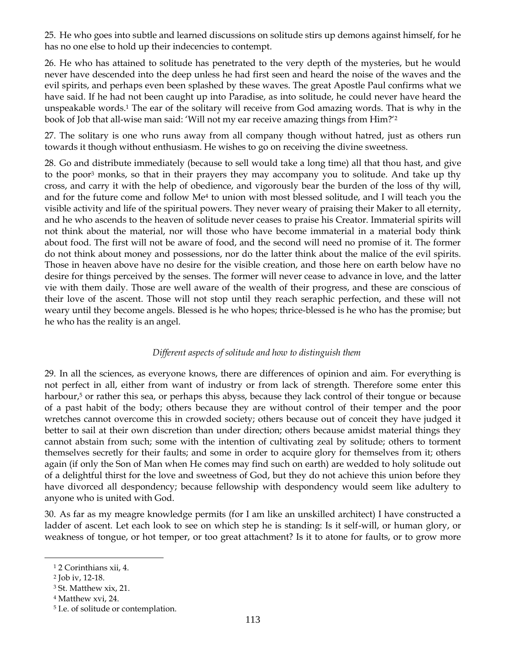25. He who goes into subtle and learned discussions on solitude stirs up demons against himself, for he has no one else to hold up their indecencies to contempt.

26. He who has attained to solitude has penetrated to the very depth of the mysteries, but he would never have descended into the deep unless he had first seen and heard the noise of the waves and the evil spirits, and perhaps even been splashed by these waves. The great Apostle Paul confirms what we have said. If he had not been caught up into Paradise, as into solitude, he could never have heard the unspeakable words.<sup>1</sup> The ear of the solitary will receive from God amazing words. That is why in the book of Job that all-wise man said: 'Will not my ear receive amazing things from Him?'<sup>2</sup>

27. The solitary is one who runs away from all company though without hatred, just as others run towards it though without enthusiasm. He wishes to go on receiving the divine sweetness.

28. Go and distribute immediately (because to sell would take a long time) all that thou hast, and give to the poor<sup>3</sup> monks, so that in their prayers they may accompany you to solitude. And take up thy cross, and carry it with the help of obedience, and vigorously bear the burden of the loss of thy will, and for the future come and follow Me<sup>4</sup> to union with most blessed solitude, and I will teach you the visible activity and life of the spiritual powers. They never weary of praising their Maker to all eternity, and he who ascends to the heaven of solitude never ceases to praise his Creator. Immaterial spirits will not think about the material, nor will those who have become immaterial in a material body think about food. The first will not be aware of food, and the second will need no promise of it. The former do not think about money and possessions, nor do the latter think about the malice of the evil spirits. Those in heaven above have no desire for the visible creation, and those here on earth below have no desire for things perceived by the senses. The former will never cease to advance in love, and the latter vie with them daily. Those are well aware of the wealth of their progress, and these are conscious of their love of the ascent. Those will not stop until they reach seraphic perfection, and these will not weary until they become angels. Blessed is he who hopes; thrice-blessed is he who has the promise; but he who has the reality is an angel.

### *Different aspects of solitude and how to distinguish them*

29. In all the sciences, as everyone knows, there are differences of opinion and aim. For everything is not perfect in all, either from want of industry or from lack of strength. Therefore some enter this harbour,<sup>5</sup> or rather this sea, or perhaps this abyss, because they lack control of their tongue or because of a past habit of the body; others because they are without control of their temper and the poor wretches cannot overcome this in crowded society; others because out of conceit they have judged it better to sail at their own discretion than under direction; others because amidst material things they cannot abstain from such; some with the intention of cultivating zeal by solitude; others to torment themselves secretly for their faults; and some in order to acquire glory for themselves from it; others again (if only the Son of Man when He comes may find such on earth) are wedded to holy solitude out of a delightful thirst for the love and sweetness of God, but they do not achieve this union before they have divorced all despondency; because fellowship with despondency would seem like adultery to anyone who is united with God.

30. As far as my meagre knowledge permits (for I am like an unskilled architect) I have constructed a ladder of ascent. Let each look to see on which step he is standing: Is it self-will, or human glory, or weakness of tongue, or hot temper, or too great attachment? Is it to atone for faults, or to grow more

<sup>1</sup> 2 Corinthians xii, 4.

<sup>2</sup> Job iv, 12-18.

<sup>3</sup> St. Matthew xix, 21.

<sup>4</sup> Matthew xvi, 24.

<sup>5</sup> I.e. of solitude or contemplation.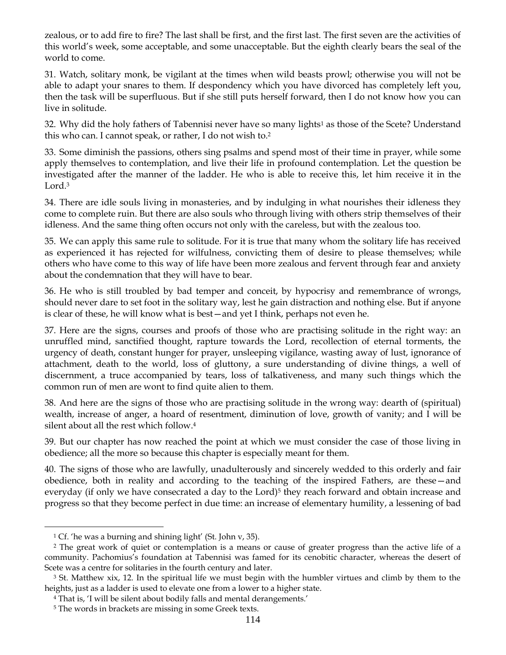zealous, or to add fire to fire? The last shall be first, and the first last. The first seven are the activities of this world's week, some acceptable, and some unacceptable. But the eighth clearly bears the seal of the world to come.

31. Watch, solitary monk, be vigilant at the times when wild beasts prowl; otherwise you will not be able to adapt your snares to them. If despondency which you have divorced has completely left you, then the task will be superfluous. But if she still puts herself forward, then I do not know how you can live in solitude.

32. Why did the holy fathers of Tabennisi never have so many lights<sup>1</sup> as those of the Scete? Understand this who can. I cannot speak, or rather, I do not wish to.<sup>2</sup>

33. Some diminish the passions, others sing psalms and spend most of their time in prayer, while some apply themselves to contemplation, and live their life in profound contemplation. Let the question be investigated after the manner of the ladder. He who is able to receive this, let him receive it in the Lord.<sup>3</sup>

34. There are idle souls living in monasteries, and by indulging in what nourishes their idleness they come to complete ruin. But there are also souls who through living with others strip themselves of their idleness. And the same thing often occurs not only with the careless, but with the zealous too.

35. We can apply this same rule to solitude. For it is true that many whom the solitary life has received as experienced it has rejected for wilfulness, convicting them of desire to please themselves; while others who have come to this way of life have been more zealous and fervent through fear and anxiety about the condemnation that they will have to bear.

36. He who is still troubled by bad temper and conceit, by hypocrisy and remembrance of wrongs, should never dare to set foot in the solitary way, lest he gain distraction and nothing else. But if anyone is clear of these, he will know what is best—and yet I think, perhaps not even he.

37. Here are the signs, courses and proofs of those who are practising solitude in the right way: an unruffled mind, sanctified thought, rapture towards the Lord, recollection of eternal torments, the urgency of death, constant hunger for prayer, unsleeping vigilance, wasting away of lust, ignorance of attachment, death to the world, loss of gluttony, a sure understanding of divine things, a well of discernment, a truce accompanied by tears, loss of talkativeness, and many such things which the common run of men are wont to find quite alien to them.

38. And here are the signs of those who are practising solitude in the wrong way: dearth of (spiritual) wealth, increase of anger, a hoard of resentment, diminution of love, growth of vanity; and I will be silent about all the rest which follow.<sup>4</sup>

39. But our chapter has now reached the point at which we must consider the case of those living in obedience; all the more so because this chapter is especially meant for them.

40. The signs of those who are lawfully, unadulterously and sincerely wedded to this orderly and fair obedience, both in reality and according to the teaching of the inspired Fathers, are these—and everyday (if only we have consecrated a day to the Lord)<sup>5</sup> they reach forward and obtain increase and progress so that they become perfect in due time: an increase of elementary humility, a lessening of bad

<sup>&</sup>lt;sup>1</sup> Cf. 'he was a burning and shining light' (St. John v, 35).

<sup>2</sup> The great work of quiet or contemplation is a means or cause of greater progress than the active life of a community. Pachomius's foundation at Tabennisi was famed for its cenobitic character, whereas the desert of Scete was a centre for solitaries in the fourth century and later.

<sup>&</sup>lt;sup>3</sup> St. Matthew xix, 12. In the spiritual life we must begin with the humbler virtues and climb by them to the heights, just as a ladder is used to elevate one from a lower to a higher state.

<sup>4</sup> That is, 'I will be silent about bodily falls and mental derangements.'

<sup>&</sup>lt;sup>5</sup> The words in brackets are missing in some Greek texts.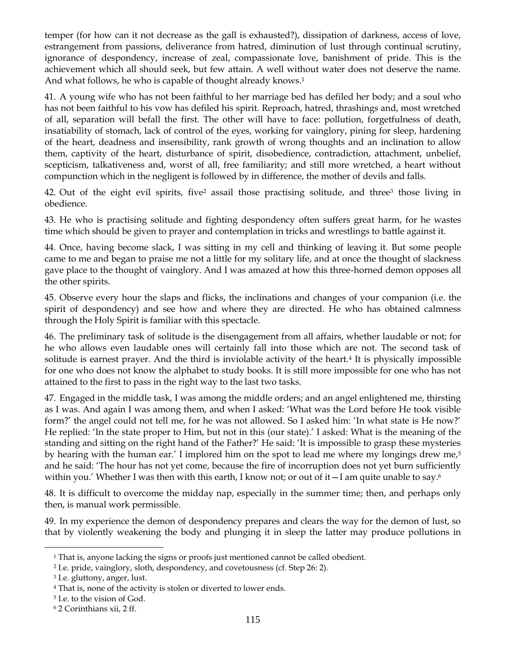temper (for how can it not decrease as the gall is exhausted?), dissipation of darkness, access of love, estrangement from passions, deliverance from hatred, diminution of lust through continual scrutiny, ignorance of despondency, increase of zeal, compassionate love, banishment of pride. This is the achievement which all should seek, but few attain. A well without water does not deserve the name. And what follows, he who is capable of thought already knows.<sup>1</sup>

41. A young wife who has not been faithful to her marriage bed has defiled her body; and a soul who has not been faithful to his vow has defiled his spirit. Reproach, hatred, thrashings and, most wretched of all, separation will befall the first. The other will have to face: pollution, forgetfulness of death, insatiability of stomach, lack of control of the eyes, working for vainglory, pining for sleep, hardening of the heart, deadness and insensibility, rank growth of wrong thoughts and an inclination to allow them, captivity of the heart, disturbance of spirit, disobedience, contradiction, attachment, unbelief, scepticism, talkativeness and, worst of all, free familiarity; and still more wretched, a heart without compunction which in the negligent is followed by in difference, the mother of devils and falls.

42. Out of the eight evil spirits, five<sup>2</sup> assail those practising solitude, and three<sup>3</sup> those living in obedience.

43. He who is practising solitude and fighting despondency often suffers great harm, for he wastes time which should be given to prayer and contemplation in tricks and wrestlings to battle against it.

44. Once, having become slack, I was sitting in my cell and thinking of leaving it. But some people came to me and began to praise me not a little for my solitary life, and at once the thought of slackness gave place to the thought of vainglory. And I was amazed at how this three-horned demon opposes all the other spirits.

45. Observe every hour the slaps and flicks, the inclinations and changes of your companion (i.e. the spirit of despondency) and see how and where they are directed. He who has obtained calmness through the Holy Spirit is familiar with this spectacle.

46. The preliminary task of solitude is the disengagement from all affairs, whether laudable or not; for he who allows even laudable ones will certainly fall into those which are not. The second task of solitude is earnest prayer. And the third is inviolable activity of the heart.<sup>4</sup> It is physically impossible for one who does not know the alphabet to study books. It is still more impossible for one who has not attained to the first to pass in the right way to the last two tasks.

47. Engaged in the middle task, I was among the middle orders; and an angel enlightened me, thirsting as I was. And again I was among them, and when I asked: 'What was the Lord before He took visible form?' the angel could not tell me, for he was not allowed. So I asked him: 'In what state is He now?' He replied: 'In the state proper to Him, but not in this (our state).' I asked: What is the meaning of the standing and sitting on the right hand of the Father?' He said: 'It is impossible to grasp these mysteries by hearing with the human ear.' I implored him on the spot to lead me where my longings drew me,<sup>5</sup> and he said: 'The hour has not yet come, because the fire of incorruption does not yet burn sufficiently within you.' Whether I was then with this earth, I know not; or out of it - I am quite unable to say.<sup>6</sup>

48. It is difficult to overcome the midday nap, especially in the summer time; then, and perhaps only then, is manual work permissible.

49. In my experience the demon of despondency prepares and clears the way for the demon of lust, so that by violently weakening the body and plunging it in sleep the latter may produce pollutions in

<sup>&</sup>lt;sup>1</sup> That is, anyone lacking the signs or proofs just mentioned cannot be called obedient.

<sup>2</sup> I.e. pride, vainglory, sloth, despondency, and covetousness (cf. Step 26: 2).

<sup>3</sup> I.e. gluttony, anger, lust.

<sup>4</sup> That is, none of the activity is stolen or diverted to lower ends.

<sup>5</sup> I.e. to the vision of God.

<sup>6</sup> 2 Corinthians xii, 2 ff.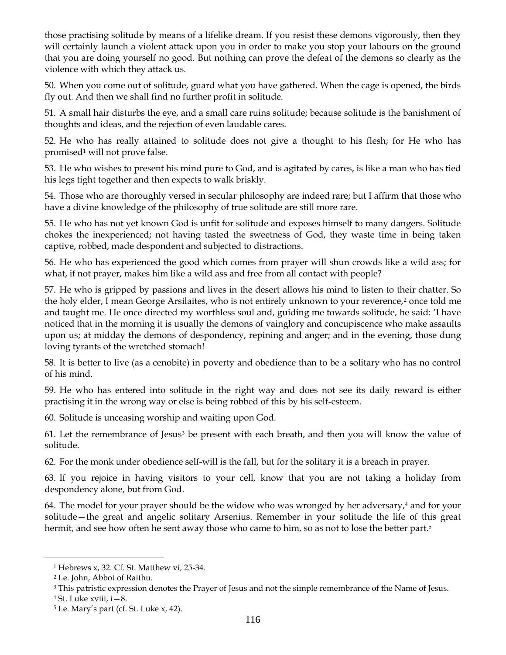those practising solitude by means of a lifelike dream. If you resist these demons vigorously, then they will certainly launch a violent attack upon you in order to make you stop your labours on the ground that you are doing yourself no good. But nothing can prove the defeat of the demons so clearly as the violence with which they attack us.

50. When you come out of solitude, guard what you have gathered. When the cage is opened, the birds fly out. And then we shall find no further profit in solitude.

51. A small hair disturbs the eye, and a small care ruins solitude; because solitude is the banishment of thoughts and ideas, and the rejection of even laudable cares.

52. He who has really attained to solitude does not give a thought to his flesh; for He who has promised<sup>1</sup> will not prove false.

53. He who wishes to present his mind pure to God, and is agitated by cares, is like a man who has tied his legs tight together and then expects to walk briskly.

54. Those who are thoroughly versed in secular philosophy are indeed rare; but I affirm that those who have a divine knowledge of the philosophy of true solitude are still more rare.

55. He who has not yet known God is unfit for solitude and exposes himself to many dangers. Solitude chokes the inexperienced; not having tasted the sweetness of God, they waste time in being taken captive, robbed, made despondent and subjected to distractions.

56. He who has experienced the good which comes from prayer will shun crowds like a wild ass; for what, if not prayer, makes him like a wild ass and free from all contact with people?

57. He who is gripped by passions and lives in the desert allows his mind to listen to their chatter. So the holy elder, I mean George Arsilaites, who is not entirely unknown to your reverence,<sup>2</sup> once told me and taught me. He once directed my worthless soul and, guiding me towards solitude, he said: 'I have noticed that in the morning it is usually the demons of vainglory and concupiscence who make assaults upon us; at midday the demons of despondency, repining and anger; and in the evening, those dung loving tyrants of the wretched stomach!

58. It is better to live (as a cenobite) in poverty and obedience than to be a solitary who has no control of his mind.

59. He who has entered into solitude in the right way and does not see its daily reward is either practising it in the wrong way or else is being robbed of this by his self-esteem.

60. Solitude is unceasing worship and waiting upon God.

61. Let the remembrance of Jesus<sup>3</sup> be present with each breath, and then you will know the value of solitude.

62. For the monk under obedience self-will is the fall, but for the solitary it is a breach in prayer.

63. If you rejoice in having visitors to your cell, know that you are not taking a holiday from despondency alone, but from God.

64. The model for your prayer should be the widow who was wronged by her adversary, $4$  and for your solitude—the great and angelic solitary Arsenius. Remember in your solitude the life of this great hermit, and see how often he sent away those who came to him, so as not to lose the better part.<sup>5</sup>

<sup>1</sup> Hebrews x, 32. Cf. St. Matthew vi, 25-34.

<sup>2</sup> I.e. John, Abbot of Raithu.

<sup>&</sup>lt;sup>3</sup> This patristic expression denotes the Prayer of Jesus and not the simple remembrance of the Name of Jesus.

 $4$  St. Luke xviii,  $i-8$ .

<sup>5</sup> I.e. Mary's part (cf. St. Luke x, 42).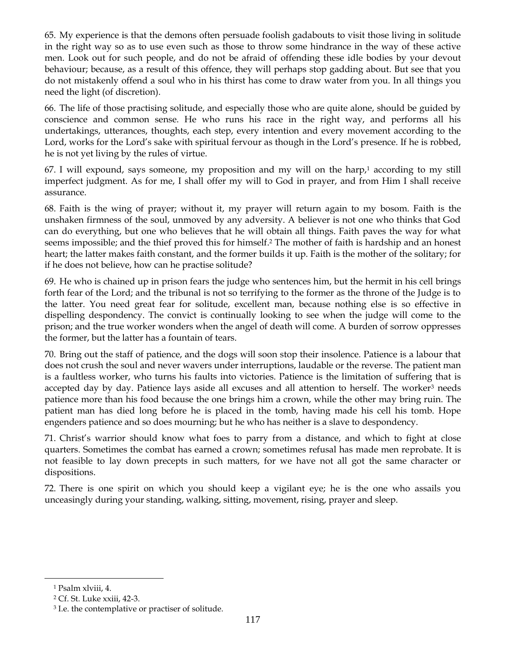65. My experience is that the demons often persuade foolish gadabouts to visit those living in solitude in the right way so as to use even such as those to throw some hindrance in the way of these active men. Look out for such people, and do not be afraid of offending these idle bodies by your devout behaviour; because, as a result of this offence, they will perhaps stop gadding about. But see that you do not mistakenly offend a soul who in his thirst has come to draw water from you. In all things you need the light (of discretion).

66. The life of those practising solitude, and especially those who are quite alone, should be guided by conscience and common sense. He who runs his race in the right way, and performs all his undertakings, utterances, thoughts, each step, every intention and every movement according to the Lord, works for the Lord's sake with spiritual fervour as though in the Lord's presence. If he is robbed, he is not yet living by the rules of virtue.

67. I will expound, says someone, my proposition and my will on the harp, $\frac{1}{1}$  according to my still imperfect judgment. As for me, I shall offer my will to God in prayer, and from Him I shall receive assurance.

68. Faith is the wing of prayer; without it, my prayer will return again to my bosom. Faith is the unshaken firmness of the soul, unmoved by any adversity. A believer is not one who thinks that God can do everything, but one who believes that he will obtain all things. Faith paves the way for what seems impossible; and the thief proved this for himself.<sup>2</sup> The mother of faith is hardship and an honest heart; the latter makes faith constant, and the former builds it up. Faith is the mother of the solitary; for if he does not believe, how can he practise solitude?

69. He who is chained up in prison fears the judge who sentences him, but the hermit in his cell brings forth fear of the Lord; and the tribunal is not so terrifying to the former as the throne of the Judge is to the latter. You need great fear for solitude, excellent man, because nothing else is so effective in dispelling despondency. The convict is continually looking to see when the judge will come to the prison; and the true worker wonders when the angel of death will come. A burden of sorrow oppresses the former, but the latter has a fountain of tears.

70. Bring out the staff of patience, and the dogs will soon stop their insolence. Patience is a labour that does not crush the soul and never wavers under interruptions, laudable or the reverse. The patient man is a faultless worker, who turns his faults into victories. Patience is the limitation of suffering that is accepted day by day. Patience lays aside all excuses and all attention to herself. The worker<sup>3</sup> needs patience more than his food because the one brings him a crown, while the other may bring ruin. The patient man has died long before he is placed in the tomb, having made his cell his tomb. Hope engenders patience and so does mourning; but he who has neither is a slave to despondency.

71. Christ's warrior should know what foes to parry from a distance, and which to fight at close quarters. Sometimes the combat has earned a crown; sometimes refusal has made men reprobate. It is not feasible to lay down precepts in such matters, for we have not all got the same character or dispositions.

72. There is one spirit on which you should keep a vigilant eye; he is the one who assails you unceasingly during your standing, walking, sitting, movement, rising, prayer and sleep.

<sup>1</sup> Psalm xlviii, 4.

<sup>2</sup> Cf. St. Luke xxiii, 42-3.

<sup>3</sup> I.e. the contemplative or practiser of solitude.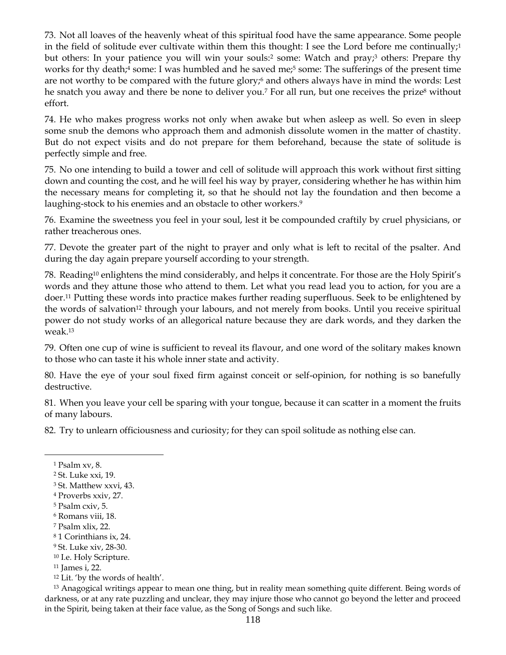73. Not all loaves of the heavenly wheat of this spiritual food have the same appearance. Some people in the field of solitude ever cultivate within them this thought: I see the Lord before me continually;<sup>1</sup> but others: In your patience you will win your souls:<sup>2</sup> some: Watch and pray;<sup>3</sup> others: Prepare thy works for thy death;<sup>4</sup> some: I was humbled and he saved me;<sup>5</sup> some: The sufferings of the present time are not worthy to be compared with the future glory;<sup>6</sup> and others always have in mind the words: Lest he snatch you away and there be none to deliver you.<sup>7</sup> For all run, but one receives the prize<sup>8</sup> without effort.

74. He who makes progress works not only when awake but when asleep as well. So even in sleep some snub the demons who approach them and admonish dissolute women in the matter of chastity. But do not expect visits and do not prepare for them beforehand, because the state of solitude is perfectly simple and free.

75. No one intending to build a tower and cell of solitude will approach this work without first sitting down and counting the cost, and he will feel his way by prayer, considering whether he has within him the necessary means for completing it, so that he should not lay the foundation and then become a laughing-stock to his enemies and an obstacle to other workers.<sup>9</sup>

76. Examine the sweetness you feel in your soul, lest it be compounded craftily by cruel physicians, or rather treacherous ones.

77. Devote the greater part of the night to prayer and only what is left to recital of the psalter. And during the day again prepare yourself according to your strength.

78. Reading<sup>10</sup> enlightens the mind considerably, and helps it concentrate. For those are the Holy Spirit's words and they attune those who attend to them. Let what you read lead you to action, for you are a doer.<sup>11</sup> Putting these words into practice makes further reading superfluous. Seek to be enlightened by the words of salvation<sup>12</sup> through your labours, and not merely from books. Until you receive spiritual power do not study works of an allegorical nature because they are dark words, and they darken the weak.<sup>13</sup>

79. Often one cup of wine is sufficient to reveal its flavour, and one word of the solitary makes known to those who can taste it his whole inner state and activity.

80. Have the eye of your soul fixed firm against conceit or self-opinion, for nothing is so banefully destructive.

81. When you leave your cell be sparing with your tongue, because it can scatter in a moment the fruits of many labours.

82. Try to unlearn officiousness and curiosity; for they can spoil solitude as nothing else can.

 $\overline{a}$ 

<sup>12</sup> Lit. 'by the words of health'.

<sup>1</sup> Psalm xv, 8.

<sup>2</sup> St. Luke xxi, 19.

<sup>3</sup> St. Matthew xxvi, 43.

<sup>4</sup> Proverbs xxiv, 27.

<sup>5</sup> Psalm cxiv, 5.

<sup>6</sup> Romans viii, 18.

<sup>7</sup> Psalm xlix, 22.

<sup>8</sup> 1 Corinthians ix, 24.

<sup>9</sup> St. Luke xiv, 28-30.

<sup>10</sup> I.e. Holy Scripture.

<sup>11</sup> James i, 22.

<sup>&</sup>lt;sup>13</sup> Anagogical writings appear to mean one thing, but in reality mean something quite different. Being words of darkness, or at any rate puzzling and unclear, they may injure those who cannot go beyond the letter and proceed in the Spirit, being taken at their face value, as the Song of Songs and such like.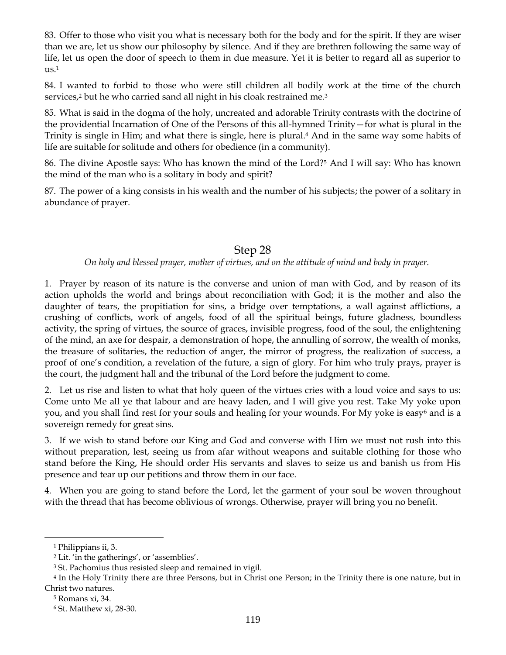83. Offer to those who visit you what is necessary both for the body and for the spirit. If they are wiser than we are, let us show our philosophy by silence. And if they are brethren following the same way of life, let us open the door of speech to them in due measure. Yet it is better to regard all as superior to  $us.1$ 

84. I wanted to forbid to those who were still children all bodily work at the time of the church services,<sup>2</sup> but he who carried sand all night in his cloak restrained me.<sup>3</sup>

85. What is said in the dogma of the holy, uncreated and adorable Trinity contrasts with the doctrine of the providential Incarnation of One of the Persons of this all-hymned Trinity—for what is plural in the Trinity is single in Him; and what there is single, here is plural. <sup>4</sup> And in the same way some habits of life are suitable for solitude and others for obedience (in a community).

86. The divine Apostle says: Who has known the mind of the Lord?<sup>5</sup> And I will say: Who has known the mind of the man who is a solitary in body and spirit?

87. The power of a king consists in his wealth and the number of his subjects; the power of a solitary in abundance of prayer.

## Step 28

### *On holy and blessed prayer, mother of virtues, and on the attitude of mind and body in prayer.*

1. Prayer by reason of its nature is the converse and union of man with God, and by reason of its action upholds the world and brings about reconciliation with God; it is the mother and also the daughter of tears, the propitiation for sins, a bridge over temptations, a wall against afflictions, a crushing of conflicts, work of angels, food of all the spiritual beings, future gladness, boundless activity, the spring of virtues, the source of graces, invisible progress, food of the soul, the enlightening of the mind, an axe for despair, a demonstration of hope, the annulling of sorrow, the wealth of monks, the treasure of solitaries, the reduction of anger, the mirror of progress, the realization of success, a proof of one's condition, a revelation of the future, a sign of glory. For him who truly prays, prayer is the court, the judgment hall and the tribunal of the Lord before the judgment to come.

2. Let us rise and listen to what that holy queen of the virtues cries with a loud voice and says to us: Come unto Me all ye that labour and are heavy laden, and I will give you rest. Take My yoke upon you, and you shall find rest for your souls and healing for your wounds. For My yoke is easy<sup>6</sup> and is a sovereign remedy for great sins.

3. If we wish to stand before our King and God and converse with Him we must not rush into this without preparation, lest, seeing us from afar without weapons and suitable clothing for those who stand before the King, He should order His servants and slaves to seize us and banish us from His presence and tear up our petitions and throw them in our face.

4. When you are going to stand before the Lord, let the garment of your soul be woven throughout with the thread that has become oblivious of wrongs. Otherwise, prayer will bring you no benefit.

<sup>1</sup> Philippians ii, 3.

<sup>2</sup> Lit. 'in the gatherings', or 'assemblies'.

<sup>3</sup> St. Pachomius thus resisted sleep and remained in vigil.

<sup>4</sup> In the Holy Trinity there are three Persons, but in Christ one Person; in the Trinity there is one nature, but in Christ two natures.

<sup>5</sup> Romans xi, 34.

<sup>6</sup> St. Matthew xi, 28-30.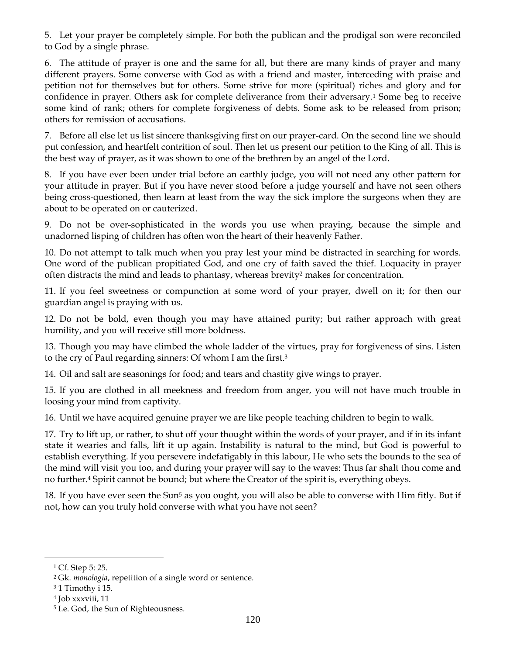5. Let your prayer be completely simple. For both the publican and the prodigal son were reconciled to God by a single phrase.

6. The attitude of prayer is one and the same for all, but there are many kinds of prayer and many different prayers. Some converse with God as with a friend and master, interceding with praise and petition not for themselves but for others. Some strive for more (spiritual) riches and glory and for confidence in prayer. Others ask for complete deliverance from their adversary.<sup>1</sup> Some beg to receive some kind of rank; others for complete forgiveness of debts. Some ask to be released from prison; others for remission of accusations.

7. Before all else let us list sincere thanksgiving first on our prayer-card. On the second line we should put confession, and heartfelt contrition of soul. Then let us present our petition to the King of all. This is the best way of prayer, as it was shown to one of the brethren by an angel of the Lord.

8. If you have ever been under trial before an earthly judge, you will not need any other pattern for your attitude in prayer. But if you have never stood before a judge yourself and have not seen others being cross-questioned, then learn at least from the way the sick implore the surgeons when they are about to be operated on or cauterized.

9. Do not be over-sophisticated in the words you use when praying, because the simple and unadorned lisping of children has often won the heart of their heavenly Father.

10. Do not attempt to talk much when you pray lest your mind be distracted in searching for words. One word of the publican propitiated God, and one cry of faith saved the thief. Loquacity in prayer often distracts the mind and leads to phantasy, whereas brevity<sup>2</sup> makes for concentration.

11. If you feel sweetness or compunction at some word of your prayer, dwell on it; for then our guardian angel is praying with us.

12. Do not be bold, even though you may have attained purity; but rather approach with great humility, and you will receive still more boldness.

13. Though you may have climbed the whole ladder of the virtues, pray for forgiveness of sins. Listen to the cry of Paul regarding sinners: Of whom I am the first.<sup>3</sup>

14. Oil and salt are seasonings for food; and tears and chastity give wings to prayer.

15. If you are clothed in all meekness and freedom from anger, you will not have much trouble in loosing your mind from captivity.

16. Until we have acquired genuine prayer we are like people teaching children to begin to walk.

17. Try to lift up, or rather, to shut off your thought within the words of your prayer, and if in its infant state it wearies and falls, lift it up again. Instability is natural to the mind, but God is powerful to establish everything. If you persevere indefatigably in this labour, He who sets the bounds to the sea of the mind will visit you too, and during your prayer will say to the waves: Thus far shalt thou come and no further.<sup>4</sup> Spirit cannot be bound; but where the Creator of the spirit is, everything obeys.

18. If you have ever seen the Sun<sup>5</sup> as you ought, you will also be able to converse with Him fitly. But if not, how can you truly hold converse with what you have not seen?

<sup>1</sup> Cf. Step 5: 25.

<sup>2</sup> Gk. *monologia*, repetition of a single word or sentence.

<sup>3</sup> 1 Timothy i 15.

<sup>4</sup> Job xxxviii, 11

<sup>5</sup> I.e. God, the Sun of Righteousness.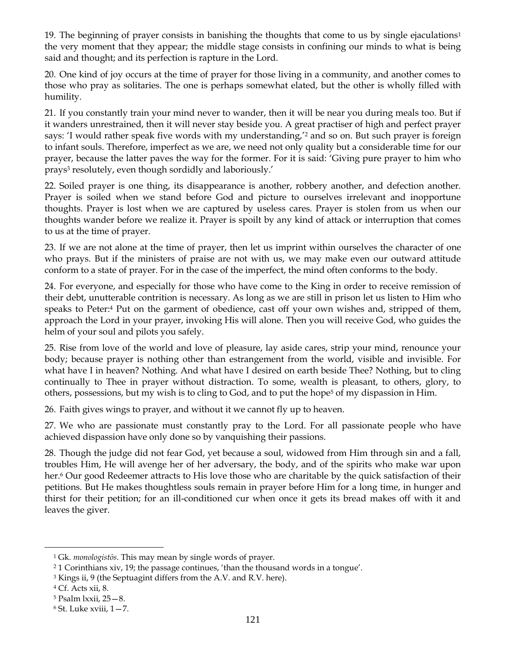19. The beginning of prayer consists in banishing the thoughts that come to us by single ejaculations<sup>1</sup> the very moment that they appear; the middle stage consists in confining our minds to what is being said and thought; and its perfection is rapture in the Lord.

20. One kind of joy occurs at the time of prayer for those living in a community, and another comes to those who pray as solitaries. The one is perhaps somewhat elated, but the other is wholly filled with humility.

21. If you constantly train your mind never to wander, then it will be near you during meals too. But if it wanders unrestrained, then it will never stay beside you. A great practiser of high and perfect prayer says: 'I would rather speak five words with my understanding,' <sup>2</sup> and so on. But such prayer is foreign to infant souls. Therefore, imperfect as we are, we need not only quality but a considerable time for our prayer, because the latter paves the way for the former. For it is said: 'Giving pure prayer to him who prays<sup>3</sup> resolutely, even though sordidly and laboriously.'

<span id="page-120-1"></span>22. Soiled prayer is one thing, its disappearance is another, robbery another, and defection another. Prayer is soiled when we stand before God and picture to ourselves irrelevant and inopportune thoughts. Prayer is lost when we are captured by useless cares. Prayer is stolen from us when our thoughts wander before we realize it. Prayer is spoilt by any kind of attack or interruption that comes to us at the time of prayer.

23. If we are not alone at the time of prayer, then let us imprint within ourselves the character of one who prays. But if the ministers of praise are not with us, we may make even our outward attitude conform to a state of prayer. For in the case of the imperfect, the mind often conforms to the body.

24. For everyone, and especially for those who have come to the King in order to receive remission of their debt, unutterable contrition is necessary. As long as we are still in prison let us listen to Him who speaks to Peter:<sup>4</sup> Put on the garment of obedience, cast off your own wishes and, stripped of them, approach the Lord in your prayer, invoking His will alone. Then you will receive God, who guides the helm of your soul and pilots you safely.

25. Rise from love of the world and love of pleasure, lay aside cares, strip your mind, renounce your body; because prayer is nothing other than estrangement from the world, visible and invisible. For what have I in heaven? Nothing. And what have I desired on earth beside Thee? Nothing, but to cling continually to Thee in prayer without distraction. To some, wealth is pleasant, to others, glory, to others, possessions, but my wish is to cling to God, and to put the hope<sup>5</sup> of my dispassion in Him.

26. Faith gives wings to prayer, and without it we cannot fly up to heaven.

27. We who are passionate must constantly pray to the Lord. For all passionate people who have achieved dispassion have only done so by vanquishing their passions.

28. Though the judge did not fear God, yet because a soul, widowed from Him through sin and a fall, troubles Him, He will avenge her of her adversary, the body, and of the spirits who make war upon her.<sup>6</sup> Our good Redeemer attracts to His love those who are charitable by the quick satisfaction of their petitions. But He makes thoughtless souls remain in prayer before Him for a long time, in hunger and thirst for their petition; for an ill-conditioned cur when once it gets its bread makes off with it and leaves the giver.

<sup>1</sup> Gk. *monologistōs*. This may mean by single words of prayer.

<sup>2</sup> 1 Corinthians xiv, 19; the passage continues, 'than the thousand words in a tongue'.

<span id="page-120-0"></span><sup>3</sup> Kings ii, 9 (the Septuagint differs from the A.V. and R.V. here).

<sup>4</sup> Cf. Acts xii, 8.

<sup>5</sup> Psalm lxxii, 25—8.

 $6$  St. Luke xviii,  $1 - 7$ .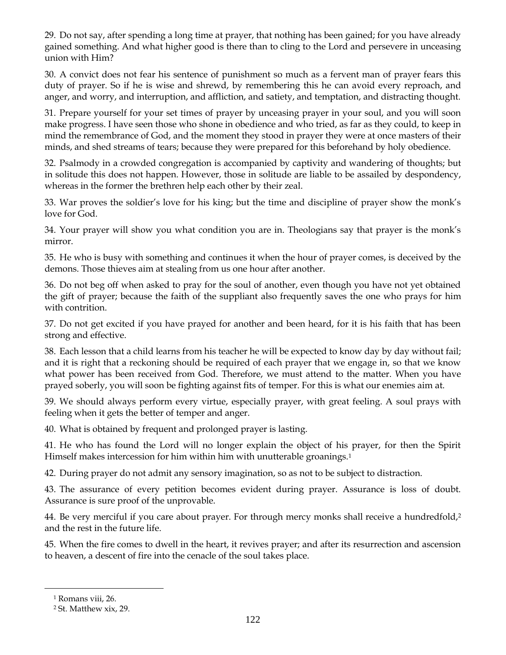29. Do not say, after spending a long time at prayer, that nothing has been gained; for you have already gained something. And what higher good is there than to cling to the Lord and persevere in unceasing union with Him?

30. A convict does not fear his sentence of punishment so much as a fervent man of prayer fears this duty of prayer. So if he is wise and shrewd, by remembering this he can avoid every reproach, and anger, and worry, and interruption, and affliction, and satiety, and temptation, and distracting thought.

31. Prepare yourself for your set times of prayer by unceasing prayer in your soul, and you will soon make progress. I have seen those who shone in obedience and who tried, as far as they could, to keep in mind the remembrance of God, and the moment they stood in prayer they were at once masters of their minds, and shed streams of tears; because they were prepared for this beforehand by holy obedience.

32. Psalmody in a crowded congregation is accompanied by captivity and wandering of thoughts; but in solitude this does not happen. However, those in solitude are liable to be assailed by despondency, whereas in the former the brethren help each other by their zeal.

33. War proves the soldier's love for his king; but the time and discipline of prayer show the monk's love for God.

34. Your prayer will show you what condition you are in. Theologians say that prayer is the monk's mirror.

35. He who is busy with something and continues it when the hour of prayer comes, is deceived by the demons. Those thieves aim at stealing from us one hour after another.

36. Do not beg off when asked to pray for the soul of another, even though you have not yet obtained the gift of prayer; because the faith of the suppliant also frequently saves the one who prays for him with contrition.

37. Do not get excited if you have prayed for another and been heard, for it is his faith that has been strong and effective.

38. Each lesson that a child learns from his teacher he will be expected to know day by day without fail; and it is right that a reckoning should be required of each prayer that we engage in, so that we know what power has been received from God. Therefore, we must attend to the matter. When you have prayed soberly, you will soon be fighting against fits of temper. For this is what our enemies aim at.

39. We should always perform every virtue, especially prayer, with great feeling. A soul prays with feeling when it gets the better of temper and anger.

40. What is obtained by frequent and prolonged prayer is lasting.

41. He who has found the Lord will no longer explain the object of his prayer, for then the Spirit Himself makes intercession for him within him with unutterable groanings.<sup>1</sup>

42. During prayer do not admit any sensory imagination, so as not to be subject to distraction.

43. The assurance of every petition becomes evident during prayer. Assurance is loss of doubt. Assurance is sure proof of the unprovable.

44. Be very merciful if you care about prayer. For through mercy monks shall receive a hundredfold,<sup>2</sup> and the rest in the future life.

45. When the fire comes to dwell in the heart, it revives prayer; and after its resurrection and ascension to heaven, a descent of fire into the cenacle of the soul takes place.

<sup>1</sup> Romans viii, 26.

<sup>2</sup> St. Matthew xix, 29.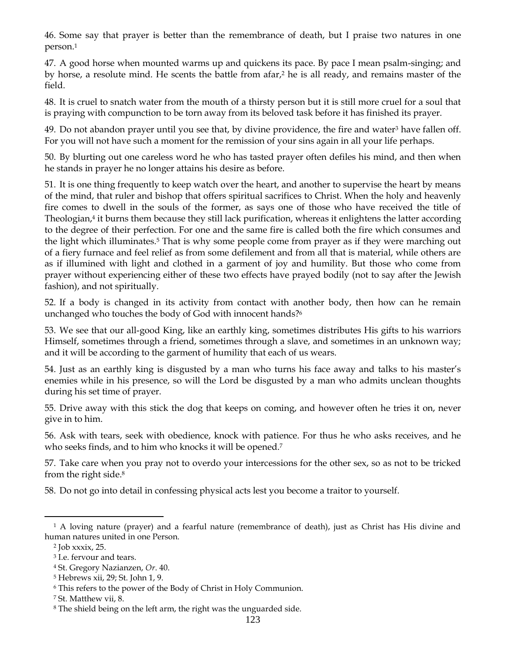46. Some say that prayer is better than the remembrance of death, but I praise two natures in one person.<sup>1</sup>

47. A good horse when mounted warms up and quickens its pace. By pace I mean psalm-singing; and by horse, a resolute mind. He scents the battle from afar,<sup>2</sup> he is all ready, and remains master of the field.

48. It is cruel to snatch water from the mouth of a thirsty person but it is still more cruel for a soul that is praying with compunction to be torn away from its beloved task before it has finished its prayer.

49. Do not abandon prayer until you see that, by divine providence, the fire and water<sup>3</sup> have fallen off. For you will not have such a moment for the remission of your sins again in all your life perhaps.

50. By blurting out one careless word he who has tasted prayer often defiles his mind, and then when he stands in prayer he no longer attains his desire as before.

51. It is one thing frequently to keep watch over the heart, and another to supervise the heart by means of the mind, that ruler and bishop that offers spiritual sacrifices to Christ. When the holy and heavenly fire comes to dwell in the souls of the former, as says one of those who have received the title of Theologian,<sup>4</sup> it burns them because they still lack purification, whereas it enlightens the latter according to the degree of their perfection. For one and the same fire is called both the fire which consumes and the light which illuminates.<sup>5</sup> That is why some people come from prayer as if they were marching out of a fiery furnace and feel relief as from some defilement and from all that is material, while others are as if illumined with light and clothed in a garment of joy and humility. But those who come from prayer without experiencing either of these two effects have prayed bodily (not to say after the Jewish fashion), and not spiritually.

52. If a body is changed in its activity from contact with another body, then how can he remain unchanged who touches the body of God with innocent hands?<sup>6</sup>

53. We see that our all-good King, like an earthly king, sometimes distributes His gifts to his warriors Himself, sometimes through a friend, sometimes through a slave, and sometimes in an unknown way; and it will be according to the garment of humility that each of us wears.

54. Just as an earthly king is disgusted by a man who turns his face away and talks to his master's enemies while in his presence, so will the Lord be disgusted by a man who admits unclean thoughts during his set time of prayer.

55. Drive away with this stick the dog that keeps on coming, and however often he tries it on, never give in to him.

56. Ask with tears, seek with obedience, knock with patience. For thus he who asks receives, and he who seeks finds, and to him who knocks it will be opened.<sup>7</sup>

57. Take care when you pray not to overdo your intercessions for the other sex, so as not to be tricked from the right side.<sup>8</sup>

58. Do not go into detail in confessing physical acts lest you become a traitor to yourself.

 $\overline{a}$ 

<sup>5</sup> Hebrews xii, 29; St. John 1, 9.

<sup>&</sup>lt;sup>1</sup> A loving nature (prayer) and a fearful nature (remembrance of death), just as Christ has His divine and human natures united in one Person.

<sup>2</sup> Job xxxix, 25.

<sup>3</sup> I.e. fervour and tears.

<sup>4</sup> St. Gregory Nazianzen, *Or*. 40.

<sup>6</sup> This refers to the power of the Body of Christ in Holy Communion.

<sup>7</sup> St. Matthew vii, 8.

<sup>&</sup>lt;sup>8</sup> The shield being on the left arm, the right was the unguarded side.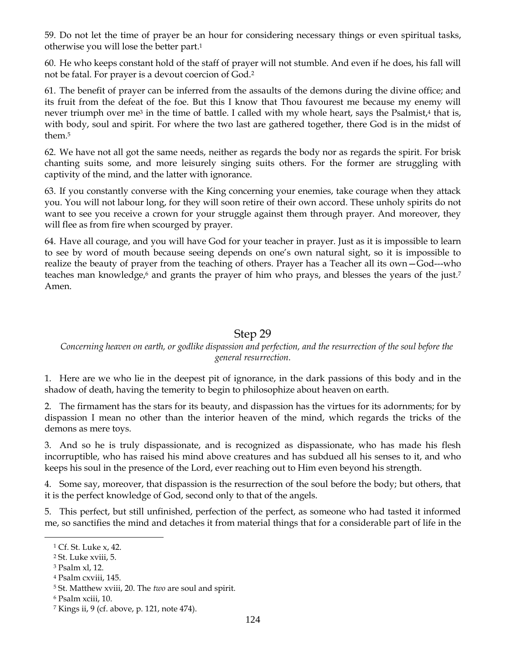59. Do not let the time of prayer be an hour for considering necessary things or even spiritual tasks, otherwise you will lose the better part.<sup>1</sup>

60. He who keeps constant hold of the staff of prayer will not stumble. And even if he does, his fall will not be fatal. For prayer is a devout coercion of God.<sup>2</sup>

61. The benefit of prayer can be inferred from the assaults of the demons during the divine office; and its fruit from the defeat of the foe. But this I know that Thou favourest me because my enemy will never triumph over me<sup>3</sup> in the time of battle. I called with my whole heart, says the Psalmist, $4$  that is, with body, soul and spirit. For where the two last are gathered together, there God is in the midst of them.<sup>5</sup>

62. We have not all got the same needs, neither as regards the body nor as regards the spirit. For brisk chanting suits some, and more leisurely singing suits others. For the former are struggling with captivity of the mind, and the latter with ignorance.

63. If you constantly converse with the King concerning your enemies, take courage when they attack you. You will not labour long, for they will soon retire of their own accord. These unholy spirits do not want to see you receive a crown for your struggle against them through prayer. And moreover, they will flee as from fire when scourged by prayer.

64. Have all courage, and you will have God for your teacher in prayer. Just as it is impossible to learn to see by word of mouth because seeing depends on one's own natural sight, so it is impossible to realize the beauty of prayer from the teaching of others. Prayer has a Teacher all its own—God---who teaches man knowledge, $6$  and grants the prayer of him who prays, and blesses the years of the just.<sup>7</sup> Amen.

## Step 29

## *Concerning heaven on earth, or godlike dispassion and perfection, and the resurrection of the soul before the general resurrection.*

1. Here are we who lie in the deepest pit of ignorance, in the dark passions of this body and in the shadow of death, having the temerity to begin to philosophize about heaven on earth.

2. The firmament has the stars for its beauty, and dispassion has the virtues for its adornments; for by dispassion I mean no other than the interior heaven of the mind, which regards the tricks of the demons as mere toys.

3. And so he is truly dispassionate, and is recognized as dispassionate, who has made his flesh incorruptible, who has raised his mind above creatures and has subdued all his senses to it, and who keeps his soul in the presence of the Lord, ever reaching out to Him even beyond his strength.

4. Some say, moreover, that dispassion is the resurrection of the soul before the body; but others, that it is the perfect knowledge of God, second only to that of the angels.

5. This perfect, but still unfinished, perfection of the perfect, as someone who had tasted it informed me, so sanctifies the mind and detaches it from material things that for a considerable part of life in the

 $\overline{a}$ 

<sup>4</sup> Psalm cxviii, 145.

 $1$  Cf. St. Luke x, 42.

<sup>2</sup> St. Luke xviii, 5.

<sup>3</sup> Psalm xl, 12.

<sup>5</sup> St. Matthew xviii, 20. The *two* are soul and spirit.

<sup>6</sup> Psalm xciii, 10.

<sup>7</sup> Kings ii, 9 (cf. above, p[. 121,](#page-120-0) note [474\)](#page-120-1).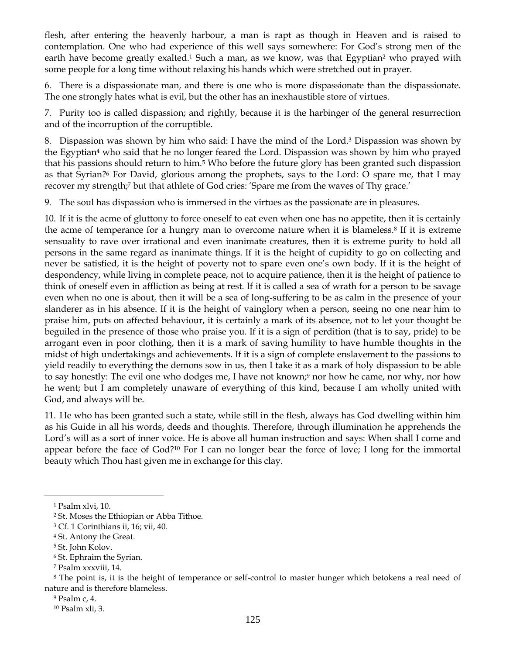flesh, after entering the heavenly harbour, a man is rapt as though in Heaven and is raised to contemplation. One who had experience of this well says somewhere: For God's strong men of the earth have become greatly exalted.<sup>1</sup> Such a man, as we know, was that Egyptian<sup>2</sup> who prayed with some people for a long time without relaxing his hands which were stretched out in prayer.

6. There is a dispassionate man, and there is one who is more dispassionate than the dispassionate. The one strongly hates what is evil, but the other has an inexhaustible store of virtues.

7. Purity too is called dispassion; and rightly, because it is the harbinger of the general resurrection and of the incorruption of the corruptible.

8. Dispassion was shown by him who said: I have the mind of the Lord.<sup>3</sup> Dispassion was shown by the Egyptian<sup>4</sup> who said that he no longer feared the Lord. Dispassion was shown by him who prayed that his passions should return to him.<sup>5</sup> Who before the future glory has been granted such dispassion as that Syrian? <sup>6</sup> For David, glorious among the prophets, says to the Lord: O spare me, that I may recover my strength;<sup>7</sup> but that athlete of God cries: 'Spare me from the waves of Thy grace.'

9. The soul has dispassion who is immersed in the virtues as the passionate are in pleasures.

10. If it is the acme of gluttony to force oneself to eat even when one has no appetite, then it is certainly the acme of temperance for a hungry man to overcome nature when it is blameless.<sup>8</sup> If it is extreme sensuality to rave over irrational and even inanimate creatures, then it is extreme purity to hold all persons in the same regard as inanimate things. If it is the height of cupidity to go on collecting and never be satisfied, it is the height of poverty not to spare even one's own body. If it is the height of despondency, while living in complete peace, not to acquire patience, then it is the height of patience to think of oneself even in affliction as being at rest. If it is called a sea of wrath for a person to be savage even when no one is about, then it will be a sea of long-suffering to be as calm in the presence of your slanderer as in his absence. If it is the height of vainglory when a person, seeing no one near him to praise him, puts on affected behaviour, it is certainly a mark of its absence, not to let your thought be beguiled in the presence of those who praise you. If it is a sign of perdition (that is to say, pride) to be arrogant even in poor clothing, then it is a mark of saving humility to have humble thoughts in the midst of high undertakings and achievements. If it is a sign of complete enslavement to the passions to yield readily to everything the demons sow in us, then I take it as a mark of holy dispassion to be able to say honestly: The evil one who dodges me, I have not known;<sup>9</sup> nor how he came, nor why, nor how he went; but I am completely unaware of everything of this kind, because I am wholly united with God, and always will be.

11. He who has been granted such a state, while still in the flesh, always has God dwelling within him as his Guide in all his words, deeds and thoughts. Therefore, through illumination he apprehends the Lord's will as a sort of inner voice. He is above all human instruction and says: When shall I come and appear before the face of God?<sup>10</sup> For I can no longer bear the force of love; I long for the immortal beauty which Thou hast given me in exchange for this clay.

<sup>1</sup> Psalm xlvi, 10.

<sup>2</sup> St. Moses the Ethiopian or Abba Tithoe.

<sup>3</sup> Cf. 1 Corinthians ii, 16; vii, 40.

<sup>4</sup> St. Antony the Great.

<sup>5</sup> St. John Kolov.

<sup>6</sup> St. Ephraim the Syrian.

<sup>7</sup> Psalm xxxviii, 14.

<sup>8</sup> The point is, it is the height of temperance or self-control to master hunger which betokens a real need of nature and is therefore blameless.

<sup>9</sup> Psalm c, 4.

<sup>10</sup> Psalm xli, 3.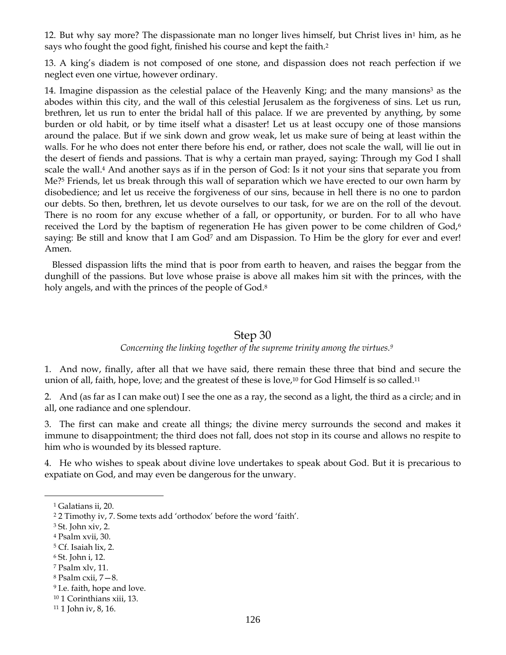12. But why say more? The dispassionate man no longer lives himself, but Christ lives in<sup>1</sup> him, as he says who fought the good fight, finished his course and kept the faith.<sup>2</sup>

13. A king's diadem is not composed of one stone, and dispassion does not reach perfection if we neglect even one virtue, however ordinary.

14. Imagine dispassion as the celestial palace of the Heavenly King; and the many mansions<sup>3</sup> as the abodes within this city, and the wall of this celestial Jerusalem as the forgiveness of sins. Let us run, brethren, let us run to enter the bridal hall of this palace. If we are prevented by anything, by some burden or old habit, or by time itself what a disaster! Let us at least occupy one of those mansions around the palace. But if we sink down and grow weak, let us make sure of being at least within the walls. For he who does not enter there before his end, or rather, does not scale the wall, will lie out in the desert of fiends and passions. That is why a certain man prayed, saying: Through my God I shall scale the wall.<sup>4</sup> And another says as if in the person of God: Is it not your sins that separate you from Me?<sup>5</sup> Friends, let us break through this wall of separation which we have erected to our own harm by disobedience; and let us receive the forgiveness of our sins, because in hell there is no one to pardon our debts. So then, brethren, let us devote ourselves to our task, for we are on the roll of the devout. There is no room for any excuse whether of a fall, or opportunity, or burden. For to all who have received the Lord by the baptism of regeneration He has given power to be come children of God,<sup>6</sup> saying: Be still and know that I am God<sup>7</sup> and am Dispassion. To Him be the glory for ever and ever! Amen.

Blessed dispassion lifts the mind that is poor from earth to heaven, and raises the beggar from the dunghill of the passions. But love whose praise is above all makes him sit with the princes, with the holy angels, and with the princes of the people of God.<sup>8</sup>

## Step 30

#### *Concerning the linking together of the supreme trinity among the virtues.<sup>9</sup>*

1. And now, finally, after all that we have said, there remain these three that bind and secure the union of all, faith, hope, love; and the greatest of these is love, $10$  for God Himself is so called. $11$ 

2. And (as far as I can make out) I see the one as a ray, the second as a light, the third as a circle; and in all, one radiance and one splendour.

3. The first can make and create all things; the divine mercy surrounds the second and makes it immune to disappointment; the third does not fall, does not stop in its course and allows no respite to him who is wounded by its blessed rapture.

4. He who wishes to speak about divine love undertakes to speak about God. But it is precarious to expatiate on God, and may even be dangerous for the unwary.

<sup>1</sup> Galatians ii, 20.

<sup>2</sup> 2 Timothy iv, 7. Some texts add 'orthodox' before the word 'faith'.

<sup>3</sup> St. John xiv, 2.

<sup>4</sup> Psalm xvii, 30.

<sup>5</sup> Cf. Isaiah lix, 2.

<sup>6</sup> St. John i, 12.

<sup>7</sup> Psalm xlv, 11.

 $8$  Psalm cxii,  $7-8$ .

<sup>9</sup> I.e. faith, hope and love.

<sup>10</sup> 1 Corinthians xiii, 13.

<sup>11</sup> 1 John iv, 8, 16.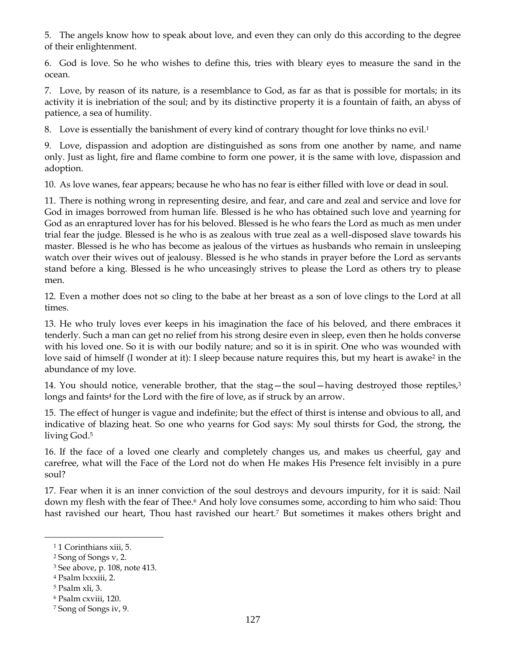5. The angels know how to speak about love, and even they can only do this according to the degree of their enlightenment.

6. God is love. So he who wishes to define this, tries with bleary eyes to measure the sand in the ocean.

7. Love, by reason of its nature, is a resemblance to God, as far as that is possible for mortals; in its activity it is inebriation of the soul; and by its distinctive property it is a fountain of faith, an abyss of patience, a sea of humility.

8. Love is essentially the banishment of every kind of contrary thought for love thinks no evil.<sup>1</sup>

9. Love, dispassion and adoption are distinguished as sons from one another by name, and name only. Just as light, fire and flame combine to form one power, it is the same with love, dispassion and adoption.

10. As love wanes, fear appears; because he who has no fear is either filled with love or dead in soul.

11. There is nothing wrong in representing desire, and fear, and care and zeal and service and love for God in images borrowed from human life. Blessed is he who has obtained such love and yearning for God as an enraptured lover has for his beloved. Blessed is he who fears the Lord as much as men under trial fear the judge. Blessed is he who is as zealous with true zeal as a well-disposed slave towards his master. Blessed is he who has become as jealous of the virtues as husbands who remain in unsleeping watch over their wives out of jealousy. Blessed is he who stands in prayer before the Lord as servants stand before a king. Blessed is he who unceasingly strives to please the Lord as others try to please men.

12. Even a mother does not so cling to the babe at her breast as a son of love clings to the Lord at all times.

13. He who truly loves ever keeps in his imagination the face of his beloved, and there embraces it tenderly. Such a man can get no relief from his strong desire even in sleep, even then he holds converse with his loved one. So it is with our bodily nature; and so it is in spirit. One who was wounded with love said of himself (I wonder at it): I sleep because nature requires this, but my heart is awake<sup>2</sup> in the abundance of my love.

14. You should notice, venerable brother, that the stag—the soul—having destroyed those reptiles,<sup>3</sup> longs and faints<sup>4</sup> for the Lord with the fire of love, as if struck by an arrow.

15. The effect of hunger is vague and indefinite; but the effect of thirst is intense and obvious to all, and indicative of blazing heat. So one who yearns for God says: My soul thirsts for God, the strong, the living God.<sup>5</sup>

16. If the face of a loved one clearly and completely changes us, and makes us cheerful, gay and carefree, what will the Face of the Lord not do when He makes His Presence felt invisibly in a pure soul?

17. Fear when it is an inner conviction of the soul destroys and devours impurity, for it is said: Nail down my flesh with the fear of Thee.<sup>6</sup> And holy love consumes some, according to him who said: Thou hast ravished our heart, Thou hast ravished our heart.<sup>7</sup> But sometimes it makes others bright and

<sup>1</sup> 1 Corinthians xiii, 5.

<sup>2</sup> Song of Songs v, 2.

<sup>3</sup> See above, p. [108,](#page-107-0) note [413.](#page-107-1)

<sup>4</sup> Psalm lxxxiii, 2.

<sup>5</sup> Psalm xli, 3.

<sup>6</sup> Psalm cxviii, 120.

<sup>7</sup> Song of Songs iv, 9.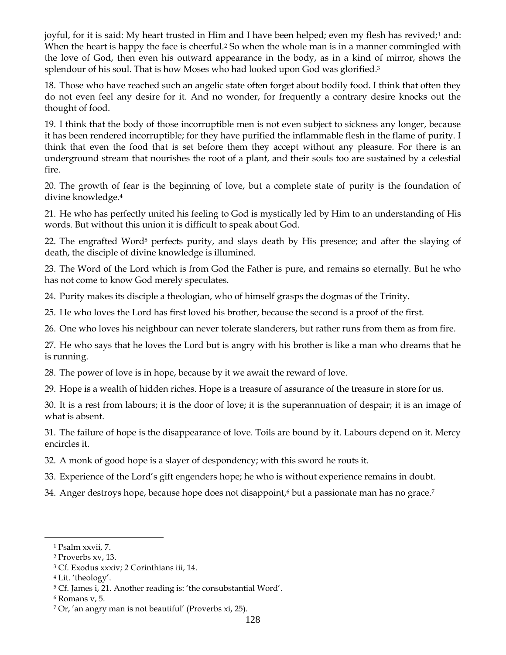joyful, for it is said: My heart trusted in Him and I have been helped; even my flesh has revived;<sup>1</sup> and: When the heart is happy the face is cheerful.<sup>2</sup> So when the whole man is in a manner commingled with the love of God, then even his outward appearance in the body, as in a kind of mirror, shows the splendour of his soul. That is how Moses who had looked upon God was glorified. 3

18. Those who have reached such an angelic state often forget about bodily food. I think that often they do not even feel any desire for it. And no wonder, for frequently a contrary desire knocks out the thought of food.

19. I think that the body of those incorruptible men is not even subject to sickness any longer, because it has been rendered incorruptible; for they have purified the inflammable flesh in the flame of purity. I think that even the food that is set before them they accept without any pleasure. For there is an underground stream that nourishes the root of a plant, and their souls too are sustained by a celestial fire.

20. The growth of fear is the beginning of love, but a complete state of purity is the foundation of divine knowledge.<sup>4</sup>

21. He who has perfectly united his feeling to God is mystically led by Him to an understanding of His words. But without this union it is difficult to speak about God.

22. The engrafted Word<sup>5</sup> perfects purity, and slays death by His presence; and after the slaying of death, the disciple of divine knowledge is illumined.

23. The Word of the Lord which is from God the Father is pure, and remains so eternally. But he who has not come to know God merely speculates.

24. Purity makes its disciple a theologian, who of himself grasps the dogmas of the Trinity.

25. He who loves the Lord has first loved his brother, because the second is a proof of the first.

26. One who loves his neighbour can never tolerate slanderers, but rather runs from them as from fire.

27. He who says that he loves the Lord but is angry with his brother is like a man who dreams that he is running.

28. The power of love is in hope, because by it we await the reward of love.

29. Hope is a wealth of hidden riches. Hope is a treasure of assurance of the treasure in store for us.

30. It is a rest from labours; it is the door of love; it is the superannuation of despair; it is an image of what is absent.

31. The failure of hope is the disappearance of love. Toils are bound by it. Labours depend on it. Mercy encircles it.

- 32. A monk of good hope is a slayer of despondency; with this sword he routs it.
- 33. Experience of the Lord's gift engenders hope; he who is without experience remains in doubt.
- 34. Anger destroys hope, because hope does not disappoint, $6$  but a passionate man has no grace.<sup>7</sup>

<sup>1</sup> Psalm xxvii, 7.

<sup>2</sup> Proverbs xv, 13.

<sup>3</sup> Cf. Exodus xxxiv; 2 Corinthians iii, 14.

<sup>4</sup> Lit. 'theology'.

<sup>5</sup> Cf. James i, 21. Another reading is: 'the consubstantial Word'.

<sup>6</sup> Romans v, 5.

<sup>7</sup> Or, 'an angry man is not beautiful' (Proverbs xi, 25).